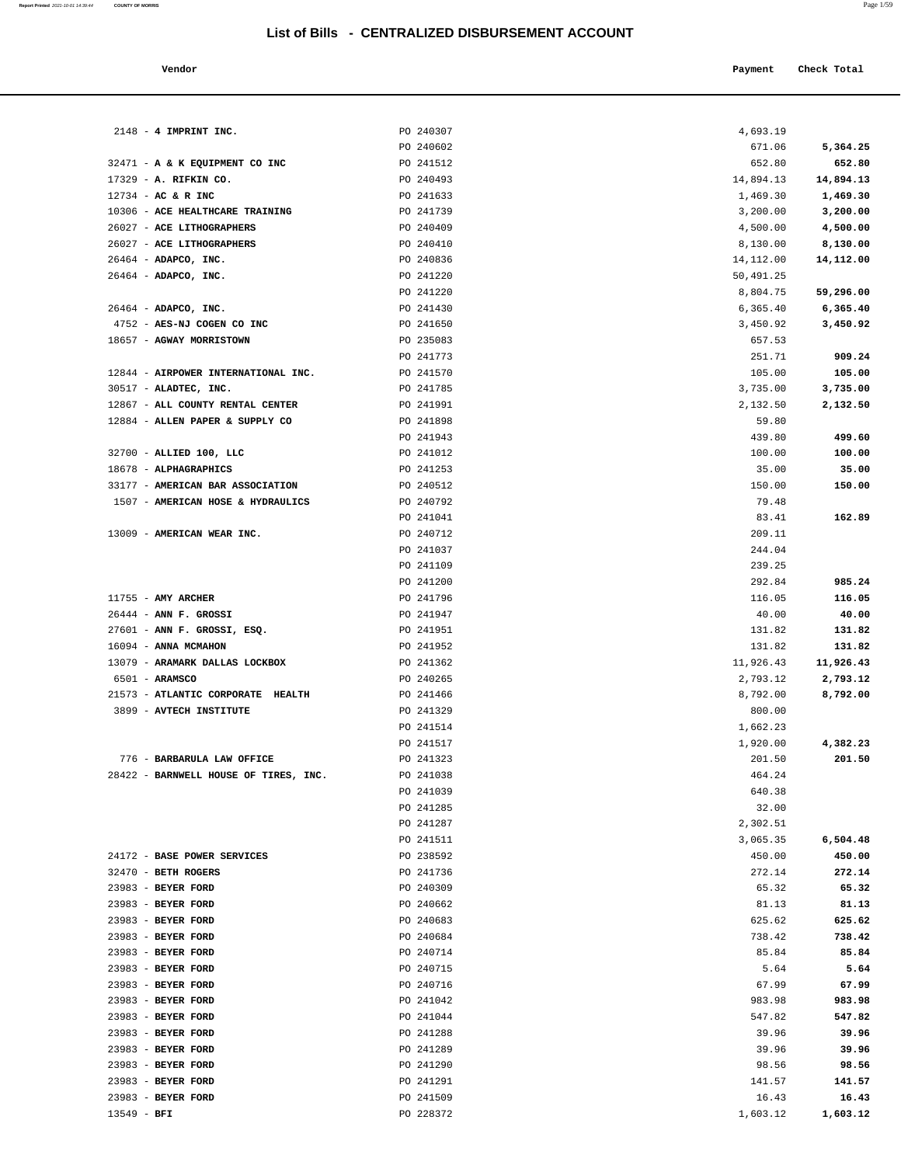|  | ∽∽<br>. . | מי |  |
|--|-----------|----|--|
|  |           |    |  |

| эr | Payment Check Total |
|----|---------------------|
|    |                     |

| $2148 - 4$ IMPRINT INC.                                | PO 240307              | 4,693.19              |                       |
|--------------------------------------------------------|------------------------|-----------------------|-----------------------|
|                                                        | PO 240602              | 671.06                | 5,364.25              |
| 32471 - A & K EQUIPMENT CO INC                         | PO 241512              | 652.80                | 652.80                |
| 17329 - A. RIFKIN CO.                                  | PO 240493              | 14,894.13             | 14,894.13             |
| $12734$ - AC & R INC                                   | PO 241633              | 1,469.30              | 1,469.30              |
| 10306 - ACE HEALTHCARE TRAINING                        | PO 241739              | 3,200.00              | 3,200.00              |
| 26027 - ACE LITHOGRAPHERS                              | PO 240409              | 4,500.00              | 4,500.00              |
| 26027 - ACE LITHOGRAPHERS                              | PO 240410              | 8,130.00              | 8,130.00              |
| 26464 - ADAPCO, INC.                                   | PO 240836              | 14, 112.00            | 14,112.00             |
| 26464 - ADAPCO, INC.                                   | PO 241220              | 50,491.25             |                       |
|                                                        | PO 241220              | 8,804.75              | 59,296.00             |
| 26464 - ADAPCO, INC.                                   | PO 241430              | 6,365.40              | 6,365.40              |
| 4752 - AES-NJ COGEN CO INC<br>18657 - AGWAY MORRISTOWN | PO 241650<br>PO 235083 | 3,450.92<br>657.53    | 3,450.92              |
|                                                        | PO 241773              | 251.71                | 909.24                |
| 12844 - AIRPOWER INTERNATIONAL INC.                    | PO 241570              | 105.00                | 105.00                |
| $30517$ - ALADTEC, INC.                                | PO 241785              | 3,735.00              | 3,735.00              |
| 12867 - ALL COUNTY RENTAL CENTER                       | PO 241991              | 2,132.50              | 2,132.50              |
| 12884 - ALLEN PAPER & SUPPLY CO                        | PO 241898              | 59.80                 |                       |
|                                                        | PO 241943              | 439.80                | 499.60                |
| 32700 - ALLIED 100, LLC                                | PO 241012              | 100.00                | 100.00                |
| 18678 - ALPHAGRAPHICS                                  | PO 241253              | 35.00                 | 35.00                 |
| 33177 - AMERICAN BAR ASSOCIATION                       | PO 240512              | 150.00                | 150.00                |
| 1507 - AMERICAN HOSE & HYDRAULICS                      | PO 240792              | 79.48                 |                       |
|                                                        | PO 241041              | 83.41                 | 162.89                |
| 13009 - AMERICAN WEAR INC.                             | PO 240712              | 209.11                |                       |
|                                                        | PO 241037              | 244.04                |                       |
|                                                        | PO 241109              | 239.25                |                       |
|                                                        | PO 241200              | 292.84                | 985.24                |
| $11755$ - AMY ARCHER                                   | PO 241796              | 116.05                | 116.05                |
| $26444$ - ANN F. GROSSI                                | PO 241947              | 40.00                 | 40.00                 |
| 27601 - ANN F. GROSSI, ESQ.                            | PO 241951              | 131.82                | 131.82                |
| 16094 - ANNA MCMAHON<br>13079 - ARAMARK DALLAS LOCKBOX | PO 241952<br>PO 241362 | 131.82                | 131.82                |
| 6501 - ARAMSCO                                         | PO 240265              | 11,926.43<br>2,793.12 | 11,926.43<br>2,793.12 |
| 21573 - ATLANTIC CORPORATE HEALTH                      | PO 241466              | 8,792.00              | 8,792.00              |
| 3899 - AVTECH INSTITUTE                                | PO 241329              | 800.00                |                       |
|                                                        | PO 241514              | 1,662.23              |                       |
|                                                        | PO 241517              | 1,920.00              | 4,382.23              |
| 776 - BARBARULA LAW OFFICE                             | PO 241323              | 201.50                | 201.50                |
| 28422 - BARNWELL HOUSE OF TIRES, INC.                  | PO 241038              | 464.24                |                       |
|                                                        | PO 241039              | 640.38                |                       |
|                                                        | PO 241285              | 32.00                 |                       |
|                                                        | PO 241287              | 2,302.51              |                       |
|                                                        | PO 241511              | 3,065.35              | 6,504.48              |
| 24172 - BASE POWER SERVICES                            | PO 238592              | 450.00                | 450.00                |
| 32470 - BETH ROGERS                                    | PO 241736              | 272.14                | 272.14                |
| 23983 - BEYER FORD                                     | PO 240309              | 65.32                 | 65.32                 |
| 23983 - BEYER FORD                                     | PO 240662              | 81.13                 | 81.13                 |
| 23983 - BEYER FORD                                     | PO 240683              | 625.62                | 625.62                |
| 23983 - BEYER FORD                                     | PO 240684              | 738.42                | 738.42                |
| 23983 - BEYER FORD                                     | PO 240714              | 85.84                 | 85.84                 |
| 23983 - BEYER FORD                                     | PO 240715              | 5.64                  | 5.64                  |
| 23983 - BEYER FORD<br>23983 - BEYER FORD               | PO 240716<br>PO 241042 | 67.99<br>983.98       | 67.99<br>983.98       |
| 23983 - BEYER FORD                                     | PO 241044              | 547.82                | 547.82                |
| 23983 - BEYER FORD                                     | PO 241288              | 39.96                 | 39.96                 |
| 23983 - BEYER FORD                                     | PO 241289              | 39.96                 | 39.96                 |
| 23983 - BEYER FORD                                     | PO 241290              | 98.56                 | 98.56                 |
| 23983 - BEYER FORD                                     | PO 241291              | 141.57                | 141.57                |
| 23983 - BEYER FORD                                     | PO 241509              | 16.43                 | 16.43                 |
| $13549 - BFI$                                          | PO 228372              | 1,603.12              | 1,603.12              |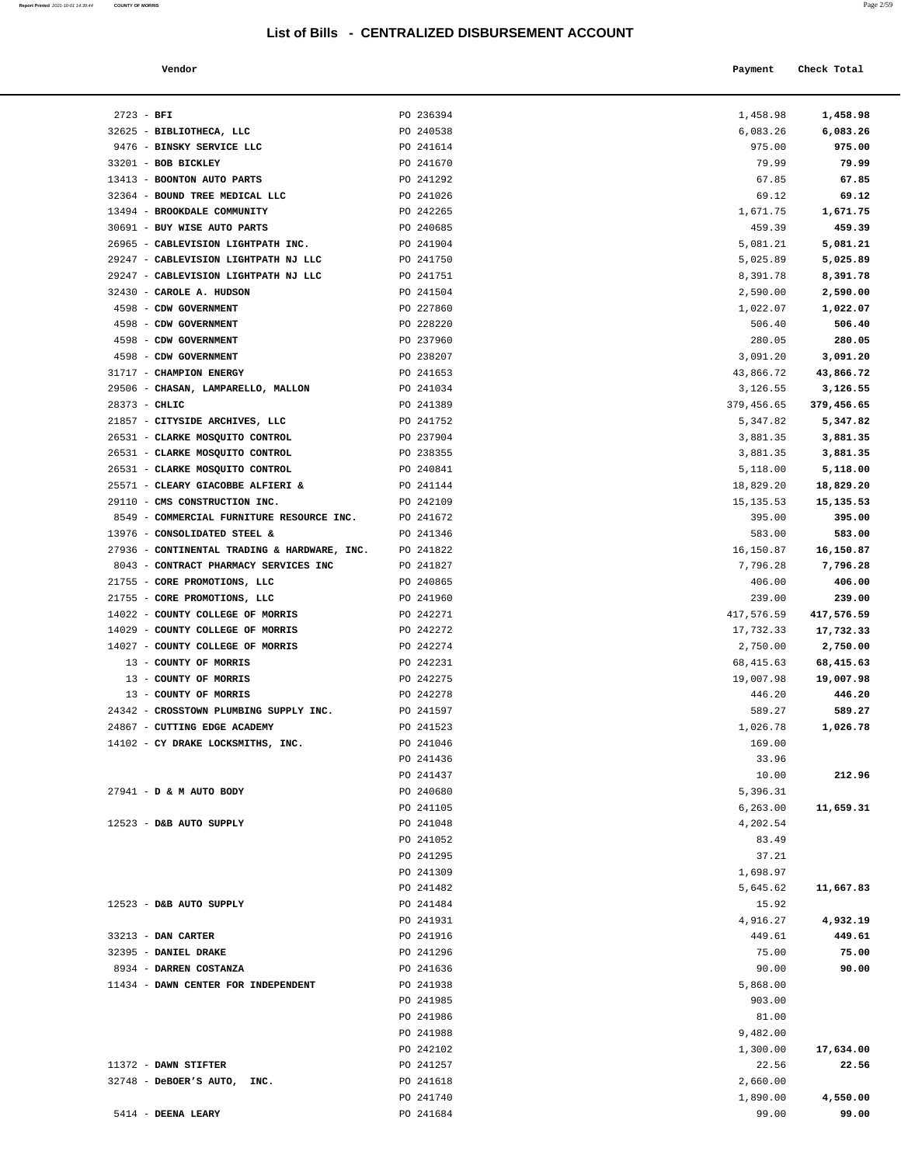| Report Printed 2021-10-01 14:39:44 COUNTY OF MORRIS |  | Page 2/59 |
|-----------------------------------------------------|--|-----------|
|                                                     |  |           |

| Vendor |  | Payment Check Total |
|--------|--|---------------------|
|--------|--|---------------------|

| $2723 - BFI$                                                          | PO 236394              | 1,458.98           | 1,458.98           |
|-----------------------------------------------------------------------|------------------------|--------------------|--------------------|
| 32625 - BIBLIOTHECA, LLC                                              | PO 240538              | 6,083.26           | 6,083.26           |
| 9476 - BINSKY SERVICE LLC                                             | PO 241614              | 975.00             | 975.00             |
| 33201 - BOB BICKLEY                                                   | PO 241670              | 79.99              | 79.99              |
| 13413 - BOONTON AUTO PARTS                                            | PO 241292              | 67.85              | 67.85              |
| 32364 - BOUND TREE MEDICAL LLC                                        | PO 241026              | 69.12              | 69.12              |
| 13494 - BROOKDALE COMMUNITY                                           | PO 242265              | 1,671.75           | 1,671.75           |
| 30691 - BUY WISE AUTO PARTS                                           | PO 240685              | 459.39             | 459.39             |
| 26965 - CABLEVISION LIGHTPATH INC.                                    | PO 241904              | 5,081.21           | 5,081.21           |
| 29247 - CABLEVISION LIGHTPATH NJ LLC                                  | PO 241750              | 5,025.89           | 5,025.89           |
| 29247 - CABLEVISION LIGHTPATH NJ LLC                                  | PO 241751              | 8,391.78           | 8,391.78           |
| 32430 - CAROLE A. HUDSON                                              | PO 241504              | 2,590.00           | 2,590.00           |
| 4598 - CDW GOVERNMENT                                                 | PO 227860              | 1,022.07           | 1,022.07           |
| 4598 - CDW GOVERNMENT                                                 | PO 228220              | 506.40             | 506.40             |
| 4598 - CDW GOVERNMENT                                                 | PO 237960              | 280.05             | 280.05             |
| 4598 - CDW GOVERNMENT                                                 | PO 238207              | 3,091.20           | 3,091.20           |
| 31717 - CHAMPION ENERGY                                               | PO 241653              | 43,866.72          | 43,866.72          |
| 29506 - CHASAN, LAMPARELLO, MALLON                                    | PO 241034              | 3,126.55           | 3,126.55           |
| 28373 - CHLIC                                                         | PO 241389              | 379,456.65         | 379,456.65         |
| 21857 - CITYSIDE ARCHIVES, LLC                                        | PO 241752              | 5,347.82           | 5,347.82           |
| 26531 - CLARKE MOSQUITO CONTROL                                       | PO 237904              | 3,881.35           | 3,881.35           |
| 26531 - CLARKE MOSQUITO CONTROL                                       | PO 238355              | 3,881.35           | 3,881.35           |
| 26531 - CLARKE MOSQUITO CONTROL                                       | PO 240841              | 5,118.00           | 5,118.00           |
| 25571 - CLEARY GIACOBBE ALFIERI &                                     | PO 241144              | 18,829.20          | 18,829.20          |
| 29110 - CMS CONSTRUCTION INC.                                         | PO 242109              | 15,135.53          | 15, 135. 53        |
| 8549 - COMMERCIAL FURNITURE RESOURCE INC. PO 241672                   |                        | 395.00             | 395.00             |
| 13976 - CONSOLIDATED STEEL &                                          | PO 241346              | 583.00             | 583.00             |
| 27936 - CONTINENTAL TRADING & HARDWARE, INC.                          | PO 241822              | 16,150.87          | 16,150.87          |
| 8043 - CONTRACT PHARMACY SERVICES INC<br>21755 - CORE PROMOTIONS, LLC | PO 241827<br>PO 240865 | 7,796.28<br>406.00 | 7,796.28<br>406.00 |
| 21755 - CORE PROMOTIONS, LLC                                          | PO 241960              | 239.00             | 239.00             |
| 14022 - COUNTY COLLEGE OF MORRIS                                      | PO 242271              | 417,576.59         | 417,576.59         |
| 14029 - COUNTY COLLEGE OF MORRIS                                      | PO 242272              | 17,732.33          | 17,732.33          |
| 14027 - COUNTY COLLEGE OF MORRIS                                      | PO 242274              | 2,750.00           | 2,750.00           |
| 13 - COUNTY OF MORRIS                                                 | PO 242231              | 68,415.63          | 68,415.63          |
| 13 - COUNTY OF MORRIS                                                 | PO 242275              | 19,007.98          | 19,007.98          |
| 13 - COUNTY OF MORRIS                                                 | PO 242278              | 446.20             | 446.20             |
| 24342 - CROSSTOWN PLUMBING SUPPLY INC.                                | PO 241597              | 589.27             | 589.27             |
| 24867 - CUTTING EDGE ACADEMY                                          | PO 241523              | 1,026.78           | 1,026.78           |
| 14102 - CY DRAKE LOCKSMITHS, INC.                                     | PO 241046              | 169.00             |                    |
|                                                                       | PO 241436              | 33.96              |                    |
|                                                                       | PO 241437              | 10.00              | 212.96             |
| 27941 - D & M AUTO BODY                                               | PO 240680              | 5,396.31           |                    |
|                                                                       | PO 241105              | 6,263.00           | 11,659.31          |
| 12523 - D&B AUTO SUPPLY                                               | PO 241048              | 4,202.54           |                    |
|                                                                       | PO 241052              | 83.49              |                    |
|                                                                       | PO 241295              | 37.21              |                    |
|                                                                       | PO 241309              | 1,698.97           |                    |
|                                                                       | PO 241482              | 5,645.62           | 11,667.83          |
| 12523 - D&B AUTO SUPPLY                                               | PO 241484              | 15.92              |                    |
|                                                                       | PO 241931              | 4,916.27           | 4,932.19           |
| 33213 - DAN CARTER                                                    | PO 241916              | 449.61             | 449.61             |
| 32395 - DANIEL DRAKE                                                  | PO 241296              | 75.00              | 75.00              |
| 8934 - DARREN COSTANZA                                                | PO 241636              | 90.00              | 90.00              |
| 11434 - DAWN CENTER FOR INDEPENDENT                                   | PO 241938              | 5,868.00           |                    |
|                                                                       | PO 241985              | 903.00             |                    |
|                                                                       | PO 241986              | 81.00              |                    |
|                                                                       | PO 241988              | 9,482.00           |                    |
|                                                                       | PO 242102              | 1,300.00           | 17,634.00          |
| 11372 - DAWN STIFTER                                                  | PO 241257              | 22.56              | 22.56              |
| 32748 - DeBOER'S AUTO, INC.                                           | PO 241618              | 2,660.00           |                    |
|                                                                       | PO 241740              | 1,890.00           | 4,550.00           |
| 5414 - DEENA LEARY                                                    | PO 241684              | 99.00              | 99.00              |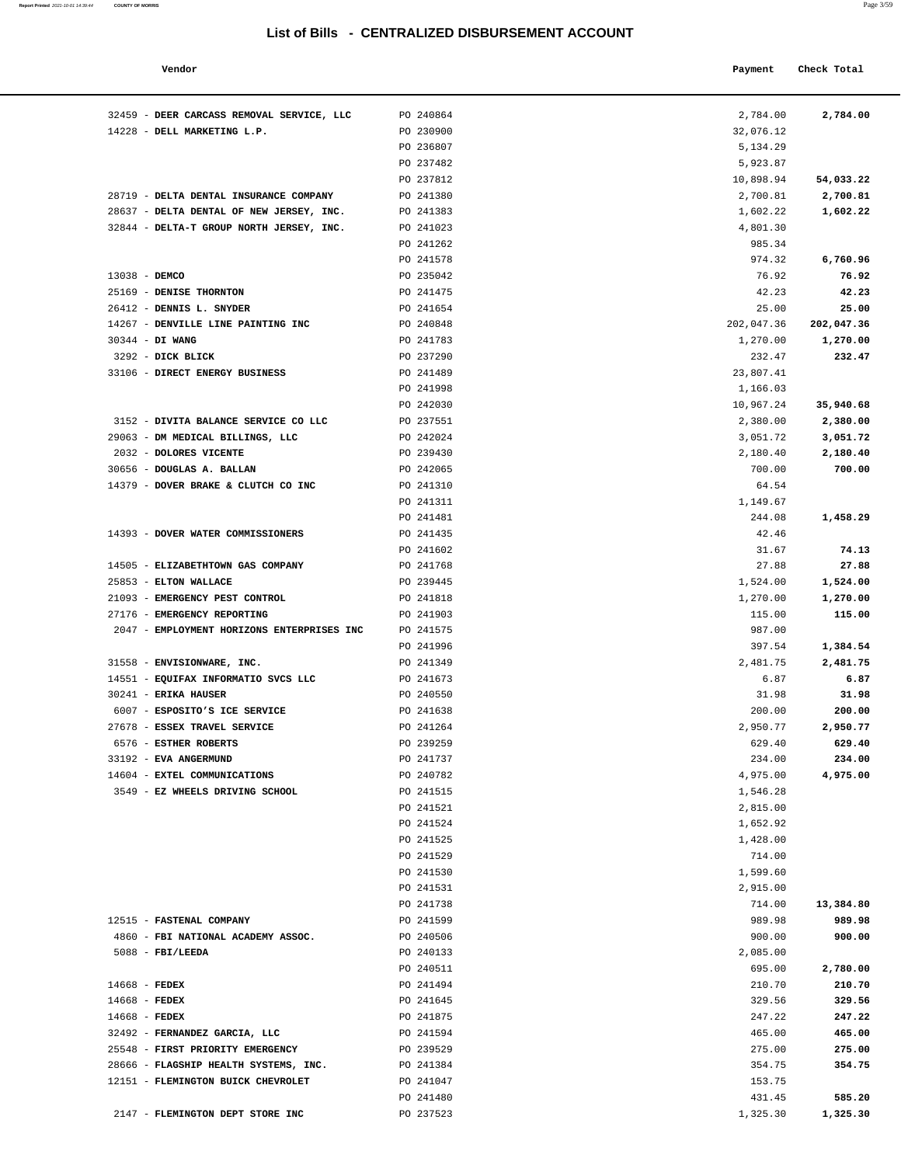| Vendor                                                |                        | Payment            | Check Total        |
|-------------------------------------------------------|------------------------|--------------------|--------------------|
| 32459 - DEER CARCASS REMOVAL SERVICE, LLC             | PO 240864              | 2,784.00           | 2,784.00           |
| 14228 - DELL MARKETING L.P.                           | PO 230900              | 32,076.12          |                    |
|                                                       | PO 236807              | 5,134.29           |                    |
|                                                       | PO 237482              | 5,923.87           |                    |
|                                                       | PO 237812              | 10,898.94          | 54,033.22          |
| 28719 - DELTA DENTAL INSURANCE COMPANY                | PO 241380              | 2,700.81           | 2,700.81           |
| 28637 - DELTA DENTAL OF NEW JERSEY, INC.              | PO 241383              | 1,602.22           | 1,602.22           |
| 32844 - DELTA-T GROUP NORTH JERSEY, INC.              | PO 241023              | 4,801.30           |                    |
|                                                       | PO 241262              | 985.34             |                    |
|                                                       | PO 241578              | 974.32             | 6,760.96           |
| 13038 - DEMCO                                         | PO 235042              | 76.92              | 76.92              |
| 25169 - DENISE THORNTON                               | PO 241475              | 42.23              | 42.23              |
| 26412 - DENNIS L. SNYDER                              | PO 241654              | 25.00              | 25.00              |
| 14267 - DENVILLE LINE PAINTING INC                    | PO 240848              | 202,047.36         | 202,047.36         |
| 30344 - DI WANG<br>3292 - DICK BLICK                  | PO 241783<br>PO 237290 | 1,270.00<br>232.47 | 1,270.00<br>232.47 |
| 33106 - DIRECT ENERGY BUSINESS                        | PO 241489              | 23,807.41          |                    |
|                                                       | PO 241998              | 1,166.03           |                    |
|                                                       | PO 242030              | 10,967.24          | 35,940.68          |
| 3152 - DIVITA BALANCE SERVICE CO LLC                  | PO 237551              | 2,380.00           | 2,380.00           |
| 29063 - DM MEDICAL BILLINGS, LLC                      | PO 242024              | 3,051.72           | 3,051.72           |
| 2032 - DOLORES VICENTE                                | PO 239430              | 2,180.40           | 2,180.40           |
| 30656 - DOUGLAS A. BALLAN                             | PO 242065              | 700.00             | 700.00             |
| 14379 - DOVER BRAKE & CLUTCH CO INC                   | PO 241310              | 64.54              |                    |
|                                                       | PO 241311              | 1,149.67           |                    |
|                                                       | PO 241481              | 244.08             | 1,458.29           |
| 14393 - DOVER WATER COMMISSIONERS                     | PO 241435              | 42.46              |                    |
|                                                       | PO 241602              | 31.67              | 74.13              |
| 14505 - ELIZABETHTOWN GAS COMPANY                     | PO 241768              | 27.88              | 27.88              |
| 25853 - ELTON WALLACE                                 | PO 239445              | 1,524.00           | 1,524.00           |
| 21093 - EMERGENCY PEST CONTROL                        | PO 241818              | 1,270.00           | 1,270.00           |
| 27176 - EMERGENCY REPORTING                           | PO 241903              | 115.00             | 115.00             |
| 2047 - EMPLOYMENT HORIZONS ENTERPRISES INC            | PO 241575              | 987.00             |                    |
|                                                       | PO 241996              | 397.54             | 1,384.54           |
| 31558 - ENVISIONWARE, INC.                            | PO 241349              | 2,481.75           | 2,481.75           |
| 14551 - EQUIFAX INFORMATIO SVCS LLC                   | PO 241673              | 6.87               | 6.87               |
| 30241 - ERIKA HAUSER                                  | PO 240550              | 31.98              | 31.98              |
| 6007 - ESPOSITO'S ICE SERVICE                         | PO 241638              | 200.00             | 200.00             |
| 27678 - ESSEX TRAVEL SERVICE<br>6576 - ESTHER ROBERTS | PO 241264<br>PO 239259 | 2,950.77<br>629.40 | 2,950.77<br>629.40 |
| 33192 - EVA ANGERMUND                                 | PO 241737              | 234.00             | 234.00             |
| 14604 - EXTEL COMMUNICATIONS                          | PO 240782              | 4,975.00           | 4,975.00           |
| 3549 - EZ WHEELS DRIVING SCHOOL                       | PO 241515              | 1,546.28           |                    |
|                                                       | PO 241521              | 2,815.00           |                    |
|                                                       | PO 241524              | 1,652.92           |                    |
|                                                       | PO 241525              | 1,428.00           |                    |
|                                                       | PO 241529              | 714.00             |                    |
|                                                       | PO 241530              | 1,599.60           |                    |
|                                                       | PO 241531              | 2,915.00           |                    |
|                                                       | PO 241738              | 714.00             | 13,384.80          |
| 12515 - FASTENAL COMPANY                              | PO 241599              | 989.98             | 989.98             |
| 4860 - FBI NATIONAL ACADEMY ASSOC.                    | PO 240506              | 900.00             | 900.00             |
| $5088$ - FBI/LEEDA                                    | PO 240133              | 2,085.00           |                    |
|                                                       | PO 240511              | 695.00             | 2,780.00           |
| 14668 - FEDEX                                         | PO 241494              | 210.70             | 210.70             |
| $14668$ - FEDEX                                       | PO 241645              | 329.56             | 329.56             |
| $14668$ - FEDEX                                       | PO 241875              | 247.22             | 247.22             |
| 32492 - FERNANDEZ GARCIA, LLC                         | PO 241594              | 465.00             | 465.00             |
| 25548 - FIRST PRIORITY EMERGENCY                      | PO 239529              | 275.00             | 275.00             |
| 28666 - FLAGSHIP HEALTH SYSTEMS, INC.                 | PO 241384              | 354.75             | 354.75             |
| 12151 - FLEMINGTON BUICK CHEVROLET                    | PO 241047              | 153.75             |                    |
|                                                       | PO 241480              | 431.45             | 585.20             |
| 2147 - FLEMINGTON DEPT STORE INC                      | PO 237523              | 1,325.30           | 1,325.30           |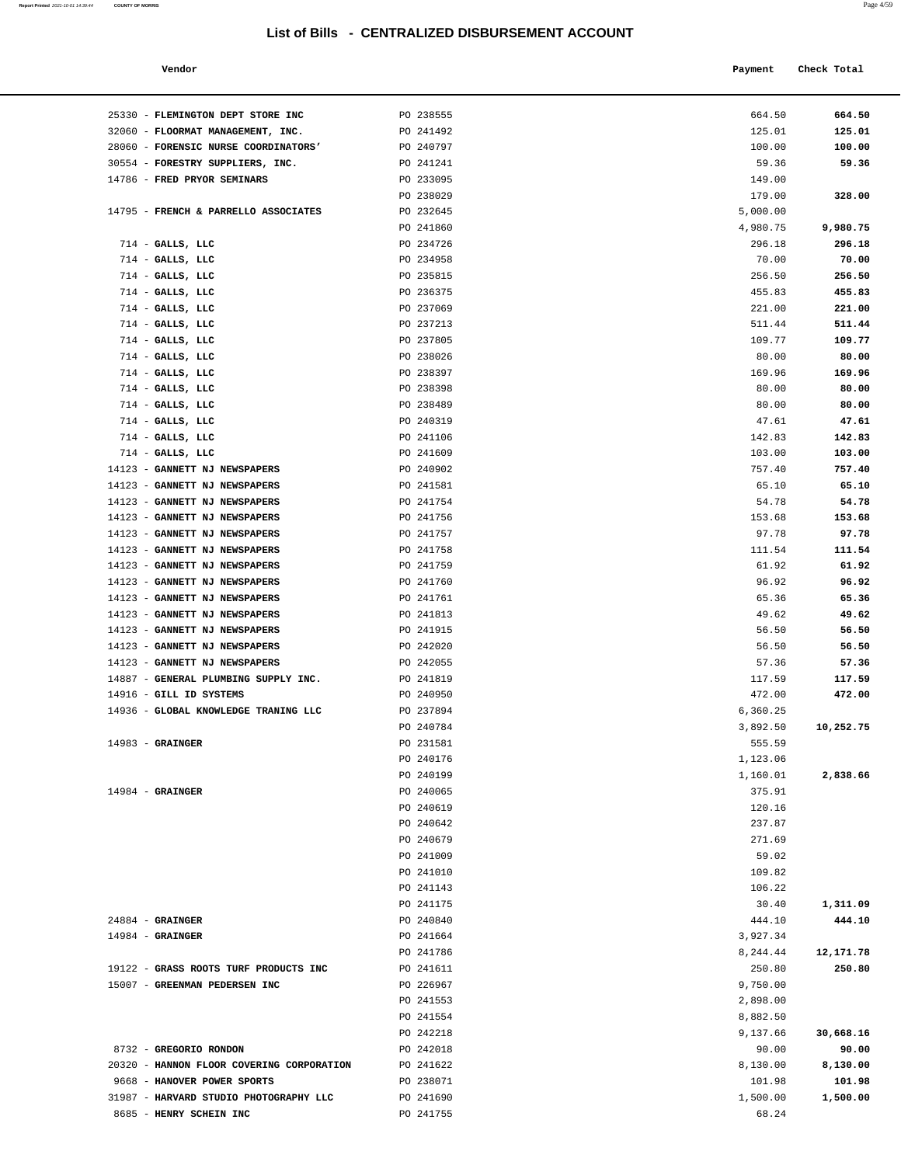**Report Printed** 2021-10-01 14:39:44 **COUNTY OF MORRIS** Page 4/59

#### **Vendor Check Total**   $\blacksquare$  **Payment** Check Total  $\blacksquare$

| 25330 - FLEMINGTON DEPT STORE INC                              | PO 238555              | 664.50           | 664.50           |
|----------------------------------------------------------------|------------------------|------------------|------------------|
| 32060 - FLOORMAT MANAGEMENT, INC.                              | PO 241492              | 125.01           | 125.01           |
| 28060 - FORENSIC NURSE COORDINATORS'                           | PO 240797              | 100.00           | 100.00           |
| 30554 - FORESTRY SUPPLIERS, INC.                               | PO 241241              | 59.36            | 59.36            |
| 14786 - FRED PRYOR SEMINARS                                    | PO 233095              | 149.00           |                  |
|                                                                | PO 238029              | 179.00           | 328.00           |
| 14795 - FRENCH & PARRELLO ASSOCIATES                           | PO 232645              | 5,000.00         |                  |
|                                                                | PO 241860              | 4,980.75         | 9,980.75         |
| $714$ - GALLS, LLC                                             | PO 234726              | 296.18           | 296.18           |
| $714$ - GALLS, LLC                                             | PO 234958              | 70.00            | 70.00            |
| $714$ - GALLS, LLC                                             | PO 235815              | 256.50           | 256.50           |
| $714$ - GALLS, LLC                                             | PO 236375              | 455.83           | 455.83           |
| $714$ - GALLS, LLC                                             | PO 237069              | 221.00           | 221.00           |
| $714$ - GALLS, LLC<br>$714$ - GALLS, LLC                       | PO 237213<br>PO 237805 | 511.44<br>109.77 | 511.44<br>109.77 |
| $714$ - GALLS, LLC                                             | PO 238026              | 80.00            | 80.00            |
| $714$ - GALLS, LLC                                             | PO 238397              | 169.96           | 169.96           |
| $714$ - GALLS, LLC                                             | PO 238398              | 80.00            | 80.00            |
| 714 - GALLS, LLC                                               | PO 238489              | 80.00            | 80.00            |
| $714$ - GALLS, LLC                                             | PO 240319              | 47.61            | 47.61            |
| $714$ - GALLS, LLC                                             | PO 241106              | 142.83           | 142.83           |
| $714$ - GALLS, LLC                                             | PO 241609              | 103.00           | 103.00           |
| 14123 - GANNETT NJ NEWSPAPERS                                  | PO 240902              | 757.40           | 757.40           |
| 14123 - GANNETT NJ NEWSPAPERS                                  | PO 241581              | 65.10            | 65.10            |
| 14123 - GANNETT NJ NEWSPAPERS                                  | PO 241754              | 54.78            | 54.78            |
| 14123 - GANNETT NJ NEWSPAPERS                                  | PO 241756              | 153.68           | 153.68           |
| 14123 - GANNETT NJ NEWSPAPERS                                  | PO 241757              | 97.78            | 97.78            |
| 14123 - GANNETT NJ NEWSPAPERS                                  | PO 241758              | 111.54           | 111.54           |
| 14123 - GANNETT NJ NEWSPAPERS                                  | PO 241759              | 61.92            | 61.92            |
| 14123 - GANNETT NJ NEWSPAPERS                                  | PO 241760              | 96.92            | 96.92            |
| 14123 - GANNETT NJ NEWSPAPERS<br>14123 - GANNETT NJ NEWSPAPERS | PO 241761              | 65.36<br>49.62   | 65.36            |
| 14123 - GANNETT NJ NEWSPAPERS                                  | PO 241813<br>PO 241915 | 56.50            | 49.62<br>56.50   |
| 14123 - GANNETT NJ NEWSPAPERS                                  | PO 242020              | 56.50            | 56.50            |
| 14123 - GANNETT NJ NEWSPAPERS                                  | PO 242055              | 57.36            | 57.36            |
| 14887 - GENERAL PLUMBING SUPPLY INC.                           | PO 241819              | 117.59           | 117.59           |
| 14916 - GILL ID SYSTEMS                                        | PO 240950              | 472.00           | 472.00           |
| 14936 - GLOBAL KNOWLEDGE TRANING LLC                           | PO 237894              | 6,360.25         |                  |
|                                                                | PO 240784              | 3,892.50         | 10,252.75        |
| $14983$ - GRAINGER                                             | PO 231581              | 555.59           |                  |
|                                                                | PO 240176              | 1,123.06         |                  |
|                                                                | PO 240199              | 1,160.01         | 2,838.66         |
| $14984$ - GRAINGER                                             | PO 240065              | 375.91           |                  |
|                                                                | PO 240619              | 120.16           |                  |
|                                                                | PO 240642              | 237.87           |                  |
|                                                                | PO 240679              | 271.69           |                  |
|                                                                | PO 241009<br>PO 241010 | 59.02            |                  |
|                                                                | PO 241143              | 109.82<br>106.22 |                  |
|                                                                | PO 241175              | 30.40            | 1,311.09         |
| $24884$ - GRAINGER                                             | PO 240840              | 444.10           | 444.10           |
| $14984$ - GRAINGER                                             | PO 241664              | 3,927.34         |                  |
|                                                                | PO 241786              | 8,244.44         | 12,171.78        |
| 19122 - GRASS ROOTS TURF PRODUCTS INC                          | PO 241611              | 250.80           | 250.80           |
| 15007 - GREENMAN PEDERSEN INC                                  | PO 226967              | 9,750.00         |                  |
|                                                                | PO 241553              | 2,898.00         |                  |
|                                                                | PO 241554              | 8,882.50         |                  |
|                                                                | PO 242218              | 9,137.66         | 30,668.16        |
| 8732 - GREGORIO RONDON                                         | PO 242018              | 90.00            | 90.00            |
| 20320 - HANNON FLOOR COVERING CORPORATION                      | PO 241622              | 8,130.00         | 8,130.00         |
| 9668 - HANOVER POWER SPORTS                                    | PO 238071              | 101.98           | 101.98           |
| 31987 - HARVARD STUDIO PHOTOGRAPHY LLC                         | PO 241690              | 1,500.00         | 1,500.00         |
| 8685 - HENRY SCHEIN INC                                        | PO 241755              | 68.24            |                  |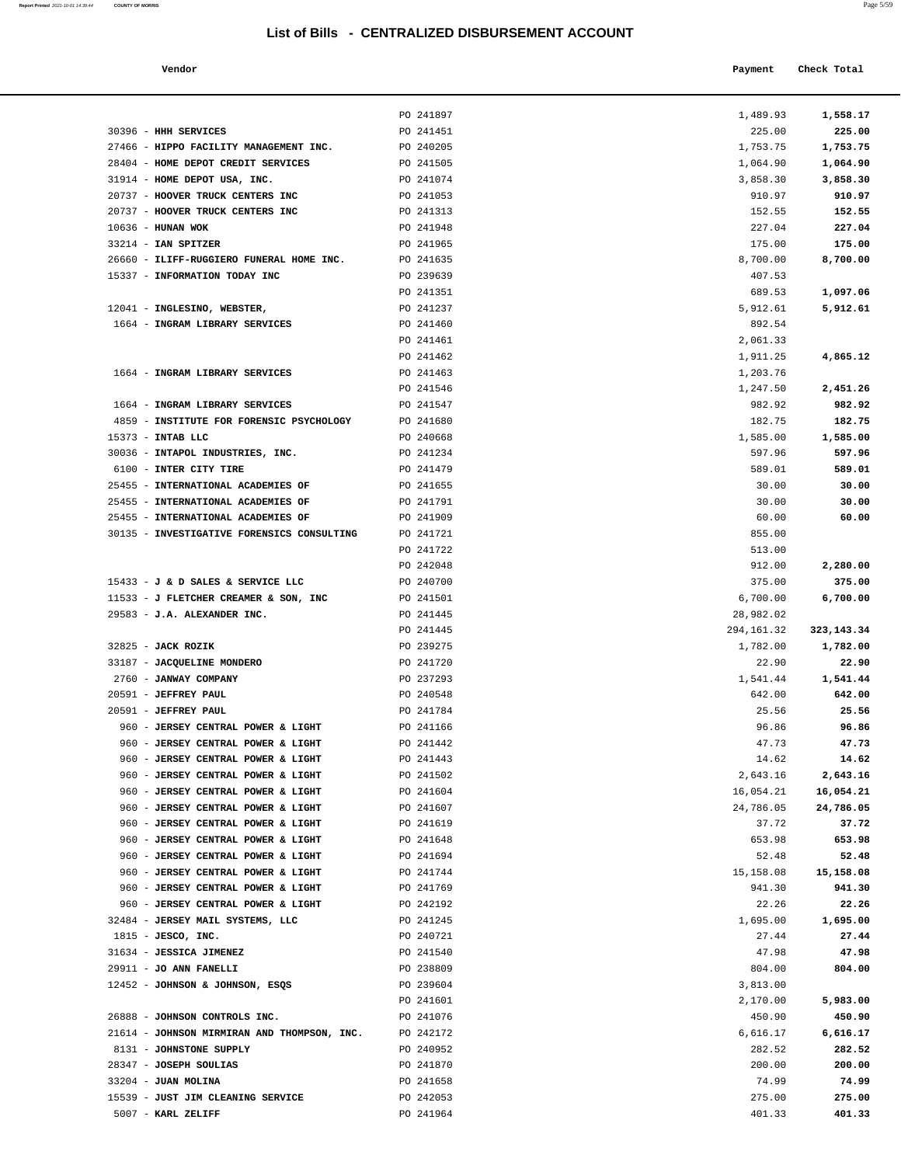**Report Printed 2021-10-01 14:39:44** COUNTY OF MORRIS

|                                          |                                                  |            | $1 \text{ age}$ |  |
|------------------------------------------|--------------------------------------------------|------------|-----------------|--|
|                                          | List of Bills - CENTRALIZED DISBURSEMENT ACCOUNT |            |                 |  |
| Vendor                                   |                                                  | Payment    | Check Total     |  |
|                                          | PO 241897                                        | 1,489.93   | 1,558.17        |  |
| <b>HHH SERVICES</b>                      | PO 241451                                        | 225.00     | 225.00          |  |
| HIPPO FACILITY MANAGEMENT INC.           | PO 240205                                        | 1,753.75   | 1,753.75        |  |
| HOME DEPOT CREDIT SERVICES               | PO 241505                                        | 1,064.90   | 1,064.90        |  |
| HOME DEPOT USA, INC.                     | PO 241074                                        | 3,858.30   | 3,858.30        |  |
| HOOVER TRUCK CENTERS INC                 | PO 241053                                        | 910.97     | 910.97          |  |
| <b>HOOVER TRUCK CENTERS INC</b>          | PO 241313                                        | 152.55     | 152.55          |  |
| HUNAN WOK                                | PO 241948                                        | 227.04     | 227.04          |  |
| IAN SPITZER                              | PO 241965                                        | 175.00     | 175.00          |  |
| ILIFF-RUGGIERO FUNERAL HOME INC.         | PO 241635                                        | 8,700.00   | 8,700.00        |  |
| <b>INFORMATION TODAY INC</b>             | PO 239639                                        | 407.53     |                 |  |
|                                          | PO 241351                                        | 689.53     | 1,097.06        |  |
| INGLESINO, WEBSTER,                      | PO 241237                                        | 5,912.61   | 5,912.61        |  |
| INGRAM LIBRARY SERVICES                  | PO 241460                                        | 892.54     |                 |  |
|                                          | PO 241461                                        | 2,061.33   |                 |  |
|                                          | PO 241462                                        | 1,911.25   | 4,865.12        |  |
| INGRAM LIBRARY SERVICES                  | PO 241463                                        | 1,203.76   |                 |  |
|                                          | PO 241546                                        | 1,247.50   | 2,451.26        |  |
| INGRAM LIBRARY SERVICES                  | PO 241547                                        | 982.92     | 982.92          |  |
| INSTITUTE FOR FORENSIC PSYCHOLOGY        | PO 241680                                        | 182.75     | 182.75          |  |
| INTAB LLC                                | PO 240668                                        | 1,585.00   | 1,585.00        |  |
| INTAPOL INDUSTRIES, INC.                 | PO 241234                                        | 597.96     | 597.96          |  |
| INTER CITY TIRE                          | PO 241479                                        | 589.01     | 589.01          |  |
| <b>INTERNATIONAL ACADEMIES OF</b>        | PO 241655                                        | 30.00      | 30.00           |  |
| <b>INTERNATIONAL ACADEMIES OF</b>        | PO 241791                                        | 30.00      | 30.00           |  |
| <b>INTERNATIONAL ACADEMIES OF</b>        | PO 241909                                        | 60.00      | 60.00           |  |
| INVESTIGATIVE FORENSICS CONSULTING       | PO 241721                                        | 855.00     |                 |  |
|                                          | PO 241722                                        | 513.00     |                 |  |
|                                          | PO 242048                                        | 912.00     | 2,280.00        |  |
| <b>J &amp; D SALES &amp; SERVICE LLC</b> | PO 240700                                        | 375.00     | 375.00          |  |
| J FLETCHER CREAMER & SON, INC            | PO 241501                                        | 6,700.00   | 6,700.00        |  |
| J.A. ALEXANDER INC.                      | PO 241445                                        | 28,982.02  |                 |  |
|                                          | PO 241445                                        | 294,161.32 | 323, 143. 34    |  |
| <b>JACK ROZIK</b>                        | PO 239275                                        | 1,782.00   | 1,782.00        |  |
| <b>JACQUELINE MONDERO</b>                | PO 241720                                        | 22.90      | 22.90           |  |
| <b>JANWAY COMPANY</b>                    | PO 237293                                        | 1,541.44   | 1,541.44        |  |
| <b>JEFFREY PAUL</b>                      | PO 240548                                        | 642.00     | 642.00          |  |
| <b>JEFFREY PAUL</b>                      | PO 241784                                        | 25.56      | 25.56           |  |
| <b>JERSEY CENTRAL POWER &amp; LIGHT</b>  | PO 241166                                        | 96.86      | 96.86           |  |
| <b>JERSEY CENTRAL POWER &amp; LIGHT</b>  | PO 241442                                        | 47.73      | 47.73           |  |
| <b>JERSEY CENTRAL POWER &amp; LIGHT</b>  | PO 241443                                        | 14.62      | 14.62           |  |
| <b>JERSEY CENTRAL POWER &amp; LIGHT</b>  | PO 241502                                        | 2,643.16   | 2,643.16        |  |
| <b>JERSEY CENTRAL POWER &amp; LIGHT</b>  | PO 241604                                        | 16,054.21  | 16,054.21       |  |
| <b>JERSEY CENTRAL POWER &amp; LIGHT</b>  | PO 241607                                        | 24,786.05  | 24,786.05       |  |
| <b>JERSEY CENTRAL POWER &amp; LIGHT</b>  | PO 241619                                        | 37.72      | 37.72           |  |
|                                          |                                                  |            |                 |  |

| 31914 - HOME DEPOT USA, INC.                                               | PO 241074              | 3,858.30           | 3,858.30           |
|----------------------------------------------------------------------------|------------------------|--------------------|--------------------|
| 20737 - HOOVER TRUCK CENTERS INC                                           | PO 241053              | 910.97             | 910.97             |
| 20737 - HOOVER TRUCK CENTERS INC                                           | PO 241313              | 152.55             | 152.55             |
| 10636 - HUNAN WOK                                                          | PO 241948              | 227.04             | 227.04             |
| 33214 - IAN SPITZER                                                        | PO 241965              | 175.00             | 175.00             |
| 26660 - ILIFF-RUGGIERO FUNERAL HOME INC.                                   | PO 241635              | 8,700.00           | 8,700.00           |
| 15337 - INFORMATION TODAY INC                                              | PO 239639              | 407.53             |                    |
|                                                                            | PO 241351              | 689.53             | 1,097.06           |
| 12041 - INGLESINO, WEBSTER,                                                | PO 241237              | 5,912.61           | 5,912.61           |
| 1664 - INGRAM LIBRARY SERVICES                                             | PO 241460              | 892.54             |                    |
|                                                                            | PO 241461              | 2,061.33           |                    |
|                                                                            | PO 241462              | 1,911.25           | 4,865.12           |
| 1664 - INGRAM LIBRARY SERVICES                                             | PO 241463              | 1,203.76           |                    |
|                                                                            | PO 241546              | 1,247.50           | 2,451.26           |
| 1664 - INGRAM LIBRARY SERVICES<br>4859 - INSTITUTE FOR FORENSIC PSYCHOLOGY | PO 241547              | 982.92             | 982.92             |
| 15373 - INTAB LLC                                                          | PO 241680<br>PO 240668 | 182.75<br>1,585.00 | 182.75<br>1,585.00 |
| 30036 - INTAPOL INDUSTRIES, INC.                                           | PO 241234              | 597.96             | 597.96             |
| 6100 - INTER CITY TIRE                                                     | PO 241479              | 589.01             | 589.01             |
| 25455 - INTERNATIONAL ACADEMIES OF                                         | PO 241655              | 30.00              | 30.00              |
| 25455 - INTERNATIONAL ACADEMIES OF                                         | PO 241791              | 30.00              | 30.00              |
| 25455 - INTERNATIONAL ACADEMIES OF                                         | PO 241909              | 60.00              | 60.00              |
| 30135 - INVESTIGATIVE FORENSICS CONSULTING                                 | PO 241721              | 855.00             |                    |
|                                                                            | PO 241722              | 513.00             |                    |
|                                                                            | PO 242048              | 912.00             | 2,280.00           |
| 15433 - J & D SALES & SERVICE LLC                                          | PO 240700              | 375.00             | 375.00             |
| 11533 - J FLETCHER CREAMER & SON, INC                                      | PO 241501              | 6,700.00           | 6,700.00           |
| 29583 - J.A. ALEXANDER INC.                                                | PO 241445              | 28,982.02          |                    |
|                                                                            | PO 241445              | 294,161.32         | 323, 143. 34       |
| 32825 - JACK ROZIK                                                         | PO 239275              | 1,782.00           | 1,782.00           |
| 33187 - JACQUELINE MONDERO                                                 | PO 241720              | 22.90              | 22.90              |
| 2760 - JANWAY COMPANY                                                      | PO 237293              | 1,541.44           | 1,541.44           |
| 20591 - JEFFREY PAUL                                                       | PO 240548              | 642.00             | 642.00             |
| 20591 - JEFFREY PAUL                                                       | PO 241784              | 25.56              | 25.56              |
| 960 - JERSEY CENTRAL POWER & LIGHT                                         | PO 241166              | 96.86              | 96.86              |
| 960 - JERSEY CENTRAL POWER & LIGHT                                         | PO 241442              | 47.73              | 47.73              |
| 960 - JERSEY CENTRAL POWER & LIGHT                                         | PO 241443              | 14.62              | 14.62              |
| 960 - JERSEY CENTRAL POWER & LIGHT                                         | PO 241502              | 2,643.16           | 2,643.16           |
| 960 - JERSEY CENTRAL POWER & LIGHT                                         | PO 241604              | 16,054.21          | 16,054.21          |
| 960 - JERSEY CENTRAL POWER & LIGHT                                         | PO 241607              | 24,786.05          | 24,786.05          |
| 960 - JERSEY CENTRAL POWER & LIGHT                                         | PO 241619              | 37.72              | 37.72              |
| 960 - JERSEY CENTRAL POWER & LIGHT                                         | PO 241648              | 653.98             | 653.98             |
| 960 - JERSEY CENTRAL POWER & LIGHT<br>960 - JERSEY CENTRAL POWER & LIGHT   | PO 241694<br>PO 241744 | 52.48<br>15,158.08 | 52.48<br>15,158.08 |
| 960 - JERSEY CENTRAL POWER & LIGHT                                         | PO 241769              | 941.30             | 941.30             |
| 960 - JERSEY CENTRAL POWER & LIGHT                                         | PO 242192              | 22.26              | 22.26              |
| 32484 - JERSEY MAIL SYSTEMS, LLC                                           | PO 241245              | 1,695.00           | 1,695.00           |
| $1815$ - JESCO, INC.                                                       | PO 240721              | 27.44              | 27.44              |
| 31634 - JESSICA JIMENEZ                                                    | PO 241540              | 47.98              | 47.98              |
| 29911 - JO ANN FANELLI                                                     | PO 238809              | 804.00             | 804.00             |
| 12452 - JOHNSON & JOHNSON, ESQS                                            | PO 239604              | 3,813.00           |                    |
|                                                                            | PO 241601              | 2,170.00           | 5,983.00           |
| 26888 - JOHNSON CONTROLS INC.                                              | PO 241076              | 450.90             | 450.90             |
| 21614 - JOHNSON MIRMIRAN AND THOMPSON, INC.                                | PO 242172              | 6,616.17           | 6,616.17           |
| 8131 - JOHNSTONE SUPPLY                                                    | PO 240952              | 282.52             | 282.52             |
| 28347 - JOSEPH SOULIAS                                                     | PO 241870              | 200.00             | 200.00             |
| 33204 - JUAN MOLINA                                                        | PO 241658              | 74.99              | 74.99              |
| 15539 - JUST JIM CLEANING SERVICE                                          | PO 242053              | 275.00             | 275.00             |

5007 - **KARL ZELIFF** PO 241964 401.33 **401.33** 

30396 - **HHH SERVICES** PO 241451 27466 - **HIPPO FACILITY MANAGEMENT INC.** PO 240205 28404 - **HOME DEPOT CREDIT SERVICES** PO 241505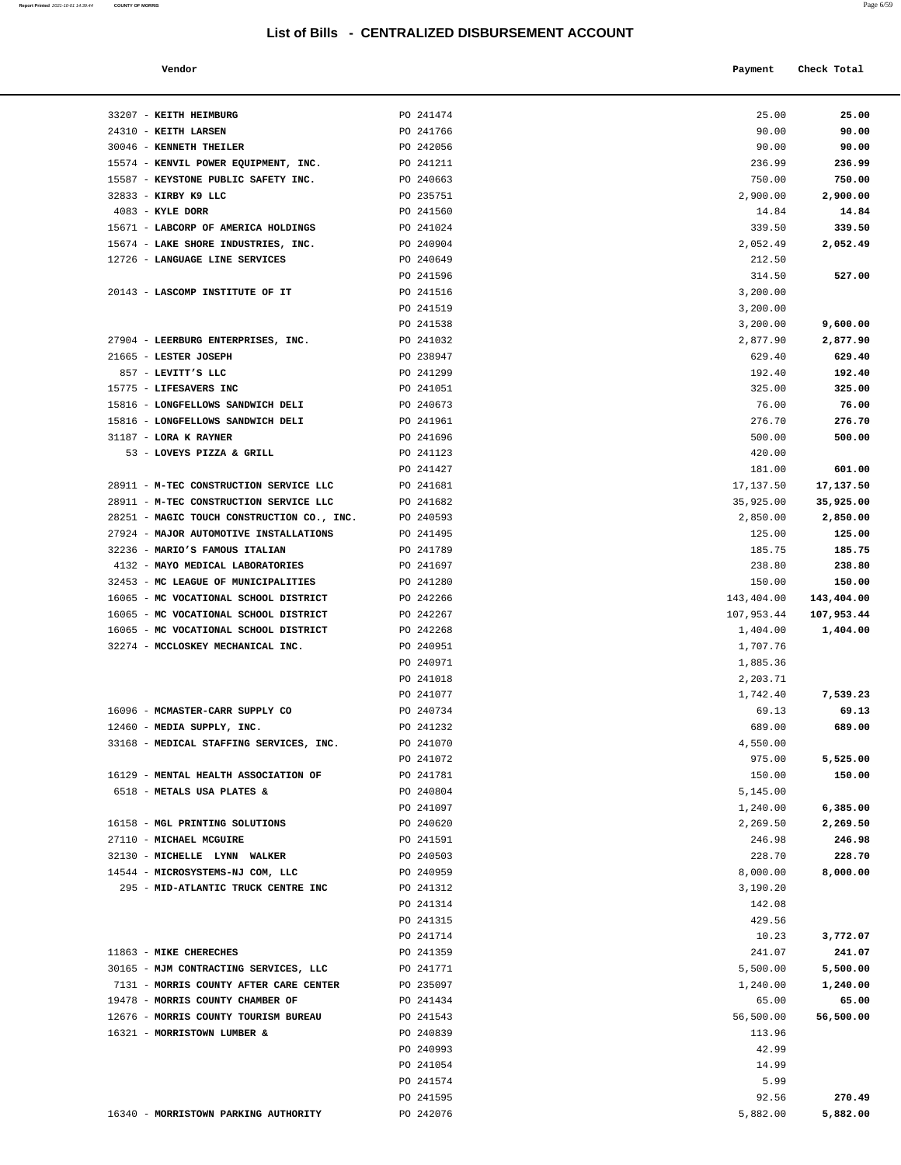| Vendor | Payment Check Total<br>. |
|--------|--------------------------|
|        |                          |

| 33207 - KEITH HEIMBURG                       | PO 241474              | 25.00              | 25.00            |
|----------------------------------------------|------------------------|--------------------|------------------|
| 24310 - KEITH LARSEN                         | PO 241766              | 90.00              | 90.00            |
| 30046 - KENNETH THEILER                      | PO 242056              | 90.00              | 90.00            |
| 15574 - KENVIL POWER EQUIPMENT, INC.         | PO 241211              | 236.99             | 236.99           |
| 15587 - KEYSTONE PUBLIC SAFETY INC.          | PO 240663              | 750.00             | 750.00           |
| 32833 - KIRBY K9 LLC                         | PO 235751              | 2,900.00           | 2,900.00         |
| $4083$ - KYLE DORR                           | PO 241560              | 14.84              | 14.84            |
| 15671 - LABCORP OF AMERICA HOLDINGS          | PO 241024              | 339.50             | 339.50           |
| 15674 - LAKE SHORE INDUSTRIES, INC.          | PO 240904              | 2,052.49           | 2,052.49         |
| 12726 - LANGUAGE LINE SERVICES               | PO 240649              | 212.50             |                  |
|                                              | PO 241596              | 314.50             | 527.00           |
| 20143 - LASCOMP INSTITUTE OF IT              | PO 241516              | 3,200.00           |                  |
|                                              | PO 241519              | 3,200.00           |                  |
|                                              | PO 241538              | 3,200.00           | 9,600.00         |
| 27904 - LEERBURG ENTERPRISES, INC.           | PO 241032              | 2,877.90           | 2,877.90         |
| 21665 - LESTER JOSEPH                        | PO 238947              | 629.40             | 629.40           |
| 857 - LEVITT'S LLC<br>15775 - LIFESAVERS INC | PO 241299<br>PO 241051 | 192.40<br>325.00   | 192.40<br>325.00 |
| 15816 - LONGFELLOWS SANDWICH DELI            | PO 240673              | 76.00              | 76.00            |
| 15816 - LONGFELLOWS SANDWICH DELI            | PO 241961              | 276.70             | 276.70           |
| 31187 - LORA K RAYNER                        | PO 241696              | 500.00             | 500.00           |
| 53 - LOVEYS PIZZA & GRILL                    | PO 241123              | 420.00             |                  |
|                                              | PO 241427              | 181.00             | 601.00           |
| 28911 - M-TEC CONSTRUCTION SERVICE LLC       | PO 241681              | 17,137.50          | 17,137.50        |
| 28911 - M-TEC CONSTRUCTION SERVICE LLC       | PO 241682              | 35,925.00          | 35,925.00        |
| 28251 - MAGIC TOUCH CONSTRUCTION CO., INC.   | PO 240593              | 2,850.00           | 2,850.00         |
| 27924 - MAJOR AUTOMOTIVE INSTALLATIONS       | PO 241495              | 125.00             | 125.00           |
| 32236 - MARIO'S FAMOUS ITALIAN               | PO 241789              | 185.75             | 185.75           |
| 4132 - MAYO MEDICAL LABORATORIES             | PO 241697              | 238.80             | 238.80           |
| 32453 - MC LEAGUE OF MUNICIPALITIES          | PO 241280              | 150.00             | 150.00           |
| 16065 - MC VOCATIONAL SCHOOL DISTRICT        | PO 242266              | 143,404.00         | 143,404.00       |
| 16065 - MC VOCATIONAL SCHOOL DISTRICT        | PO 242267              | 107,953.44         | 107,953.44       |
| 16065 - MC VOCATIONAL SCHOOL DISTRICT        | PO 242268              | 1,404.00           | 1,404.00         |
| 32274 - MCCLOSKEY MECHANICAL INC.            | PO 240951              | 1,707.76           |                  |
|                                              | PO 240971              | 1,885.36           |                  |
|                                              | PO 241018              | 2,203.71           |                  |
|                                              | PO 241077              | 1,742.40           | 7,539.23         |
| 16096 - MCMASTER-CARR SUPPLY CO              | PO 240734              | 69.13              | 69.13            |
| 12460 - MEDIA SUPPLY, INC.                   | PO 241232              | 689.00             | 689.00           |
| 33168 - MEDICAL STAFFING SERVICES, INC.      | PO 241070              | 4,550.00           |                  |
|                                              | PO 241072              | 975.00             | 5,525.00         |
| 16129 - MENTAL HEALTH ASSOCIATION OF         | PO 241781<br>PO 240804 | 150.00<br>5,145.00 | 150.00           |
| 6518 - METALS USA PLATES &                   | PO 241097              | 1,240.00           | 6,385.00         |
| 16158 - MGL PRINTING SOLUTIONS               | PO 240620              | 2,269.50           | 2,269.50         |
| 27110 - MICHAEL MCGUIRE                      | PO 241591              | 246.98             | 246.98           |
| 32130 - MICHELLE LYNN WALKER                 | PO 240503              | 228.70             | 228.70           |
| 14544 - MICROSYSTEMS-NJ COM, LLC             | PO 240959              | 8,000.00           | 8,000.00         |
| 295 - MID-ATLANTIC TRUCK CENTRE INC          | PO 241312              | 3,190.20           |                  |
|                                              | PO 241314              | 142.08             |                  |
|                                              | PO 241315              | 429.56             |                  |
|                                              | PO 241714              | 10.23              | 3,772.07         |
| 11863 - MIKE CHERECHES                       | PO 241359              | 241.07             | 241.07           |
| 30165 - MJM CONTRACTING SERVICES, LLC        | PO 241771              | 5,500.00           | 5,500.00         |
| 7131 - MORRIS COUNTY AFTER CARE CENTER       | PO 235097              | 1,240.00           | 1,240.00         |
| 19478 - MORRIS COUNTY CHAMBER OF             | PO 241434              | 65.00              | 65.00            |
| 12676 - MORRIS COUNTY TOURISM BUREAU         | PO 241543              | 56,500.00          | 56,500.00        |
| 16321 - MORRISTOWN LUMBER &                  | PO 240839              | 113.96             |                  |
|                                              | PO 240993              | 42.99              |                  |
|                                              | PO 241054              | 14.99              |                  |
|                                              | PO 241574              | 5.99               |                  |
|                                              | PO 241595              | 92.56              | 270.49           |
| 16340 - MORRISTOWN PARKING AUTHORITY         | PO 242076              | 5,882.00           | 5,882.00         |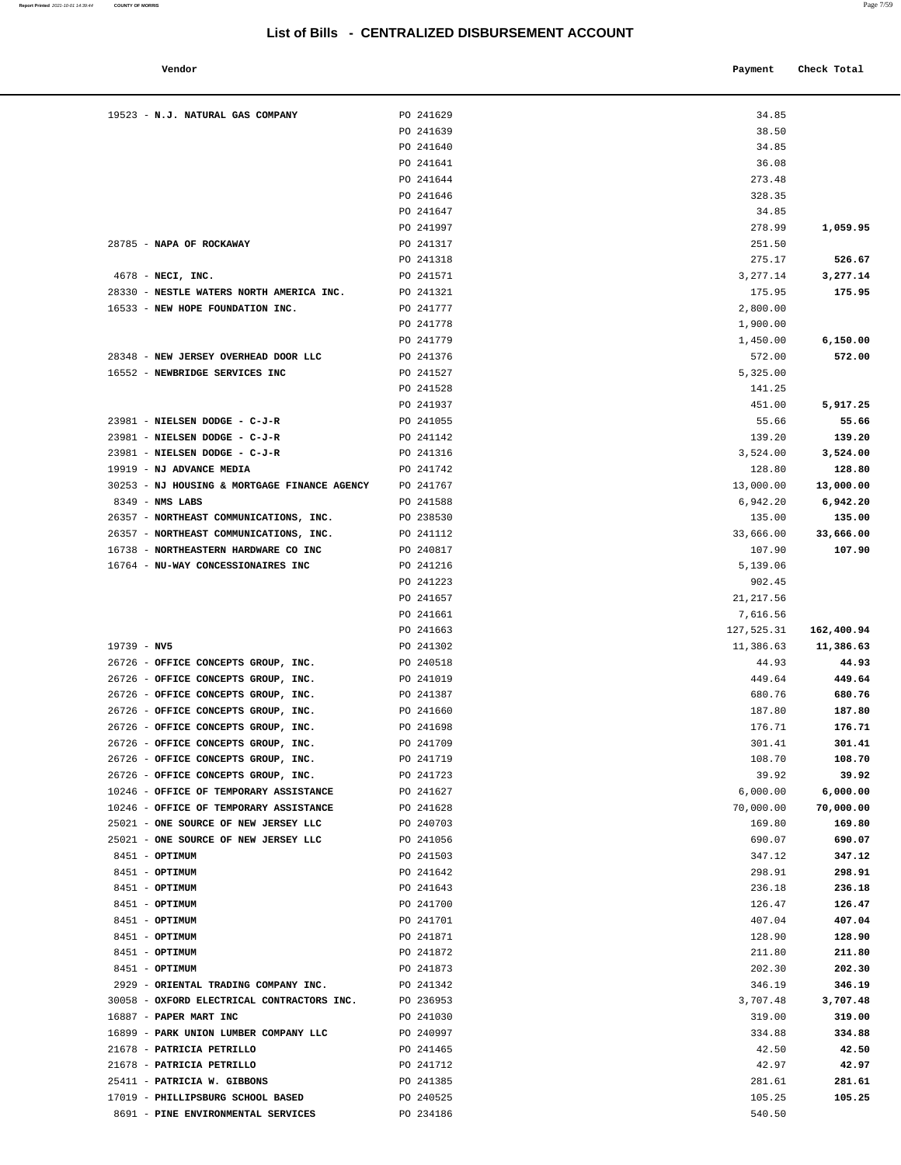| Vendor |  | Payment Check Total |
|--------|--|---------------------|
|--------|--|---------------------|

| 19523 - N.J. NATURAL GAS COMPANY                       | PO 241629              | 34.85              |                 |
|--------------------------------------------------------|------------------------|--------------------|-----------------|
|                                                        | PO 241639              | 38.50              |                 |
|                                                        | PO 241640              | 34.85              |                 |
|                                                        | PO 241641              | 36.08              |                 |
|                                                        | PO 241644              | 273.48             |                 |
|                                                        | PO 241646              | 328.35             |                 |
|                                                        | PO 241647              | 34.85              |                 |
|                                                        | PO 241997              | 278.99             | 1,059.95        |
| 28785 - NAPA OF ROCKAWAY                               | PO 241317              | 251.50             |                 |
|                                                        | PO 241318              | 275.17             | 526.67          |
| 4678 - NECI, INC.                                      | PO 241571              | 3,277.14           | 3,277.14        |
| 28330 - NESTLE WATERS NORTH AMERICA INC.               | PO 241321              | 175.95             | 175.95          |
| 16533 - NEW HOPE FOUNDATION INC.                       | PO 241777              | 2,800.00           |                 |
|                                                        | PO 241778              | 1,900.00           |                 |
|                                                        | PO 241779              | 1,450.00           | 6,150.00        |
| 28348 - NEW JERSEY OVERHEAD DOOR LLC                   | PO 241376              | 572.00             | 572.00          |
| 16552 - NEWBRIDGE SERVICES INC                         | PO 241527              | 5,325.00           |                 |
|                                                        | PO 241528              | 141.25             |                 |
|                                                        | PO 241937              | 451.00             | 5,917.25        |
| 23981 - NIELSEN DODGE - C-J-R                          | PO 241055              | 55.66              | 55.66           |
| 23981 - NIELSEN DODGE - C-J-R                          | PO 241142              | 139.20             | 139.20          |
| 23981 - NIELSEN DODGE - C-J-R                          | PO 241316              | 3,524.00           | 3,524.00        |
| 19919 - NJ ADVANCE MEDIA                               | PO 241742              | 128.80             | 128.80          |
| 30253 - NJ HOUSING & MORTGAGE FINANCE AGENCY           | PO 241767              | 13,000.00          | 13,000.00       |
| 8349 - NMS LABS                                        | PO 241588              | 6,942.20           | 6,942.20        |
| 26357 - NORTHEAST COMMUNICATIONS, INC.                 | PO 238530              | 135.00             | 135.00          |
| 26357 - NORTHEAST COMMUNICATIONS, INC.                 | PO 241112              | 33,666.00          | 33,666.00       |
| 16738 - NORTHEASTERN HARDWARE CO INC                   | PO 240817              | 107.90             | 107.90          |
| 16764 - NU-WAY CONCESSIONAIRES INC                     | PO 241216<br>PO 241223 | 5,139.06<br>902.45 |                 |
|                                                        | PO 241657              | 21, 217.56         |                 |
|                                                        | PO 241661              | 7,616.56           |                 |
|                                                        | PO 241663              | 127,525.31         | 162,400.94      |
| $19739 - NV5$                                          | PO 241302              | 11,386.63          | 11,386.63       |
| 26726 - OFFICE CONCEPTS GROUP, INC.                    | PO 240518              | 44.93              | 44.93           |
| 26726 - OFFICE CONCEPTS GROUP, INC.                    | PO 241019              | 449.64             | 449.64          |
| 26726 - OFFICE CONCEPTS GROUP, INC.                    | PO 241387              | 680.76             | 680.76          |
| 26726 - OFFICE CONCEPTS GROUP, INC.                    | PO 241660              | 187.80             | 187.80          |
| 26726 - OFFICE CONCEPTS GROUP, INC.                    | PO 241698              | 176.71             | 176.71          |
| 26726 - OFFICE CONCEPTS GROUP, INC.                    | PO 241709              | 301.41             | 301.41          |
| 26726 - OFFICE CONCEPTS GROUP, INC.                    | PO 241719              | 108.70             | 108.70          |
| 26726 - OFFICE CONCEPTS GROUP, INC.                    | PO 241723              | 39.92              | 39.92           |
| 10246 - OFFICE OF TEMPORARY ASSISTANCE                 | PO 241627              | 6,000.00           | 6,000.00        |
| 10246 - OFFICE OF TEMPORARY ASSISTANCE                 | PO 241628              | 70,000.00          | 70,000.00       |
| 25021 - ONE SOURCE OF NEW JERSEY LLC                   | PO 240703              | 169.80             | 169.80          |
| 25021 - ONE SOURCE OF NEW JERSEY LLC                   | PO 241056              | 690.07             | 690.07          |
| 8451 - OPTIMUM                                         | PO 241503              | 347.12             | 347.12          |
| 8451 - OPTIMUM                                         | PO 241642              | 298.91             | 298.91          |
| 8451 - OPTIMUM                                         | PO 241643              | 236.18             | 236.18          |
| 8451 - OPTIMUM                                         | PO 241700              | 126.47             | 126.47          |
| 8451 - OPTIMUM                                         | PO 241701              | 407.04             | 407.04          |
| 8451 - OPTIMUM                                         | PO 241871              | 128.90             | 128.90          |
| 8451 - OPTIMUM                                         | PO 241872              | 211.80             | 211.80          |
| 8451 - OPTIMUM                                         | PO 241873              | 202.30             | 202.30          |
| 2929 - ORIENTAL TRADING COMPANY INC.                   | PO 241342              | 346.19             | 346.19          |
| 30058 - OXFORD ELECTRICAL CONTRACTORS INC.             | PO 236953              | 3,707.48           | 3,707.48        |
| 16887 - PAPER MART INC                                 | PO 241030              | 319.00             | 319.00          |
| 16899 - PARK UNION LUMBER COMPANY LLC                  | PO 240997              | 334.88             | 334.88<br>42.50 |
| 21678 - PATRICIA PETRILLO<br>21678 - PATRICIA PETRILLO | PO 241465<br>PO 241712 | 42.50<br>42.97     | 42.97           |
| 25411 - PATRICIA W. GIBBONS                            | PO 241385              | 281.61             | 281.61          |
| 17019 - PHILLIPSBURG SCHOOL BASED                      | PO 240525              | 105.25             | 105.25          |
| 8691 - PINE ENVIRONMENTAL SERVICES                     | PO 234186              | 540.50             |                 |
|                                                        |                        |                    |                 |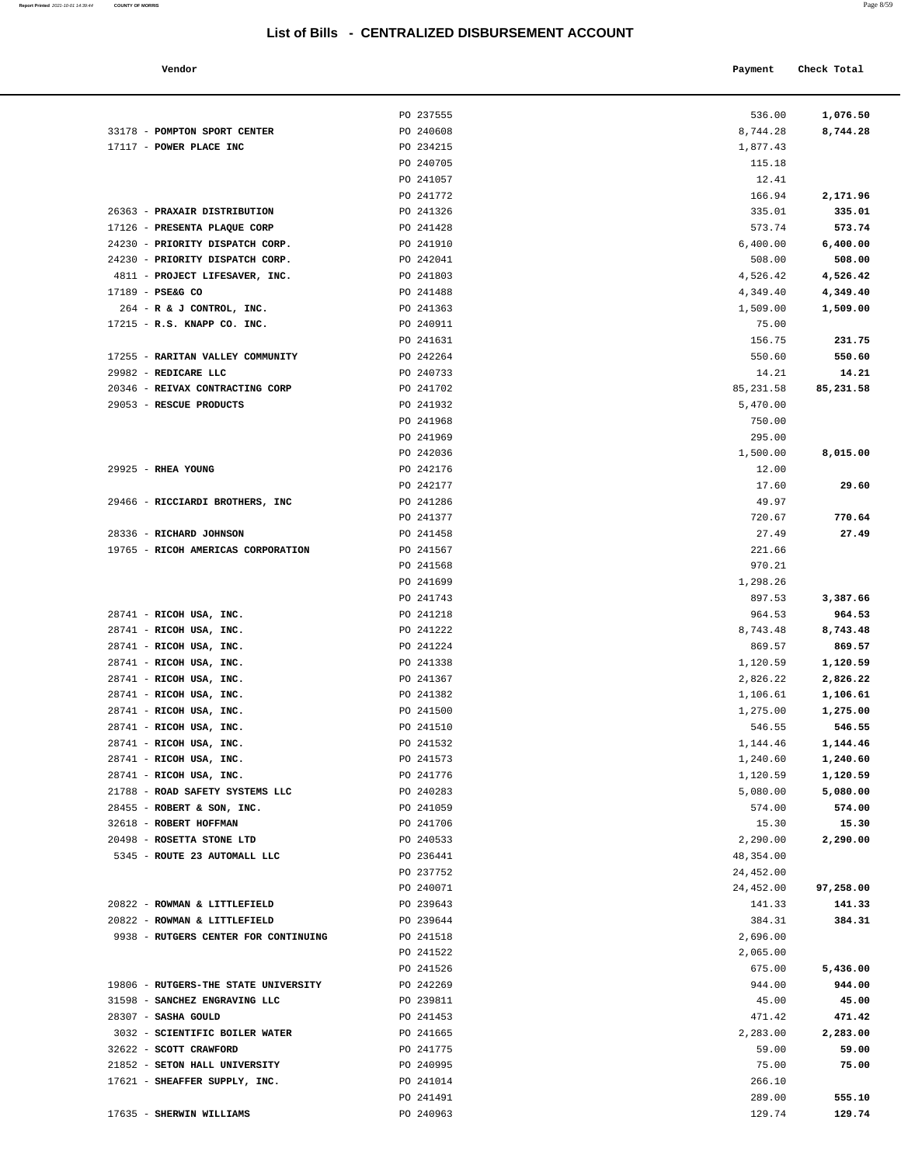|  | ۰ |
|--|---|
|  |   |
|  |   |
|  |   |
|  |   |
|  |   |

| Vendor                 |           | Payment  | Check Total |
|------------------------|-----------|----------|-------------|
|                        | PO 237555 | 536.00   | 1,076.50    |
| POMPTON SPORT CENTER   | PO 240608 | 8,744.28 | 8,744.28    |
| <b>POWER PLACE INC</b> | PO 234215 | 1,877.43 |             |

|                                      | PO 237555 | 536.00    | 1,076.50  |
|--------------------------------------|-----------|-----------|-----------|
| 33178 - POMPTON SPORT CENTER         | PO 240608 | 8,744.28  | 8,744.28  |
| 17117 - POWER PLACE INC              | PO 234215 | 1,877.43  |           |
|                                      | PO 240705 | 115.18    |           |
|                                      | PO 241057 | 12.41     |           |
|                                      | PO 241772 | 166.94    | 2,171.96  |
| 26363 - PRAXAIR DISTRIBUTION         | PO 241326 | 335.01    | 335.01    |
| 17126 - PRESENTA PLAQUE CORP         | PO 241428 | 573.74    | 573.74    |
| 24230 - PRIORITY DISPATCH CORP.      | PO 241910 | 6,400.00  | 6,400.00  |
| 24230 - PRIORITY DISPATCH CORP.      | PO 242041 | 508.00    | 508.00    |
| 4811 - PROJECT LIFESAVER, INC.       | PO 241803 | 4,526.42  | 4,526.42  |
| 17189 - PSE&G CO                     | PO 241488 | 4,349.40  | 4,349.40  |
| 264 - R & J CONTROL, INC.            | PO 241363 | 1,509.00  | 1,509.00  |
| 17215 - R.S. KNAPP CO. INC.          | PO 240911 | 75.00     |           |
|                                      | PO 241631 | 156.75    | 231.75    |
| 17255 - RARITAN VALLEY COMMUNITY     | PO 242264 | 550.60    | 550.60    |
| 29982 - REDICARE LLC                 | PO 240733 | 14.21     | 14.21     |
| 20346 - REIVAX CONTRACTING CORP      | PO 241702 | 85,231.58 | 85,231.58 |
| 29053 - RESCUE PRODUCTS              | PO 241932 | 5,470.00  |           |
|                                      | PO 241968 | 750.00    |           |
|                                      | PO 241969 | 295.00    |           |
|                                      | PO 242036 | 1,500.00  | 8,015.00  |
| 29925 - RHEA YOUNG                   | PO 242176 | 12.00     |           |
|                                      | PO 242177 | 17.60     | 29.60     |
| 29466 - RICCIARDI BROTHERS, INC      | PO 241286 | 49.97     |           |
|                                      | PO 241377 | 720.67    | 770.64    |
| 28336 - RICHARD JOHNSON              | PO 241458 | 27.49     | 27.49     |
| 19765 - RICOH AMERICAS CORPORATION   | PO 241567 | 221.66    |           |
|                                      | PO 241568 | 970.21    |           |
|                                      | PO 241699 | 1,298.26  |           |
|                                      | PO 241743 | 897.53    | 3,387.66  |
| 28741 - RICOH USA, INC.              | PO 241218 | 964.53    | 964.53    |
| 28741 - RICOH USA, INC.              | PO 241222 | 8,743.48  | 8,743.48  |
| 28741 - RICOH USA, INC.              | PO 241224 | 869.57    | 869.57    |
| 28741 - RICOH USA, INC.              | PO 241338 | 1,120.59  | 1,120.59  |
| 28741 - RICOH USA, INC.              | PO 241367 | 2,826.22  | 2,826.22  |
| 28741 - RICOH USA, INC.              | PO 241382 | 1,106.61  | 1,106.61  |
| 28741 - RICOH USA, INC.              | PO 241500 | 1,275.00  | 1,275.00  |
| 28741 - RICOH USA, INC.              | PO 241510 | 546.55    | 546.55    |
| 28741 - RICOH USA, INC.              | PO 241532 | 1,144.46  | 1,144.46  |
| 28741 - RICOH USA, INC.              | PO 241573 | 1,240.60  | 1,240.60  |
| 28741 - RICOH USA, INC.              | PO 241776 | 1,120.59  | 1,120.59  |
| 21788 - ROAD SAFETY SYSTEMS LLC      | PO 240283 | 5,080.00  | 5,080.00  |
| 28455 - ROBERT & SON, INC.           | PO 241059 | 574.00    | 574.00    |
| 32618 - ROBERT HOFFMAN               | PO 241706 | 15.30     | 15.30     |
| 20498 - ROSETTA STONE LTD            | PO 240533 | 2,290.00  | 2,290.00  |
| 5345 - ROUTE 23 AUTOMALL LLC         | PO 236441 | 48,354.00 |           |
|                                      | PO 237752 | 24,452.00 |           |
|                                      | PO 240071 | 24,452.00 | 97,258.00 |
| 20822 - ROWMAN & LITTLEFIELD         | PO 239643 | 141.33    | 141.33    |
| 20822 - ROWMAN & LITTLEFIELD         | PO 239644 | 384.31    | 384.31    |
| 9938 - RUTGERS CENTER FOR CONTINUING | PO 241518 | 2,696.00  |           |
|                                      | PO 241522 | 2,065.00  |           |
|                                      | PO 241526 | 675.00    | 5,436.00  |
| 19806 - RUTGERS-THE STATE UNIVERSITY | PO 242269 | 944.00    | 944.00    |
| 31598 - SANCHEZ ENGRAVING LLC        | PO 239811 | 45.00     | 45.00     |
| 28307 - SASHA GOULD                  | PO 241453 | 471.42    | 471.42    |
| 3032 - SCIENTIFIC BOILER WATER       | PO 241665 | 2,283.00  | 2,283.00  |
| 32622 - SCOTT CRAWFORD               | PO 241775 | 59.00     | 59.00     |
| 21852 - SETON HALL UNIVERSITY        | PO 240995 | 75.00     | 75.00     |
| 17621 - SHEAFFER SUPPLY, INC.        | PO 241014 | 266.10    |           |
|                                      | PO 241491 | 289.00    | 555.10    |
| 17635 - SHERWIN WILLIAMS             | PO 240963 | 129.74    | 129.74    |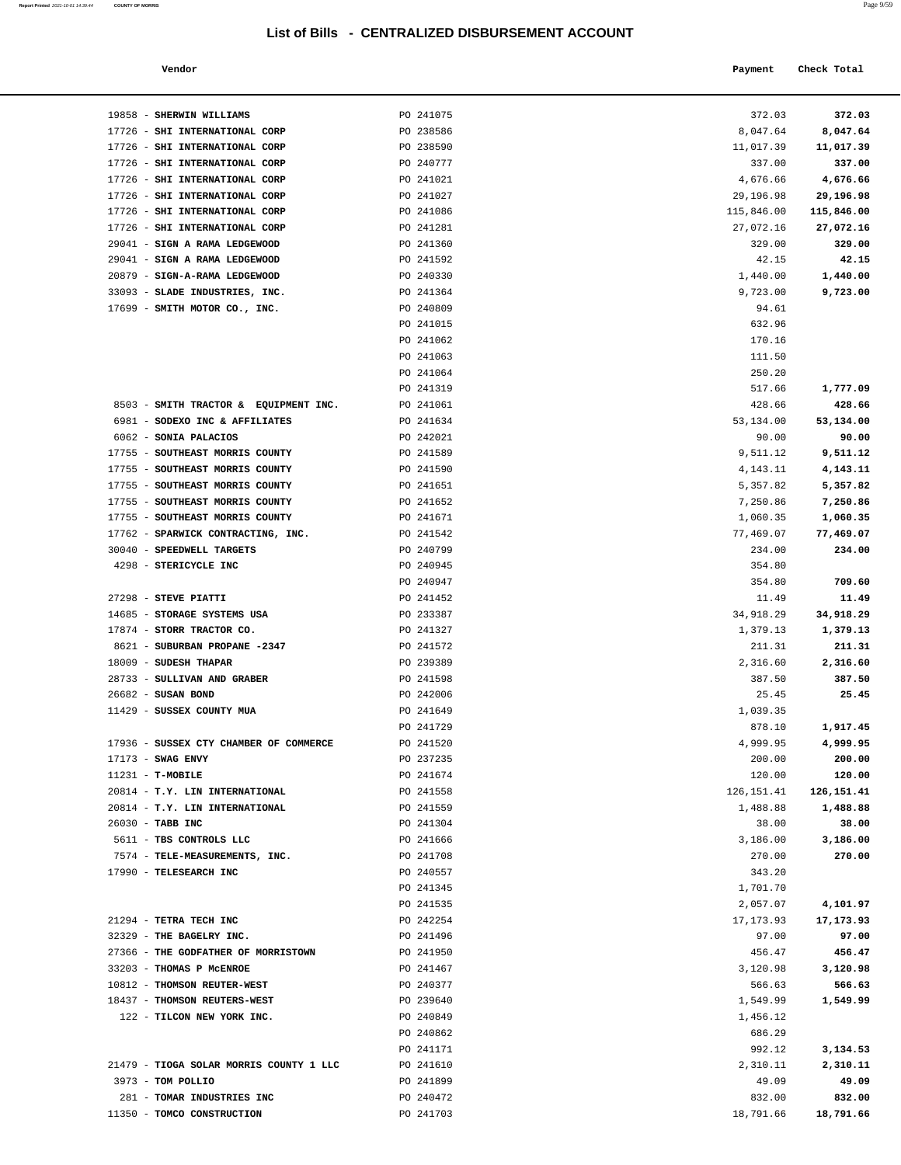**Report Printed 2021-10-01 14:39:44** COUNTY OF MORRIS

| <b>COUNTY OF MORRIS</b>               |                                                  |            | Page 9/59   |  |
|---------------------------------------|--------------------------------------------------|------------|-------------|--|
|                                       | List of Bills - CENTRALIZED DISBURSEMENT ACCOUNT |            |             |  |
| Vendor                                |                                                  | Payment    | Check Total |  |
| 19858 - SHERWIN WILLIAMS              | PO 241075                                        | 372.03     | 372.03      |  |
| 17726 - SHI INTERNATIONAL CORP        | PO 238586                                        | 8,047.64   | 8,047.64    |  |
| 17726 - SHI INTERNATIONAL CORP        | PO 238590                                        | 11,017.39  | 11,017.39   |  |
| 17726 - SHI INTERNATIONAL CORP        | PO 240777                                        | 337.00     | 337.00      |  |
| 17726 - SHI INTERNATIONAL CORP        | PO 241021                                        | 4,676.66   | 4,676.66    |  |
| 17726 - SHI INTERNATIONAL CORP        | PO 241027                                        | 29,196.98  | 29,196.98   |  |
| 17726 - SHI INTERNATIONAL CORP        | PO 241086                                        | 115,846.00 | 115,846.00  |  |
| 17726 - SHI INTERNATIONAL CORP        | PO 241281                                        | 27,072.16  | 27,072.16   |  |
| 29041 - SIGN A RAMA LEDGEWOOD         | PO 241360                                        | 329.00     | 329.00      |  |
| 29041 - SIGN A RAMA LEDGEWOOD         | PO 241592                                        | 42.15      | 42.15       |  |
| 20879 - SIGN-A-RAMA LEDGEWOOD         | PO 240330                                        | 1,440.00   | 1,440.00    |  |
| 33093 - SLADE INDUSTRIES, INC.        | PO 241364                                        | 9,723.00   | 9,723.00    |  |
| 17699 - SMITH MOTOR CO., INC.         | PO 240809                                        | 94.61      |             |  |
|                                       | PO 241015                                        | 632.96     |             |  |
|                                       | PO 241062                                        | 170.16     |             |  |
|                                       | PO 241063                                        | 111.50     |             |  |
|                                       | PO 241064                                        | 250.20     |             |  |
|                                       | PO 241319                                        | 517.66     | 1,777.09    |  |
| 8503 - SMITH TRACTOR & EQUIPMENT INC. | PO 241061                                        | 428.66     | 428.66      |  |
| 6981 - SODEXO INC & AFFILIATES        | PO 241634                                        | 53,134.00  | 53,134.00   |  |
| 6062 - SONIA PALACIOS                 | PO 242021                                        | 90.00      | 90.00       |  |
| 17755 - SOUTHEAST MORRIS COUNTY       | PO 241589                                        | 9,511.12   | 9,511.12    |  |
| 17755 - SOUTHEAST MORRIS COUNTY       | PO 241590                                        | 4, 143. 11 | 4,143.11    |  |

| 17726 - SHI INTERNATIONAL CORP                           | PO 238590              | 11,017.39          | 11,017.39          |
|----------------------------------------------------------|------------------------|--------------------|--------------------|
| 17726 - SHI INTERNATIONAL CORP                           | PO 240777              | 337.00             | 337.00             |
| 17726 - SHI INTERNATIONAL CORP                           | PO 241021              | 4,676.66           | 4,676.66           |
| 17726 - SHI INTERNATIONAL CORP                           | PO 241027              | 29,196.98          | 29,196.98          |
| 17726 - SHI INTERNATIONAL CORP                           | PO 241086              | 115,846.00         | 115,846.00         |
| 17726 - SHI INTERNATIONAL CORP                           | PO 241281              | 27,072.16          | 27,072.16          |
| 29041 - SIGN A RAMA LEDGEWOOD                            | PO 241360              | 329.00             | 329.00             |
| 29041 - SIGN A RAMA LEDGEWOOD                            | PO 241592              | 42.15              | 42.15              |
| 20879 - SIGN-A-RAMA LEDGEWOOD                            | PO 240330              | 1,440.00           | 1,440.00           |
| 33093 - SLADE INDUSTRIES, INC.                           | PO 241364              | 9,723.00           | 9,723.00           |
| 17699 - SMITH MOTOR CO., INC.                            | PO 240809              | 94.61              |                    |
|                                                          | PO 241015              | 632.96             |                    |
|                                                          | PO 241062              | 170.16             |                    |
|                                                          | PO 241063              | 111.50             |                    |
|                                                          | PO 241064              | 250.20             |                    |
|                                                          | PO 241319              | 517.66             | 1,777.09           |
| 8503 - SMITH TRACTOR & EQUIPMENT INC.                    | PO 241061              | 428.66             | 428.66             |
| 6981 - SODEXO INC & AFFILIATES                           | PO 241634              | 53,134.00          | 53,134.00          |
| 6062 - SONIA PALACIOS                                    | PO 242021              | 90.00              | 90.00              |
| 17755 - SOUTHEAST MORRIS COUNTY                          | PO 241589              | 9,511.12           | 9,511.12           |
| 17755 - SOUTHEAST MORRIS COUNTY                          | PO 241590              | 4,143.11           | 4,143.11           |
| 17755 - SOUTHEAST MORRIS COUNTY                          | PO 241651              | 5,357.82           | 5,357.82           |
| 17755 - SOUTHEAST MORRIS COUNTY                          | PO 241652              | 7,250.86           | 7,250.86           |
| 17755 - SOUTHEAST MORRIS COUNTY                          | PO 241671              | 1,060.35           | 1,060.35           |
| 17762 - SPARWICK CONTRACTING, INC.                       | PO 241542              | 77,469.07          | 77,469.07          |
| 30040 - SPEEDWELL TARGETS                                | PO 240799              | 234.00             | 234.00             |
| 4298 - STERICYCLE INC                                    | PO 240945              | 354.80             |                    |
|                                                          | PO 240947              | 354.80             | 709.60             |
| 27298 - STEVE PIATTI                                     | PO 241452              | 11.49              | 11.49              |
| 14685 - STORAGE SYSTEMS USA<br>17874 - STORR TRACTOR CO. | PO 233387              | 34,918.29          | 34,918.29          |
| 8621 - SUBURBAN PROPANE -2347                            | PO 241327<br>PO 241572 | 1,379.13           | 1,379.13<br>211.31 |
| 18009 - SUDESH THAPAR                                    | PO 239389              | 211.31<br>2,316.60 | 2,316.60           |
| 28733 - SULLIVAN AND GRABER                              | PO 241598              | 387.50             | 387.50             |
| 26682 - SUSAN BOND                                       | PO 242006              | 25.45              | 25.45              |
| 11429 - SUSSEX COUNTY MUA                                | PO 241649              | 1,039.35           |                    |
|                                                          | PO 241729              | 878.10             | 1,917.45           |
| 17936 - SUSSEX CTY CHAMBER OF COMMERCE                   | PO 241520              | 4,999.95           | 4,999.95           |
| 17173 - SWAG ENVY                                        | PO 237235              | 200.00             | 200.00             |
| $11231 - T-MOBILE$                                       | PO 241674              | 120.00             | 120.00             |
| 20814 - T.Y. LIN INTERNATIONAL                           | PO 241558              | 126, 151.41        | 126, 151.41        |
| 20814 - T.Y. LIN INTERNATIONAL                           | PO 241559              | 1,488.88           | 1,488.88           |
| 26030 - TABB INC                                         | PO 241304              | 38.00              | 38.00              |
| 5611 - TBS CONTROLS LLC                                  | PO 241666              | 3,186.00           | 3,186.00           |
| 7574 - TELE-MEASUREMENTS, INC.                           | PO 241708              | 270.00             | 270.00             |
| 17990 - TELESEARCH INC                                   | PO 240557              | 343.20             |                    |
|                                                          | PO 241345              | 1,701.70           |                    |
|                                                          | PO 241535              | 2,057.07           | 4,101.97           |
| 21294 - TETRA TECH INC                                   | PO 242254              | 17, 173.93         | 17,173.93          |
| 32329 - THE BAGELRY INC.                                 | PO 241496              | 97.00              | 97.00              |
| 27366 - THE GODFATHER OF MORRISTOWN                      | PO 241950              | 456.47             | 456.47             |
| 33203 - THOMAS P MCENROE                                 | PO 241467              | 3,120.98           | 3,120.98           |
| 10812 - THOMSON REUTER-WEST                              | PO 240377              | 566.63             | 566.63             |
| 18437 - THOMSON REUTERS-WEST                             | PO 239640              | 1,549.99           | 1,549.99           |
| 122 - TILCON NEW YORK INC.                               | PO 240849              | 1,456.12           |                    |
|                                                          | PO 240862              | 686.29             |                    |
|                                                          | PO 241171              | 992.12             | 3,134.53           |
| 21479 - TIOGA SOLAR MORRIS COUNTY 1 LLC                  | PO 241610              | 2,310.11           | 2,310.11           |
| 3973 - TOM POLLIO                                        | PO 241899              | 49.09              | 49.09              |
| 281 - TOMAR INDUSTRIES INC                               | PO 240472              | 832.00             | 832.00             |
| 11350 - TOMCO CONSTRUCTION                               | PO 241703              | 18,791.66          | 18,791.66          |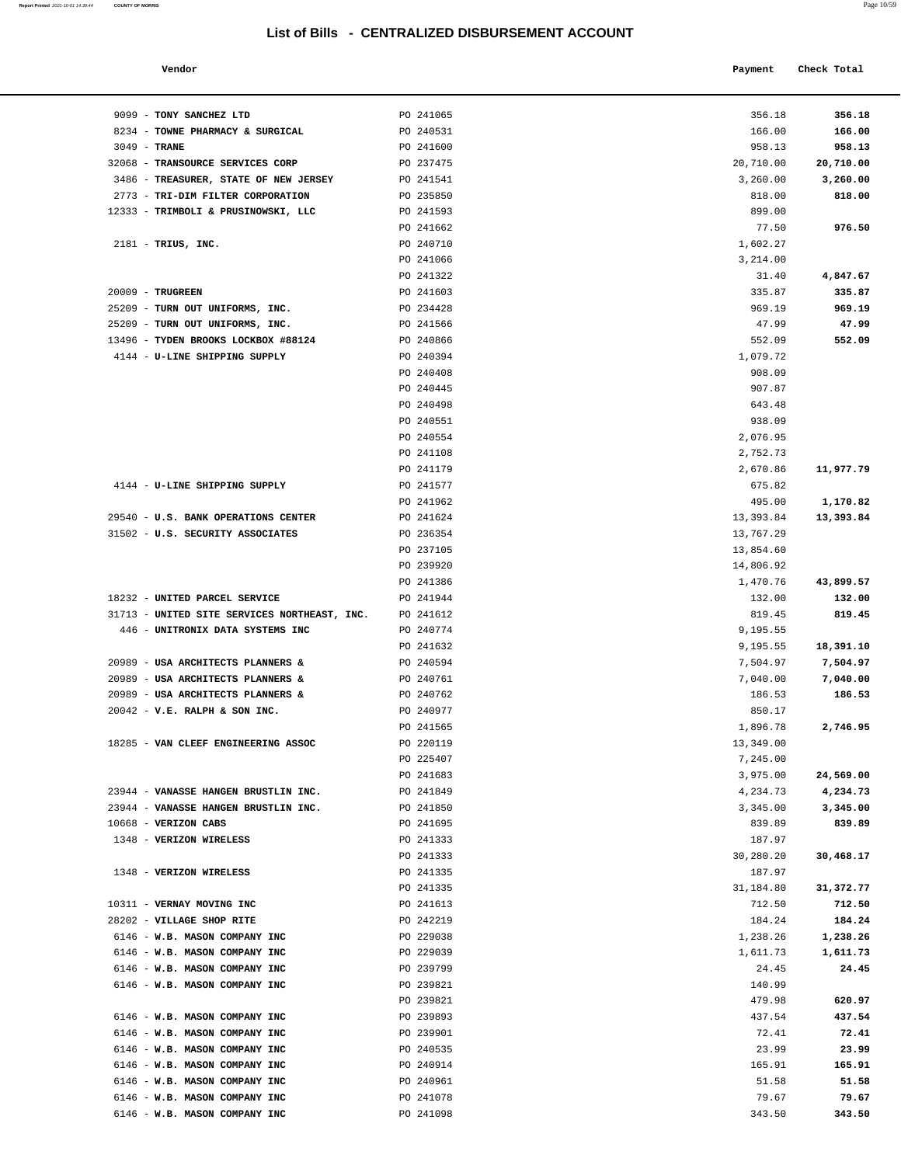**Report Printed 2021-10-01 14:39:44** COUNTY OF MORRIS

| Vendor                                                 |                        | Payment   | Check Total |
|--------------------------------------------------------|------------------------|-----------|-------------|
| <b>TONY SANCHEZ LTD</b>                                | PO 241065              | 356.18    | 356.18      |
| TOWNE PHARMACY & SURGICAL                              | PO 240531              | 166.00    | 166.00      |
| TRANE                                                  | PO 241600              | 958.13    | 958.13      |
| TRANSOURCE SERVICES CORP                               | PO 237475              | 20,710.00 | 20,710.00   |
| <b>TREASURER, STATE OF NEW JERSEY</b>                  | PO 241541              | 3,260.00  | 3,260.00    |
| TRI-DIM FILTER CORPORATION                             | PO 235850              | 818.00    | 818.00      |
| TRIMBOLI & PRUSINOWSKI, LLC                            | PO 241593              | 899.00    |             |
|                                                        | PO 241662              | 77.50     | 976.50      |
| TRIUS, INC.                                            | PO 240710              | 1,602.27  |             |
|                                                        | PO 241066              | 3,214.00  |             |
|                                                        | PO 241322              | 31.40     | 4,847.67    |
| <b>TRUGREEN</b>                                        | PO 241603              | 335.87    | 335.87      |
| TURN OUT UNIFORMS, INC.                                | PO 234428              | 969.19    | 969.19      |
| TURN OUT UNIFORMS, INC.                                | PO 241566              | 47.99     | 47.99       |
| TYDEN BROOKS LOCKBOX #88124                            | PO 240866              | 552.09    | 552.09      |
| U-LINE SHIPPING SUPPLY                                 | PO 240394              | 1,079.72  |             |
|                                                        | PO 240408              | 908.09    |             |
|                                                        | PO 240445              | 907.87    |             |
|                                                        | PO 240498              | 643.48    |             |
|                                                        | PO 240551              | 938.09    |             |
|                                                        | PO 240554              | 2,076.95  |             |
|                                                        | PO 241108              | 2,752.73  |             |
|                                                        | PO 241179              | 2,670.86  | 11,977.79   |
| U-LINE SHIPPING SUPPLY                                 | PO 241577              | 675.82    |             |
|                                                        | PO 241962              | 495.00    | 1,170.82    |
| <b>U.S. BANK OPERATIONS CENTER</b>                     | PO 241624              | 13,393.84 | 13,393.84   |
| U.S. SECURITY ASSOCIATES                               | PO 236354              | 13,767.29 |             |
|                                                        | PO 237105              | 13,854.60 |             |
|                                                        | PO 239920              | 14,806.92 |             |
|                                                        | PO 241386              | 1,470.76  | 43,899.57   |
| UNITED PARCEL SERVICE                                  | PO 241944              | 132.00    | 132.00      |
| UNITED SITE SERVICES NORTHEAST, INC.                   | PO 241612              | 819.45    | 819.45      |
| UNITRONIX DATA SYSTEMS INC                             | PO 240774              | 9,195.55  |             |
|                                                        | PO 241632              | 9,195.55  | 18,391.10   |
| USA ARCHITECTS PLANNERS &                              | PO 240594              | 7,504.97  | 7,504.97    |
|                                                        |                        |           | 7,040.00    |
| USA ARCHITECTS PLANNERS &<br>USA ARCHITECTS PLANNERS & | PO 240761<br>PO 240762 | 7,040.00  |             |
|                                                        |                        | 186.53    | 186.53      |
| V.E. RALPH & SON INC.                                  | PO 240977              | 850.17    |             |
|                                                        | PO 241565              | 1,896.78  | 2,746.95    |
| VAN CLEEF ENGINEERING ASSOC                            | PO 220119              | 13,349.00 |             |
|                                                        | PO 225407              | 7,245.00  |             |
|                                                        | PO 241683              | 3,975.00  | 24,569.00   |
| VANASSE HANGEN BRUSTLIN INC.                           | PO 241849              | 4,234.73  | 4,234.73    |
| VANASSE HANGEN BRUSTLIN INC.                           | PO 241850              | 3,345.00  | 3,345.00    |
| <b>VERIZON CABS</b>                                    | PO 241695              | 839.89    | 839.89      |
| <b>VERIZON WIRELESS</b>                                | PO 241333              | 187.97    |             |
|                                                        | PO 241333              | 30.280.20 | 30.468.17   |

| 9099 - TONY SANCHEZ LTD                                                      | PO 241065              | 356.18                | 356.18                |
|------------------------------------------------------------------------------|------------------------|-----------------------|-----------------------|
| 8234 - TOWNE PHARMACY & SURGICAL                                             | PO 240531              | 166.00                | 166.00                |
| $3049$ - TRANE                                                               | PO 241600              | 958.13                | 958.13                |
| 32068 - TRANSOURCE SERVICES CORP                                             | PO 237475              | 20,710.00             | 20,710.00             |
| 3486 - TREASURER, STATE OF NEW JERSEY                                        | PO 241541              | 3,260.00              | 3,260.00              |
| 2773 - TRI-DIM FILTER CORPORATION                                            | PO 235850              | 818.00                | 818.00                |
| 12333 - TRIMBOLI & PRUSINOWSKI, LLC                                          | PO 241593              | 899.00                |                       |
|                                                                              | PO 241662              | 77.50                 | 976.50                |
| $2181$ - TRIUS, INC.                                                         | PO 240710              | 1,602.27              |                       |
|                                                                              | PO 241066              | 3,214.00              |                       |
|                                                                              | PO 241322              | 31.40                 | 4,847.67              |
| 20009 - TRUGREEN                                                             | PO 241603              | 335.87                | 335.87                |
| 25209 - TURN OUT UNIFORMS, INC.                                              | PO 234428              | 969.19                | 969.19                |
| 25209 - TURN OUT UNIFORMS, INC.                                              | PO 241566              | 47.99                 | 47.99                 |
| 13496 - TYDEN BROOKS LOCKBOX #88124                                          | PO 240866              | 552.09                | 552.09                |
| 4144 - U-LINE SHIPPING SUPPLY                                                | PO 240394              | 1,079.72              |                       |
|                                                                              | PO 240408              | 908.09                |                       |
|                                                                              | PO 240445              | 907.87                |                       |
|                                                                              | PO 240498              | 643.48                |                       |
|                                                                              | PO 240551              | 938.09                |                       |
|                                                                              | PO 240554              | 2,076.95              |                       |
|                                                                              | PO 241108              | 2,752.73              |                       |
|                                                                              | PO 241179              | 2,670.86              | 11,977.79             |
| 4144 - U-LINE SHIPPING SUPPLY                                                | PO 241577              | 675.82                |                       |
|                                                                              | PO 241962              | 495.00                | 1,170.82              |
| 29540 - U.S. BANK OPERATIONS CENTER                                          | PO 241624              | 13,393.84             | 13,393.84             |
| 31502 - U.S. SECURITY ASSOCIATES                                             | PO 236354              | 13,767.29             |                       |
|                                                                              | PO 237105              | 13,854.60             |                       |
|                                                                              | PO 239920              | 14,806.92             |                       |
|                                                                              | PO 241386              | 1,470.76              | 43,899.57             |
| 18232 - UNITED PARCEL SERVICE                                                | PO 241944              | 132.00                | 132.00                |
| 31713 - UNITED SITE SERVICES NORTHEAST, INC.                                 | PO 241612              | 819.45                | 819.45                |
| 446 - UNITRONIX DATA SYSTEMS INC                                             | PO 240774              | 9,195.55              |                       |
|                                                                              | PO 241632              | 9,195.55              | 18,391.10             |
| 20989 - USA ARCHITECTS PLANNERS &                                            | PO 240594              | 7,504.97              | 7,504.97              |
| 20989 - USA ARCHITECTS PLANNERS &                                            | PO 240761              | 7,040.00              | 7,040.00              |
| 20989 - USA ARCHITECTS PLANNERS &                                            | PO 240762              | 186.53                | 186.53                |
| $20042$ - V.E. RALPH & SON INC.                                              | PO 240977              | 850.17                |                       |
|                                                                              | PO 241565              | 1,896.78              | 2,746.95              |
| 18285 - VAN CLEEF ENGINEERING ASSOC                                          | PO 220119              |                       |                       |
|                                                                              | PO 225407              | 13,349.00<br>7,245.00 |                       |
|                                                                              |                        | 3,975.00              |                       |
|                                                                              | PO 241683              |                       | 24,569.00<br>4,234.73 |
| 23944 - VANASSE HANGEN BRUSTLIN INC.<br>23944 - VANASSE HANGEN BRUSTLIN INC. | PO 241849<br>PO 241850 | 4,234.73              | 3,345.00              |
| 10668 - VERIZON CABS                                                         | PO 241695              | 3,345.00<br>839.89    | 839.89                |
|                                                                              |                        |                       |                       |
| 1348 - VERIZON WIRELESS                                                      | PO 241333              | 187.97                |                       |
| 1348 - VERIZON WIRELESS                                                      | PO 241333              | 30,280.20             | 30,468.17             |
|                                                                              | PO 241335              | 187.97                |                       |
| 10311 - VERNAY MOVING INC                                                    | PO 241335              | 31,184.80<br>712.50   | 31,372.77<br>712.50   |
| 28202 - VILLAGE SHOP RITE                                                    | PO 241613<br>PO 242219 |                       |                       |
|                                                                              |                        | 184.24                | 184.24                |
| 6146 - W.B. MASON COMPANY INC                                                | PO 229038<br>PO 229039 | 1,238.26              | 1,238.26              |
| 6146 - W.B. MASON COMPANY INC                                                |                        | 1,611.73              | 1,611.73              |
| 6146 - W.B. MASON COMPANY INC                                                | PO 239799              | 24.45                 | 24.45                 |
| 6146 - W.B. MASON COMPANY INC                                                | PO 239821              | 140.99                |                       |
|                                                                              | PO 239821              | 479.98                | 620.97                |
| 6146 - W.B. MASON COMPANY INC                                                | PO 239893              | 437.54                | 437.54                |
| 6146 - W.B. MASON COMPANY INC                                                | PO 239901              | 72.41                 | 72.41                 |
| 6146 - W.B. MASON COMPANY INC                                                | PO 240535              | 23.99                 | 23.99                 |
| 6146 - W.B. MASON COMPANY INC                                                | PO 240914              | 165.91                | 165.91                |
| 6146 - W.B. MASON COMPANY INC                                                | PO 240961              | 51.58                 | 51.58                 |
| 6146 - W.B. MASON COMPANY INC                                                | PO 241078              | 79.67                 | 79.67                 |
| 6146 - W.B. MASON COMPANY INC                                                | PO 241098              | 343.50                | 343.50                |
|                                                                              |                        |                       |                       |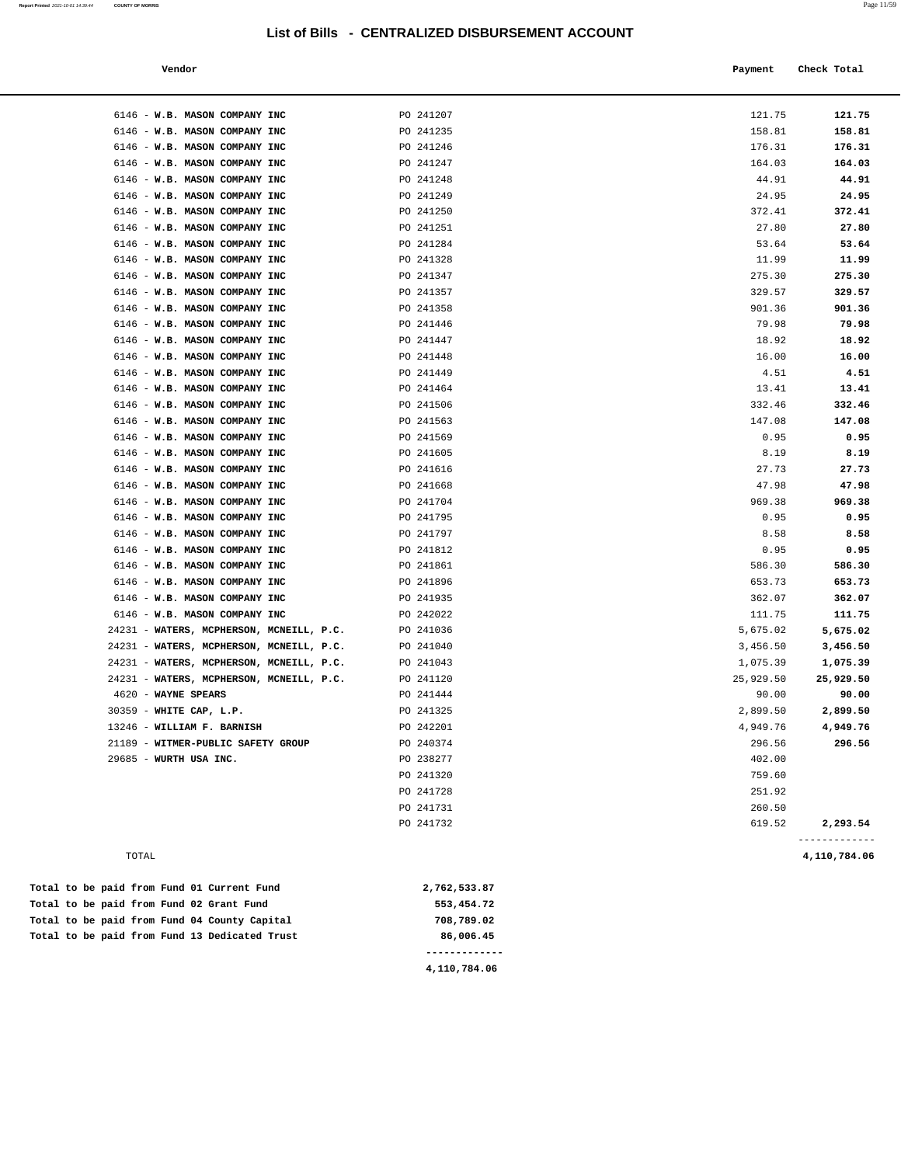| Vendor |  | Payment Check Total |
|--------|--|---------------------|
|--------|--|---------------------|

| 6146 - W.B. MASON COMPANY INC                                                        | PO 241207              | 121.75               | 121.75               |
|--------------------------------------------------------------------------------------|------------------------|----------------------|----------------------|
| 6146 - W.B. MASON COMPANY INC                                                        | PO 241235              | 158.81               | 158.81               |
| 6146 - W.B. MASON COMPANY INC                                                        | PO 241246              | 176.31               | 176.31               |
| 6146 - W.B. MASON COMPANY INC                                                        | PO 241247              | 164.03               | 164.03               |
| 6146 - W.B. MASON COMPANY INC                                                        | PO 241248              | 44.91                | 44.91                |
| 6146 - W.B. MASON COMPANY INC                                                        | PO 241249              | 24.95                | 24.95                |
| 6146 - W.B. MASON COMPANY INC                                                        | PO 241250              | 372.41               | 372.41               |
| 6146 - W.B. MASON COMPANY INC                                                        | PO 241251              | 27.80                | 27.80                |
| 6146 - W.B. MASON COMPANY INC                                                        | PO 241284              | 53.64                | 53.64                |
| 6146 - W.B. MASON COMPANY INC                                                        | PO 241328              | 11.99                | 11.99                |
| 6146 - W.B. MASON COMPANY INC                                                        | PO 241347              | 275.30               | 275.30               |
| 6146 - W.B. MASON COMPANY INC                                                        | PO 241357              | 329.57               | 329.57               |
| 6146 - W.B. MASON COMPANY INC                                                        | PO 241358              | 901.36               | 901.36               |
| 6146 - W.B. MASON COMPANY INC                                                        | PO 241446              | 79.98                | 79.98                |
| 6146 - W.B. MASON COMPANY INC                                                        | PO 241447              | 18.92                | 18.92                |
| 6146 - W.B. MASON COMPANY INC                                                        | PO 241448              | 16.00                | 16.00                |
| 6146 - W.B. MASON COMPANY INC                                                        | PO 241449              | 4.51                 | 4.51                 |
| 6146 - W.B. MASON COMPANY INC                                                        | PO 241464              | 13.41                | 13.41                |
| 6146 - W.B. MASON COMPANY INC                                                        | PO 241506              | 332.46               | 332.46               |
| 6146 - W.B. MASON COMPANY INC                                                        | PO 241563              | 147.08               | 147.08               |
| 6146 - W.B. MASON COMPANY INC                                                        | PO 241569              | 0.95                 | 0.95                 |
| 6146 - W.B. MASON COMPANY INC                                                        | PO 241605              | 8.19                 | 8.19                 |
| 6146 - W.B. MASON COMPANY INC                                                        | PO 241616              | 27.73                | 27.73                |
| 6146 - W.B. MASON COMPANY INC                                                        | PO 241668              | 47.98                | 47.98                |
| 6146 - W.B. MASON COMPANY INC                                                        | PO 241704              | 969.38               | 969.38               |
| 6146 - W.B. MASON COMPANY INC                                                        | PO 241795              | 0.95                 | 0.95                 |
| 6146 - W.B. MASON COMPANY INC                                                        | PO 241797              | 8.58                 | 8.58                 |
| 6146 - W.B. MASON COMPANY INC                                                        | PO 241812              | 0.95                 | 0.95                 |
| 6146 - W.B. MASON COMPANY INC                                                        | PO 241861              | 586.30               | 586.30               |
| 6146 - W.B. MASON COMPANY INC                                                        | PO 241896              | 653.73               | 653.73               |
| 6146 - W.B. MASON COMPANY INC                                                        | PO 241935              | 362.07               | 362.07               |
| 6146 - W.B. MASON COMPANY INC                                                        | PO 242022              | 111.75               | 111.75               |
| 24231 - WATERS, MCPHERSON, MCNEILL, P.C.<br>24231 - WATERS, MCPHERSON, MCNEILL, P.C. | PO 241036<br>PO 241040 | 5,675.02             | 5,675.02<br>3,456.50 |
| 24231 - WATERS, MCPHERSON, MCNEILL, P.C.                                             | PO 241043              | 3,456.50<br>1,075.39 | 1,075.39             |
| 24231 - WATERS, MCPHERSON, MCNEILL, P.C.                                             | PO 241120              | 25,929.50            | 25,929.50            |
| 4620 - WAYNE SPEARS                                                                  | PO 241444              | 90.00                | 90.00                |
| 30359 - WHITE CAP, L.P.                                                              | PO 241325              | 2,899.50             | 2,899.50             |
| 13246 - WILLIAM F. BARNISH                                                           | PO 242201              | 4,949.76             | 4,949.76             |
| 21189 - WITMER-PUBLIC SAFETY GROUP                                                   | PO 240374              | 296.56               | 296.56               |
| 29685 - WURTH USA INC.                                                               | PO 238277              | 402.00               |                      |
|                                                                                      | PO 241320              | 759.60               |                      |
|                                                                                      | PO 241728              | 251.92               |                      |
|                                                                                      | PO 241731              | 260.50               |                      |
|                                                                                      | PO 241732              | 619.52               | 2,293.54             |
|                                                                                      |                        |                      |                      |

TOTAL **4,110,784.06**

Total to be paid from Fund 01 Current Fund 2,762,533.87  **Total to be paid from Fund 02 Grant Fund 553,454.72 Total to be paid from Fund 04 County Capital 708,789.02** Total to be paid from Fund 13 Dedicated Trust **86,006.45 -------------**

**4,110,784.06**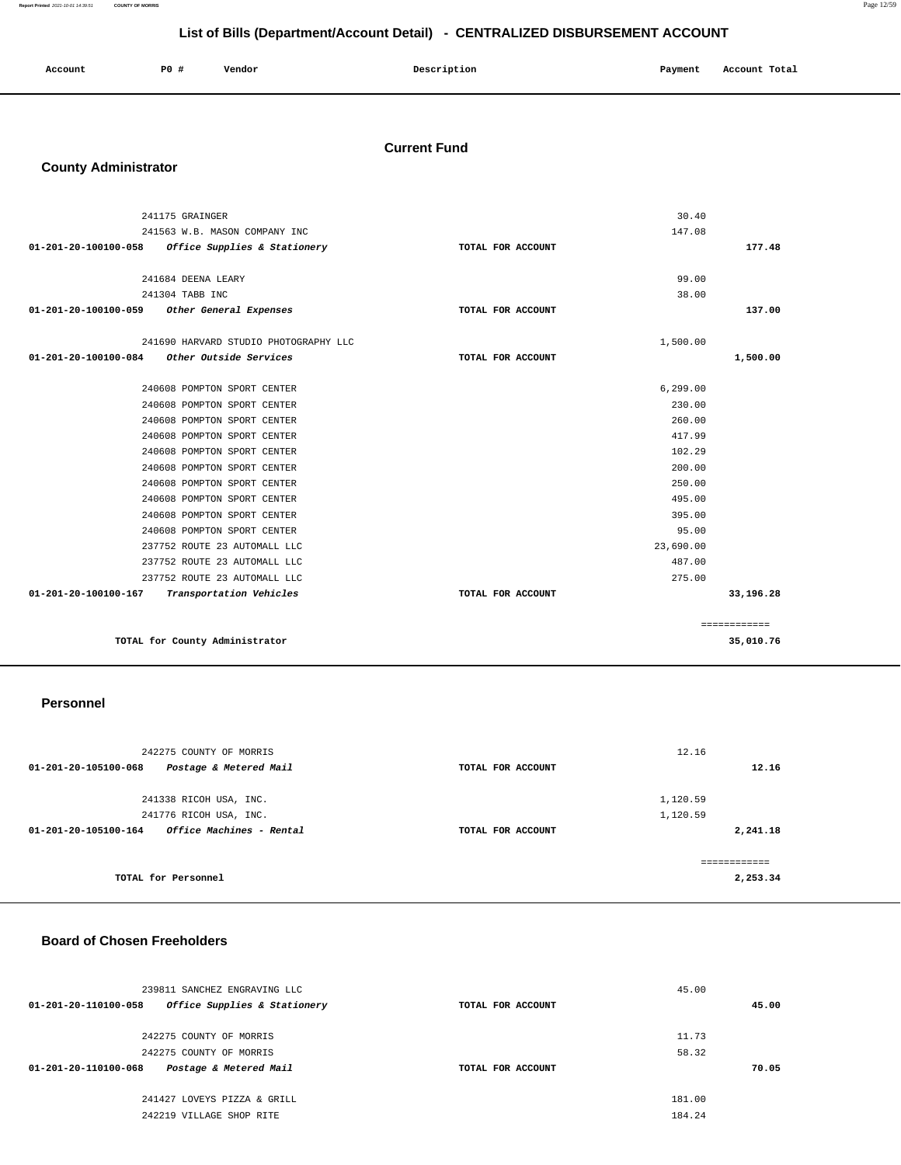| Account<br>. | P <sub>0</sub> | --<br>Vendor | Description<br>$\sim$ $\sim$ | Payment | Account Total |
|--------------|----------------|--------------|------------------------------|---------|---------------|
|              |                |              |                              |         |               |

#### **Current Fund**

# **County Administrator**

|                      | 241175 GRAINGER                       |                   | 30.40     |              |
|----------------------|---------------------------------------|-------------------|-----------|--------------|
|                      | 241563 W.B. MASON COMPANY INC         |                   | 147.08    |              |
| 01-201-20-100100-058 | Office Supplies & Stationery          | TOTAL FOR ACCOUNT |           | 177.48       |
|                      |                                       |                   |           |              |
|                      | 241684 DEENA LEARY                    |                   | 99.00     |              |
|                      | 241304 TABB INC                       |                   | 38.00     |              |
| 01-201-20-100100-059 | Other General Expenses                | TOTAL FOR ACCOUNT |           | 137.00       |
|                      | 241690 HARVARD STUDIO PHOTOGRAPHY LLC |                   | 1,500.00  |              |
| 01-201-20-100100-084 | Other Outside Services                |                   |           | 1,500.00     |
|                      |                                       | TOTAL FOR ACCOUNT |           |              |
|                      | 240608 POMPTON SPORT CENTER           |                   | 6,299.00  |              |
|                      | 240608 POMPTON SPORT CENTER           |                   | 230.00    |              |
|                      | 240608 POMPTON SPORT CENTER           |                   | 260.00    |              |
|                      | 240608 POMPTON SPORT CENTER           |                   | 417.99    |              |
|                      | 240608 POMPTON SPORT CENTER           |                   | 102.29    |              |
|                      | 240608 POMPTON SPORT CENTER           |                   | 200.00    |              |
|                      | 240608 POMPTON SPORT CENTER           |                   | 250.00    |              |
|                      | 240608 POMPTON SPORT CENTER           |                   | 495.00    |              |
|                      | 240608 POMPTON SPORT CENTER           |                   | 395.00    |              |
|                      | 240608 POMPTON SPORT CENTER           |                   | 95.00     |              |
|                      | 237752 ROUTE 23 AUTOMALL LLC          |                   | 23,690.00 |              |
|                      | 237752 ROUTE 23 AUTOMALL LLC          |                   | 487.00    |              |
|                      | 237752 ROUTE 23 AUTOMALL LLC          |                   | 275.00    |              |
| 01-201-20-100100-167 | Transportation Vehicles               | TOTAL FOR ACCOUNT |           | 33,196.28    |
|                      |                                       |                   |           | ============ |
|                      | TOTAL for County Administrator        |                   |           | 35,010.76    |
|                      |                                       |                   |           |              |

#### **Personnel**

| 242275 COUNTY OF MORRIS                          |                   | 12.16        |
|--------------------------------------------------|-------------------|--------------|
| Postage & Metered Mail<br>01-201-20-105100-068   | TOTAL FOR ACCOUNT | 12.16        |
|                                                  |                   |              |
| 241338 RICOH USA, INC.                           |                   | 1,120.59     |
| 241776 RICOH USA, INC.                           |                   | 1,120.59     |
| Office Machines - Rental<br>01-201-20-105100-164 | TOTAL FOR ACCOUNT | 2,241.18     |
|                                                  |                   | ------------ |
| TOTAL for Personnel                              |                   | 2,253.34     |

#### **Board of Chosen Freeholders**

| 239811 SANCHEZ ENGRAVING LLC                         |                   | 45.00  |
|------------------------------------------------------|-------------------|--------|
| Office Supplies & Stationery<br>01-201-20-110100-058 | TOTAL FOR ACCOUNT | 45.00  |
| 242275 COUNTY OF MORRIS                              |                   | 11.73  |
| 242275 COUNTY OF MORRIS                              |                   | 58.32  |
| Postage & Metered Mail<br>01-201-20-110100-068       | TOTAL FOR ACCOUNT | 70.05  |
| 241427 LOVEYS PIZZA & GRILL                          |                   | 181.00 |
| 242219 VILLAGE SHOP RITE                             |                   | 184.24 |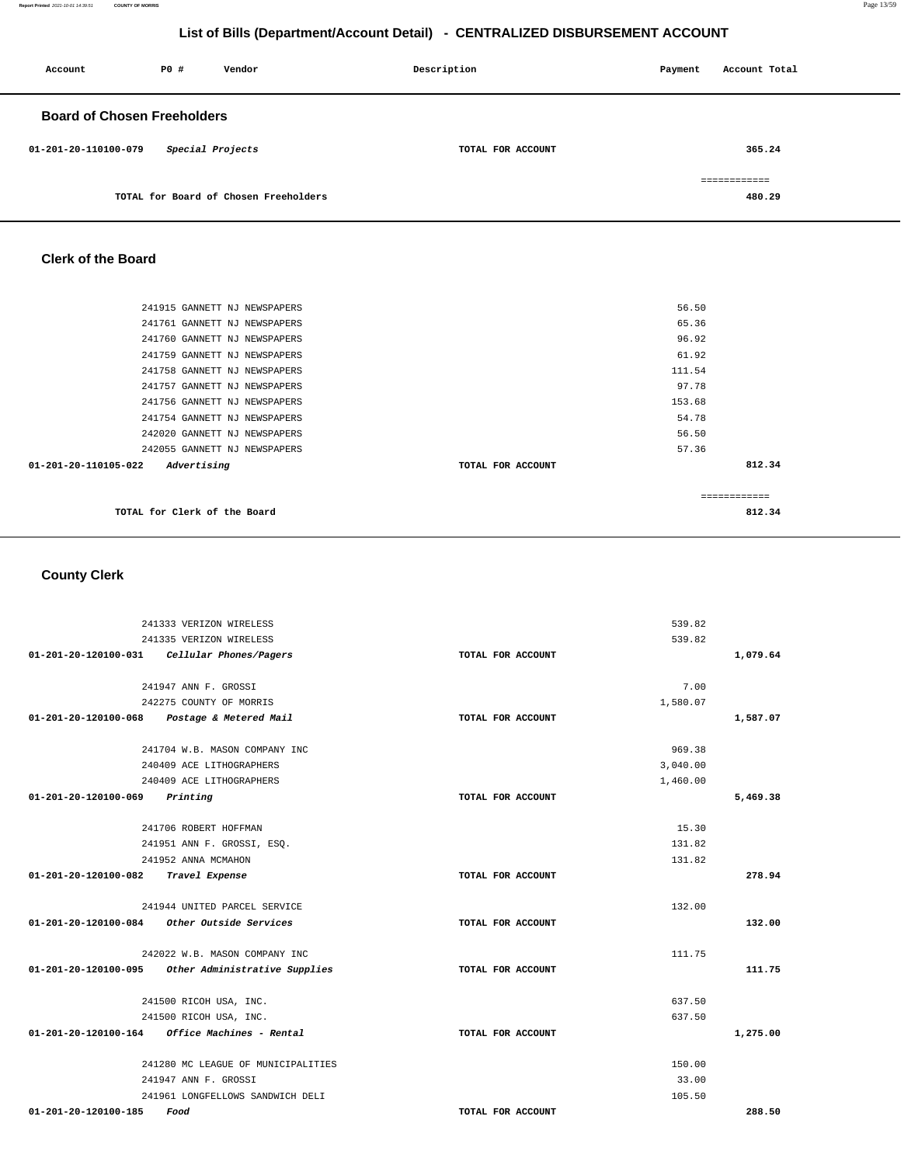| Account                            | P0#              | Vendor                                | Description       | Payment | Account Total |
|------------------------------------|------------------|---------------------------------------|-------------------|---------|---------------|
| <b>Board of Chosen Freeholders</b> |                  |                                       |                   |         |               |
| 01-201-20-110100-079               | Special Projects |                                       | TOTAL FOR ACCOUNT |         | 365.24        |
|                                    |                  |                                       |                   |         | ============  |
|                                    |                  | TOTAL for Board of Chosen Freeholders |                   |         | 480.29        |

#### **Clerk of the Board**

| 812.34 |
|--------|
|        |
|        |
|        |
|        |
|        |
|        |
|        |
|        |
|        |
|        |
|        |
|        |
|        |

# **County Clerk**

|                                     | 241333 VERIZON WIRELESS                            |                   | 539.82           |          |
|-------------------------------------|----------------------------------------------------|-------------------|------------------|----------|
|                                     | 241335 VERIZON WIRELESS                            |                   | 539.82           |          |
|                                     | 01-201-20-120100-031 Cellular Phones/Pagers        | TOTAL FOR ACCOUNT |                  | 1,079.64 |
|                                     | 241947 ANN F. GROSSI                               |                   | 7.00             |          |
|                                     | 242275 COUNTY OF MORRIS                            |                   | 1,580.07         |          |
|                                     |                                                    |                   |                  |          |
|                                     | 01-201-20-120100-068 Postage & Metered Mail        | TOTAL FOR ACCOUNT |                  | 1,587.07 |
|                                     | 241704 W.B. MASON COMPANY INC                      |                   | 969.38           |          |
|                                     | 240409 ACE LITHOGRAPHERS                           |                   | 3,040.00         |          |
|                                     | 240409 ACE LITHOGRAPHERS                           |                   | 1,460.00         |          |
| 01-201-20-120100-069                | Printing                                           | TOTAL FOR ACCOUNT |                  | 5,469.38 |
|                                     |                                                    |                   | 15.30            |          |
|                                     | 241706 ROBERT HOFFMAN                              |                   |                  |          |
|                                     | 241951 ANN F. GROSSI, ESQ.                         |                   | 131.82<br>131.82 |          |
| 01-201-20-120100-082 Travel Expense | 241952 ANNA MCMAHON                                | TOTAL FOR ACCOUNT |                  | 278.94   |
|                                     |                                                    |                   |                  |          |
|                                     | 241944 UNITED PARCEL SERVICE                       |                   | 132.00           |          |
|                                     | $01-201-20-120100-084$ Other Outside Services      | TOTAL FOR ACCOUNT |                  | 132.00   |
|                                     | 242022 W.B. MASON COMPANY INC                      |                   | 111.75           |          |
|                                     | 01-201-20-120100-095 Other Administrative Supplies | TOTAL FOR ACCOUNT |                  | 111.75   |
|                                     |                                                    |                   |                  |          |
|                                     | 241500 RICOH USA, INC.                             |                   | 637.50           |          |
|                                     | 241500 RICOH USA, INC.                             |                   | 637.50           |          |
|                                     | $01-201-20-120100-164$ Office Machines - Rental    | TOTAL FOR ACCOUNT |                  | 1,275.00 |
|                                     | 241280 MC LEAGUE OF MUNICIPALITIES                 |                   | 150.00           |          |
|                                     | 241947 ANN F. GROSSI                               |                   | 33.00            |          |
|                                     | 241961 LONGFELLOWS SANDWICH DELI                   |                   | 105.50           |          |
| 01-201-20-120100-185                | Food                                               | TOTAL FOR ACCOUNT |                  | 288.50   |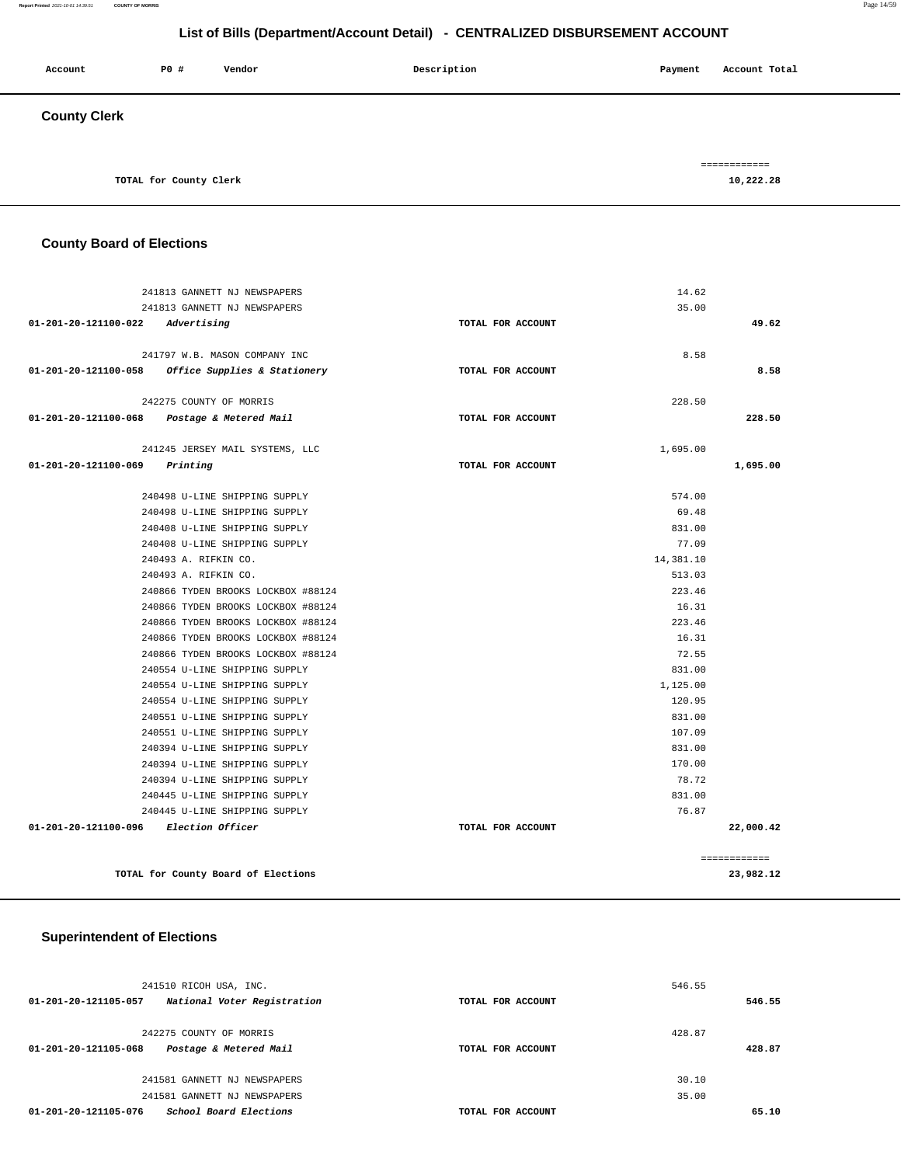#### **Report Printed** 2021-10-01 14:39:51 **COUNTY OF MORRIS** Page 14/59

# **List of Bills (Department/Account Detail) - CENTRALIZED DISBURSEMENT ACCOUNT**

| Account             | P0 #                   | Vendor | Description | Account Total<br>Payment  |
|---------------------|------------------------|--------|-------------|---------------------------|
| <b>County Clerk</b> |                        |        |             |                           |
|                     | TOTAL for County Clerk |        |             | ============<br>10,222.28 |

#### **County Board of Elections**

|                                         | 241813 GANNETT NJ NEWSPAPERS                      |                   | 14.62     |              |
|-----------------------------------------|---------------------------------------------------|-------------------|-----------|--------------|
|                                         | 241813 GANNETT NJ NEWSPAPERS                      |                   | 35.00     |              |
| 01-201-20-121100-022 Advertising        |                                                   | TOTAL FOR ACCOUNT |           | 49.62        |
|                                         | 241797 W.B. MASON COMPANY INC                     |                   | 8.58      |              |
|                                         | 01-201-20-121100-058 Office Supplies & Stationery | TOTAL FOR ACCOUNT |           | 8.58         |
|                                         |                                                   |                   |           |              |
|                                         | 242275 COUNTY OF MORRIS                           |                   | 228.50    |              |
|                                         | 01-201-20-121100-068 Postage & Metered Mail       | TOTAL FOR ACCOUNT |           | 228.50       |
|                                         | 241245 JERSEY MAIL SYSTEMS, LLC                   |                   | 1,695.00  |              |
| $01 - 201 - 20 - 121100 - 069$ Printing |                                                   | TOTAL FOR ACCOUNT |           | 1,695.00     |
|                                         |                                                   |                   |           |              |
|                                         | 240498 U-LINE SHIPPING SUPPLY                     |                   | 574.00    |              |
|                                         | 240498 U-LINE SHIPPING SUPPLY                     |                   | 69.48     |              |
|                                         | 240408 U-LINE SHIPPING SUPPLY                     |                   | 831.00    |              |
|                                         | 240408 U-LINE SHIPPING SUPPLY                     |                   | 77.09     |              |
|                                         | 240493 A. RIFKIN CO.                              |                   | 14,381.10 |              |
|                                         | 240493 A. RIFKIN CO.                              |                   | 513.03    |              |
|                                         | 240866 TYDEN BROOKS LOCKBOX #88124                |                   | 223.46    |              |
|                                         | 240866 TYDEN BROOKS LOCKBOX #88124                |                   | 16.31     |              |
|                                         | 240866 TYDEN BROOKS LOCKBOX #88124                |                   | 223.46    |              |
|                                         | 240866 TYDEN BROOKS LOCKBOX #88124                |                   | 16.31     |              |
|                                         | 240866 TYDEN BROOKS LOCKBOX #88124                |                   | 72.55     |              |
|                                         | 240554 U-LINE SHIPPING SUPPLY                     |                   | 831.00    |              |
|                                         | 240554 U-LINE SHIPPING SUPPLY                     |                   | 1,125.00  |              |
|                                         | 240554 U-LINE SHIPPING SUPPLY                     |                   | 120.95    |              |
|                                         | 240551 U-LINE SHIPPING SUPPLY                     |                   | 831.00    |              |
|                                         | 240551 U-LINE SHIPPING SUPPLY                     |                   | 107.09    |              |
|                                         | 240394 U-LINE SHIPPING SUPPLY                     |                   | 831.00    |              |
|                                         | 240394 U-LINE SHIPPING SUPPLY                     |                   | 170.00    |              |
|                                         | 240394 U-LINE SHIPPING SUPPLY                     |                   | 78.72     |              |
|                                         | 240445 U-LINE SHIPPING SUPPLY                     |                   | 831.00    |              |
|                                         | 240445 U-LINE SHIPPING SUPPLY                     |                   | 76.87     |              |
| 01-201-20-121100-096 Election Officer   |                                                   | TOTAL FOR ACCOUNT |           | 22,000.42    |
|                                         |                                                   |                   |           | ============ |
|                                         | TOTAL for County Board of Elections               |                   |           | 23,982.12    |

#### **Superintendent of Elections**

| 241510 RICOH USA, INC.                              |                   | 546.55 |        |
|-----------------------------------------------------|-------------------|--------|--------|
| National Voter Registration<br>01-201-20-121105-057 | TOTAL FOR ACCOUNT |        | 546.55 |
|                                                     |                   |        |        |
| 242275 COUNTY OF MORRIS                             |                   | 428.87 |        |
| Postage & Metered Mail<br>01-201-20-121105-068      | TOTAL FOR ACCOUNT |        | 428.87 |
|                                                     |                   |        |        |
| 241581 GANNETT NJ NEWSPAPERS                        |                   | 30.10  |        |
| 241581 GANNETT NJ NEWSPAPERS                        |                   | 35.00  |        |
| School Board Elections<br>01-201-20-121105-076      | TOTAL FOR ACCOUNT |        | 65.10  |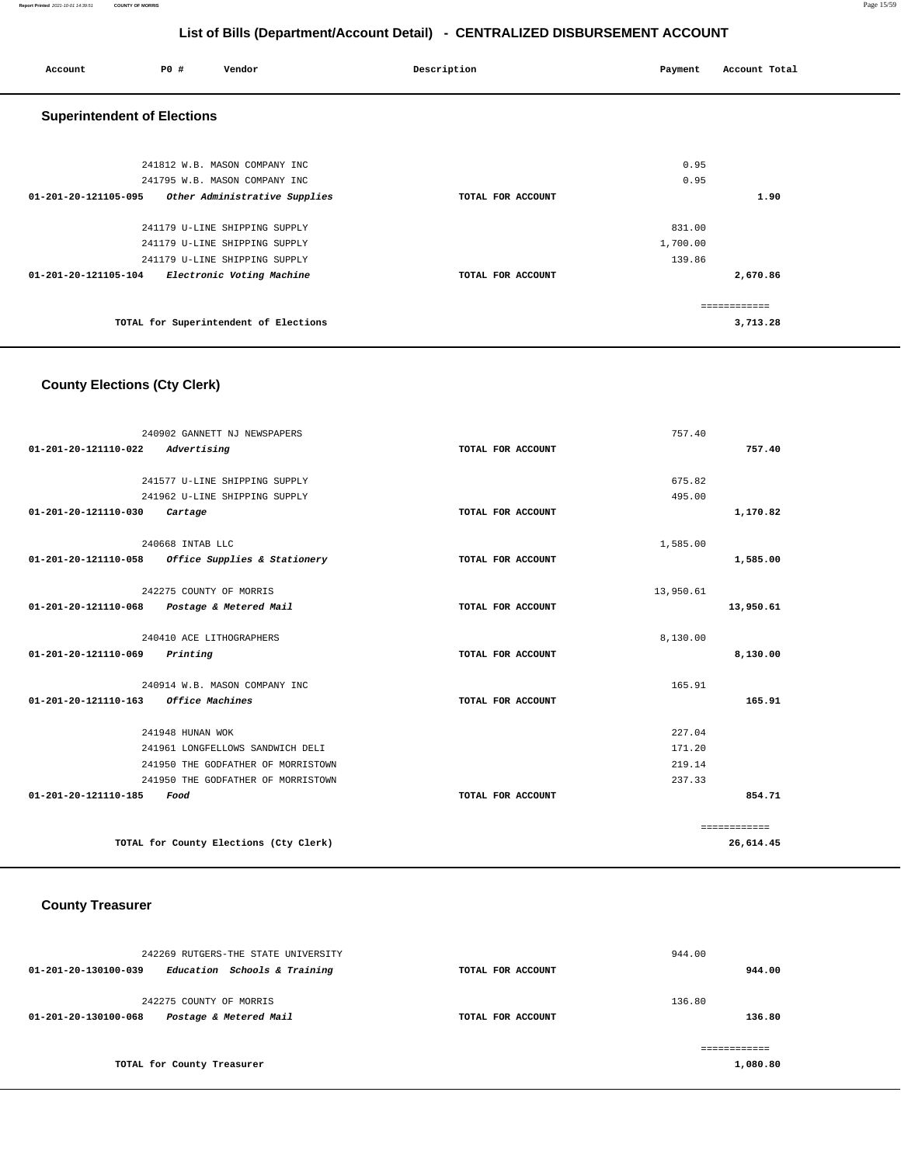| Account                            | P0 # | Vendor                                                         | Description       | Payment      | Account Total |  |
|------------------------------------|------|----------------------------------------------------------------|-------------------|--------------|---------------|--|
| <b>Superintendent of Elections</b> |      |                                                                |                   |              |               |  |
|                                    |      | 241812 W.B. MASON COMPANY INC<br>241795 W.B. MASON COMPANY INC |                   | 0.95<br>0.95 |               |  |
| 01-201-20-121105-095               |      | Other Administrative Supplies                                  | TOTAL FOR ACCOUNT |              | 1.90          |  |
|                                    |      | 241179 U-LINE SHIPPING SUPPLY                                  |                   | 831.00       |               |  |
|                                    |      | 241179 U-LINE SHIPPING SUPPLY                                  |                   | 1,700.00     |               |  |
|                                    |      | 241179 U-LINE SHIPPING SUPPLY                                  |                   | 139.86       |               |  |
| 01-201-20-121105-104               |      | Electronic Voting Machine                                      | TOTAL FOR ACCOUNT |              | 2,670.86      |  |
|                                    |      |                                                                |                   |              | ============  |  |
|                                    |      | TOTAL for Superintendent of Elections                          |                   |              | 3,713.28      |  |
|                                    |      |                                                                |                   |              |               |  |

# **County Elections (Cty Clerk)**

|                                         | 240902 GANNETT NJ NEWSPAPERS                      |                   | 757.40    |              |
|-----------------------------------------|---------------------------------------------------|-------------------|-----------|--------------|
| 01-201-20-121110-022                    | Advertising                                       | TOTAL FOR ACCOUNT |           | 757.40       |
|                                         |                                                   |                   |           |              |
|                                         | 241577 U-LINE SHIPPING SUPPLY                     |                   | 675.82    |              |
|                                         | 241962 U-LINE SHIPPING SUPPLY                     |                   | 495.00    |              |
| 01-201-20-121110-030                    | Cartage                                           | TOTAL FOR ACCOUNT |           | 1,170.82     |
|                                         | 240668 INTAB LLC                                  |                   | 1,585.00  |              |
|                                         | 01-201-20-121110-058 Office Supplies & Stationery | TOTAL FOR ACCOUNT |           | 1,585.00     |
|                                         | 242275 COUNTY OF MORRIS                           |                   | 13,950.61 |              |
|                                         | 01-201-20-121110-068 Postage & Metered Mail       | TOTAL FOR ACCOUNT |           | 13,950.61    |
|                                         |                                                   |                   |           |              |
|                                         | 240410 ACE LITHOGRAPHERS                          |                   | 8,130.00  |              |
| $01 - 201 - 20 - 121110 - 069$ Printing |                                                   | TOTAL FOR ACCOUNT |           | 8,130.00     |
|                                         | 240914 W.B. MASON COMPANY INC                     |                   | 165.91    |              |
| 01-201-20-121110-163 Office Machines    |                                                   | TOTAL FOR ACCOUNT |           | 165.91       |
|                                         | 241948 HUNAN WOK                                  |                   | 227.04    |              |
|                                         | 241961 LONGFELLOWS SANDWICH DELI                  |                   | 171.20    |              |
|                                         | 241950 THE GODFATHER OF MORRISTOWN                |                   | 219.14    |              |
|                                         | 241950 THE GODFATHER OF MORRISTOWN                |                   | 237.33    |              |
| 01-201-20-121110-185                    | Food                                              | TOTAL FOR ACCOUNT |           | 854.71       |
|                                         |                                                   |                   |           | ============ |
|                                         | TOTAL for County Elections (Cty Clerk)            |                   |           | 26,614.45    |

# **County Treasurer**

| 242269 RUTGERS-THE STATE UNIVERSITY                  |                   | 944.00   |
|------------------------------------------------------|-------------------|----------|
| Education Schools & Training<br>01-201-20-130100-039 | TOTAL FOR ACCOUNT | 944.00   |
| 242275 COUNTY OF MORRIS                              |                   | 136.80   |
| Postage & Metered Mail<br>01-201-20-130100-068       | TOTAL FOR ACCOUNT | 136.80   |
|                                                      |                   |          |
| TOTAL for County Treasurer                           |                   | 1,080.80 |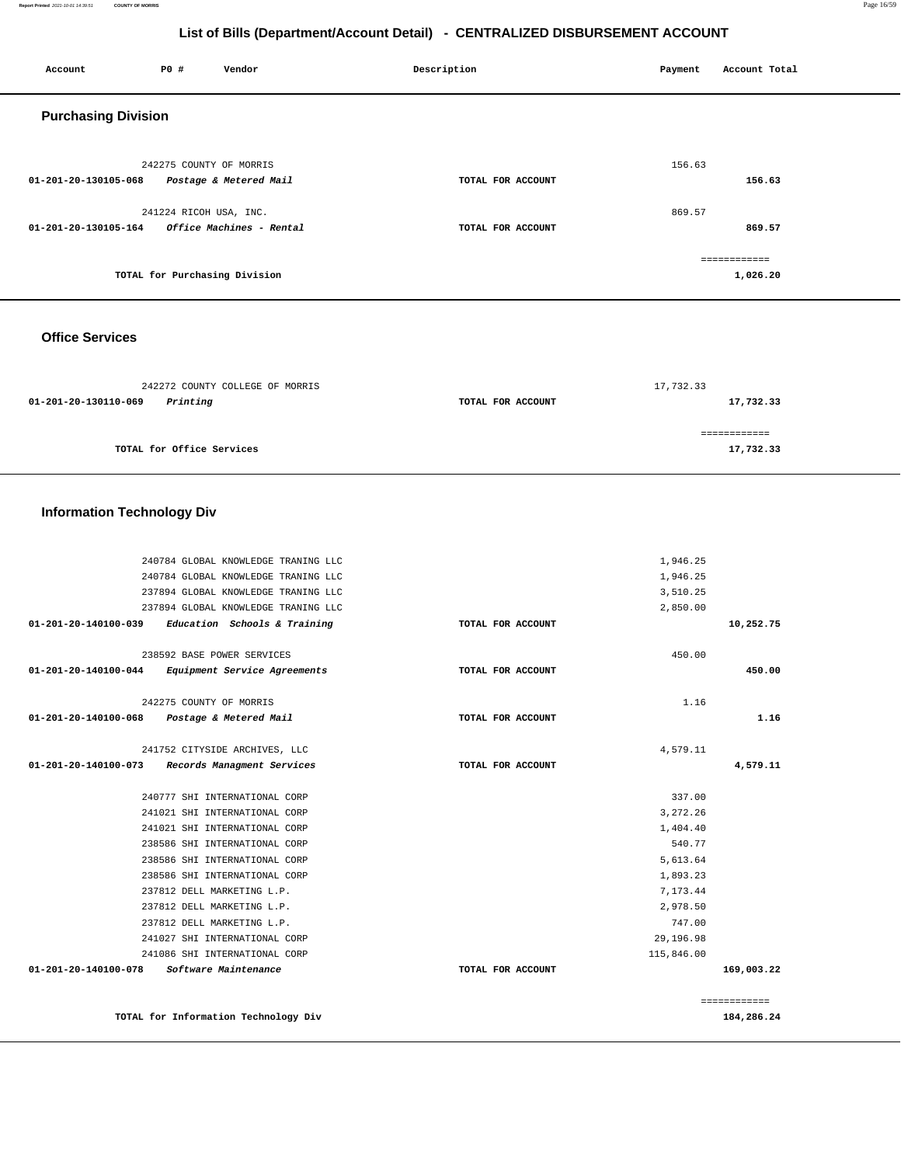#### **Report Printed** 2021-10-01 14:39:51 **COUNTY OF MORRIS** Page 16/59

# **List of Bills (Department/Account Detail) - CENTRALIZED DISBURSEMENT ACCOUNT**

| Account                    | <b>PO #</b>             | Vendor                        | Description       | Payment | Account Total |
|----------------------------|-------------------------|-------------------------------|-------------------|---------|---------------|
| <b>Purchasing Division</b> |                         |                               |                   |         |               |
|                            | 242275 COUNTY OF MORRIS |                               |                   | 156.63  |               |
| 01-201-20-130105-068       |                         | Postage & Metered Mail        | TOTAL FOR ACCOUNT |         | 156.63        |
|                            | 241224 RICOH USA, INC.  |                               |                   | 869.57  |               |
| 01-201-20-130105-164       |                         | Office Machines - Rental      | TOTAL FOR ACCOUNT |         | 869.57        |
|                            |                         |                               |                   |         | ------------  |
|                            |                         | TOTAL for Purchasing Division |                   |         | 1,026.20      |

 **Office Services** 

| 242272 COUNTY COLLEGE OF MORRIS  |                   | 17,732.33 |
|----------------------------------|-------------------|-----------|
| Printing<br>01-201-20-130110-069 | TOTAL FOR ACCOUNT | 17,732.33 |
|                                  |                   |           |
|                                  |                   |           |
| TOTAL for Office Services        |                   | 17,732.33 |

# **Information Technology Div**

|                      | 240784 GLOBAL KNOWLEDGE TRANING LLC                 |                   | 1,946.25   |              |
|----------------------|-----------------------------------------------------|-------------------|------------|--------------|
|                      | 240784 GLOBAL KNOWLEDGE TRANING LLC                 |                   | 1,946.25   |              |
|                      | 237894 GLOBAL KNOWLEDGE TRANING LLC                 |                   | 3,510.25   |              |
|                      | 237894 GLOBAL KNOWLEDGE TRANING LLC                 |                   | 2,850.00   |              |
|                      | $01-201-20-140100-039$ Education Schools & Training | TOTAL FOR ACCOUNT |            | 10,252.75    |
|                      | 238592 BASE POWER SERVICES                          |                   | 450.00     |              |
| 01-201-20-140100-044 | Equipment Service Agreements                        | TOTAL FOR ACCOUNT |            | 450.00       |
|                      |                                                     |                   |            |              |
|                      | 242275 COUNTY OF MORRIS                             |                   | 1.16       |              |
| 01-201-20-140100-068 | Postage & Metered Mail                              | TOTAL FOR ACCOUNT |            | 1.16         |
|                      | 241752 CITYSIDE ARCHIVES, LLC                       |                   | 4,579.11   |              |
|                      | 01-201-20-140100-073 Records Managment Services     | TOTAL FOR ACCOUNT |            | 4,579.11     |
|                      |                                                     |                   |            |              |
|                      | 240777 SHI INTERNATIONAL CORP                       |                   | 337.00     |              |
|                      | 241021 SHI INTERNATIONAL CORP                       |                   | 3, 272.26  |              |
|                      | 241021 SHI INTERNATIONAL CORP                       |                   | 1,404.40   |              |
|                      | 238586 SHI INTERNATIONAL CORP                       |                   | 540.77     |              |
|                      | 238586 SHI INTERNATIONAL CORP                       |                   | 5,613.64   |              |
|                      | 238586 SHI INTERNATIONAL CORP                       |                   | 1,893.23   |              |
|                      | 237812 DELL MARKETING L.P.                          |                   | 7,173.44   |              |
|                      | 237812 DELL MARKETING L.P.                          |                   | 2,978.50   |              |
|                      | 237812 DELL MARKETING L.P.                          |                   | 747.00     |              |
|                      | 241027 SHI INTERNATIONAL CORP                       |                   | 29,196.98  |              |
|                      | 241086 SHI INTERNATIONAL CORP                       |                   | 115,846.00 |              |
| 01-201-20-140100-078 | <i>Software Maintenance</i>                         | TOTAL FOR ACCOUNT |            | 169,003.22   |
|                      |                                                     |                   |            | ============ |
|                      | TOTAL for Information Technology Div                |                   |            | 184,286.24   |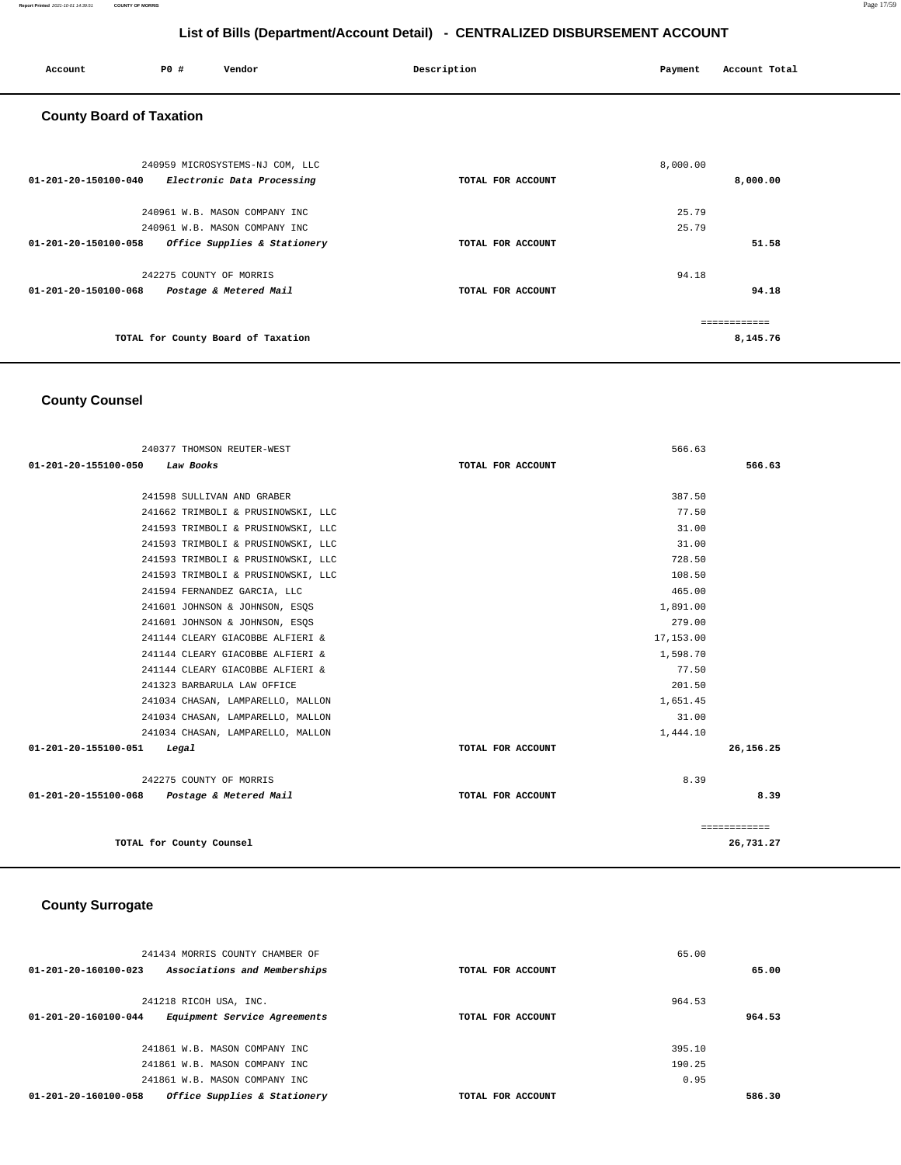| Account                         | P0 #                    | Vendor                             | Description       | Payment  | Account Total |
|---------------------------------|-------------------------|------------------------------------|-------------------|----------|---------------|
| <b>County Board of Taxation</b> |                         |                                    |                   |          |               |
|                                 |                         | 240959 MICROSYSTEMS-NJ COM, LLC    |                   | 8,000.00 |               |
| 01-201-20-150100-040            |                         | Electronic Data Processing         | TOTAL FOR ACCOUNT |          | 8,000.00      |
|                                 |                         | 240961 W.B. MASON COMPANY INC      |                   | 25.79    |               |
|                                 |                         | 240961 W.B. MASON COMPANY INC      |                   | 25.79    |               |
| 01-201-20-150100-058            |                         | Office Supplies & Stationery       | TOTAL FOR ACCOUNT |          | 51.58         |
|                                 | 242275 COUNTY OF MORRIS |                                    |                   | 94.18    |               |
| 01-201-20-150100-068            |                         | Postage & Metered Mail             | TOTAL FOR ACCOUNT |          | 94.18         |
|                                 |                         |                                    |                   |          | ------------- |
|                                 |                         | TOTAL for County Board of Taxation |                   |          | 8,145.76      |

# **County Counsel**

| 240377 THOMSON REUTER-WEST                  | 566.63            |              |
|---------------------------------------------|-------------------|--------------|
| 01-201-20-155100-050<br>Law Books           | TOTAL FOR ACCOUNT | 566.63       |
|                                             |                   |              |
| 241598 SULLIVAN AND GRABER                  | 387.50            |              |
| 241662 TRIMBOLI & PRUSINOWSKI, LLC          | 77.50             |              |
| 241593 TRIMBOLI & PRUSINOWSKI, LLC          | 31.00             |              |
| 241593 TRIMBOLI & PRUSINOWSKI, LLC          | 31.00             |              |
| 241593 TRIMBOLI & PRUSINOWSKI, LLC          | 728.50            |              |
| 241593 TRIMBOLI & PRUSINOWSKI, LLC          | 108.50            |              |
| 241594 FERNANDEZ GARCIA, LLC                | 465.00            |              |
| 241601 JOHNSON & JOHNSON, ESOS              | 1,891.00          |              |
| 241601 JOHNSON & JOHNSON, ESOS              | 279.00            |              |
| 241144 CLEARY GIACOBBE ALFIERI &            | 17,153.00         |              |
| 241144 CLEARY GIACOBBE ALFIERI &            | 1,598.70          |              |
| 241144 CLEARY GIACOBBE ALFIERI &            | 77.50             |              |
| 241323 BARBARULA LAW OFFICE                 | 201.50            |              |
| 241034 CHASAN, LAMPARELLO, MALLON           | 1,651.45          |              |
| 241034 CHASAN, LAMPARELLO, MALLON           | 31.00             |              |
| 241034 CHASAN, LAMPARELLO, MALLON           | 1,444.10          |              |
| 01-201-20-155100-051<br>Legal               | TOTAL FOR ACCOUNT | 26,156.25    |
| 242275 COUNTY OF MORRIS                     | 8.39              |              |
| 01-201-20-155100-068 Postage & Metered Mail | TOTAL FOR ACCOUNT | 8.39         |
|                                             |                   | ============ |
| TOTAL for County Counsel                    |                   | 26,731.27    |

# **County Surrogate**

| 241434 MORRIS COUNTY CHAMBER OF                                |                   | 65.00  |        |
|----------------------------------------------------------------|-------------------|--------|--------|
| Associations and Memberships<br>$01 - 201 - 20 - 160100 - 023$ | TOTAL FOR ACCOUNT |        | 65.00  |
|                                                                |                   |        |        |
| 241218 RICOH USA, INC.                                         |                   | 964.53 |        |
| Equipment Service Agreements<br>$01 - 201 - 20 - 160100 - 044$ | TOTAL FOR ACCOUNT |        | 964.53 |
|                                                                |                   |        |        |
| 241861 W.B. MASON COMPANY INC                                  |                   | 395.10 |        |
| 241861 W.B. MASON COMPANY INC                                  |                   | 190.25 |        |
| 241861 W.B. MASON COMPANY INC                                  |                   | 0.95   |        |
| 01-201-20-160100-058<br>Office Supplies & Stationery           | TOTAL FOR ACCOUNT |        | 586.30 |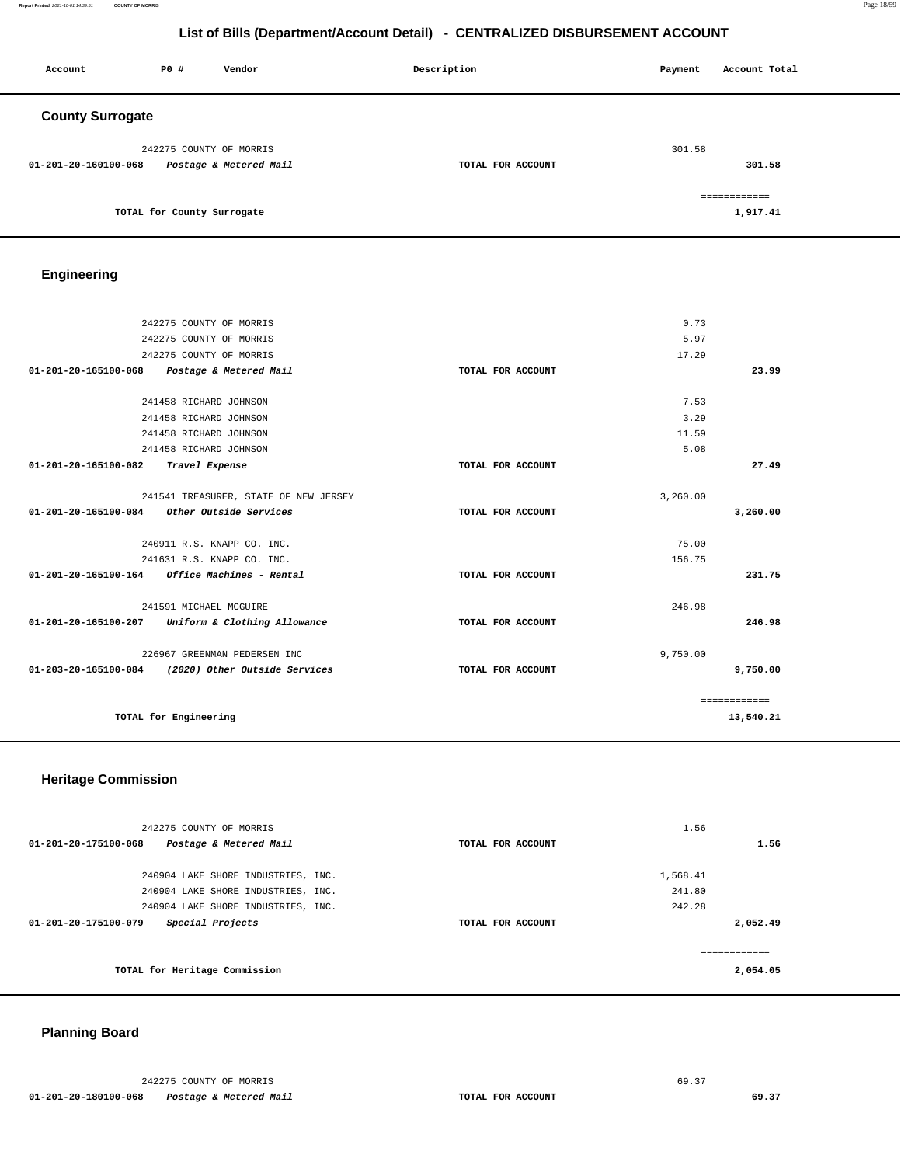| Account                 | P0#                        | Vendor                 | Description       | Payment | Account Total |
|-------------------------|----------------------------|------------------------|-------------------|---------|---------------|
| <b>County Surrogate</b> |                            |                        |                   |         |               |
|                         | 242275 COUNTY OF MORRIS    |                        |                   | 301.58  |               |
| 01-201-20-160100-068    |                            | Postage & Metered Mail | TOTAL FOR ACCOUNT |         | 301.58        |
|                         |                            |                        |                   |         | ============  |
|                         | TOTAL for County Surrogate |                        |                   |         | 1,917.41      |

# **Engineering**

|                      | 242275 COUNTY OF MORRIS                                 |                   | 0.73     |              |
|----------------------|---------------------------------------------------------|-------------------|----------|--------------|
|                      | 242275 COUNTY OF MORRIS                                 |                   | 5.97     |              |
|                      | 242275 COUNTY OF MORRIS                                 |                   | 17.29    |              |
| 01-201-20-165100-068 | Postage & Metered Mail                                  | TOTAL FOR ACCOUNT |          | 23.99        |
|                      |                                                         |                   |          |              |
|                      | 241458 RICHARD JOHNSON                                  |                   | 7.53     |              |
|                      | 241458 RICHARD JOHNSON                                  |                   | 3.29     |              |
|                      | 241458 RICHARD JOHNSON                                  |                   | 11.59    |              |
|                      | 241458 RICHARD JOHNSON                                  |                   | 5.08     |              |
| 01-201-20-165100-082 | Travel Expense                                          | TOTAL FOR ACCOUNT |          | 27.49        |
|                      |                                                         |                   |          |              |
|                      | 241541 TREASURER, STATE OF NEW JERSEY                   |                   | 3,260.00 |              |
|                      | 01-201-20-165100-084 Other Outside Services             | TOTAL FOR ACCOUNT |          | 3,260.00     |
|                      |                                                         |                   |          |              |
|                      | 240911 R.S. KNAPP CO. INC.                              |                   | 75.00    |              |
|                      | 241631 R.S. KNAPP CO. INC.                              |                   | 156.75   |              |
|                      | $01 - 201 - 20 - 165100 - 164$ Office Machines - Rental | TOTAL FOR ACCOUNT |          | 231.75       |
|                      |                                                         |                   |          |              |
|                      | 241591 MICHAEL MCGUIRE                                  |                   | 246.98   |              |
| 01-201-20-165100-207 | Uniform & Clothing Allowance                            | TOTAL FOR ACCOUNT |          | 246.98       |
|                      | 226967 GREENMAN PEDERSEN INC                            |                   | 9,750.00 |              |
|                      | 01-203-20-165100-084 (2020) Other Outside Services      | TOTAL FOR ACCOUNT |          | 9,750.00     |
|                      |                                                         |                   |          |              |
|                      |                                                         |                   |          | ============ |
|                      | TOTAL for Engineering                                   |                   |          | 13,540.21    |
|                      |                                                         |                   |          |              |

#### **Heritage Commission**

| 242275 COUNTY OF MORRIS                                  |                   | 1.56     |
|----------------------------------------------------------|-------------------|----------|
| $01 - 201 - 20 - 175100 - 068$<br>Postage & Metered Mail | TOTAL FOR ACCOUNT | 1.56     |
|                                                          |                   |          |
| 240904 LAKE SHORE INDUSTRIES, INC.                       |                   | 1,568.41 |
| 240904 LAKE SHORE INDUSTRIES, INC.                       |                   | 241.80   |
| 240904 LAKE SHORE INDUSTRIES, INC.                       |                   | 242.28   |
| Special Projects<br>$01 - 201 - 20 - 175100 - 079$       | TOTAL FOR ACCOUNT | 2,052.49 |
|                                                          |                   |          |
|                                                          |                   |          |
| TOTAL for Heritage Commission                            |                   | 2,054.05 |
|                                                          |                   |          |

#### **Planning Board**

242275 COUNTY OF MORRIS 69.37  **01-201-20-180100-068 Postage & Metered Mail TOTAL FOR ACCOUNT 69.37**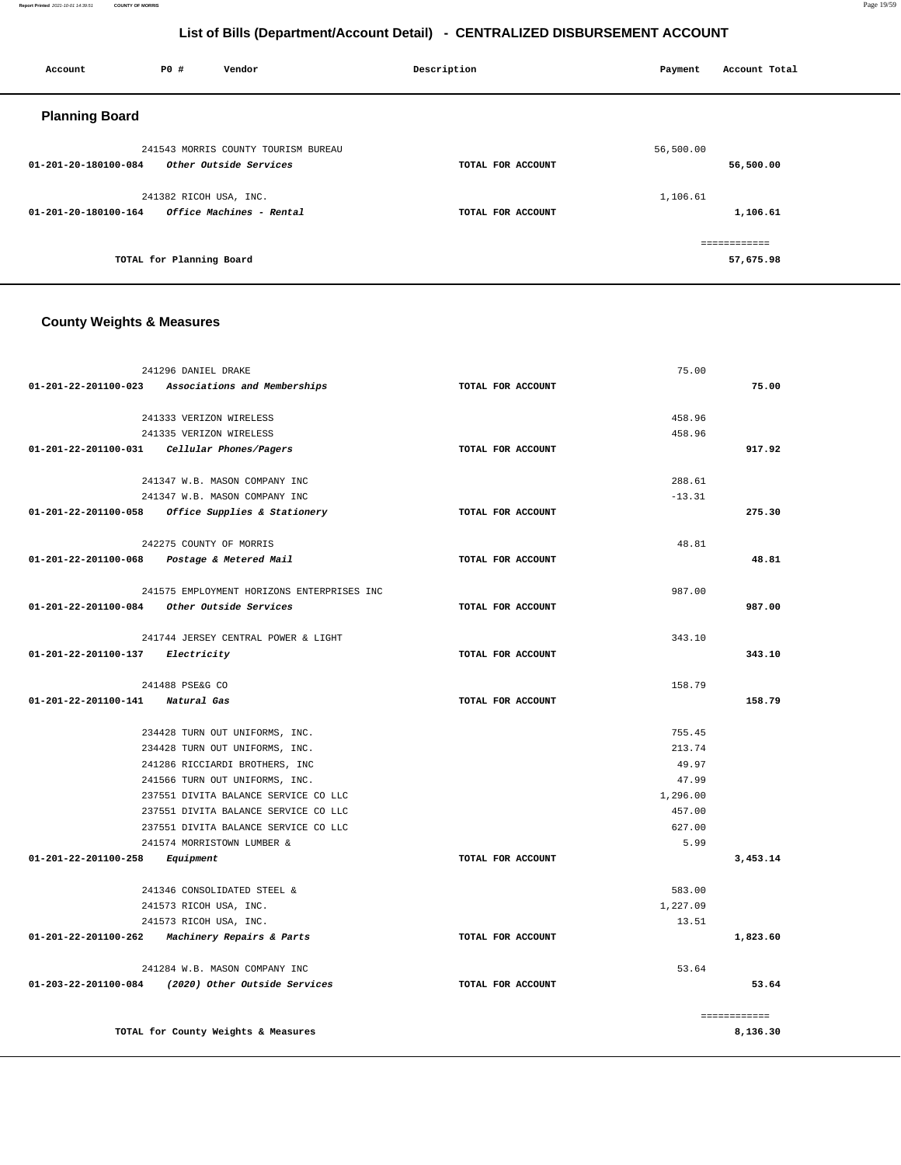| Account               | P0 #                     | Vendor                              | Description       | Payment   | Account Total |
|-----------------------|--------------------------|-------------------------------------|-------------------|-----------|---------------|
| <b>Planning Board</b> |                          |                                     |                   |           |               |
|                       |                          | 241543 MORRIS COUNTY TOURISM BUREAU |                   | 56,500.00 |               |
| 01-201-20-180100-084  |                          | Other Outside Services              | TOTAL FOR ACCOUNT |           | 56,500.00     |
|                       | 241382 RICOH USA, INC.   |                                     |                   | 1,106.61  |               |
| 01-201-20-180100-164  |                          | Office Machines - Rental            | TOTAL FOR ACCOUNT |           | 1,106.61      |
|                       |                          |                                     |                   |           | ============  |
|                       | TOTAL for Planning Board |                                     |                   |           | 57,675.98     |

# **County Weights & Measures**

| 241296 DANIEL DRAKE                                |                   | 75.00    |              |
|----------------------------------------------------|-------------------|----------|--------------|
| 01-201-22-201100-023 Associations and Memberships  | TOTAL FOR ACCOUNT |          | 75.00        |
| 241333 VERIZON WIRELESS                            |                   | 458.96   |              |
| 241335 VERIZON WIRELESS                            |                   | 458.96   |              |
| 01-201-22-201100-031 Cellular Phones/Pagers        | TOTAL FOR ACCOUNT |          | 917.92       |
| 241347 W.B. MASON COMPANY INC                      |                   | 288.61   |              |
| 241347 W.B. MASON COMPANY INC                      |                   | $-13.31$ |              |
| 01-201-22-201100-058 Office Supplies & Stationery  | TOTAL FOR ACCOUNT |          | 275.30       |
| 242275 COUNTY OF MORRIS                            |                   | 48.81    |              |
| 01-201-22-201100-068 Postage & Metered Mail        | TOTAL FOR ACCOUNT |          | 48.81        |
| 241575 EMPLOYMENT HORIZONS ENTERPRISES INC         |                   | 987.00   |              |
| 01-201-22-201100-084 Other Outside Services        | TOTAL FOR ACCOUNT |          | 987.00       |
| 241744 JERSEY CENTRAL POWER & LIGHT                |                   | 343.10   |              |
| 01-201-22-201100-137 Electricity                   | TOTAL FOR ACCOUNT |          | 343.10       |
| 241488 PSE&G CO                                    |                   | 158.79   |              |
| 01-201-22-201100-141 Natural Gas                   | TOTAL FOR ACCOUNT |          | 158.79       |
| 234428 TURN OUT UNIFORMS, INC.                     |                   | 755.45   |              |
| 234428 TURN OUT UNIFORMS, INC.                     |                   | 213.74   |              |
| 241286 RICCIARDI BROTHERS, INC                     |                   | 49.97    |              |
| 241566 TURN OUT UNIFORMS, INC.                     |                   | 47.99    |              |
| 237551 DIVITA BALANCE SERVICE CO LLC               |                   | 1,296.00 |              |
| 237551 DIVITA BALANCE SERVICE CO LLC               |                   | 457.00   |              |
| 237551 DIVITA BALANCE SERVICE CO LLC               |                   | 627.00   |              |
| 241574 MORRISTOWN LUMBER &                         |                   | 5.99     |              |
| 01-201-22-201100-258<br>Equipment                  | TOTAL FOR ACCOUNT |          | 3,453.14     |
| 241346 CONSOLIDATED STEEL &                        |                   | 583.00   |              |
| 241573 RICOH USA, INC.                             |                   | 1,227.09 |              |
| 241573 RICOH USA, INC.                             |                   | 13.51    |              |
| 01-201-22-201100-262 Machinery Repairs & Parts     | TOTAL FOR ACCOUNT |          | 1,823.60     |
| 241284 W.B. MASON COMPANY INC                      |                   | 53.64    |              |
| 01-203-22-201100-084 (2020) Other Outside Services | TOTAL FOR ACCOUNT |          | 53.64        |
|                                                    |                   |          | ============ |
| TOTAL for County Weights & Measures                |                   |          | 8,136.30     |

**Report Printed** 2021-10-01 14:39:51 **COUNTY OF MORRIS** Page 19/59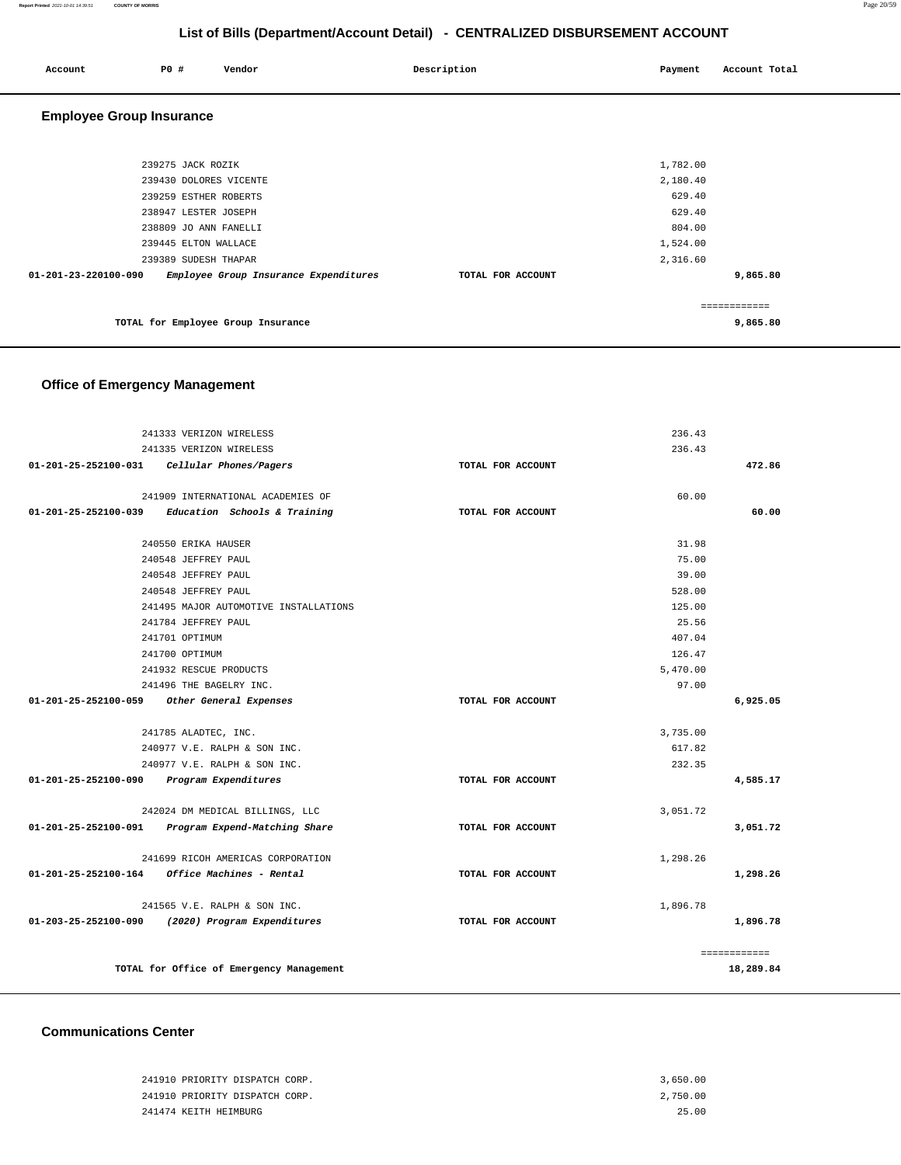#### **Report Printed** 2021-10-01 14:39:51 **COUNTY OF MORRIS** Page 20/59

# **List of Bills (Department/Account Detail) - CENTRALIZED DISBURSEMENT ACCOUNT**

| Account                         | P0 #                   | Vendor                                | Description       | Payment  | Account Total |
|---------------------------------|------------------------|---------------------------------------|-------------------|----------|---------------|
| <b>Employee Group Insurance</b> |                        |                                       |                   |          |               |
|                                 |                        |                                       |                   |          |               |
|                                 | 239275 JACK ROZIK      |                                       |                   | 1,782.00 |               |
|                                 | 239430 DOLORES VICENTE |                                       |                   | 2,180.40 |               |
|                                 | 239259 ESTHER ROBERTS  |                                       |                   | 629.40   |               |
|                                 | 238947 LESTER JOSEPH   |                                       |                   | 629.40   |               |
|                                 | 238809 JO ANN FANELLI  |                                       |                   | 804.00   |               |
|                                 | 239445 ELTON WALLACE   |                                       |                   | 1,524.00 |               |
|                                 | 239389 SUDESH THAPAR   |                                       |                   | 2,316.60 |               |
| 01-201-23-220100-090            |                        | Employee Group Insurance Expenditures | TOTAL FOR ACCOUNT |          | 9,865.80      |
|                                 |                        |                                       |                   |          | ============  |
|                                 |                        | TOTAL for Employee Group Insurance    |                   |          | 9,865.80      |

# **Office of Emergency Management**

|                                           | 241333 VERIZON WIRELESS                            |                   | 236.43   |              |
|-------------------------------------------|----------------------------------------------------|-------------------|----------|--------------|
|                                           | 241335 VERIZON WIRELESS                            |                   | 236.43   |              |
| 01-201-25-252100-031                      | Cellular Phones/Pagers                             | TOTAL FOR ACCOUNT |          | 472.86       |
|                                           |                                                    |                   |          |              |
|                                           | 241909 INTERNATIONAL ACADEMIES OF                  |                   | 60.00    |              |
| 01-201-25-252100-039                      | Education Schools & Training                       | TOTAL FOR ACCOUNT |          | 60.00        |
|                                           |                                                    |                   |          |              |
|                                           | 240550 ERIKA HAUSER                                |                   | 31.98    |              |
|                                           | 240548 JEFFREY PAUL                                |                   | 75.00    |              |
|                                           | 240548 JEFFREY PAUL                                |                   | 39.00    |              |
|                                           | 240548 JEFFREY PAUL                                |                   | 528.00   |              |
|                                           | 241495 MAJOR AUTOMOTIVE INSTALLATIONS              |                   | 125.00   |              |
|                                           | 241784 JEFFREY PAUL                                |                   | 25.56    |              |
|                                           | 241701 OPTIMUM                                     |                   | 407.04   |              |
|                                           | 241700 OPTIMUM                                     |                   | 126.47   |              |
|                                           | 241932 RESCUE PRODUCTS                             |                   | 5,470.00 |              |
|                                           | 241496 THE BAGELRY INC.                            |                   | 97.00    |              |
| 01-201-25-252100-059                      | Other General Expenses                             | TOTAL FOR ACCOUNT |          | 6,925.05     |
|                                           | 241785 ALADTEC, INC.                               |                   | 3,735.00 |              |
|                                           | 240977 V.E. RALPH & SON INC.                       |                   | 617.82   |              |
|                                           | 240977 V.E. RALPH & SON INC.                       |                   | 232.35   |              |
| 01-201-25-252100-090 Program Expenditures |                                                    | TOTAL FOR ACCOUNT |          | 4,585.17     |
|                                           | 242024 DM MEDICAL BILLINGS, LLC                    |                   | 3,051.72 |              |
|                                           | 01-201-25-252100-091 Program Expend-Matching Share | TOTAL FOR ACCOUNT |          | 3,051.72     |
|                                           |                                                    |                   |          |              |
|                                           | 241699 RICOH AMERICAS CORPORATION                  |                   | 1,298.26 |              |
|                                           | 01-201-25-252100-164 Office Machines - Rental      | TOTAL FOR ACCOUNT |          | 1,298.26     |
|                                           |                                                    |                   |          |              |
|                                           | 241565 V.E. RALPH & SON INC.                       |                   | 1,896.78 |              |
|                                           | 01-203-25-252100-090 (2020) Program Expenditures   | TOTAL FOR ACCOUNT |          | 1,896.78     |
|                                           |                                                    |                   |          | ============ |
|                                           | TOTAL for Office of Emergency Management           |                   |          | 18,289.84    |
|                                           |                                                    |                   |          |              |

#### **Communications Center**

| 241910 PRIORITY DISPATCH CORP. | 3,650.00 |
|--------------------------------|----------|
| 241910 PRIORITY DISPATCH CORP. | 2,750.00 |
| 241474 KEITH HEIMBURG          | 25.00    |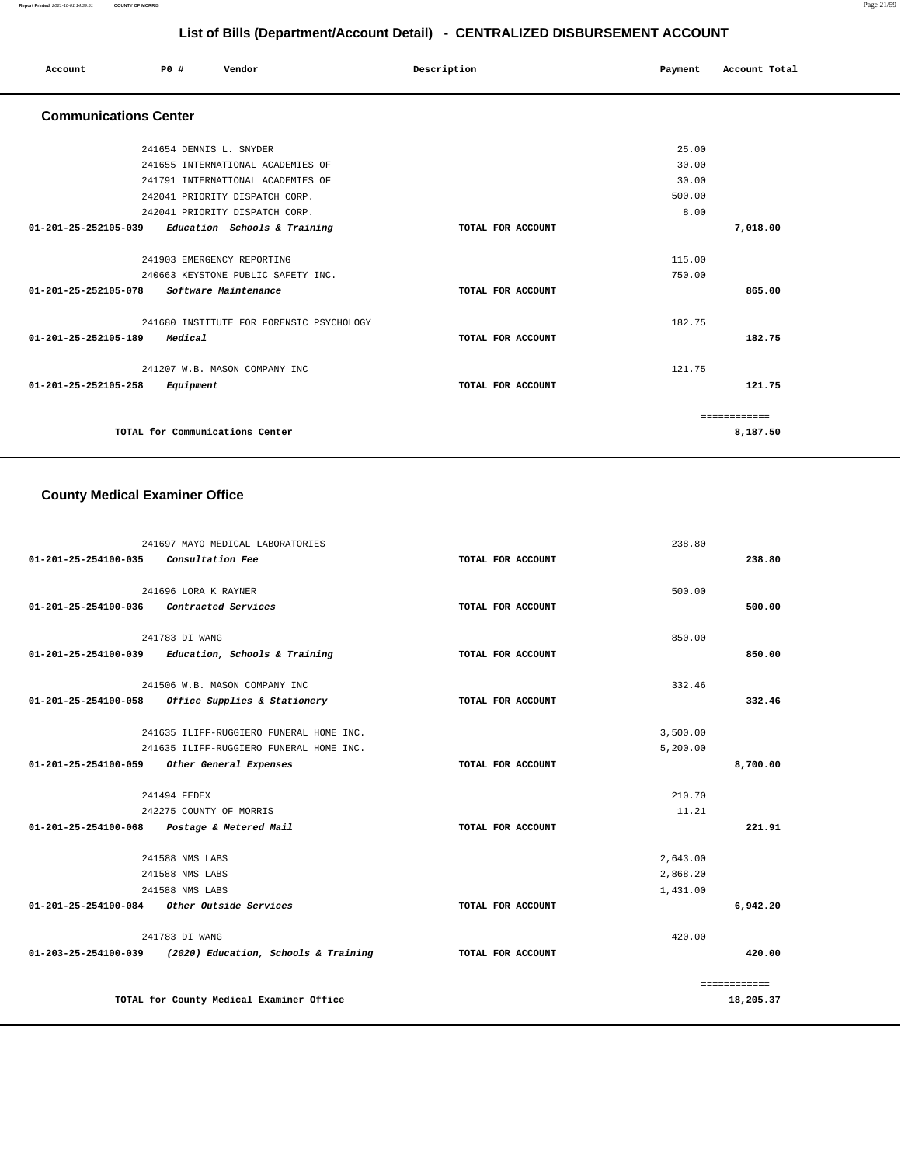| Account<br>. | P0 # | Vendor | Description | Payment | Account Total |
|--------------|------|--------|-------------|---------|---------------|
|              |      |        |             |         |               |

### **Communications Center**

| 241654 DENNIS L. SNYDER                              |                   | 25.00    |
|------------------------------------------------------|-------------------|----------|
| 241655 INTERNATIONAL ACADEMIES OF                    |                   | 30.00    |
| 241791 INTERNATIONAL ACADEMIES OF                    |                   | 30.00    |
| 242041 PRIORITY DISPATCH CORP.                       |                   | 500.00   |
| 242041 PRIORITY DISPATCH CORP.                       |                   | 8.00     |
| 01-201-25-252105-039<br>Education Schools & Training | TOTAL FOR ACCOUNT | 7,018.00 |
| 241903 EMERGENCY REPORTING                           |                   | 115.00   |
| 240663 KEYSTONE PUBLIC SAFETY INC.                   |                   | 750.00   |
| 01-201-25-252105-078<br>Software Maintenance         | TOTAL FOR ACCOUNT | 865.00   |
| 241680 INSTITUTE FOR FORENSIC PSYCHOLOGY             |                   | 182.75   |
| $01 - 201 - 25 - 252105 - 189$<br>Medical            | TOTAL FOR ACCOUNT | 182.75   |
| 241207 W.B. MASON COMPANY INC                        |                   | 121.75   |
| $01 - 201 - 25 - 252105 - 258$<br>Equipment          | TOTAL FOR ACCOUNT | 121.75   |
|                                                      |                   |          |
| TOTAL for Communications Center                      |                   | 8,187.50 |
|                                                      |                   |          |

#### **County Medical Examiner Office**

|                      | 241697 MAYO MEDICAL LABORATORIES                                    |                   | 238.80   |              |
|----------------------|---------------------------------------------------------------------|-------------------|----------|--------------|
| 01-201-25-254100-035 | <i>Consultation Fee</i>                                             | TOTAL FOR ACCOUNT |          | 238.80       |
|                      |                                                                     |                   |          |              |
|                      | 241696 LORA K RAYNER                                                |                   | 500.00   |              |
| 01-201-25-254100-036 | Contracted Services                                                 | TOTAL FOR ACCOUNT |          | 500.00       |
|                      | 241783 DI WANG                                                      |                   | 850.00   |              |
|                      | 01-201-25-254100-039 Education, Schools & Training                  | TOTAL FOR ACCOUNT |          | 850.00       |
|                      | 241506 W.B. MASON COMPANY INC                                       |                   | 332.46   |              |
|                      | $01-201-25-254100-058$ Office Supplies & Stationery                 | TOTAL FOR ACCOUNT |          | 332.46       |
|                      | 241635 ILIFF-RUGGIERO FUNERAL HOME INC.                             |                   | 3,500.00 |              |
|                      | 241635 ILIFF-RUGGIERO FUNERAL HOME INC.                             |                   | 5,200.00 |              |
| 01-201-25-254100-059 | Other General Expenses                                              | TOTAL FOR ACCOUNT |          | 8,700.00     |
|                      |                                                                     |                   |          |              |
|                      | 241494 FEDEX                                                        |                   | 210.70   |              |
|                      | 242275 COUNTY OF MORRIS                                             |                   | 11.21    |              |
|                      | 01-201-25-254100-068 Postage & Metered Mail                         | TOTAL FOR ACCOUNT |          | 221.91       |
|                      | 241588 NMS LABS                                                     |                   | 2,643.00 |              |
|                      | 241588 NMS LABS                                                     |                   | 2,868.20 |              |
|                      | 241588 NMS LABS                                                     |                   | 1,431.00 |              |
|                      | 01-201-25-254100-084 Other Outside Services                         | TOTAL FOR ACCOUNT |          | 6,942.20     |
|                      | 241783 DI WANG                                                      |                   | 420.00   |              |
|                      | $01 - 203 - 25 - 254100 - 039$ (2020) Education, Schools & Training | TOTAL FOR ACCOUNT |          | 420.00       |
|                      |                                                                     |                   |          | ============ |
|                      | TOTAL for County Medical Examiner Office                            |                   |          | 18,205.37    |
|                      |                                                                     |                   |          |              |

**Report Printed** 2021-10-01 14:39:51 **COUNTY OF MORRIS** Page 21/59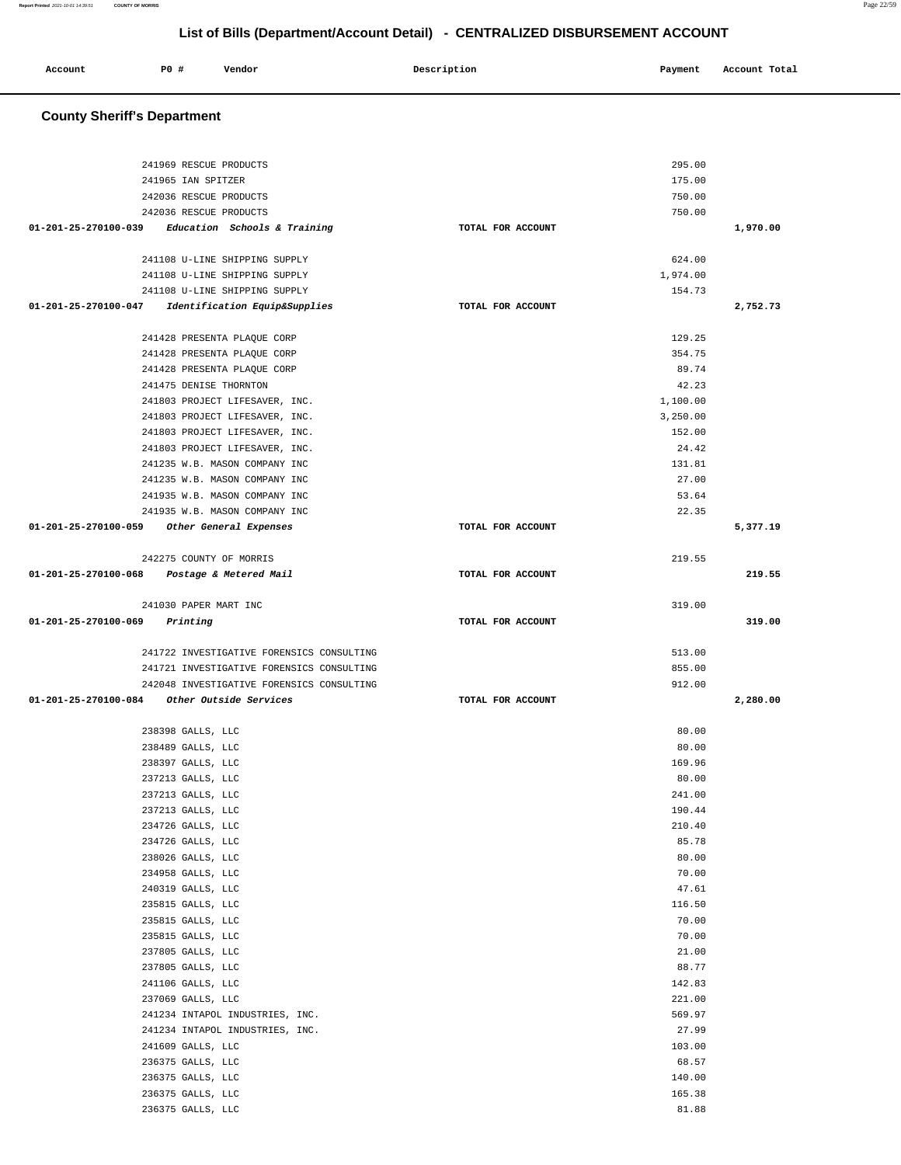| Account | <b>PO #</b> | Vendor | Description | Payment | Account Total |
|---------|-------------|--------|-------------|---------|---------------|
|         |             |        |             |         |               |

# **County Sheriff's Department**

| 241969 RESCUE PRODUCTS                                |                   | 295.00          |          |
|-------------------------------------------------------|-------------------|-----------------|----------|
| 241965 IAN SPITZER                                    |                   | 175.00          |          |
| 242036 RESCUE PRODUCTS                                |                   | 750.00          |          |
| 242036 RESCUE PRODUCTS                                |                   | 750.00          |          |
| $01-201-25-270100-039$ Education Schools & Training   | TOTAL FOR ACCOUNT |                 | 1,970.00 |
| 241108 U-LINE SHIPPING SUPPLY                         |                   | 624.00          |          |
| 241108 U-LINE SHIPPING SUPPLY                         |                   | 1,974.00        |          |
| 241108 U-LINE SHIPPING SUPPLY                         |                   | 154.73          |          |
| 01-201-25-270100-047<br>Identification Equip&Supplies | TOTAL FOR ACCOUNT |                 | 2,752.73 |
|                                                       |                   |                 |          |
| 241428 PRESENTA PLAQUE CORP                           |                   | 129.25          |          |
| 241428 PRESENTA PLAQUE CORP                           |                   | 354.75          |          |
| 241428 PRESENTA PLAQUE CORP                           |                   | 89.74           |          |
| 241475 DENISE THORNTON                                |                   | 42.23           |          |
| 241803 PROJECT LIFESAVER, INC.                        |                   | 1,100.00        |          |
| 241803 PROJECT LIFESAVER, INC.                        |                   | 3,250.00        |          |
| 241803 PROJECT LIFESAVER, INC.                        |                   | 152.00          |          |
| 241803 PROJECT LIFESAVER, INC.                        |                   | 24.42           |          |
| 241235 W.B. MASON COMPANY INC                         |                   | 131.81          |          |
| 241235 W.B. MASON COMPANY INC                         |                   | 27.00           |          |
| 241935 W.B. MASON COMPANY INC                         |                   | 53.64           |          |
| 241935 W.B. MASON COMPANY INC                         |                   | 22.35           |          |
| 01-201-25-270100-059 Other General Expenses           | TOTAL FOR ACCOUNT |                 | 5,377.19 |
| 242275 COUNTY OF MORRIS                               |                   | 219.55          |          |
| 01-201-25-270100-068 Postage & Metered Mail           | TOTAL FOR ACCOUNT |                 | 219.55   |
|                                                       |                   |                 |          |
| 241030 PAPER MART INC                                 |                   | 319.00          |          |
| $01 - 201 - 25 - 270100 - 069$ Printing               | TOTAL FOR ACCOUNT |                 | 319.00   |
|                                                       |                   |                 |          |
|                                                       |                   |                 |          |
| 241722 INVESTIGATIVE FORENSICS CONSULTING             |                   | 513.00          |          |
| 241721 INVESTIGATIVE FORENSICS CONSULTING             |                   | 855.00          |          |
| 242048 INVESTIGATIVE FORENSICS CONSULTING             |                   | 912.00          |          |
| 01-201-25-270100-084 Other Outside Services           | TOTAL FOR ACCOUNT |                 | 2,280.00 |
|                                                       |                   |                 |          |
| 238398 GALLS, LLC                                     |                   | 80.00           |          |
| 238489 GALLS, LLC                                     |                   | 80.00           |          |
| 238397 GALLS, LLC                                     |                   | 169.96          |          |
| 237213 GALLS, LLC                                     |                   | 80.00           |          |
| 237213 GALLS, LLC                                     |                   | 241.00          |          |
| $237213$ GALLS, ${\rm LLC}$                           |                   | 190.44          |          |
| 234726 GALLS, LLC                                     |                   | 210.40          |          |
| 234726 GALLS, LLC                                     |                   | 85.78           |          |
| 238026 GALLS, LLC                                     |                   | 80.00           |          |
| 234958 GALLS, LLC                                     |                   | 70.00           |          |
| 240319 GALLS, LLC                                     |                   | 47.61           |          |
| 235815 GALLS, LLC                                     |                   | 116.50          |          |
| 235815 GALLS, LLC                                     |                   | 70.00           |          |
| 235815 GALLS, LLC                                     |                   | 70.00           |          |
| 237805 GALLS, LLC                                     |                   | 21.00           |          |
| 237805 GALLS, LLC                                     |                   | 88.77           |          |
| 241106 GALLS, LLC                                     |                   | 142.83          |          |
| 237069 GALLS, LLC                                     |                   | 221.00          |          |
| 241234 INTAPOL INDUSTRIES, INC.                       |                   | 569.97          |          |
| 241234 INTAPOL INDUSTRIES, INC.                       |                   | 27.99           |          |
| 241609 GALLS, LLC                                     |                   | 103.00          |          |
| 236375 GALLS, LLC                                     |                   | 68.57           |          |
|                                                       |                   |                 |          |
| 236375 GALLS, LLC                                     |                   | 140.00          |          |
| 236375 GALLS, LLC<br>236375 GALLS, LLC                |                   | 165.38<br>81.88 |          |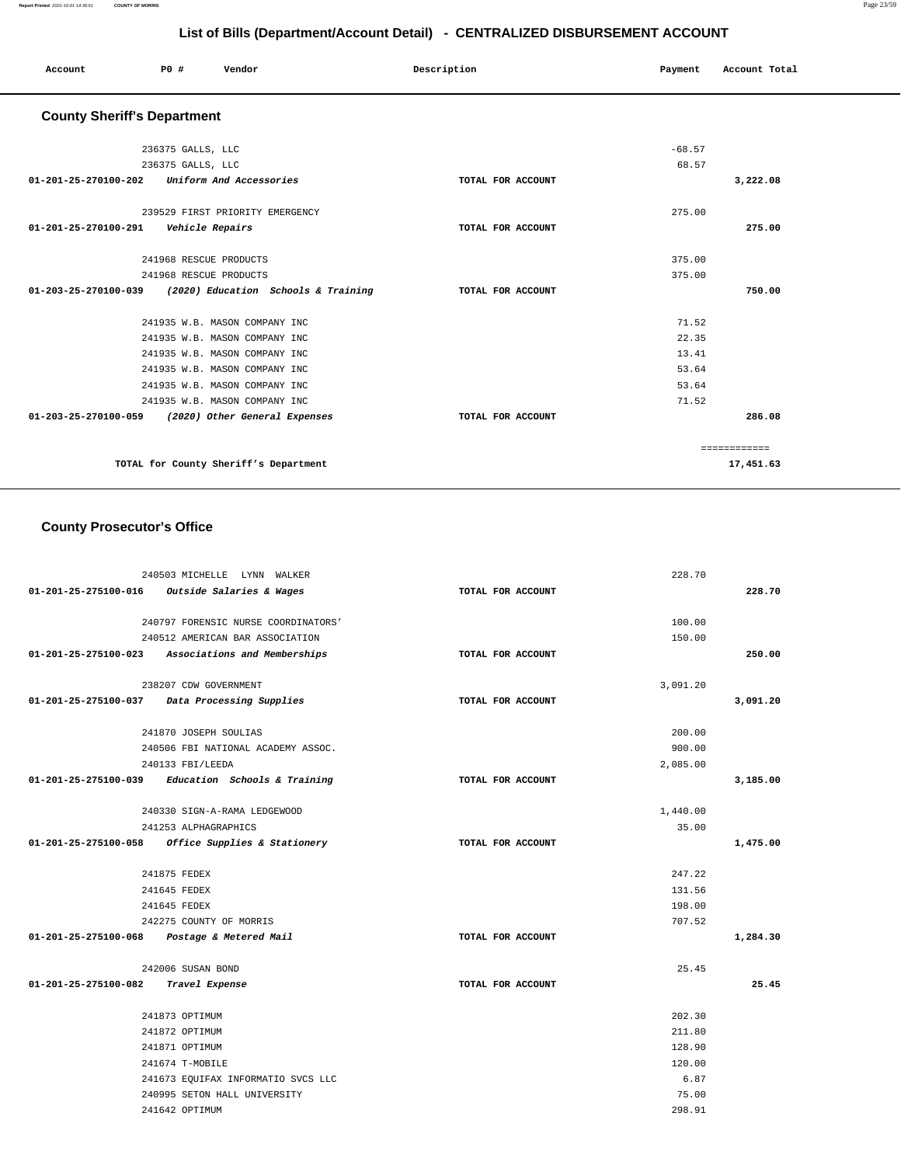| Account                                 | P0 #              | Vendor                                                   | Description       | Payment  | Account Total |  |
|-----------------------------------------|-------------------|----------------------------------------------------------|-------------------|----------|---------------|--|
| <b>County Sheriff's Department</b>      |                   |                                                          |                   |          |               |  |
|                                         | 236375 GALLS, LLC |                                                          |                   | $-68.57$ |               |  |
|                                         | 236375 GALLS, LLC |                                                          |                   | 68.57    |               |  |
|                                         |                   | 01-201-25-270100-202 Uniform And Accessories             | TOTAL FOR ACCOUNT |          | 3,222.08      |  |
|                                         |                   | 239529 FIRST PRIORITY EMERGENCY                          |                   | 275.00   |               |  |
| 01-201-25-270100-291    Vehicle Repairs |                   |                                                          | TOTAL FOR ACCOUNT |          | 275.00        |  |
|                                         |                   | 241968 RESCUE PRODUCTS                                   |                   | 375.00   |               |  |
|                                         |                   | 241968 RESCUE PRODUCTS                                   |                   | 375.00   |               |  |
|                                         |                   | 01-203-25-270100-039 (2020) Education Schools & Training | TOTAL FOR ACCOUNT |          | 750.00        |  |
|                                         |                   | 241935 W.B. MASON COMPANY INC                            |                   | 71.52    |               |  |
|                                         |                   | 241935 W.B. MASON COMPANY INC                            |                   | 22.35    |               |  |
|                                         |                   | 241935 W.B. MASON COMPANY INC                            |                   | 13.41    |               |  |
|                                         |                   | 241935 W.B. MASON COMPANY INC                            |                   | 53.64    |               |  |
|                                         |                   | 241935 W.B. MASON COMPANY INC                            |                   | 53.64    |               |  |
|                                         |                   | 241935 W.B. MASON COMPANY INC                            |                   | 71.52    |               |  |
|                                         |                   | 01-203-25-270100-059 (2020) Other General Expenses       | TOTAL FOR ACCOUNT |          | 286.08        |  |
|                                         |                   |                                                          |                   |          | ============  |  |
|                                         |                   | TOTAL for County Sheriff's Department                    |                   |          | 17,451.63     |  |

# **County Prosecutor's Office**

|                      | 240503 MICHELLE LYNN WALKER                         |                   | 228.70   |          |
|----------------------|-----------------------------------------------------|-------------------|----------|----------|
|                      | 01-201-25-275100-016 Outside Salaries & Wages       | TOTAL FOR ACCOUNT |          | 228.70   |
|                      | 240797 FORENSIC NURSE COORDINATORS'                 |                   | 100.00   |          |
|                      | 240512 AMERICAN BAR ASSOCIATION                     |                   | 150.00   |          |
|                      | 01-201-25-275100-023 Associations and Memberships   | TOTAL FOR ACCOUNT |          | 250.00   |
|                      |                                                     |                   |          |          |
|                      | 238207 CDW GOVERNMENT                               |                   | 3,091.20 |          |
|                      | 01-201-25-275100-037 Data Processing Supplies       | TOTAL FOR ACCOUNT |          | 3,091.20 |
|                      | 241870 JOSEPH SOULIAS                               |                   | 200.00   |          |
|                      | 240506 FBI NATIONAL ACADEMY ASSOC.                  |                   | 900.00   |          |
|                      | 240133 FBI/LEEDA                                    |                   | 2,085.00 |          |
|                      | $01-201-25-275100-039$ Education Schools & Training | TOTAL FOR ACCOUNT |          | 3,185.00 |
|                      | 240330 SIGN-A-RAMA LEDGEWOOD                        |                   | 1,440.00 |          |
|                      | 241253 ALPHAGRAPHICS                                |                   | 35.00    |          |
|                      | 01-201-25-275100-058 Office Supplies & Stationery   | TOTAL FOR ACCOUNT |          | 1,475.00 |
|                      | 241875 FEDEX                                        |                   | 247.22   |          |
|                      | 241645 FEDEX                                        |                   | 131.56   |          |
|                      | 241645 FEDEX                                        |                   | 198.00   |          |
|                      | 242275 COUNTY OF MORRIS                             |                   | 707.52   |          |
|                      | 01-201-25-275100-068 Postage & Metered Mail         | TOTAL FOR ACCOUNT |          | 1,284.30 |
|                      | 242006 SUSAN BOND                                   |                   | 25.45    |          |
| 01-201-25-275100-082 | Travel Expense                                      | TOTAL FOR ACCOUNT |          | 25.45    |
|                      | 241873 OPTIMUM                                      |                   | 202.30   |          |
|                      | 241872 OPTIMUM                                      |                   | 211.80   |          |
|                      | 241871 OPTIMUM                                      |                   | 128.90   |          |
|                      | 241674 T-MOBILE                                     |                   | 120.00   |          |
|                      | 241673 EQUIFAX INFORMATIO SVCS LLC                  |                   | 6.87     |          |
|                      | 240995 SETON HALL UNIVERSITY                        |                   | 75.00    |          |
|                      | 241642 OPTIMUM                                      |                   | 298.91   |          |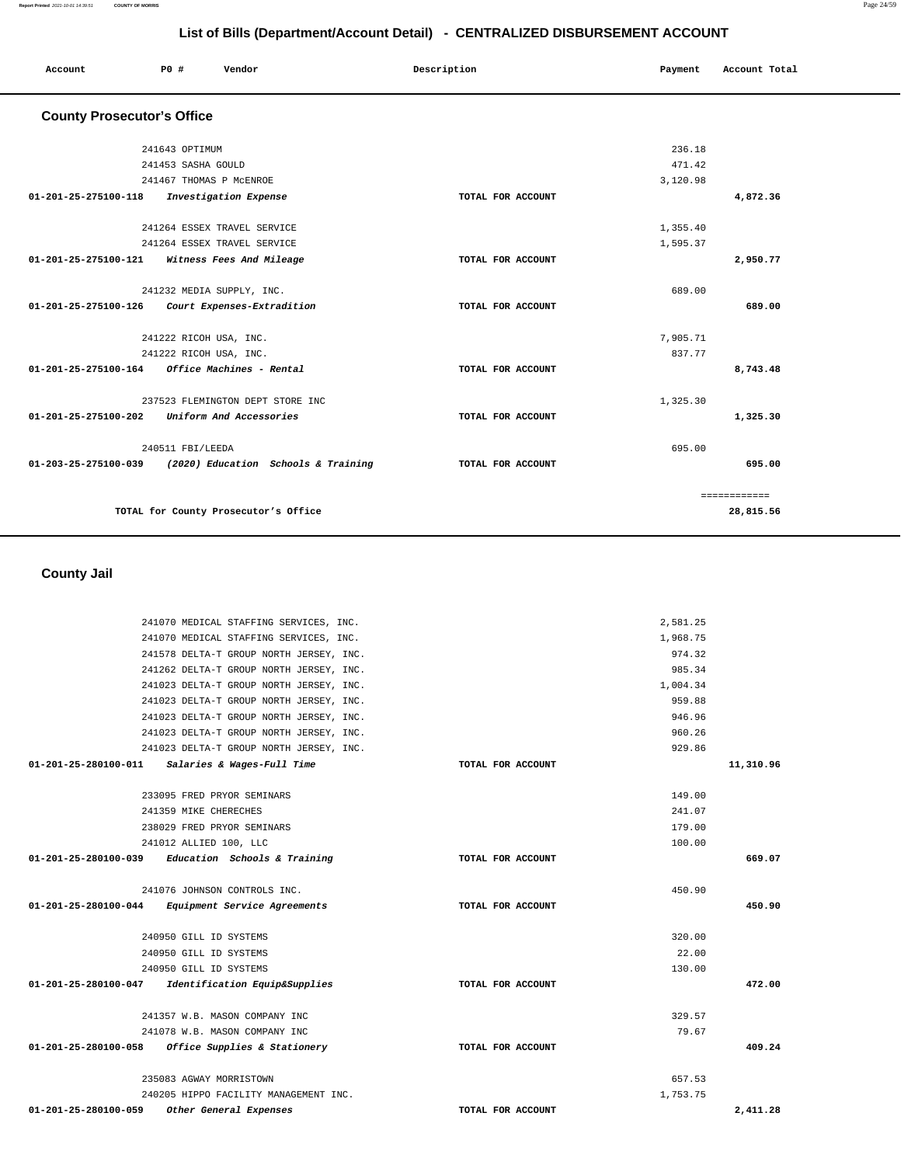| Account                           | PO#                    | Vendor                               | Description       | Payment  | Account Total |
|-----------------------------------|------------------------|--------------------------------------|-------------------|----------|---------------|
| <b>County Prosecutor's Office</b> |                        |                                      |                   |          |               |
|                                   | 241643 OPTIMUM         |                                      |                   | 236.18   |               |
|                                   | 241453 SASHA GOULD     |                                      |                   | 471.42   |               |
|                                   |                        | 241467 THOMAS P MCENROE              |                   | 3,120.98 |               |
| 01-201-25-275100-118              |                        | Investigation Expense                | TOTAL FOR ACCOUNT |          | 4,872.36      |
|                                   |                        | 241264 ESSEX TRAVEL SERVICE          |                   | 1,355.40 |               |
|                                   |                        | 241264 ESSEX TRAVEL SERVICE          |                   | 1,595.37 |               |
| 01-201-25-275100-121              |                        | Witness Fees And Mileage             | TOTAL FOR ACCOUNT |          | 2,950.77      |
|                                   |                        | 241232 MEDIA SUPPLY, INC.            |                   | 689.00   |               |
| 01-201-25-275100-126              |                        | Court Expenses-Extradition           | TOTAL FOR ACCOUNT |          | 689.00        |
|                                   | 241222 RICOH USA, INC. |                                      |                   | 7,905.71 |               |
|                                   | 241222 RICOH USA, INC. |                                      |                   | 837.77   |               |
| $01 - 201 - 25 - 275100 - 164$    |                        | Office Machines - Rental             | TOTAL FOR ACCOUNT |          | 8,743.48      |
|                                   |                        | 237523 FLEMINGTON DEPT STORE INC     |                   | 1,325.30 |               |
| 01-201-25-275100-202              |                        | Uniform And Accessories              | TOTAL FOR ACCOUNT |          | 1,325.30      |
|                                   | 240511 FBI/LEEDA       |                                      |                   | 695.00   |               |
| 01-203-25-275100-039              |                        | (2020) Education Schools & Training  | TOTAL FOR ACCOUNT |          | 695.00        |
|                                   |                        |                                      |                   |          | ============  |
|                                   |                        | TOTAL for County Prosecutor's Office |                   |          | 28,815.56     |

 **County Jail** 

| 241070 MEDICAL STAFFING SERVICES, INC.               |                   | 2,581.25 |           |
|------------------------------------------------------|-------------------|----------|-----------|
| 241070 MEDICAL STAFFING SERVICES, INC.               |                   | 1,968.75 |           |
| 241578 DELTA-T GROUP NORTH JERSEY, INC.              |                   | 974.32   |           |
| 241262 DELTA-T GROUP NORTH JERSEY, INC.              |                   | 985.34   |           |
| 241023 DELTA-T GROUP NORTH JERSEY, INC.              |                   | 1,004.34 |           |
| 241023 DELTA-T GROUP NORTH JERSEY, INC.              |                   | 959.88   |           |
| 241023 DELTA-T GROUP NORTH JERSEY, INC.              |                   | 946.96   |           |
| 241023 DELTA-T GROUP NORTH JERSEY, INC.              |                   | 960.26   |           |
| 241023 DELTA-T GROUP NORTH JERSEY, INC.              |                   | 929.86   |           |
| 01-201-25-280100-011 Salaries & Wages-Full Time      | TOTAL FOR ACCOUNT |          | 11,310.96 |
| 233095 FRED PRYOR SEMINARS                           |                   | 149.00   |           |
| 241359 MIKE CHERECHES                                |                   | 241.07   |           |
| 238029 FRED PRYOR SEMINARS                           |                   | 179.00   |           |
| 241012 ALLIED 100, LLC                               |                   | 100.00   |           |
| $01-201-25-280100-039$ Education Schools & Training  | TOTAL FOR ACCOUNT |          | 669.07    |
| 241076 JOHNSON CONTROLS INC.                         |                   | 450.90   |           |
| 01-201-25-280100-044<br>Equipment Service Agreements | TOTAL FOR ACCOUNT |          | 450.90    |
| 240950 GILL ID SYSTEMS                               |                   | 320.00   |           |
| 240950 GILL ID SYSTEMS                               |                   | 22.00    |           |
| 240950 GILL ID SYSTEMS                               |                   | 130.00   |           |
| 01-201-25-280100-047 Identification Equip&Supplies   | TOTAL FOR ACCOUNT |          | 472.00    |
| 241357 W.B. MASON COMPANY INC                        |                   | 329.57   |           |
| 241078 W.B. MASON COMPANY INC                        |                   | 79.67    |           |
| 01-201-25-280100-058 Office Supplies & Stationery    | TOTAL FOR ACCOUNT |          | 409.24    |
| 235083 AGWAY MORRISTOWN                              |                   | 657.53   |           |
| 240205 HIPPO FACILITY MANAGEMENT INC.                |                   | 1,753.75 |           |
| 01-201-25-280100-059<br>Other General Expenses       | TOTAL FOR ACCOUNT |          | 2.411.28  |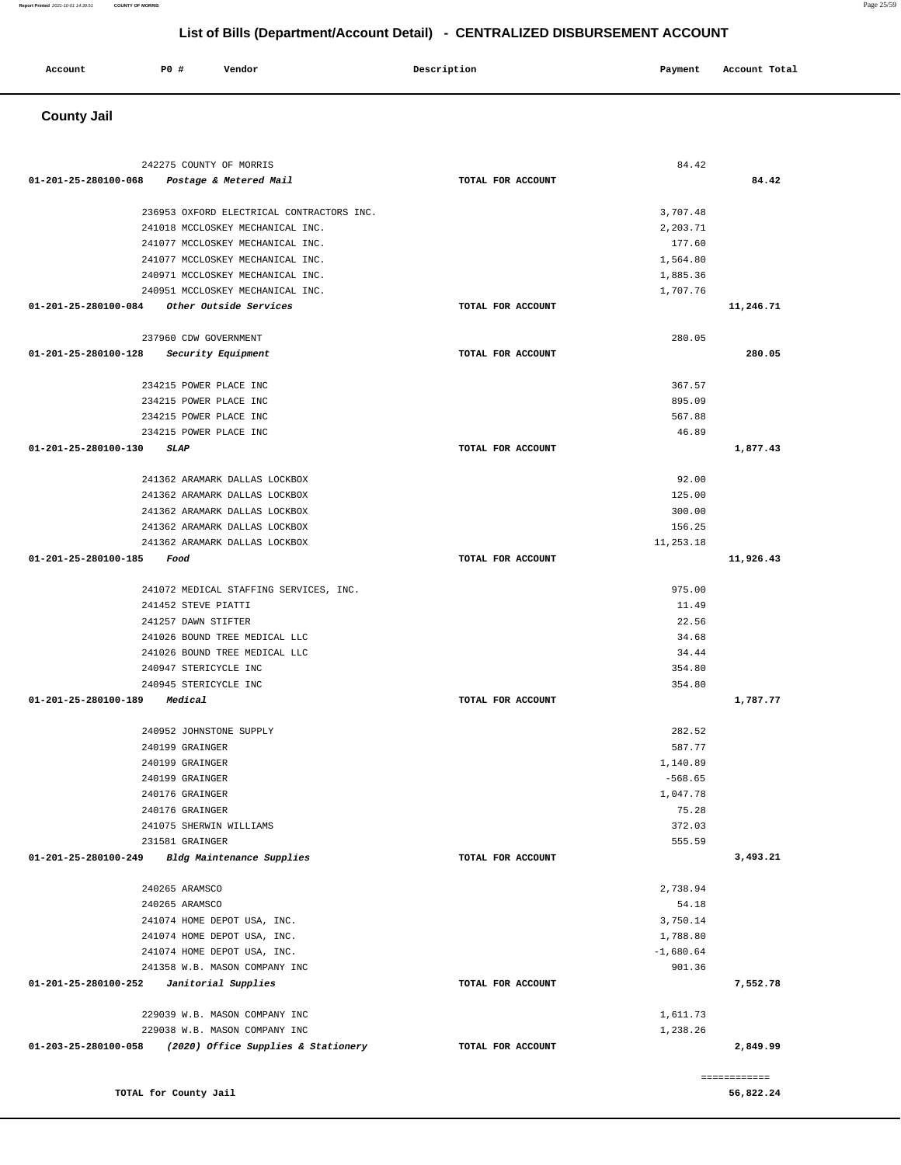**County Jail**  242275 COUNTY OF MORRIS **01-201-25-280100-068 Postage & Metered Mail TOTAL FOR ACCOUNT**  84.42 **84.42** 236953 OXFORD ELECTRICAL CONTRACTORS INC. 241018 MCCLOSKEY MECHANICAL INC. 241077 MCCLOSKEY MECHANICAL INC. 241077 MCCLOSKEY MECHANICAL INC. 240971 MCCLOSKEY MECHANICAL INC. 240951 MCCLOSKEY MECHANICAL INC. **01-201-25-280100-084 Other Outside Services TOTAL FOR ACCOUNT**  3,707.48 2,203.71 177.60 1,564.80 1,885.36 1,707.76 **11,246.71** 237960 CDW GOVERNMENT **01-201-25-280100-128 Security Equipment TOTAL FOR ACCOUNT**  280.05 **280.05** 234215 POWER PLACE INC 234215 POWER PLACE INC 234215 POWER PLACE INC 234215 POWER PLACE INC **01-201-25-280100-130 SLAP TOTAL FOR ACCOUNT**  367.57 895.09 567.88 46.89 **1,877.43** 241362 ARAMARK DALLAS LOCKBOX 241362 ARAMARK DALLAS LOCKBOX 241362 ARAMARK DALLAS LOCKBOX 241362 ARAMARK DALLAS LOCKBOX 241362 ARAMARK DALLAS LOCKBOX **01-201-25-280100-185 Food TOTAL FOR ACCOUNT**  92.00 125.00 300.00 156.25 11,253.18 **11,926.43** 241072 MEDICAL STAFFING SERVICES, INC. 241452 STEVE PIATTI 241257 DAWN STIFTER 241026 BOUND TREE MEDICAL LLC 241026 BOUND TREE MEDICAL LLC 240947 STERICYCLE INC 240945 STERICYCLE INC **01-201-25-280100-189 Medical TOTAL FOR ACCOUNT**  975.00 11.49 22.56 34.68 34.44 354.80 354.80 **1,787.77** 240952 JOHNSTONE SUPPLY 240199 GRAINGER 240199 GRAINGER 240199 GRAINGER 240176 GRAINGER 240176 GRAINGER 241075 SHERWIN WILLIAMS 231581 GRAINGER **01-201-25-280100-249 Bldg Maintenance Supplies TOTAL FOR ACCOUNT**  282.52 587.77 1,140.89 -568.65 1,047.78 75.28 372.03 555.59 **3,493.21** 240265 ARAMSCO 240265 ARAMSCO 241074 HOME DEPOT USA, INC. 241074 HOME DEPOT USA, INC. 241074 HOME DEPOT USA, INC. 241358 W.B. MASON COMPANY INC **01-201-25-280100-252 Janitorial Supplies TOTAL FOR ACCOUNT**  2,738.94 54.18 3,750.14 1,788.80 -1,680.64 901.36 **7,552.78** 229039 W.B. MASON COMPANY INC 229038 W.B. MASON COMPANY INC **01-203-25-280100-058 (2020) Office Supplies & Stationery TOTAL FOR ACCOUNT**  1,611.73 1,238.26 **2,849.99** ============

**TOTAL for County Jail 56,822.24** 

**Report Printed** 2021-10-01 14:39:51 **COUNTY OF MORRIS** Page 25/59

#### **List of Bills (Department/Account Detail) - CENTRALIZED DISBURSEMENT ACCOUNT**

 **Account P0 # Vendor Description Payment Account Total**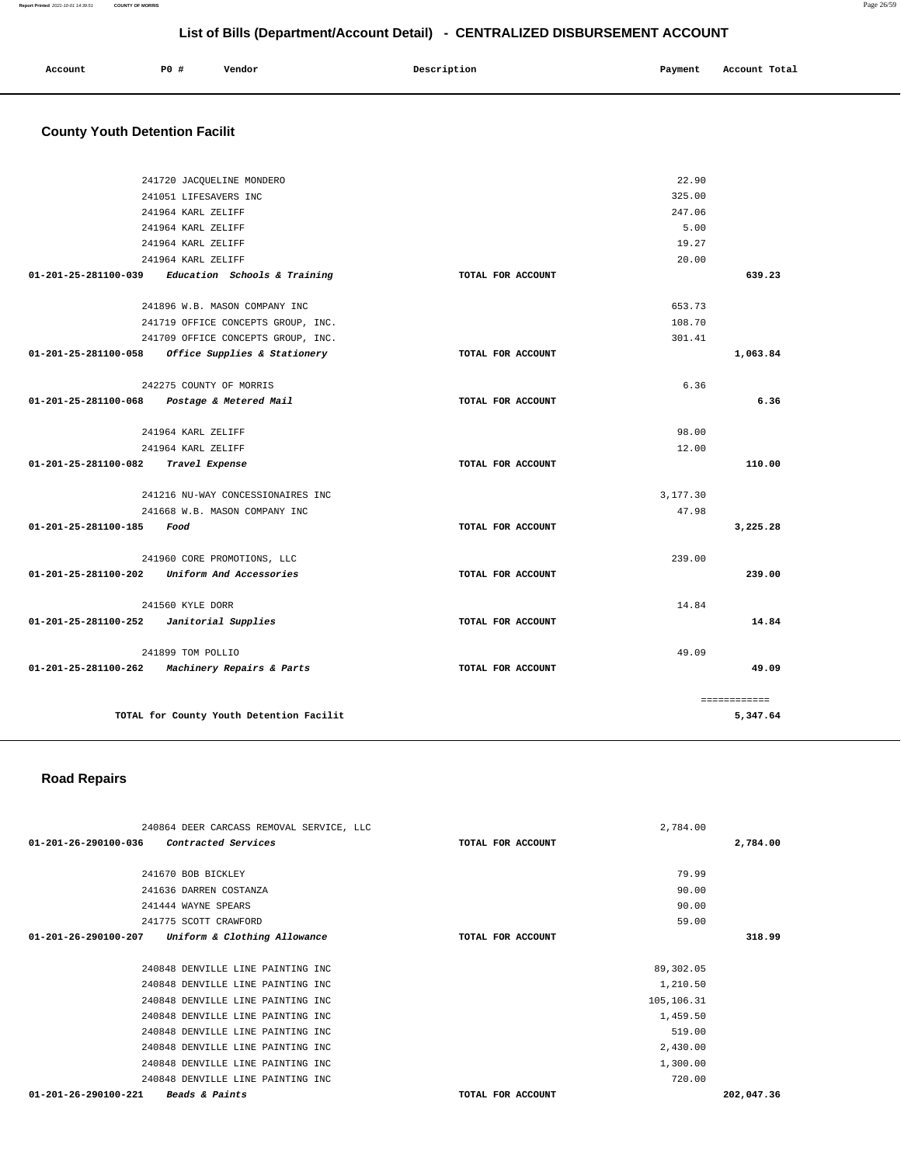| Account<br>. | P0 | --<br>Vendor<br>. | Description | Pavment<br>. . | Account Total |
|--------------|----|-------------------|-------------|----------------|---------------|
|              |    |                   |             |                |               |

# **County Youth Detention Facilit**

|                                            |                                                   | 22.90             |              |
|--------------------------------------------|---------------------------------------------------|-------------------|--------------|
|                                            | 241720 JACQUELINE MONDERO                         |                   |              |
|                                            | 241051 LIFESAVERS INC                             | 325.00            |              |
|                                            | 241964 KARL ZELIFF                                | 247.06            |              |
|                                            | 241964 KARL ZELIFF                                | 5.00              |              |
|                                            | 241964 KARL ZELIFF                                | 19.27             |              |
|                                            | 241964 KARL ZELIFF                                | 20.00             |              |
|                                            | 01-201-25-281100-039 Education Schools & Training | TOTAL FOR ACCOUNT | 639.23       |
|                                            | 241896 W.B. MASON COMPANY INC.                    | 653.73            |              |
|                                            | 241719 OFFICE CONCEPTS GROUP, INC.                | 108.70            |              |
|                                            | 241709 OFFICE CONCEPTS GROUP, INC.                | 301.41            |              |
| 01-201-25-281100-058                       | Office Supplies & Stationery                      | TOTAL FOR ACCOUNT | 1,063.84     |
|                                            | 242275 COUNTY OF MORRIS                           | 6.36              |              |
| 01-201-25-281100-068                       | Postage & Metered Mail                            | TOTAL FOR ACCOUNT | 6.36         |
|                                            | 241964 KARL ZELIFF                                | 98.00             |              |
|                                            | 241964 KARL ZELIFF                                | 12.00             |              |
| 01-201-25-281100-082                       | Travel Expense                                    | TOTAL FOR ACCOUNT | 110.00       |
|                                            | 241216 NU-WAY CONCESSIONAIRES INC                 | 3,177.30          |              |
|                                            | 241668 W.B. MASON COMPANY INC                     | 47.98             |              |
| 01-201-25-281100-185 Food                  |                                                   | TOTAL FOR ACCOUNT | 3,225.28     |
|                                            | 241960 CORE PROMOTIONS, LLC                       | 239.00            |              |
|                                            | 01-201-25-281100-202 Uniform And Accessories      | TOTAL FOR ACCOUNT | 239.00       |
|                                            | 241560 KYLE DORR                                  | 14.84             |              |
| $01-201-25-281100-252$ Janitorial Supplies |                                                   | TOTAL FOR ACCOUNT | 14.84        |
|                                            | 241899 TOM POLLIO                                 | 49.09             |              |
| 01-201-25-281100-262                       | <i>Machinery Repairs &amp; Parts</i>              | TOTAL FOR ACCOUNT | 49.09        |
|                                            |                                                   |                   | ============ |
|                                            | TOTAL for County Youth Detention Facilit          |                   | 5,347.64     |

#### **Road Repairs**

| 240864 DEER CARCASS REMOVAL SERVICE, LLC              | 2,784.00          |            |
|-------------------------------------------------------|-------------------|------------|
| $01 - 201 - 26 - 290100 - 036$<br>Contracted Services | TOTAL FOR ACCOUNT | 2,784.00   |
|                                                       |                   |            |
| 241670 BOB BICKLEY                                    | 79.99             |            |
| 241636 DARREN COSTANZA                                | 90.00             |            |
| 241444 WAYNE SPEARS                                   | 90.00             |            |
| 241775 SCOTT CRAWFORD                                 | 59.00             |            |
| Uniform & Clothing Allowance<br>01-201-26-290100-207  | TOTAL FOR ACCOUNT | 318.99     |
|                                                       |                   |            |
| 240848 DENVILLE LINE PAINTING INC                     | 89,302.05         |            |
| 240848 DENVILLE LINE PAINTING INC                     | 1,210.50          |            |
| 240848 DENVILLE LINE PAINTING INC                     | 105,106.31        |            |
| 240848 DENVILLE LINE PAINTING INC                     | 1,459.50          |            |
| 240848 DENVILLE LINE PAINTING INC                     | 519.00            |            |
| 240848 DENVILLE LINE PAINTING INC                     | 2,430.00          |            |
| 240848 DENVILLE LINE PAINTING INC                     | 1,300.00          |            |
| 240848 DENVILLE LINE PAINTING INC                     | 720.00            |            |
| 01-201-26-290100-221<br><b>Beads &amp; Paints</b>     | TOTAL FOR ACCOUNT | 202,047.36 |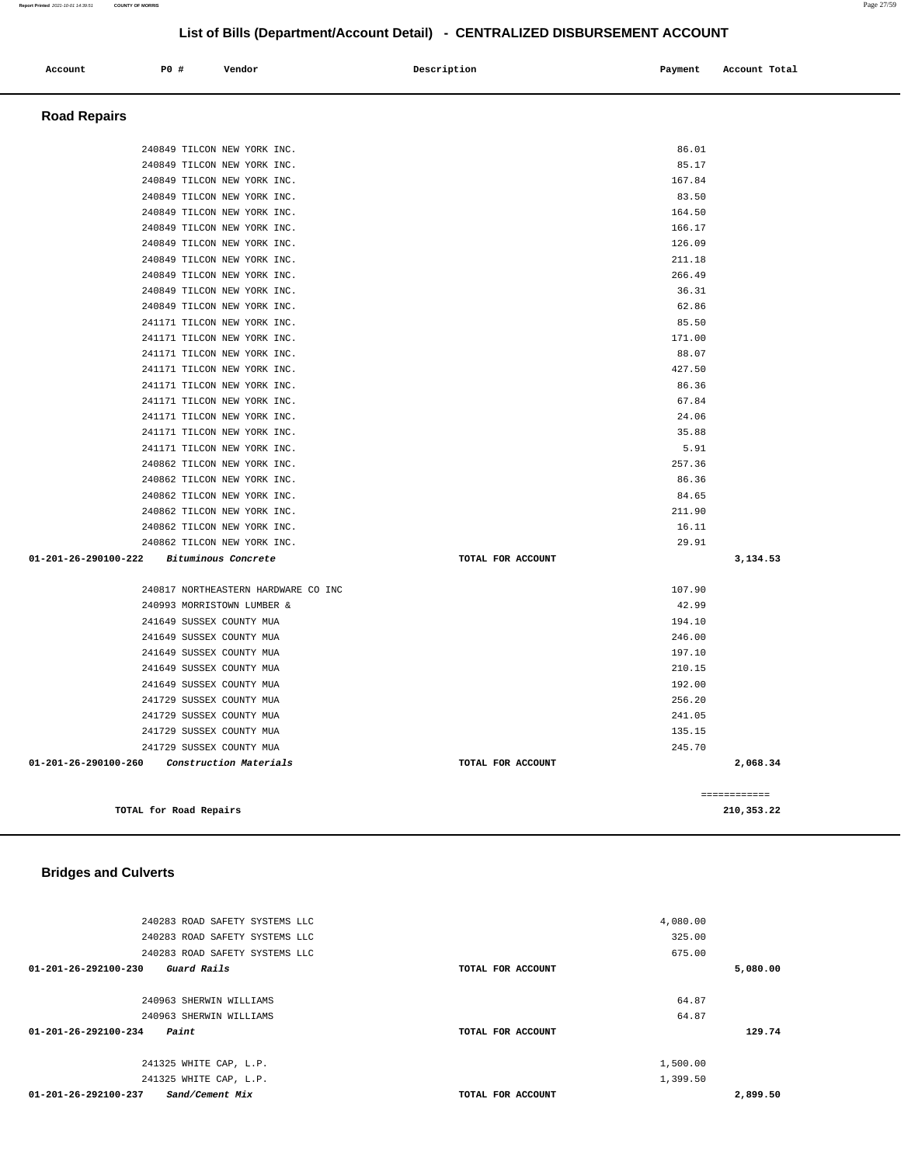| 240283 ROAD SAFETY SYSTEMS LLC          |                   | 4,080.00 |
|-----------------------------------------|-------------------|----------|
| 240283 ROAD SAFETY SYSTEMS LLC          |                   | 325.00   |
| 240283 ROAD SAFETY SYSTEMS LLC          |                   | 675.00   |
| 01-201-26-292100-230<br>Guard Rails     | TOTAL FOR ACCOUNT | 5,080.00 |
|                                         |                   |          |
| 240963 SHERWIN WILLIAMS                 |                   | 64.87    |
| 240963 SHERWIN WILLIAMS                 |                   | 64.87    |
| 01-201-26-292100-234<br>Paint           | TOTAL FOR ACCOUNT | 129.74   |
| 241325 WHITE CAP, L.P.                  |                   | 1,500.00 |
| 241325 WHITE CAP, L.P.                  |                   | 1,399.50 |
| 01-201-26-292100-237<br>Sand/Cement Mix | TOTAL FOR ACCOUNT | 2,899.50 |

**TOTAL for Road Repairs 210,353.22**

# **Bridges and Culverts**

| <b>Road Repairs</b>                                      |                   |              |
|----------------------------------------------------------|-------------------|--------------|
| 240849 TILCON NEW YORK INC.                              |                   | 86.01        |
| 240849 TILCON NEW YORK INC.                              |                   | 85.17        |
| 240849 TILCON NEW YORK INC.                              |                   | 167.84       |
| 240849 TILCON NEW YORK INC.                              |                   | 83.50        |
| 240849 TILCON NEW YORK INC.                              |                   | 164.50       |
| 240849 TILCON NEW YORK INC.                              |                   | 166.17       |
| 240849 TILCON NEW YORK INC.                              |                   | 126.09       |
| 240849 TILCON NEW YORK INC.                              |                   | 211.18       |
| 240849 TILCON NEW YORK INC.                              |                   | 266.49       |
| 240849 TILCON NEW YORK INC.                              |                   | 36.31        |
| 240849 TILCON NEW YORK INC.                              |                   | 62.86        |
| 241171 TILCON NEW YORK INC.                              |                   | 85.50        |
| 241171 TILCON NEW YORK INC.                              |                   | 171.00       |
| 241171 TILCON NEW YORK INC.                              |                   | 88.07        |
| 241171 TILCON NEW YORK INC.                              |                   | 427.50       |
| 241171 TILCON NEW YORK INC.                              |                   | 86.36        |
| 241171 TILCON NEW YORK INC.                              |                   | 67.84        |
| 241171 TILCON NEW YORK INC.                              |                   | 24.06        |
| 241171 TILCON NEW YORK INC.                              |                   | 35.88        |
| 241171 TILCON NEW YORK INC.                              |                   | 5.91         |
| 240862 TILCON NEW YORK INC.                              |                   | 257.36       |
| 240862 TILCON NEW YORK INC.                              |                   | 86.36        |
| 240862 TILCON NEW YORK INC.                              |                   | 84.65        |
| 240862 TILCON NEW YORK INC.                              |                   | 211.90       |
| 240862 TILCON NEW YORK INC.                              |                   | 16.11        |
| 240862 TILCON NEW YORK INC.                              |                   | 29.91        |
| 01-201-26-290100-222<br>Bituminous Concrete              | TOTAL FOR ACCOUNT | 3,134.53     |
| 240817 NORTHEASTERN HARDWARE CO INC                      |                   | 107.90       |
| 240993 MORRISTOWN LUMBER &                               |                   | 42.99        |
| 241649 SUSSEX COUNTY MUA                                 |                   | 194.10       |
| 241649 SUSSEX COUNTY MUA                                 |                   | 246.00       |
| 241649 SUSSEX COUNTY MUA                                 |                   | 197.10       |
| 241649 SUSSEX COUNTY MUA                                 |                   | 210.15       |
| 241649 SUSSEX COUNTY MUA                                 |                   | 192.00       |
| 241729 SUSSEX COUNTY MUA                                 |                   | 256.20       |
| 241729 SUSSEX COUNTY MUA                                 |                   | 241.05       |
| 241729 SUSSEX COUNTY MUA                                 |                   | 135.15       |
| 241729 SUSSEX COUNTY MUA                                 |                   | 245.70       |
| $01 - 201 - 26 - 290100 - 260$<br>Construction Materials | TOTAL FOR ACCOUNT | 2,068.34     |
|                                                          |                   | ============ |

# **Account 1988** PO **# Vendor Description Payment Payment Account Total**

# **List of Bills (Department/Account Detail) - CENTRALIZED DISBURSEMENT ACCOUNT**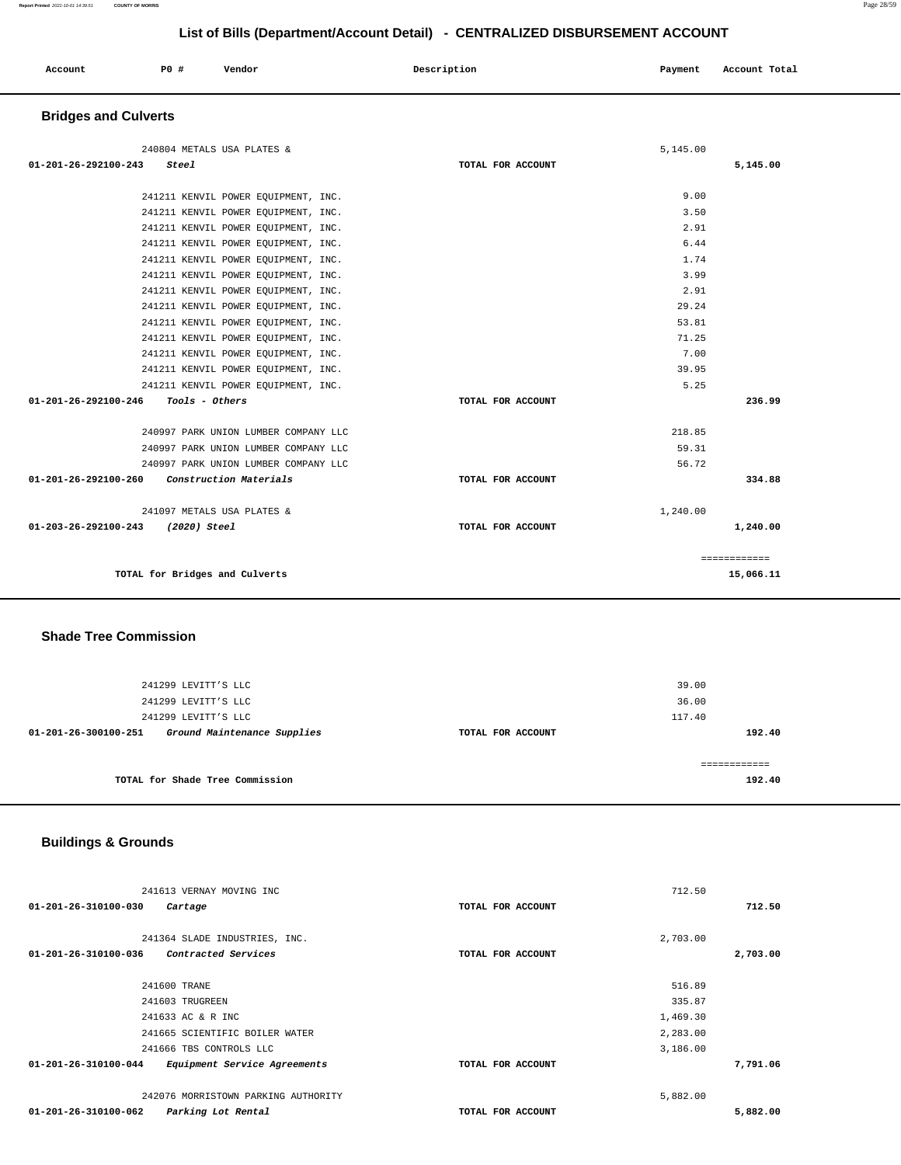| Account | <b>PO #</b> | Vendor | Description | Payment | Account Total |
|---------|-------------|--------|-------------|---------|---------------|
|         |             |        |             |         |               |

# **Bridges and Culverts**

| 240804 METALS USA PLATES &                    |                   | 5,145.00 |              |
|-----------------------------------------------|-------------------|----------|--------------|
| 01-201-26-292100-243<br>Steel                 | TOTAL FOR ACCOUNT |          | 5,145.00     |
|                                               |                   |          |              |
| 241211 KENVIL POWER EOUIPMENT, INC.           |                   | 9.00     |              |
| 241211 KENVIL POWER EQUIPMENT, INC.           |                   | 3.50     |              |
| 241211 KENVIL POWER EOUIPMENT, INC.           |                   | 2.91     |              |
| 241211 KENVIL POWER EQUIPMENT, INC.           |                   | 6.44     |              |
| 241211 KENVIL POWER EOUIPMENT, INC.           |                   | 1.74     |              |
| 241211 KENVIL POWER EOUIPMENT, INC.           |                   | 3.99     |              |
| 241211 KENVIL POWER EQUIPMENT, INC.           |                   | 2.91     |              |
| 241211 KENVIL POWER EOUIPMENT, INC.           |                   | 29.24    |              |
| 241211 KENVIL POWER EOUIPMENT, INC.           |                   | 53.81    |              |
| 241211 KENVIL POWER EOUIPMENT, INC.           |                   | 71.25    |              |
| 241211 KENVIL POWER EQUIPMENT, INC.           |                   | 7.00     |              |
| 241211 KENVIL POWER EOUIPMENT, INC.           |                   | 39.95    |              |
| 241211 KENVIL POWER EQUIPMENT, INC.           |                   | 5.25     |              |
| 01-201-26-292100-246<br><i>Tools - Others</i> | TOTAL FOR ACCOUNT |          | 236.99       |
| 240997 PARK UNION LUMBER COMPANY LLC          |                   | 218.85   |              |
| 240997 PARK UNION LUMBER COMPANY LLC          |                   | 59.31    |              |
| 240997 PARK UNION LUMBER COMPANY LLC          |                   | 56.72    |              |
| 01-201-26-292100-260 Construction Materials   | TOTAL FOR ACCOUNT |          | 334.88       |
| 241097 METALS USA PLATES &                    |                   | 1,240.00 |              |
| 01-203-26-292100-243 (2020) Steel             | TOTAL FOR ACCOUNT |          | 1,240.00     |
|                                               |                   |          | ============ |
| TOTAL for Bridges and Culverts                |                   |          | 15,066.11    |

### **Shade Tree Commission**

| 241299 LEVITT'S LLC                                 |                   | 39.00           |
|-----------------------------------------------------|-------------------|-----------------|
| 241299 LEVITT'S LLC<br>241299 LEVITT'S LLC          |                   | 36.00<br>117.40 |
| Ground Maintenance Supplies<br>01-201-26-300100-251 | TOTAL FOR ACCOUNT | 192.40          |
|                                                     |                   | ----------      |
| TOTAL for Shade Tree Commission                     |                   | 192.40          |

# **Buildings & Grounds**

| 241613 VERNAY MOVING INC                                       |                   | 712.50   |  |
|----------------------------------------------------------------|-------------------|----------|--|
| 01-201-26-310100-030<br>Cartage                                | TOTAL FOR ACCOUNT | 712.50   |  |
|                                                                |                   |          |  |
| 241364 SLADE INDUSTRIES, INC.                                  |                   | 2,703.00 |  |
| Contracted Services<br>01-201-26-310100-036                    | TOTAL FOR ACCOUNT | 2,703.00 |  |
|                                                                |                   |          |  |
| 241600 TRANE                                                   |                   | 516.89   |  |
| 241603 TRUGREEN                                                |                   | 335.87   |  |
| 241633 AC & R INC                                              |                   | 1,469.30 |  |
| 241665 SCIENTIFIC BOILER WATER                                 |                   | 2,283.00 |  |
| 241666 TBS CONTROLS LLC                                        |                   | 3,186.00 |  |
| $01 - 201 - 26 - 310100 - 044$<br>Equipment Service Agreements | TOTAL FOR ACCOUNT | 7,791.06 |  |
| 242076 MORRISTOWN PARKING AUTHORITY                            |                   | 5,882.00 |  |
| 01-201-26-310100-062<br>Parking Lot Rental                     | TOTAL FOR ACCOUNT | 5,882.00 |  |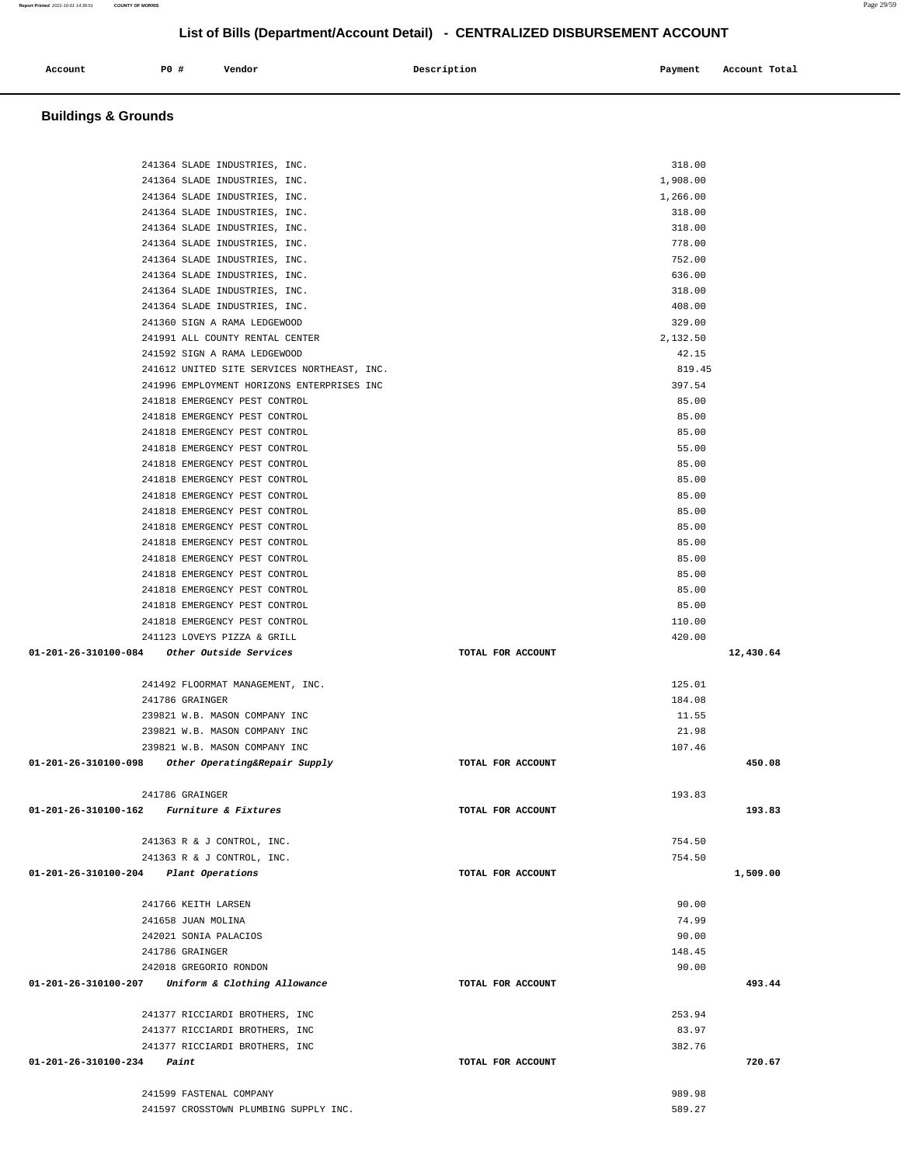| Account | <b>PO #</b> | Vendor | Description | Payment | Account Total |
|---------|-------------|--------|-------------|---------|---------------|
|         |             |        |             |         |               |

# **Buildings & Grounds**

| 241364 SLADE INDUSTRIES, INC.                       | 318.00            |           |
|-----------------------------------------------------|-------------------|-----------|
| 241364 SLADE INDUSTRIES, INC.                       | 1,908.00          |           |
| 241364 SLADE INDUSTRIES, INC.                       | 1,266.00          |           |
| 241364 SLADE INDUSTRIES, INC.                       | 318.00            |           |
| 241364 SLADE INDUSTRIES, INC.                       | 318.00            |           |
| 241364 SLADE INDUSTRIES, INC.                       | 778.00            |           |
| 241364 SLADE INDUSTRIES, INC.                       | 752.00            |           |
| 241364 SLADE INDUSTRIES, INC.                       | 636.00            |           |
| 241364 SLADE INDUSTRIES, INC.                       | 318.00            |           |
| 241364 SLADE INDUSTRIES, INC.                       | 408.00            |           |
| 241360 SIGN A RAMA LEDGEWOOD                        | 329.00            |           |
| 241991 ALL COUNTY RENTAL CENTER                     | 2,132.50          |           |
| 241592 SIGN A RAMA LEDGEWOOD                        | 42.15             |           |
| 241612 UNITED SITE SERVICES NORTHEAST, INC.         |                   |           |
|                                                     | 819.45            |           |
| 241996 EMPLOYMENT HORIZONS ENTERPRISES INC          | 397.54            |           |
| 241818 EMERGENCY PEST CONTROL                       | 85.00             |           |
| 241818 EMERGENCY PEST CONTROL                       | 85.00             |           |
| 241818 EMERGENCY PEST CONTROL                       | 85.00             |           |
| 241818 EMERGENCY PEST CONTROL                       | 55.00             |           |
| 241818 EMERGENCY PEST CONTROL                       | 85.00             |           |
| 241818 EMERGENCY PEST CONTROL                       | 85.00             |           |
| 241818 EMERGENCY PEST CONTROL                       | 85.00             |           |
| 241818 EMERGENCY PEST CONTROL                       | 85.00             |           |
| 241818 EMERGENCY PEST CONTROL                       | 85.00             |           |
| 241818 EMERGENCY PEST CONTROL                       | 85.00             |           |
| 241818 EMERGENCY PEST CONTROL                       | 85.00             |           |
| 241818 EMERGENCY PEST CONTROL                       | 85.00             |           |
| 241818 EMERGENCY PEST CONTROL                       | 85.00             |           |
| 241818 EMERGENCY PEST CONTROL                       | 85.00             |           |
| 241818 EMERGENCY PEST CONTROL                       | 110.00            |           |
| 241123 LOVEYS PIZZA & GRILL                         | 420.00            |           |
| 01-201-26-310100-084     Other Outside Services     | TOTAL FOR ACCOUNT | 12,430.64 |
|                                                     |                   |           |
| 241492 FLOORMAT MANAGEMENT, INC.                    | 125.01            |           |
| 241786 GRAINGER                                     | 184.08            |           |
| 239821 W.B. MASON COMPANY INC                       | 11.55             |           |
| 239821 W.B. MASON COMPANY INC                       | 21.98             |           |
| 239821 W.B. MASON COMPANY INC                       | 107.46            |           |
| 01-201-26-310100-098 Other Operating&Repair Supply  | TOTAL FOR ACCOUNT | 450.08    |
|                                                     |                   |           |
| 241786 GRAINGER                                     | 193.83            |           |
| $01 - 201 - 26 - 310100 - 162$ Furniture & Fixtures | TOTAL FOR ACCOUNT | 193.83    |
|                                                     |                   |           |
| 241363 R & J CONTROL, INC.                          | 754.50            |           |
| 241363 R & J CONTROL, INC.                          | 754.50            |           |
| 01-201-26-310100-204 Plant Operations               | TOTAL FOR ACCOUNT | 1,509.00  |
|                                                     |                   |           |
| 241766 KEITH LARSEN                                 | 90.00             |           |
| 241658 JUAN MOLINA                                  | 74.99             |           |
| 242021 SONIA PALACIOS                               | 90.00             |           |
| 241786 GRAINGER                                     | 148.45            |           |
| 242018 GREGORIO RONDON                              | 90.00             |           |
| 01-201-26-310100-207 Uniform & Clothing Allowance   | TOTAL FOR ACCOUNT | 493.44    |
|                                                     |                   |           |
|                                                     | 253.94            |           |
| 241377 RICCIARDI BROTHERS, INC                      |                   |           |
| 241377 RICCIARDI BROTHERS, INC                      | 83.97             |           |
| 241377 RICCIARDI BROTHERS, INC                      | 382.76            |           |
| $01 - 201 - 26 - 310100 - 234$<br>Paint             | TOTAL FOR ACCOUNT | 720.67    |
| 241599 FASTENAL COMPANY                             |                   |           |
|                                                     |                   |           |
| 241597 CROSSTOWN PLUMBING SUPPLY INC.               | 989.98<br>589.27  |           |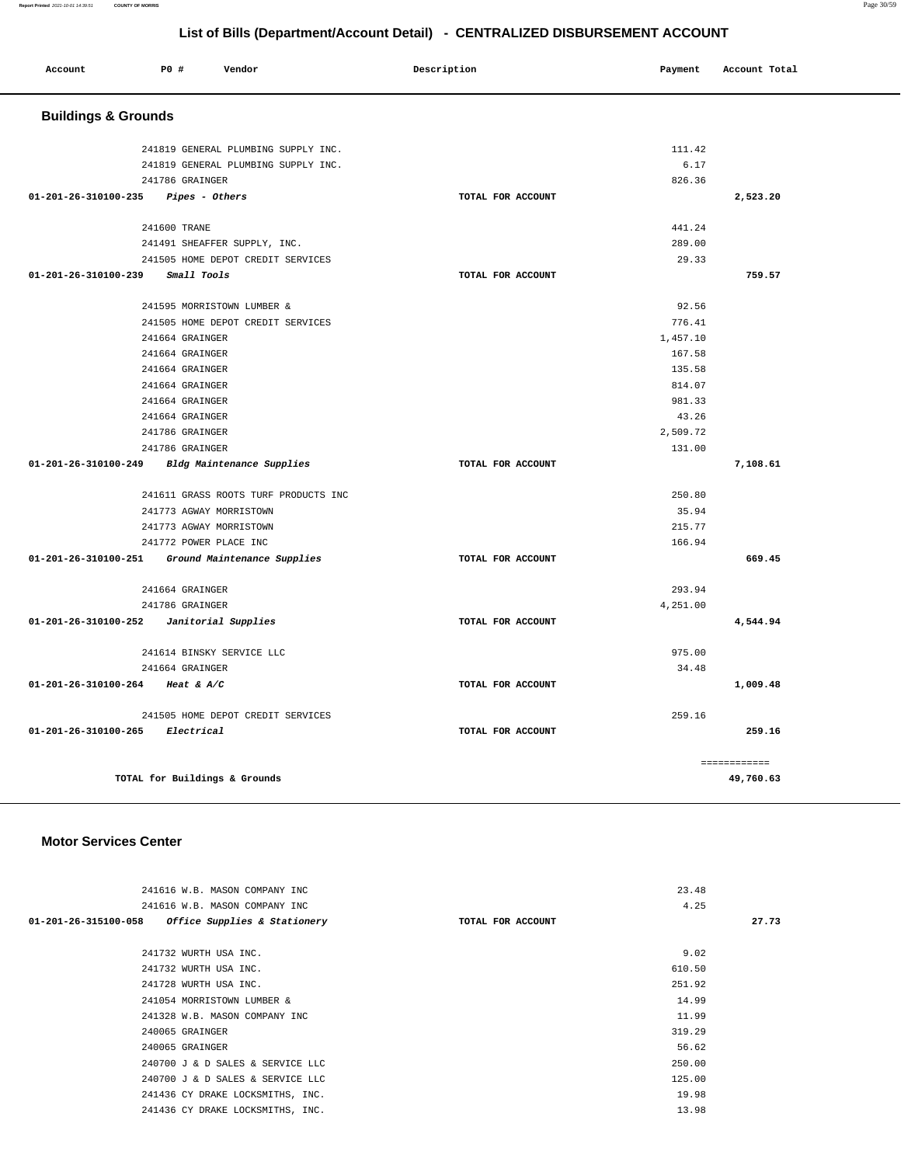| Account                        | P0 #                           | Vendor                               | Description       | Payment  | Account Total |  |  |
|--------------------------------|--------------------------------|--------------------------------------|-------------------|----------|---------------|--|--|
|                                | <b>Buildings &amp; Grounds</b> |                                      |                   |          |               |  |  |
|                                |                                | 241819 GENERAL PLUMBING SUPPLY INC.  |                   | 111.42   |               |  |  |
|                                |                                | 241819 GENERAL PLUMBING SUPPLY INC.  |                   | 6.17     |               |  |  |
|                                | 241786 GRAINGER                |                                      |                   | 826.36   |               |  |  |
| 01-201-26-310100-235           |                                | Pipes - Others                       | TOTAL FOR ACCOUNT |          | 2,523.20      |  |  |
|                                |                                |                                      |                   |          |               |  |  |
|                                | 241600 TRANE                   |                                      |                   | 441.24   |               |  |  |
|                                |                                | 241491 SHEAFFER SUPPLY, INC.         |                   | 289.00   |               |  |  |
|                                |                                | 241505 HOME DEPOT CREDIT SERVICES    |                   | 29.33    |               |  |  |
| 01-201-26-310100-239           |                                | Small Tools                          | TOTAL FOR ACCOUNT |          | 759.57        |  |  |
|                                |                                |                                      |                   |          |               |  |  |
|                                |                                | 241595 MORRISTOWN LUMBER &           |                   | 92.56    |               |  |  |
|                                |                                | 241505 HOME DEPOT CREDIT SERVICES    |                   | 776.41   |               |  |  |
|                                | 241664 GRAINGER                |                                      |                   | 1,457.10 |               |  |  |
|                                | 241664 GRAINGER                |                                      |                   | 167.58   |               |  |  |
|                                | 241664 GRAINGER                |                                      |                   | 135.58   |               |  |  |
|                                | 241664 GRAINGER                |                                      |                   | 814.07   |               |  |  |
|                                | 241664 GRAINGER                |                                      |                   | 981.33   |               |  |  |
|                                | 241664 GRAINGER                |                                      |                   | 43.26    |               |  |  |
|                                | 241786 GRAINGER                |                                      |                   | 2,509.72 |               |  |  |
|                                | 241786 GRAINGER                |                                      |                   | 131.00   |               |  |  |
| 01-201-26-310100-249           |                                | Bldg Maintenance Supplies            | TOTAL FOR ACCOUNT |          | 7,108.61      |  |  |
|                                |                                | 241611 GRASS ROOTS TURF PRODUCTS INC |                   | 250.80   |               |  |  |
|                                |                                | 241773 AGWAY MORRISTOWN              |                   | 35.94    |               |  |  |
|                                |                                | 241773 AGWAY MORRISTOWN              |                   | 215.77   |               |  |  |
|                                |                                | 241772 POWER PLACE INC               |                   | 166.94   |               |  |  |
| $01 - 201 - 26 - 310100 - 251$ |                                | Ground Maintenance Supplies          | TOTAL FOR ACCOUNT |          | 669.45        |  |  |
|                                | 241664 GRAINGER                |                                      |                   | 293.94   |               |  |  |
|                                | 241786 GRAINGER                |                                      |                   | 4,251.00 |               |  |  |
| $01 - 201 - 26 - 310100 - 252$ |                                |                                      | TOTAL FOR ACCOUNT |          | 4,544.94      |  |  |
|                                |                                | Janitorial Supplies                  |                   |          |               |  |  |
|                                |                                | 241614 BINSKY SERVICE LLC            |                   | 975.00   |               |  |  |
|                                | 241664 GRAINGER                |                                      |                   | 34.48    |               |  |  |
| $01 - 201 - 26 - 310100 - 264$ |                                | Heat & $A/C$                         | TOTAL FOR ACCOUNT |          | 1,009.48      |  |  |
|                                |                                | 241505 HOME DEPOT CREDIT SERVICES    |                   | 259.16   |               |  |  |
| $01 - 201 - 26 - 310100 - 265$ |                                | Electrical                           | TOTAL FOR ACCOUNT |          | 259.16        |  |  |
|                                |                                |                                      |                   |          |               |  |  |
|                                |                                |                                      |                   |          | ============  |  |  |
|                                |                                | TOTAL for Buildings & Grounds        |                   |          | 49,760.63     |  |  |
|                                |                                |                                      |                   |          |               |  |  |

# **Motor Services Center**

| 241616 W.B. MASON COMPANY INC                        |                   | 23.48  |       |
|------------------------------------------------------|-------------------|--------|-------|
| 241616 W.B. MASON COMPANY INC                        |                   | 4.25   |       |
| 01-201-26-315100-058<br>Office Supplies & Stationery | TOTAL FOR ACCOUNT |        | 27.73 |
|                                                      |                   |        |       |
| 241732 WURTH USA INC.                                |                   | 9.02   |       |
| 241732 WURTH USA INC.                                |                   | 610.50 |       |
| 241728 WURTH USA INC.                                |                   | 251.92 |       |
| 241054 MORRISTOWN LUMBER &                           |                   | 14.99  |       |
| 241328 W.B. MASON COMPANY INC                        |                   | 11.99  |       |
| 240065 GRAINGER                                      |                   | 319.29 |       |
| 240065 GRAINGER                                      |                   | 56.62  |       |
| 240700 J & D SALES & SERVICE LLC                     |                   | 250.00 |       |
| 240700 J & D SALES & SERVICE LLC                     |                   | 125.00 |       |
| 241436 CY DRAKE LOCKSMITHS, INC.                     |                   | 19.98  |       |
| 241436 CY DRAKE LOCKSMITHS, INC.                     |                   | 13.98  |       |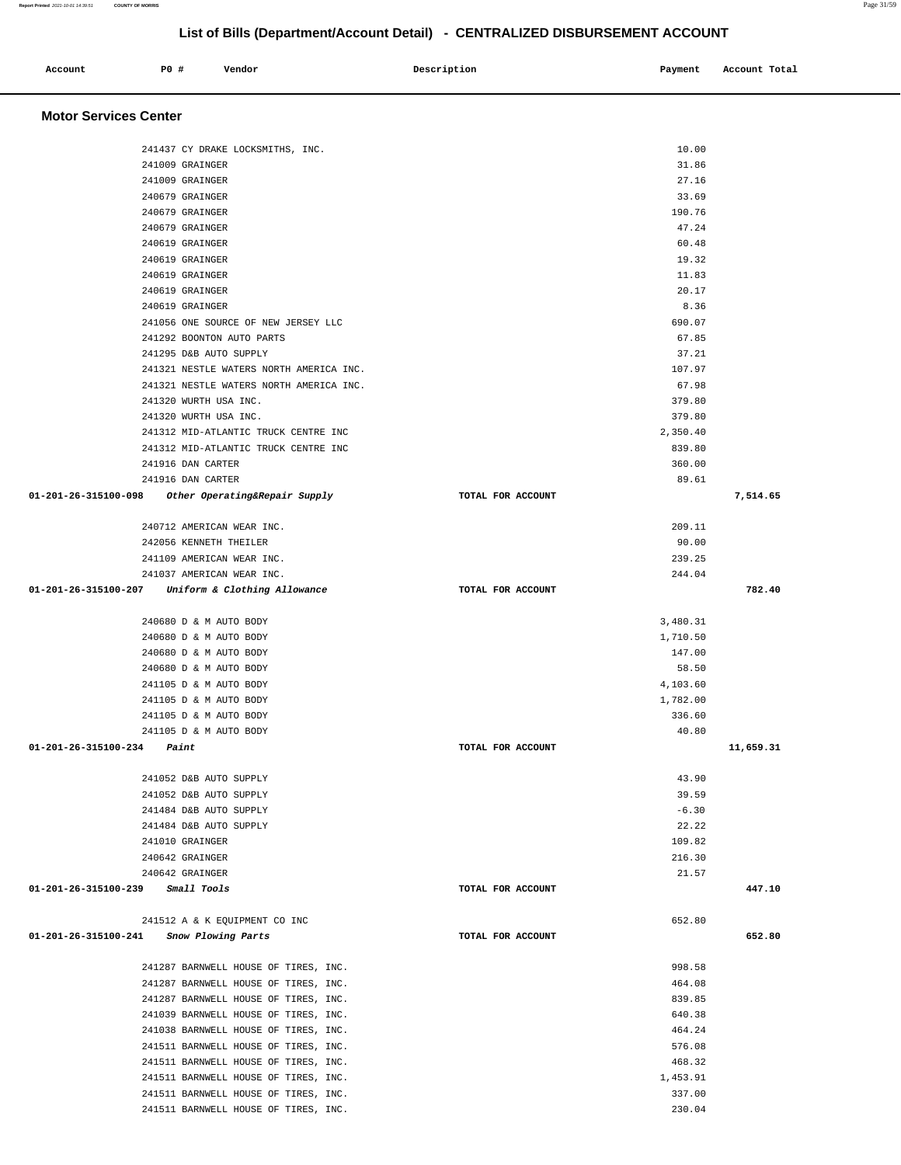| Account<br>. | P0 # | Vendor | Description | Payment | Account Total |
|--------------|------|--------|-------------|---------|---------------|
|              |      |        |             |         |               |

# **Motor Services Center**

| 241437 CY DRAKE LOCKSMITHS, INC.                                             | 10.00             |           |
|------------------------------------------------------------------------------|-------------------|-----------|
| 241009 GRAINGER                                                              | 31.86             |           |
| 241009 GRAINGER                                                              | 27.16             |           |
| 240679 GRAINGER                                                              | 33.69             |           |
| 240679 GRAINGER                                                              | 190.76            |           |
| 240679 GRAINGER                                                              | 47.24             |           |
| 240619 GRAINGER                                                              | 60.48             |           |
| 240619 GRAINGER                                                              | 19.32             |           |
| 240619 GRAINGER                                                              | 11.83             |           |
| 240619 GRAINGER                                                              | 20.17             |           |
| 240619 GRAINGER                                                              | 8.36              |           |
| 241056 ONE SOURCE OF NEW JERSEY LLC                                          | 690.07            |           |
| 241292 BOONTON AUTO PARTS                                                    | 67.85             |           |
| 241295 D&B AUTO SUPPLY                                                       | 37.21             |           |
| 241321 NESTLE WATERS NORTH AMERICA INC.                                      | 107.97            |           |
| 241321 NESTLE WATERS NORTH AMERICA INC.                                      | 67.98             |           |
| 241320 WURTH USA INC.                                                        | 379.80            |           |
| 241320 WURTH USA INC.                                                        | 379.80            |           |
|                                                                              |                   |           |
| 241312 MID-ATLANTIC TRUCK CENTRE INC<br>241312 MID-ATLANTIC TRUCK CENTRE INC | 2,350.40          |           |
|                                                                              | 839.80            |           |
| 241916 DAN CARTER                                                            | 360.00            |           |
| 241916 DAN CARTER                                                            | 89.61             |           |
| 01-201-26-315100-098 Other Operating&Repair Supply                           | TOTAL FOR ACCOUNT | 7,514.65  |
| 240712 AMERICAN WEAR INC.                                                    | 209.11            |           |
| 242056 KENNETH THEILER                                                       | 90.00             |           |
| 241109 AMERICAN WEAR INC.                                                    | 239.25            |           |
| 241037 AMERICAN WEAR INC.                                                    | 244.04            |           |
| 01-201-26-315100-207 Uniform & Clothing Allowance                            | TOTAL FOR ACCOUNT | 782.40    |
|                                                                              |                   |           |
| 240680 D & M AUTO BODY                                                       | 3,480.31          |           |
| 240680 D & M AUTO BODY                                                       | 1,710.50          |           |
| 240680 D & M AUTO BODY                                                       | 147.00            |           |
| 240680 D & M AUTO BODY                                                       | 58.50             |           |
| 241105 D & M AUTO BODY                                                       | 4,103.60          |           |
|                                                                              | 1,782.00          |           |
| 241105 D & M AUTO BODY                                                       |                   |           |
| 241105 D & M AUTO BODY                                                       | 336.60            |           |
| 241105 D & M AUTO BODY                                                       | 40.80             |           |
| $01 - 201 - 26 - 315100 - 234$ Paint                                         | TOTAL FOR ACCOUNT | 11,659.31 |
| 241052 D&B AUTO SUPPLY                                                       | 43.90             |           |
| 241052 D&B AUTO SUPPLY                                                       |                   |           |
|                                                                              | 39.59             |           |
| 241484 D&B AUTO SUPPLY                                                       | $-6.30$           |           |
| 241484 D&B AUTO SUPPLY                                                       | 22.22             |           |
| 241010 GRAINGER                                                              | 109.82            |           |
| 240642 GRAINGER                                                              | 216.30            |           |
| 240642 GRAINGER                                                              | 21.57             |           |
| $01 - 201 - 26 - 315100 - 239$ Small Tools                                   | TOTAL FOR ACCOUNT | 447.10    |
| 241512 A & K EQUIPMENT CO INC                                                | 652.80            |           |
| 01-201-26-315100-241 Snow Plowing Parts                                      | TOTAL FOR ACCOUNT | 652.80    |
|                                                                              |                   |           |
| 241287 BARNWELL HOUSE OF TIRES, INC.                                         | 998.58            |           |
| 241287 BARNWELL HOUSE OF TIRES, INC.                                         | 464.08            |           |
| 241287 BARNWELL HOUSE OF TIRES, INC.                                         | 839.85            |           |
|                                                                              | 640.38            |           |
| 241039 BARNWELL HOUSE OF TIRES, INC.                                         |                   |           |
| 241038 BARNWELL HOUSE OF TIRES, INC.                                         | 464.24            |           |
| 241511 BARNWELL HOUSE OF TIRES, INC.                                         | 576.08            |           |
| 241511 BARNWELL HOUSE OF TIRES, INC.                                         | 468.32            |           |
| 241511 BARNWELL HOUSE OF TIRES, INC.                                         | 1,453.91          |           |
| 241511 BARNWELL HOUSE OF TIRES, INC.                                         | 337.00            |           |
| 241511 BARNWELL HOUSE OF TIRES, INC.                                         | 230.04            |           |

**Report Printed** 2021-10-01 14:39:51 **COUNTY OF MORRIS** Page 31/59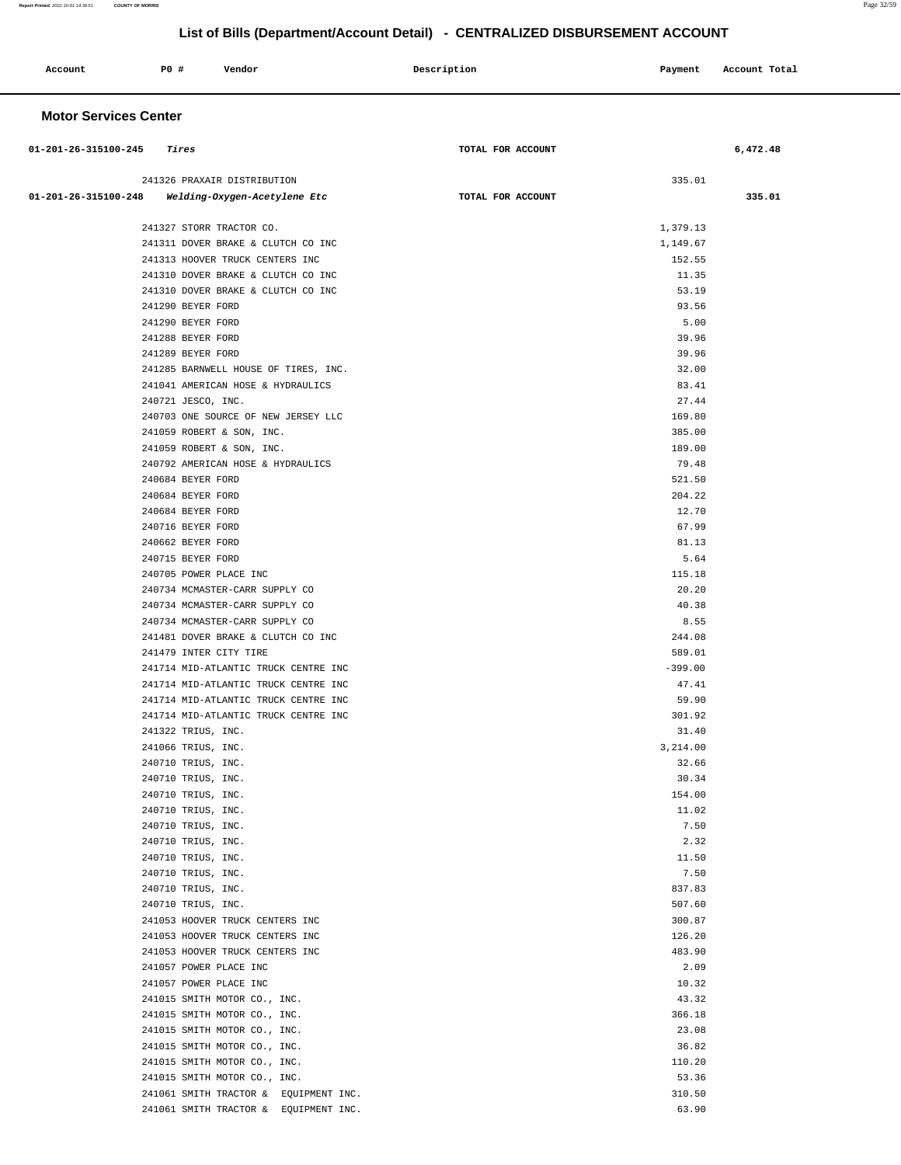| Account<br>. | PO# | Vendor | Description | Payment | Account Total |
|--------------|-----|--------|-------------|---------|---------------|
|              |     |        |             |         |               |

# **Motor Services Center**

| 01-201-26-315100-245 | Tires                                                 | TOTAL FOR ACCOUNT | 6,472.48 |
|----------------------|-------------------------------------------------------|-------------------|----------|
|                      |                                                       |                   |          |
|                      | 241326 PRAXAIR DISTRIBUTION                           | 335.01            |          |
| 01-201-26-315100-248 | Welding-Oxygen-Acetylene Etc                          | TOTAL FOR ACCOUNT | 335.01   |
|                      | 241327 STORR TRACTOR CO.                              | 1,379.13          |          |
|                      | 241311 DOVER BRAKE & CLUTCH CO INC                    | 1,149.67          |          |
|                      | 241313 HOOVER TRUCK CENTERS INC                       | 152.55            |          |
|                      | 241310 DOVER BRAKE & CLUTCH CO INC                    | 11.35             |          |
|                      | 241310 DOVER BRAKE & CLUTCH CO INC                    | 53.19             |          |
|                      | 241290 BEYER FORD                                     | 93.56             |          |
|                      | 241290 BEYER FORD                                     | 5.00              |          |
|                      | 241288 BEYER FORD                                     | 39.96             |          |
|                      | 241289 BEYER FORD                                     | 39.96             |          |
|                      | 241285 BARNWELL HOUSE OF TIRES, INC.                  | 32.00             |          |
|                      | 241041 AMERICAN HOSE & HYDRAULICS                     | 83.41             |          |
|                      | 240721 JESCO, INC.                                    | 27.44             |          |
|                      | 240703 ONE SOURCE OF NEW JERSEY LLC                   | 169.80            |          |
|                      | 241059 ROBERT & SON, INC.                             | 385.00            |          |
|                      | 241059 ROBERT & SON, INC.                             | 189.00            |          |
|                      | 240792 AMERICAN HOSE & HYDRAULICS                     | 79.48             |          |
|                      | 240684 BEYER FORD                                     | 521.50            |          |
|                      | 240684 BEYER FORD                                     | 204.22            |          |
|                      | 240684 BEYER FORD                                     | 12.70             |          |
|                      | 240716 BEYER FORD<br>240662 BEYER FORD                | 67.99<br>81.13    |          |
|                      | 240715 BEYER FORD                                     | 5.64              |          |
|                      | 240705 POWER PLACE INC                                | 115.18            |          |
|                      | 240734 MCMASTER-CARR SUPPLY CO                        | 20.20             |          |
|                      | 240734 MCMASTER-CARR SUPPLY CO                        | 40.38             |          |
|                      | 240734 MCMASTER-CARR SUPPLY CO                        | 8.55              |          |
|                      | 241481 DOVER BRAKE & CLUTCH CO INC                    | 244.08            |          |
|                      | 241479 INTER CITY TIRE                                | 589.01            |          |
|                      | 241714 MID-ATLANTIC TRUCK CENTRE INC                  | $-399.00$         |          |
|                      | 241714 MID-ATLANTIC TRUCK CENTRE INC                  | 47.41             |          |
|                      | 241714 MID-ATLANTIC TRUCK CENTRE INC                  | 59.90             |          |
|                      | 241714 MID-ATLANTIC TRUCK CENTRE INC                  | 301.92            |          |
|                      | 241322 TRIUS, INC.                                    | 31.40             |          |
|                      | 241066 TRIUS, INC.                                    | 3,214.00          |          |
|                      | 240710 TRIUS, INC.                                    | 32.66             |          |
|                      | 240710 TRIUS, INC.                                    | 30.34             |          |
|                      | 240710 TRIUS, INC.                                    | 154.00            |          |
|                      | 240710 TRIUS, INC.                                    | 11.02             |          |
|                      | 240710 TRIUS, INC.                                    | 7.50              |          |
|                      | 240710 TRIUS, INC.                                    | 2.32              |          |
|                      | 240710 TRIUS, INC.                                    | 11.50             |          |
|                      | 240710 TRIUS, INC.                                    | 7.50              |          |
|                      | 240710 TRIUS, INC.                                    | 837.83            |          |
|                      | 240710 TRIUS, INC.<br>241053 HOOVER TRUCK CENTERS INC | 507.60            |          |
|                      | 241053 HOOVER TRUCK CENTERS INC                       | 300.87<br>126.20  |          |
|                      | 241053 HOOVER TRUCK CENTERS INC                       | 483.90            |          |
|                      | 241057 POWER PLACE INC                                | 2.09              |          |
|                      | 241057 POWER PLACE INC                                | 10.32             |          |
|                      | 241015 SMITH MOTOR CO., INC.                          | 43.32             |          |
|                      | 241015 SMITH MOTOR CO., INC.                          | 366.18            |          |
|                      | 241015 SMITH MOTOR CO., INC.                          | 23.08             |          |
|                      | 241015 SMITH MOTOR CO., INC.                          | 36.82             |          |
|                      | 241015 SMITH MOTOR CO., INC.                          | 110.20            |          |
|                      | 241015 SMITH MOTOR CO., INC.                          | 53.36             |          |
|                      | 241061 SMITH TRACTOR & EQUIPMENT INC.                 | 310.50            |          |
|                      | 241061 SMITH TRACTOR & EQUIPMENT INC.                 | 63.90             |          |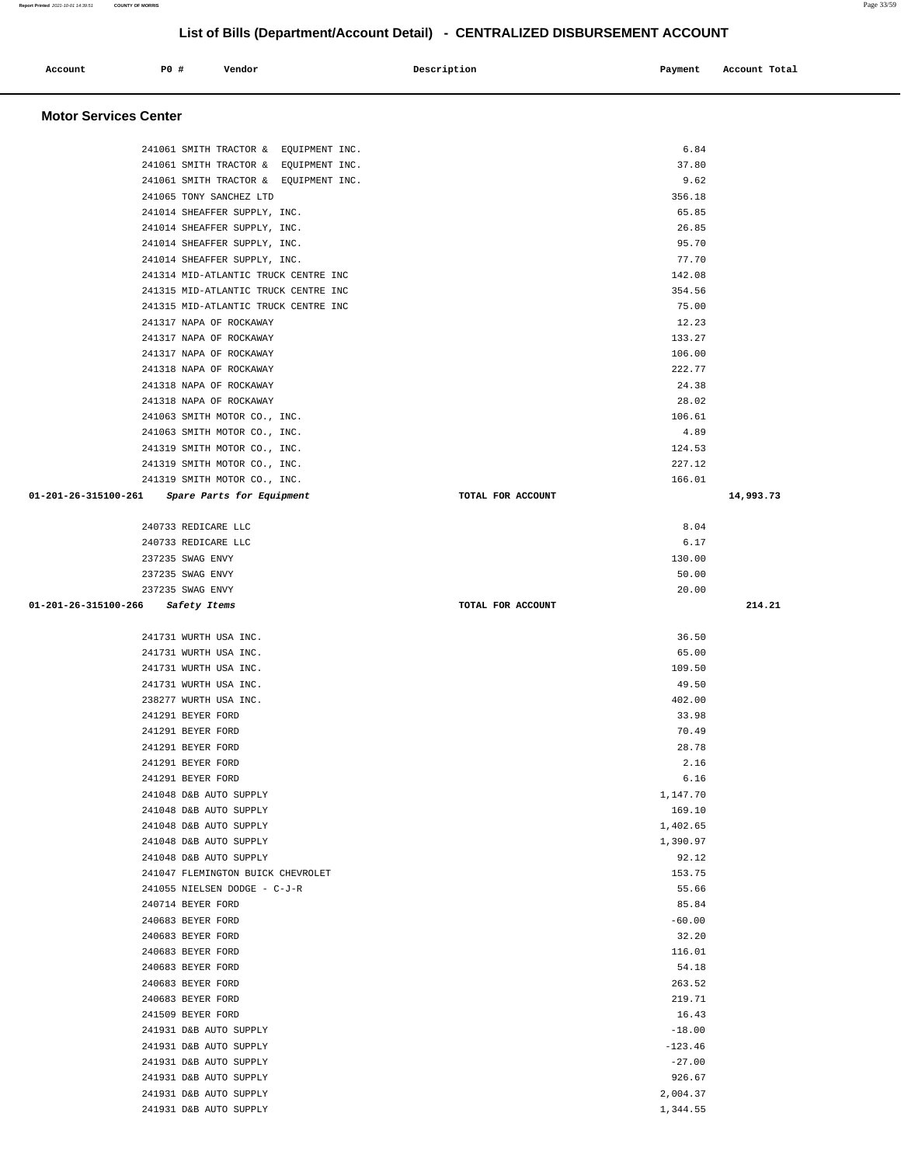| Account                      | P0 # | Vendor                                                                         | Description       | Payment        | Account Total |
|------------------------------|------|--------------------------------------------------------------------------------|-------------------|----------------|---------------|
| <b>Motor Services Center</b> |      |                                                                                |                   |                |               |
|                              |      | 241061 SMITH TRACTOR & EQUIPMENT INC.                                          |                   | 6.84<br>37.80  |               |
|                              |      | 241061 SMITH TRACTOR & EQUIPMENT INC.<br>241061 SMITH TRACTOR & EQUIPMENT INC. |                   | 9.62           |               |
|                              |      | 241065 TONY SANCHEZ LTD                                                        |                   | 356.18         |               |
|                              |      | 241014 SHEAFFER SUPPLY, INC.                                                   |                   | 65.85          |               |
|                              |      | 241014 SHEAFFER SUPPLY, INC.                                                   |                   | 26.85          |               |
|                              |      | 241014 SHEAFFER SUPPLY, INC.                                                   |                   | 95.70          |               |
|                              |      | 241014 SHEAFFER SUPPLY, INC.                                                   |                   | 77.70          |               |
|                              |      | 241314 MID-ATLANTIC TRUCK CENTRE INC                                           |                   | 142.08         |               |
|                              |      | 241315 MID-ATLANTIC TRUCK CENTRE INC                                           |                   | 354.56         |               |
|                              |      | 241315 MID-ATLANTIC TRUCK CENTRE INC                                           |                   | 75.00          |               |
|                              |      | 241317 NAPA OF ROCKAWAY                                                        |                   | 12.23          |               |
|                              |      | 241317 NAPA OF ROCKAWAY                                                        |                   | 133.27         |               |
|                              |      | 241317 NAPA OF ROCKAWAY                                                        |                   | 106.00         |               |
|                              |      | 241318 NAPA OF ROCKAWAY                                                        |                   | 222.77         |               |
|                              |      | 241318 NAPA OF ROCKAWAY                                                        |                   | 24.38<br>28.02 |               |
|                              |      | 241318 NAPA OF ROCKAWAY<br>241063 SMITH MOTOR CO., INC.                        |                   | 106.61         |               |
|                              |      | 241063 SMITH MOTOR CO., INC.                                                   |                   | 4.89           |               |
|                              |      | 241319 SMITH MOTOR CO., INC.                                                   |                   | 124.53         |               |
|                              |      | 241319 SMITH MOTOR CO., INC.                                                   |                   | 227.12         |               |
|                              |      | 241319 SMITH MOTOR CO., INC.                                                   |                   | 166.01         |               |
| 01-201-26-315100-261         |      | Spare Parts for Equipment                                                      | TOTAL FOR ACCOUNT |                | 14,993.73     |
|                              |      | 240733 REDICARE LLC                                                            |                   | 8.04           |               |
|                              |      | 240733 REDICARE LLC                                                            |                   | 6.17           |               |
|                              |      | 237235 SWAG ENVY                                                               |                   | 130.00         |               |
|                              |      | 237235 SWAG ENVY                                                               |                   | 50.00          |               |
|                              |      | 237235 SWAG ENVY                                                               |                   | 20.00          |               |
| 01-201-26-315100-266         |      | Safety Items                                                                   | TOTAL FOR ACCOUNT |                | 214.21        |
|                              |      | 241731 WURTH USA INC.                                                          |                   | 36.50          |               |
|                              |      | 241731 WURTH USA INC.                                                          |                   | 65.00          |               |
|                              |      | 241731 WURTH USA INC.                                                          |                   | 109.50         |               |
|                              |      | 241731 WURTH USA INC.                                                          |                   | 49.50          |               |
|                              |      | 238277 WURTH USA INC.                                                          |                   | 402.00         |               |
|                              |      | 241291 BEYER FORD                                                              |                   | 33.98          |               |
|                              |      | 241291 BEYER FORD                                                              |                   | 70.49          |               |
|                              |      | 241291 BEYER FORD                                                              |                   | 28.78          |               |
|                              |      | 241291 BEYER FORD<br>241291 BEYER FORD                                         |                   | 2.16<br>6.16   |               |
|                              |      | 241048 D&B AUTO SUPPLY                                                         |                   | 1,147.70       |               |
|                              |      | 241048 D&B AUTO SUPPLY                                                         |                   | 169.10         |               |
|                              |      | 241048 D&B AUTO SUPPLY                                                         |                   | 1,402.65       |               |
|                              |      | 241048 D&B AUTO SUPPLY                                                         |                   | 1,390.97       |               |
|                              |      | 241048 D&B AUTO SUPPLY                                                         |                   | 92.12          |               |
|                              |      | 241047 FLEMINGTON BUICK CHEVROLET                                              |                   | 153.75         |               |
|                              |      | 241055 NIELSEN DODGE - C-J-R                                                   |                   | 55.66          |               |
|                              |      | 240714 BEYER FORD                                                              |                   | 85.84          |               |
|                              |      | 240683 BEYER FORD                                                              |                   | $-60.00$       |               |
|                              |      | 240683 BEYER FORD                                                              |                   | 32.20          |               |
|                              |      | 240683 BEYER FORD                                                              |                   | 116.01         |               |
|                              |      | 240683 BEYER FORD                                                              |                   | 54.18          |               |
|                              |      | 240683 BEYER FORD                                                              |                   | 263.52         |               |
|                              |      | 240683 BEYER FORD                                                              |                   | 219.71         |               |
|                              |      | 241509 BEYER FORD                                                              |                   | 16.43          |               |
|                              |      | 241931 D&B AUTO SUPPLY                                                         |                   | $-18.00$       |               |

 241931 D&B AUTO SUPPLY -123.46 241931 D&B AUTO SUPPLY -27.00 241931 D&B AUTO SUPPLY 926.67 241931 D&B AUTO SUPPLY 2,004.37

241931 D&B AUTO SUPPLY 1,344.55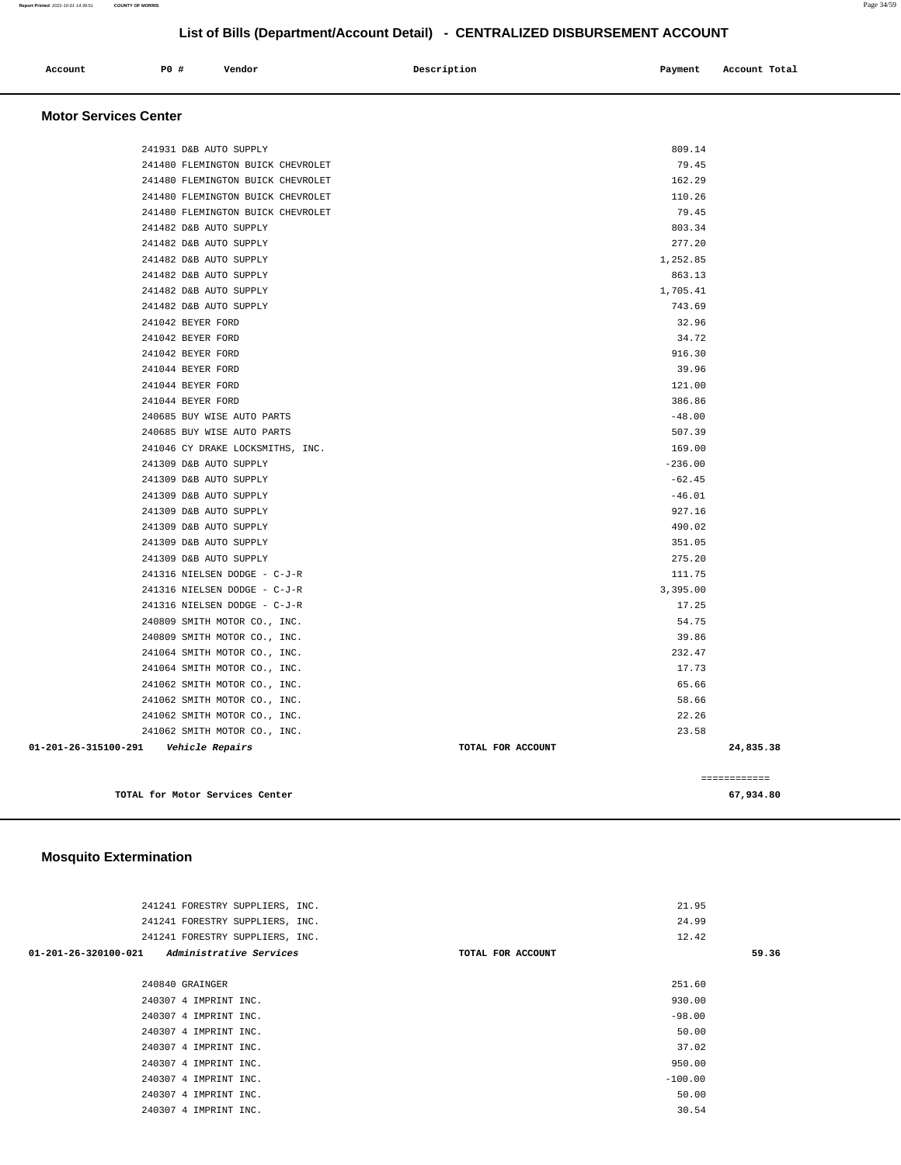| Account | PO# | Vendor | Description | Payment | Account Total |
|---------|-----|--------|-------------|---------|---------------|
|         |     |        |             |         |               |
|         |     |        |             |         |               |

#### **Motor Services Center**

|                                         | TOTAL for Motor Services Center                              |                   | 67,934.80    |
|-----------------------------------------|--------------------------------------------------------------|-------------------|--------------|
|                                         |                                                              |                   | ------------ |
|                                         |                                                              |                   |              |
| 01-201-26-315100-291    Vehicle Repairs |                                                              | TOTAL FOR ACCOUNT | 24,835.38    |
|                                         | 241062 SMITH MOTOR CO., INC.                                 | 23.58             |              |
|                                         | 241062 SMITH MOTOR CO., INC.                                 | 22.26             |              |
|                                         | 241062 SMITH MOTOR CO., INC.                                 | 58.66             |              |
|                                         | 241062 SMITH MOTOR CO., INC.                                 | 65.66             |              |
|                                         | 241064 SMITH MOTOR CO., INC.                                 | 17.73             |              |
|                                         | 240809 SMITH MOTOR CO., INC.<br>241064 SMITH MOTOR CO., INC. | 39.86<br>232.47   |              |
|                                         | 240809 SMITH MOTOR CO., INC.                                 | 54.75             |              |
|                                         | 241316 NIELSEN DODGE - C-J-R                                 | 17.25             |              |
|                                         | 241316 NIELSEN DODGE - C-J-R                                 | 3,395.00          |              |
|                                         | 241316 NIELSEN DODGE - C-J-R                                 | 111.75            |              |
|                                         | 241309 D&B AUTO SUPPLY                                       | 275.20            |              |
|                                         | 241309 D&B AUTO SUPPLY                                       | 351.05            |              |
|                                         | 241309 D&B AUTO SUPPLY                                       | 490.02            |              |
|                                         | 241309 D&B AUTO SUPPLY                                       | 927.16            |              |
|                                         | 241309 D&B AUTO SUPPLY                                       | $-46.01$          |              |
|                                         | 241309 D&B AUTO SUPPLY                                       | $-62.45$          |              |
|                                         | 241309 D&B AUTO SUPPLY                                       | $-236.00$         |              |
|                                         | 241046 CY DRAKE LOCKSMITHS, INC.                             | 169.00            |              |
|                                         | 240685 BUY WISE AUTO PARTS                                   | 507.39            |              |
|                                         | 240685 BUY WISE AUTO PARTS                                   | $-48.00$          |              |
|                                         | 241044 BEYER FORD                                            | 386.86            |              |
|                                         | 241044 BEYER FORD                                            | 121.00            |              |
|                                         | 241044 BEYER FORD                                            | 39.96             |              |
|                                         | 241042 BEYER FORD                                            | 916.30            |              |
|                                         | 241042 BEYER FORD                                            | 34.72             |              |
|                                         | 241042 BEYER FORD                                            | 32.96             |              |
|                                         | 241482 D&B AUTO SUPPLY                                       | 743.69            |              |
|                                         | 241482 D&B AUTO SUPPLY                                       | 1,705.41          |              |
|                                         | 241482 D&B AUTO SUPPLY                                       | 863.13            |              |
|                                         | 241482 D&B AUTO SUPPLY                                       | 1,252.85          |              |
|                                         | 241482 D&B AUTO SUPPLY                                       | 277.20            |              |
|                                         | 241482 D&B AUTO SUPPLY                                       | 803.34            |              |
|                                         | 241480 FLEMINGTON BUICK CHEVROLET                            | 79.45             |              |
|                                         | 241480 FLEMINGTON BUICK CHEVROLET                            | 110.26            |              |
|                                         | 241480 FLEMINGTON BUICK CHEVROLET                            | 162.29            |              |
|                                         | 241480 FLEMINGTON BUICK CHEVROLET                            | 79.45             |              |
|                                         | 241931 D&B AUTO SUPPLY                                       | 809.14            |              |
|                                         |                                                              |                   |              |

# **Mosquito Extermination**

| 241241 FORESTRY SUPPLIERS, INC.                        |                   | 21.95     |       |
|--------------------------------------------------------|-------------------|-----------|-------|
| 241241 FORESTRY SUPPLIERS, INC.                        |                   | 24.99     |       |
| 241241 FORESTRY SUPPLIERS, INC.                        |                   | 12.42     |       |
| <i>Administrative Services</i><br>01-201-26-320100-021 | TOTAL FOR ACCOUNT |           | 59.36 |
|                                                        |                   |           |       |
| 240840 GRAINGER                                        |                   | 251.60    |       |
| 240307 4 IMPRINT INC.                                  |                   | 930.00    |       |
| 240307 4 IMPRINT INC.                                  |                   | $-98.00$  |       |
| 240307 4 IMPRINT INC.                                  |                   | 50.00     |       |
| 240307 4 IMPRINT INC.                                  |                   | 37.02     |       |
| 240307 4 IMPRINT INC.                                  |                   | 950.00    |       |
| 240307 4 IMPRINT INC.                                  |                   | $-100.00$ |       |
| 240307 4 IMPRINT INC.                                  |                   | 50.00     |       |
| 240307 4 IMPRINT INC.                                  |                   | 30.54     |       |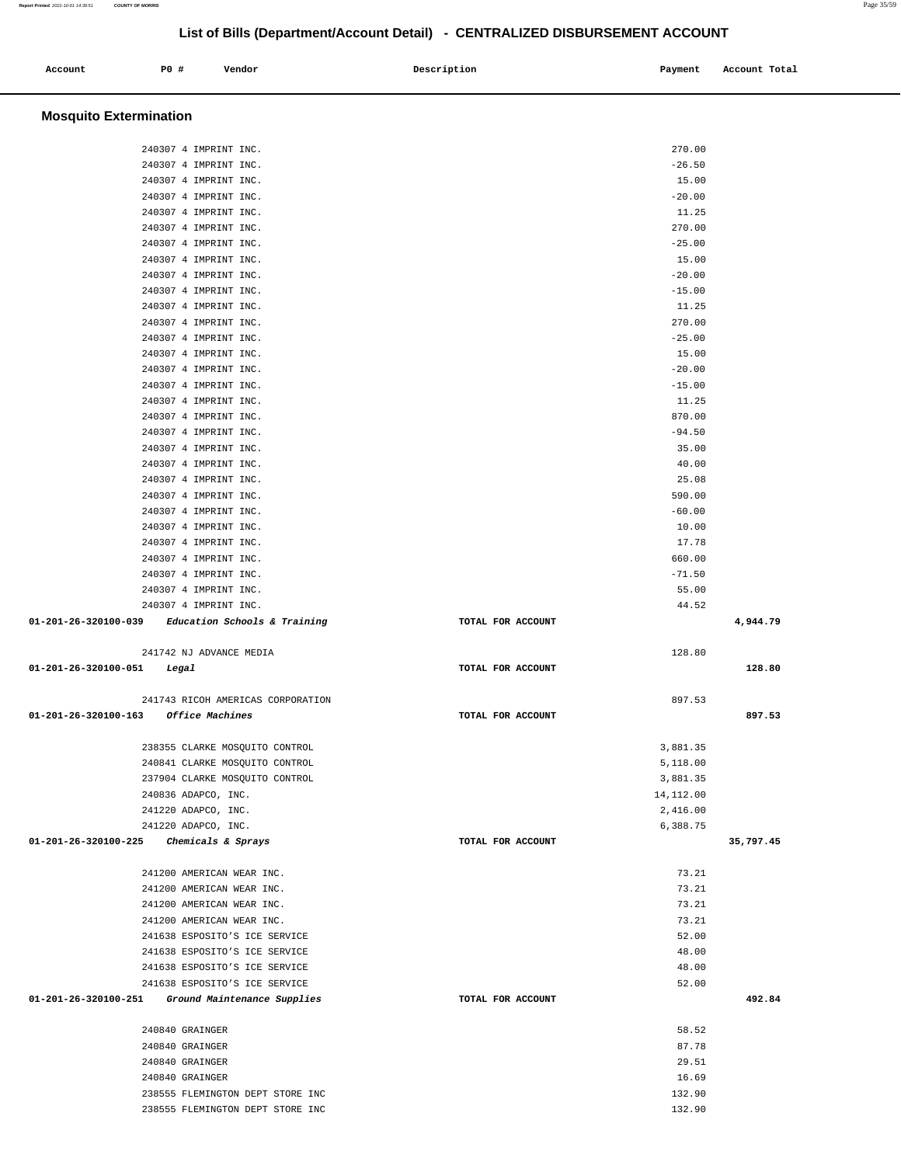| Account | P0 # | Vendor | Description | Payment | Account Total |
|---------|------|--------|-------------|---------|---------------|
|         |      |        |             |         |               |

# **Mosquito Extermination**

|                            | 240307 4 IMPRINT INC.                               |                   | 270.00     |           |
|----------------------------|-----------------------------------------------------|-------------------|------------|-----------|
|                            | 240307 4 IMPRINT INC.                               |                   | $-26.50$   |           |
|                            | 240307 4 IMPRINT INC.                               |                   | 15.00      |           |
|                            | 240307 4 IMPRINT INC.                               |                   | $-20.00$   |           |
|                            | 240307 4 IMPRINT INC.                               |                   | 11.25      |           |
|                            |                                                     |                   |            |           |
|                            | 240307 4 IMPRINT INC.                               |                   | 270.00     |           |
|                            | 240307 4 IMPRINT INC.                               |                   | $-25.00$   |           |
|                            | 240307 4 IMPRINT INC.                               |                   | 15.00      |           |
|                            | 240307 4 IMPRINT INC.                               |                   | $-20.00$   |           |
|                            | 240307 4 IMPRINT INC.                               |                   | $-15.00$   |           |
|                            |                                                     |                   |            |           |
|                            | 240307 4 IMPRINT INC.                               |                   | 11.25      |           |
|                            | 240307 4 IMPRINT INC.                               |                   | 270.00     |           |
|                            | 240307 4 IMPRINT INC.                               |                   | $-25.00$   |           |
|                            | 240307 4 IMPRINT INC.                               |                   | 15.00      |           |
|                            | 240307 4 IMPRINT INC.                               |                   | $-20.00$   |           |
|                            |                                                     |                   |            |           |
|                            | 240307 4 IMPRINT INC.                               |                   | $-15.00$   |           |
|                            | 240307 4 IMPRINT INC.                               |                   | 11.25      |           |
|                            | 240307 4 IMPRINT INC.                               |                   | 870.00     |           |
|                            | 240307 4 IMPRINT INC.                               |                   | $-94.50$   |           |
|                            | 240307 4 IMPRINT INC.                               |                   | 35.00      |           |
|                            |                                                     |                   |            |           |
|                            | 240307 4 IMPRINT INC.                               |                   | 40.00      |           |
|                            | 240307 4 IMPRINT INC.                               |                   | 25.08      |           |
|                            | 240307 4 IMPRINT INC.                               |                   | 590.00     |           |
|                            | 240307 4 IMPRINT INC.                               |                   | $-60.00$   |           |
|                            | 240307 4 IMPRINT INC.                               |                   | 10.00      |           |
|                            |                                                     |                   |            |           |
|                            | 240307 4 IMPRINT INC.                               |                   | 17.78      |           |
|                            | 240307 4 IMPRINT INC.                               |                   | 660.00     |           |
|                            | 240307 4 IMPRINT INC.                               |                   | $-71.50$   |           |
|                            | 240307 4 IMPRINT INC.                               |                   | 55.00      |           |
|                            | 240307 4 IMPRINT INC.                               |                   | 44.52      |           |
|                            |                                                     |                   |            |           |
|                            |                                                     |                   |            |           |
|                            | $01-201-26-320100-039$ Education Schools & Training | TOTAL FOR ACCOUNT |            | 4,944.79  |
|                            |                                                     |                   |            |           |
|                            | 241742 NJ ADVANCE MEDIA                             |                   | 128.80     |           |
| 01-201-26-320100-051 Legal |                                                     | TOTAL FOR ACCOUNT |            | 128.80    |
|                            |                                                     |                   |            |           |
|                            |                                                     |                   |            |           |
|                            | 241743 RICOH AMERICAS CORPORATION                   |                   | 897.53     |           |
|                            | 01-201-26-320100-163 Office Machines                | TOTAL FOR ACCOUNT |            | 897.53    |
|                            |                                                     |                   |            |           |
|                            | 238355 CLARKE MOSQUITO CONTROL                      |                   | 3,881.35   |           |
|                            | 240841 CLARKE MOSQUITO CONTROL                      |                   | 5,118.00   |           |
|                            | 237904 CLARKE MOSQUITO CONTROL                      |                   | 3,881.35   |           |
|                            |                                                     |                   |            |           |
|                            | 240836 ADAPCO, INC.                                 |                   | 14, 112.00 |           |
|                            | 241220 ADAPCO, INC.                                 |                   | 2,416.00   |           |
|                            | 241220 ADAPCO, INC.                                 |                   | 6,388.75   |           |
| 01-201-26-320100-225       | <i>Chemicals &amp; Sprays</i>                       | TOTAL FOR ACCOUNT |            | 35,797.45 |
|                            |                                                     |                   |            |           |
|                            |                                                     |                   |            |           |
|                            | 241200 AMERICAN WEAR INC.                           |                   | 73.21      |           |
|                            | 241200 AMERICAN WEAR INC.                           |                   | 73.21      |           |
|                            | 241200 AMERICAN WEAR INC.                           |                   | 73.21      |           |
|                            | 241200 AMERICAN WEAR INC.                           |                   | 73.21      |           |
|                            | 241638 ESPOSITO'S ICE SERVICE                       |                   | 52.00      |           |
|                            | 241638 ESPOSITO'S ICE SERVICE                       |                   | 48.00      |           |
|                            | 241638 ESPOSITO'S ICE SERVICE                       |                   | 48.00      |           |
|                            |                                                     |                   |            |           |
|                            | 241638 ESPOSITO'S ICE SERVICE                       |                   | 52.00      |           |
| 01-201-26-320100-251       | Ground Maintenance Supplies                         | TOTAL FOR ACCOUNT |            | 492.84    |
|                            |                                                     |                   |            |           |
|                            | 240840 GRAINGER                                     |                   | 58.52      |           |
|                            | 240840 GRAINGER                                     |                   | 87.78      |           |
|                            |                                                     |                   |            |           |
|                            | 240840 GRAINGER                                     |                   | 29.51      |           |
|                            | 240840 GRAINGER                                     |                   | 16.69      |           |
|                            | 238555 FLEMINGTON DEPT STORE INC                    |                   | 132.90     |           |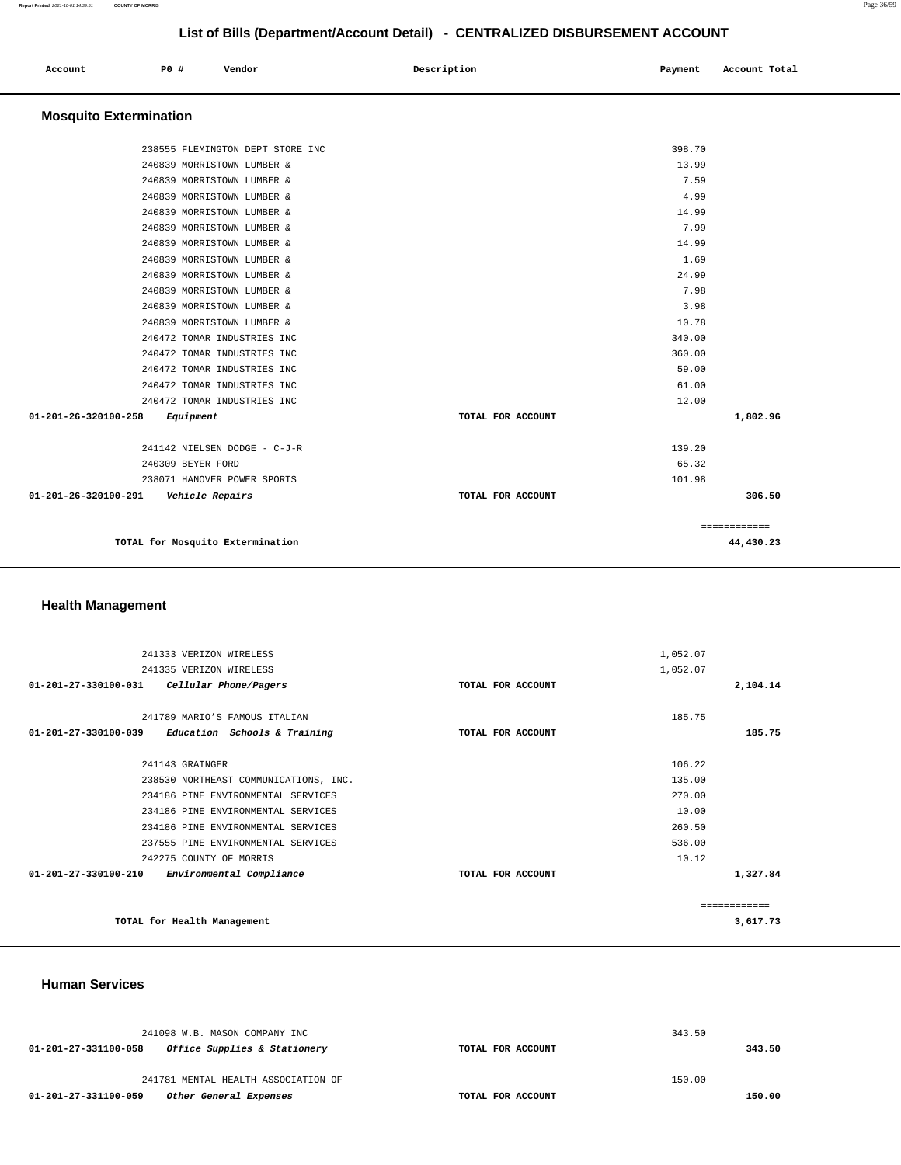| Account<br>. | P0 # | Vendor | Description | Payment | Account Total |
|--------------|------|--------|-------------|---------|---------------|
|              |      |        |             |         |               |

# **Mosquito Extermination**

| TOTAL for Mosquito Extermination                      |                                  |                   |        | 44,430.23    |
|-------------------------------------------------------|----------------------------------|-------------------|--------|--------------|
|                                                       |                                  |                   |        | ============ |
| 01-201-26-320100-291<br><i><b>Vehicle Repairs</b></i> |                                  | TOTAL FOR ACCOUNT |        | 306.50       |
|                                                       | 238071 HANOVER POWER SPORTS      |                   | 101.98 |              |
| 240309 BEYER FORD                                     |                                  |                   | 65.32  |              |
|                                                       | 241142 NIELSEN DODGE - C-J-R     |                   | 139.20 |              |
| 01-201-26-320100-258<br>Equipment                     |                                  | TOTAL FOR ACCOUNT |        | 1,802.96     |
|                                                       | 240472 TOMAR INDUSTRIES INC      |                   | 12.00  |              |
|                                                       | 240472 TOMAR INDUSTRIES INC      |                   | 61.00  |              |
|                                                       | 240472 TOMAR INDUSTRIES INC      |                   | 59.00  |              |
|                                                       | 240472 TOMAR INDUSTRIES INC      |                   | 360.00 |              |
|                                                       | 240472 TOMAR INDUSTRIES INC      |                   | 340.00 |              |
|                                                       | 240839 MORRISTOWN LUMBER &       |                   | 10.78  |              |
|                                                       | 240839 MORRISTOWN LUMBER &       |                   | 3.98   |              |
|                                                       | 240839 MORRISTOWN LUMBER &       |                   | 7.98   |              |
|                                                       | 240839 MORRISTOWN LUMBER &       |                   | 24.99  |              |
|                                                       | 240839 MORRISTOWN LUMBER &       |                   | 1.69   |              |
|                                                       | 240839 MORRISTOWN LUMBER &       |                   | 14.99  |              |
|                                                       | 240839 MORRISTOWN LUMBER &       |                   | 7.99   |              |
|                                                       | 240839 MORRISTOWN LUMBER &       |                   | 14.99  |              |
|                                                       | 240839 MORRISTOWN LUMBER &       |                   | 4.99   |              |
|                                                       | 240839 MORRISTOWN LUMBER &       |                   | 7.59   |              |
|                                                       | 240839 MORRISTOWN LUMBER &       |                   | 13.99  |              |
|                                                       | 238555 FLEMINGTON DEPT STORE INC |                   | 398.70 |              |

# **Health Management**

| 241333 VERIZON WIRELESS        |                                       |                   | 1,052.07 |              |
|--------------------------------|---------------------------------------|-------------------|----------|--------------|
| 241335 VERIZON WIRELESS        |                                       |                   | 1,052.07 |              |
| $01 - 201 - 27 - 330100 - 031$ | Cellular Phone/Pagers                 | TOTAL FOR ACCOUNT |          | 2,104.14     |
|                                |                                       |                   |          |              |
|                                | 241789 MARIO'S FAMOUS ITALIAN         |                   | 185.75   |              |
| 01-201-27-330100-039           | Education Schools & Training          | TOTAL FOR ACCOUNT |          | 185.75       |
|                                |                                       |                   |          |              |
| 241143 GRAINGER                |                                       |                   | 106.22   |              |
|                                | 238530 NORTHEAST COMMUNICATIONS, INC. |                   | 135.00   |              |
|                                | 234186 PINE ENVIRONMENTAL SERVICES    |                   | 270.00   |              |
|                                | 234186 PINE ENVIRONMENTAL SERVICES    |                   | 10.00    |              |
|                                | 234186 PINE ENVIRONMENTAL SERVICES    |                   | 260.50   |              |
|                                | 237555 PINE ENVIRONMENTAL SERVICES    |                   | 536.00   |              |
| 242275 COUNTY OF MORRIS        |                                       |                   | 10.12    |              |
| $01 - 201 - 27 - 330100 - 210$ | Environmental Compliance              | TOTAL FOR ACCOUNT |          | 1,327.84     |
|                                |                                       |                   |          |              |
|                                |                                       |                   |          | ------------ |
| TOTAL for Health Management    |                                       |                   |          | 3,617.73     |
|                                |                                       |                   |          |              |

#### **Human Services**

| 241098 W.B. MASON COMPANY INC                        |                   | 343.50 |        |
|------------------------------------------------------|-------------------|--------|--------|
| Office Supplies & Stationery<br>01-201-27-331100-058 | TOTAL FOR ACCOUNT |        | 343.50 |
| 241781 MENTAL HEALTH ASSOCIATION OF                  |                   | 150.00 |        |
| 01-201-27-331100-059<br>Other General Expenses       | TOTAL FOR ACCOUNT |        | 150.00 |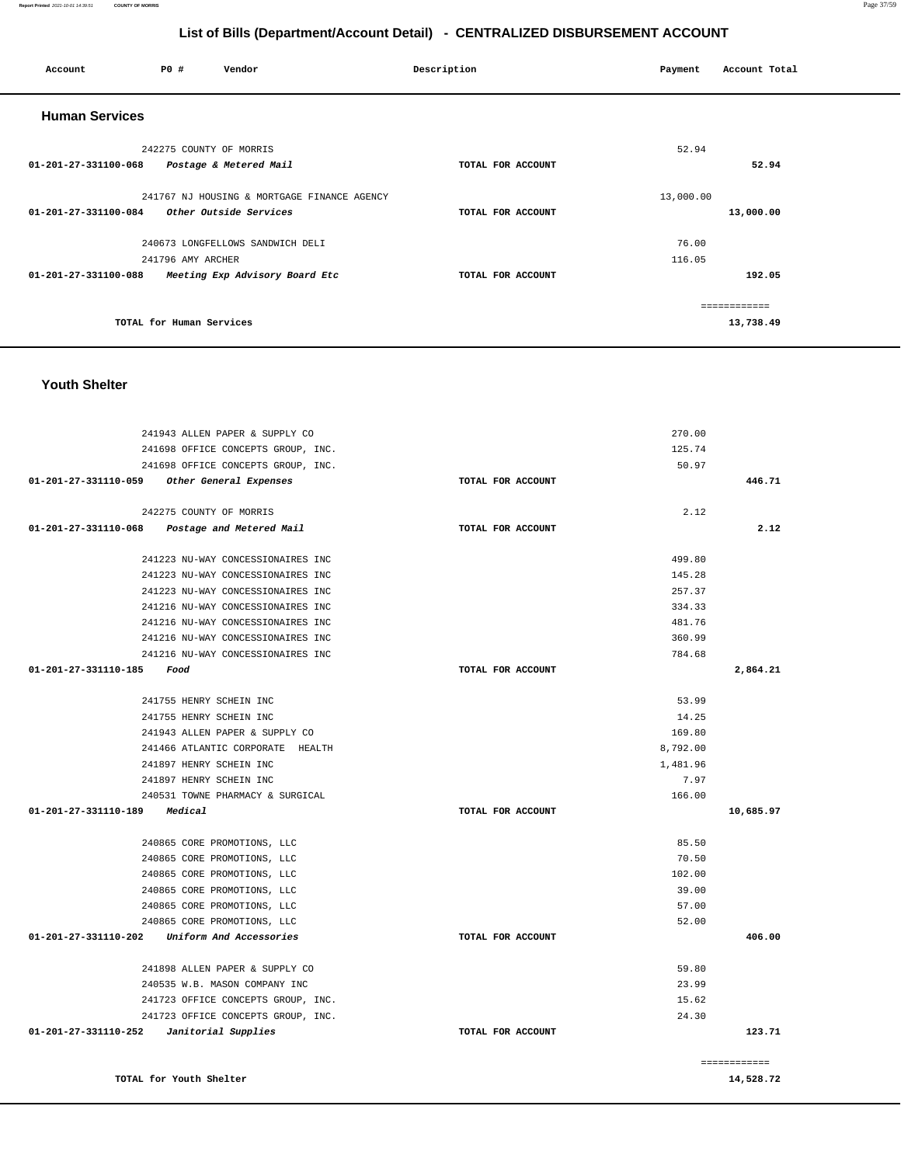| Account                        | <b>PO #</b>              | Vendor                                      | Description       | Payment   | Account Total |
|--------------------------------|--------------------------|---------------------------------------------|-------------------|-----------|---------------|
| <b>Human Services</b>          |                          |                                             |                   |           |               |
|                                | 242275 COUNTY OF MORRIS  |                                             |                   | 52.94     |               |
| 01-201-27-331100-068           |                          | Postage & Metered Mail                      | TOTAL FOR ACCOUNT |           | 52.94         |
|                                |                          | 241767 NJ HOUSING & MORTGAGE FINANCE AGENCY |                   | 13,000.00 |               |
| $01 - 201 - 27 - 331100 - 084$ |                          | Other Outside Services                      | TOTAL FOR ACCOUNT |           | 13,000.00     |
|                                |                          | 240673 LONGFELLOWS SANDWICH DELI            |                   | 76.00     |               |
|                                | 241796 AMY ARCHER        |                                             |                   | 116.05    |               |
| 01-201-27-331100-088           |                          | Meeting Exp Advisory Board Etc              | TOTAL FOR ACCOUNT |           | 192.05        |
|                                |                          |                                             |                   |           | ---------     |
|                                | TOTAL for Human Services |                                             |                   |           | 13,738.49     |

**Report Printed** 2021-10-01 14:39:51 **COUNTY OF MORRIS** Page 37/59

#### **Youth Shelter**

| 241943 ALLEN PAPER & SUPPLY CO                |                   | 270.00        |
|-----------------------------------------------|-------------------|---------------|
| 241698 OFFICE CONCEPTS GROUP, INC.            |                   | 125.74        |
| 241698 OFFICE CONCEPTS GROUP, INC.            |                   | 50.97         |
| 01-201-27-331110-059 Other General Expenses   | TOTAL FOR ACCOUNT | 446.71        |
|                                               |                   |               |
| 242275 COUNTY OF MORRIS                       |                   | 2.12          |
| 01-201-27-331110-068 Postage and Metered Mail | TOTAL FOR ACCOUNT | 2.12          |
|                                               |                   | 499.80        |
| 241223 NU-WAY CONCESSIONAIRES INC             |                   |               |
| 241223 NU-WAY CONCESSIONAIRES INC             |                   | 145.28        |
| 241223 NU-WAY CONCESSIONAIRES INC             |                   | 257.37        |
| 241216 NU-WAY CONCESSIONAIRES INC             |                   | 334.33        |
| 241216 NU-WAY CONCESSIONAIRES INC             |                   | 481.76        |
| 241216 NU-WAY CONCESSIONAIRES INC             |                   | 360.99        |
| 241216 NU-WAY CONCESSIONAIRES INC             |                   | 784.68        |
| $01 - 201 - 27 - 331110 - 185$ Food           | TOTAL FOR ACCOUNT | 2,864.21      |
| 241755 HENRY SCHEIN INC                       |                   | 53.99         |
| 241755 HENRY SCHEIN INC                       |                   | 14.25         |
| 241943 ALLEN PAPER & SUPPLY CO                |                   | 169.80        |
| 241466 ATLANTIC CORPORATE HEALTH              |                   | 8,792.00      |
| 241897 HENRY SCHEIN INC                       |                   | 1,481.96      |
| 241897 HENRY SCHEIN INC                       |                   | 7.97          |
| 240531 TOWNE PHARMACY & SURGICAL              |                   | 166.00        |
| 01-201-27-331110-189 Medical                  | TOTAL FOR ACCOUNT | 10,685.97     |
|                                               |                   |               |
| 240865 CORE PROMOTIONS, LLC                   |                   | 85.50         |
| 240865 CORE PROMOTIONS, LLC                   |                   | 70.50         |
| 240865 CORE PROMOTIONS, LLC                   |                   | 102.00        |
| 240865 CORE PROMOTIONS, LLC                   |                   | 39.00         |
| 240865 CORE PROMOTIONS, LLC                   |                   | 57.00         |
| 240865 CORE PROMOTIONS, LLC                   |                   | 52.00         |
| 01-201-27-331110-202 Uniform And Accessories  | TOTAL FOR ACCOUNT | 406.00        |
|                                               |                   |               |
| 241898 ALLEN PAPER & SUPPLY CO                |                   | 59.80         |
| 240535 W.B. MASON COMPANY INC                 |                   | 23.99         |
| 241723 OFFICE CONCEPTS GROUP, INC.            |                   | 15.62         |
| 241723 OFFICE CONCEPTS GROUP, INC.            |                   | 24.30         |
| $01-201-27-331110-252$ Janitorial Supplies    | TOTAL FOR ACCOUNT | 123.71        |
|                                               |                   |               |
|                                               |                   | ============= |

**TOTAL for Youth Shelter** 

**14,528.72**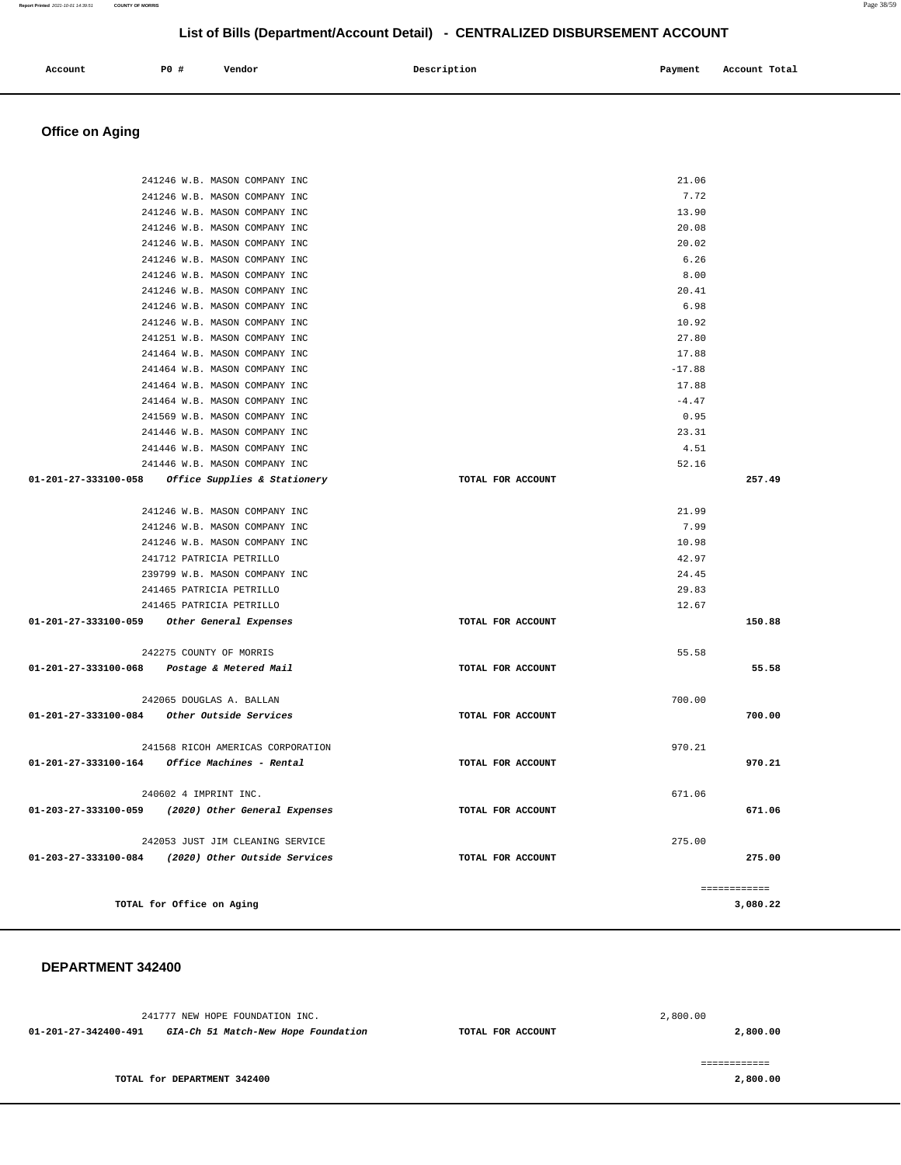| Account | <b>PO #</b> | Vendor | Description | Payment | Account Total |
|---------|-------------|--------|-------------|---------|---------------|
|         |             |        |             |         |               |

# **Office on Aging**

 **DEPARTMENT 342400** 

| 241246 W.B. MASON COMPANY INC                      |                   | 21.06    |               |
|----------------------------------------------------|-------------------|----------|---------------|
| 241246 W.B. MASON COMPANY INC                      |                   | 7.72     |               |
| 241246 W.B. MASON COMPANY INC                      |                   | 13.90    |               |
| 241246 W.B. MASON COMPANY INC                      |                   | 20.08    |               |
| 241246 W.B. MASON COMPANY INC                      |                   | 20.02    |               |
| 241246 W.B. MASON COMPANY INC                      |                   | 6.26     |               |
| 241246 W.B. MASON COMPANY INC                      |                   | 8.00     |               |
| 241246 W.B. MASON COMPANY INC                      |                   | 20.41    |               |
| 241246 W.B. MASON COMPANY INC                      |                   | 6.98     |               |
| 241246 W.B. MASON COMPANY INC                      |                   | 10.92    |               |
| 241251 W.B. MASON COMPANY INC                      |                   | 27.80    |               |
| 241464 W.B. MASON COMPANY INC                      |                   | 17.88    |               |
| 241464 W.B. MASON COMPANY INC                      |                   | $-17.88$ |               |
| 241464 W.B. MASON COMPANY INC                      |                   | 17.88    |               |
| 241464 W.B. MASON COMPANY INC                      |                   | $-4.47$  |               |
| 241569 W.B. MASON COMPANY INC                      |                   | 0.95     |               |
| 241446 W.B. MASON COMPANY INC                      |                   | 23.31    |               |
| 241446 W.B. MASON COMPANY INC                      |                   | 4.51     |               |
| 241446 W.B. MASON COMPANY INC                      |                   | 52.16    |               |
| 01-201-27-333100-058 Office Supplies & Stationery  | TOTAL FOR ACCOUNT |          | 257.49        |
|                                                    |                   |          |               |
| 241246 W.B. MASON COMPANY INC                      |                   | 21.99    |               |
| 241246 W.B. MASON COMPANY INC                      |                   | 7.99     |               |
| 241246 W.B. MASON COMPANY INC                      |                   | 10.98    |               |
| 241712 PATRICIA PETRILLO                           |                   | 42.97    |               |
| 239799 W.B. MASON COMPANY INC                      |                   | 24.45    |               |
| 241465 PATRICIA PETRILLO                           |                   | 29.83    |               |
| 241465 PATRICIA PETRILLO                           |                   | 12.67    |               |
| 01-201-27-333100-059 Other General Expenses        | TOTAL FOR ACCOUNT |          | 150.88        |
|                                                    |                   |          |               |
| 242275 COUNTY OF MORRIS                            | TOTAL FOR ACCOUNT | 55.58    | 55.58         |
| 01-201-27-333100-068 Postage & Metered Mail        |                   |          |               |
|                                                    |                   |          |               |
| 242065 DOUGLAS A. BALLAN                           | TOTAL FOR ACCOUNT | 700.00   | 700.00        |
|                                                    |                   |          |               |
| 241568 RICOH AMERICAS CORPORATION                  |                   | 970.21   |               |
|                                                    | TOTAL FOR ACCOUNT |          | 970.21        |
|                                                    |                   |          |               |
| 240602 4 IMPRINT INC.                              |                   | 671.06   |               |
| 01-203-27-333100-059 (2020) Other General Expenses | TOTAL FOR ACCOUNT |          | 671.06        |
|                                                    |                   |          |               |
| 242053 JUST JIM CLEANING SERVICE                   |                   | 275.00   |               |
| 01-203-27-333100-084 (2020) Other Outside Services | TOTAL FOR ACCOUNT |          | 275.00        |
|                                                    |                   |          |               |
|                                                    |                   |          | ============= |
| TOTAL for Office on Aging                          |                   |          | 3,080.22      |
|                                                    |                   |          |               |

241777 NEW HOPE FOUNDATION INC. **01-201-27-342400-491 GIA-Ch 51 Match-New Hope Foundation TOTAL FOR ACCOUNT**  2,800.00 **2,800.00 TOTAL for DEPARTMENT 342400**  ============

**2,800.00**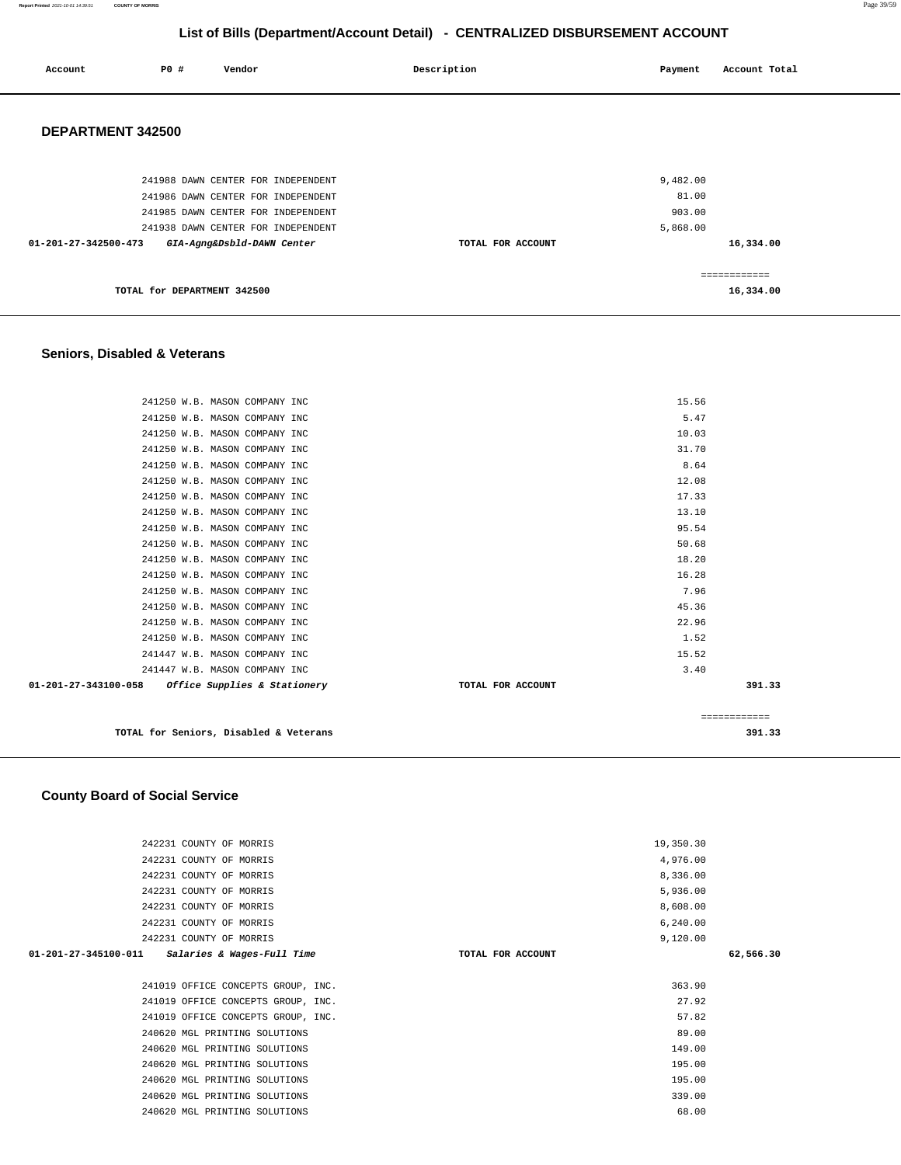**Report Printed** 2021-10-01 14:39:51 **COUNTY OF MORRIS** Page 39/59

# **List of Bills (Department/Account Detail) - CENTRALIZED DISBURSEMENT ACCOUNT**

| Account              | <b>PO #</b>                 | Vendor                             | Description       | Payment  | Account Total |
|----------------------|-----------------------------|------------------------------------|-------------------|----------|---------------|
| DEPARTMENT 342500    |                             |                                    |                   |          |               |
|                      |                             | 241988 DAWN CENTER FOR INDEPENDENT |                   | 9,482.00 |               |
|                      |                             | 241986 DAWN CENTER FOR INDEPENDENT |                   | 81.00    |               |
|                      |                             | 241985 DAWN CENTER FOR INDEPENDENT |                   | 903.00   |               |
|                      |                             | 241938 DAWN CENTER FOR INDEPENDENT |                   | 5,868.00 |               |
| 01-201-27-342500-473 |                             | GIA-Agng&Dsbld-DAWN Center         | TOTAL FOR ACCOUNT |          | 16,334.00     |
|                      |                             |                                    |                   |          | ------------  |
|                      | TOTAL for DEPARTMENT 342500 |                                    |                   |          | 16,334.00     |

# **Seniors, Disabled & Veterans**

| TOTAL for Seniors, Disabled & Veterans               |                   | 391.33       |
|------------------------------------------------------|-------------------|--------------|
|                                                      |                   | ============ |
| 01-201-27-343100-058<br>Office Supplies & Stationery | TOTAL FOR ACCOUNT | 391.33       |
| 241447 W.B. MASON COMPANY INC                        | 3.40              |              |
| 241447 W.B. MASON COMPANY INC                        | 15.52             |              |
| 241250 W.B. MASON COMPANY INC                        | 1.52              |              |
| 241250 W.B. MASON COMPANY INC                        | 22.96             |              |
| 241250 W.B. MASON COMPANY INC                        | 45.36             |              |
| 241250 W.B. MASON COMPANY INC                        | 7.96              |              |
| 241250 W.B. MASON COMPANY INC                        | 16.28             |              |
| 241250 W.B. MASON COMPANY INC                        | 18.20             |              |
| 241250 W.B. MASON COMPANY INC                        | 50.68             |              |
| 241250 W.B. MASON COMPANY INC                        | 95.54             |              |
| 241250 W.B. MASON COMPANY INC                        | 13.10             |              |
| 241250 W.B. MASON COMPANY INC                        | 17.33             |              |
| 241250 W.B. MASON COMPANY INC                        | 12.08             |              |
| 241250 W.B. MASON COMPANY INC                        | 8.64              |              |
| 241250 W.B. MASON COMPANY INC                        | 31.70             |              |
| 241250 W.B. MASON COMPANY INC                        | 10.03             |              |
| 241250 W.B. MASON COMPANY INC                        | 5.47              |              |
| 241250 W.B. MASON COMPANY INC                        | 15.56             |              |
|                                                      |                   |              |

#### **County Board of Social Service**

| 242231 COUNTY OF MORRIS                           | 19,350.30         |           |
|---------------------------------------------------|-------------------|-----------|
| 242231 COUNTY OF MORRIS                           | 4,976.00          |           |
| 242231 COUNTY OF MORRIS                           | 8,336.00          |           |
| 242231 COUNTY OF MORRIS                           | 5,936.00          |           |
| 242231 COUNTY OF MORRIS                           | 8,608.00          |           |
| 242231 COUNTY OF MORRIS                           | 6, 240.00         |           |
| 242231 COUNTY OF MORRIS                           | 9,120.00          |           |
| $01-201-27-345100-011$ Salaries & Wages-Full Time | TOTAL FOR ACCOUNT | 62,566.30 |
|                                                   |                   |           |
| 241019 OFFICE CONCEPTS GROUP, INC.                | 363.90            |           |
| 241019 OFFICE CONCEPTS GROUP, INC.                | 27.92             |           |
| 241019 OFFICE CONCEPTS GROUP, INC.                | 57.82             |           |
| 240620 MGL PRINTING SOLUTIONS                     | 89.00             |           |
| 240620 MGL PRINTING SOLUTIONS                     | 149.00            |           |
| 240620 MGL PRINTING SOLUTIONS                     | 195.00            |           |
| 240620 MGL PRINTING SOLUTIONS                     | 195.00            |           |
| 240620 MGL PRINTING SOLUTIONS                     | 339.00            |           |
| 240620 MGL PRINTING SOLUTIONS                     | 68.00             |           |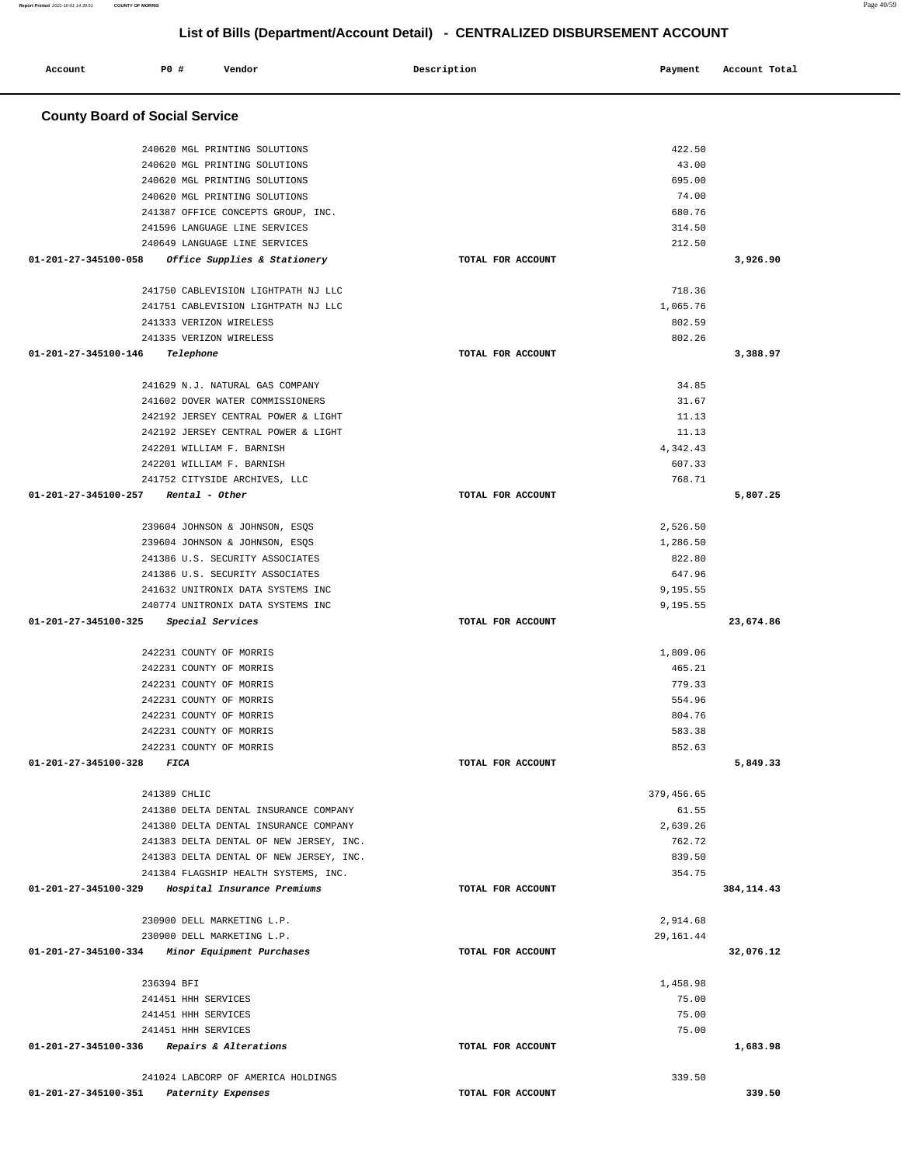| Account                               | P0 #         | Vendor                                                         | Description       | Payment         | Account Total |
|---------------------------------------|--------------|----------------------------------------------------------------|-------------------|-----------------|---------------|
| <b>County Board of Social Service</b> |              |                                                                |                   |                 |               |
|                                       |              |                                                                |                   |                 |               |
|                                       |              | 240620 MGL PRINTING SOLUTIONS                                  |                   | 422.50          |               |
|                                       |              | 240620 MGL PRINTING SOLUTIONS<br>240620 MGL PRINTING SOLUTIONS |                   | 43.00<br>695.00 |               |
|                                       |              | 240620 MGL PRINTING SOLUTIONS                                  |                   | 74.00           |               |
|                                       |              | 241387 OFFICE CONCEPTS GROUP, INC.                             |                   | 680.76          |               |
|                                       |              | 241596 LANGUAGE LINE SERVICES                                  |                   | 314.50          |               |
|                                       |              | 240649 LANGUAGE LINE SERVICES                                  |                   | 212.50          |               |
| 01-201-27-345100-058                  |              | Office Supplies & Stationery                                   | TOTAL FOR ACCOUNT |                 | 3,926.90      |
|                                       |              | 241750 CABLEVISION LIGHTPATH NJ LLC                            |                   | 718.36          |               |
|                                       |              | 241751 CABLEVISION LIGHTPATH NJ LLC                            |                   | 1,065.76        |               |
|                                       |              | 241333 VERIZON WIRELESS                                        |                   | 802.59          |               |
|                                       |              | 241335 VERIZON WIRELESS                                        |                   | 802.26          |               |
| 01-201-27-345100-146                  |              | Telephone                                                      | TOTAL FOR ACCOUNT |                 | 3,388.97      |
|                                       |              | 241629 N.J. NATURAL GAS COMPANY                                |                   | 34.85           |               |
|                                       |              | 241602 DOVER WATER COMMISSIONERS                               |                   | 31.67           |               |
|                                       |              | 242192 JERSEY CENTRAL POWER & LIGHT                            |                   | 11.13           |               |
|                                       |              | 242192 JERSEY CENTRAL POWER & LIGHT                            |                   | 11.13           |               |
|                                       |              | 242201 WILLIAM F. BARNISH                                      |                   | 4,342.43        |               |
|                                       |              | 242201 WILLIAM F. BARNISH                                      |                   | 607.33          |               |
| 01-201-27-345100-257                  |              | 241752 CITYSIDE ARCHIVES, LLC                                  |                   | 768.71          |               |
|                                       |              | Rental - Other                                                 | TOTAL FOR ACCOUNT |                 | 5,807.25      |
|                                       |              | 239604 JOHNSON & JOHNSON, ESQS                                 |                   | 2,526.50        |               |
|                                       |              | 239604 JOHNSON & JOHNSON, ESQS                                 |                   | 1,286.50        |               |
|                                       |              | 241386 U.S. SECURITY ASSOCIATES                                |                   | 822.80          |               |
|                                       |              | 241386 U.S. SECURITY ASSOCIATES                                |                   | 647.96          |               |
|                                       |              | 241632 UNITRONIX DATA SYSTEMS INC                              |                   | 9,195.55        |               |
|                                       |              | 240774 UNITRONIX DATA SYSTEMS INC                              |                   | 9,195.55        |               |
| 01-201-27-345100-325                  |              | Special Services                                               | TOTAL FOR ACCOUNT |                 | 23,674.86     |
|                                       |              | 242231 COUNTY OF MORRIS                                        |                   | 1,809.06        |               |
|                                       |              | 242231 COUNTY OF MORRIS                                        |                   | 465.21          |               |
|                                       |              | 242231 COUNTY OF MORRIS                                        |                   | 779.33          |               |
|                                       |              | 242231 COUNTY OF MORRIS                                        |                   | 554.96          |               |
|                                       |              | 242231 COUNTY OF MORRIS                                        |                   | 804.76          |               |
|                                       |              | 242231 COUNTY OF MORRIS                                        |                   | 583.38          |               |
|                                       |              | 242231 COUNTY OF MORRIS                                        |                   | 852.63          |               |
| 01-201-27-345100-328 FICA             |              |                                                                | TOTAL FOR ACCOUNT |                 | 5,849.33      |
|                                       | 241389 CHLIC |                                                                |                   | 379, 456.65     |               |
|                                       |              | 241380 DELTA DENTAL INSURANCE COMPANY                          |                   | 61.55           |               |
|                                       |              | 241380 DELTA DENTAL INSURANCE COMPANY                          |                   | 2,639.26        |               |
|                                       |              | 241383 DELTA DENTAL OF NEW JERSEY, INC.                        |                   | 762.72          |               |
|                                       |              | 241383 DELTA DENTAL OF NEW JERSEY, INC.                        |                   | 839.50          |               |
|                                       |              | 241384 FLAGSHIP HEALTH SYSTEMS, INC.                           |                   | 354.75          |               |
| 01-201-27-345100-329                  |              | Hospital Insurance Premiums                                    | TOTAL FOR ACCOUNT |                 | 384, 114.43   |
|                                       |              | 230900 DELL MARKETING L.P.                                     |                   | 2,914.68        |               |
|                                       |              | 230900 DELL MARKETING L.P.                                     |                   | 29, 161.44      |               |
|                                       |              | 01-201-27-345100-334 Minor Equipment Purchases                 | TOTAL FOR ACCOUNT |                 | 32,076.12     |
|                                       | 236394 BFI   |                                                                |                   | 1,458.98        |               |
|                                       |              | 241451 HHH SERVICES                                            |                   | 75.00           |               |
|                                       |              | 241451 HHH SERVICES                                            |                   | 75.00           |               |
|                                       |              | 241451 HHH SERVICES                                            |                   | 75.00           |               |
|                                       |              | 01-201-27-345100-336 Repairs & Alterations                     | TOTAL FOR ACCOUNT |                 | 1,683.98      |
|                                       |              | 241024 LABCORP OF AMERICA HOLDINGS                             |                   | 339.50          |               |
| 01-201-27-345100-351                  |              | Paternity Expenses                                             | TOTAL FOR ACCOUNT |                 | 339.50        |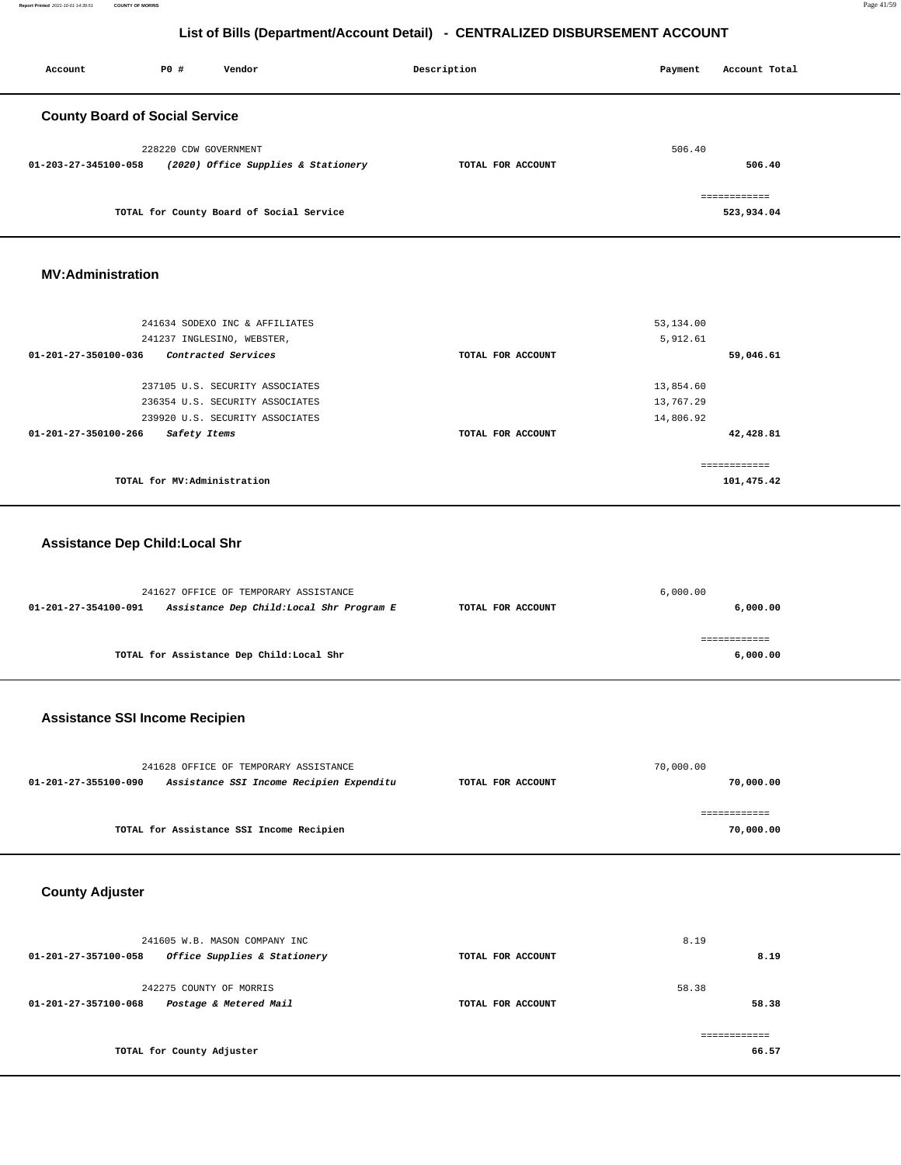**Report Printed** 2021-10-01 14:39:51 **COUNTY OF MORRIS** Page 41/59

# **List of Bills (Department/Account Detail) - CENTRALIZED DISBURSEMENT ACCOUNT**

| Account                               | PO#                   | Vendor                                   | Description       | Payment | Account Total |
|---------------------------------------|-----------------------|------------------------------------------|-------------------|---------|---------------|
| <b>County Board of Social Service</b> |                       |                                          |                   |         |               |
|                                       | 228220 CDW GOVERNMENT |                                          |                   | 506.40  |               |
| 01-203-27-345100-058                  |                       | (2020) Office Supplies & Stationery      | TOTAL FOR ACCOUNT |         | 506.40        |
|                                       |                       |                                          |                   |         | ------------- |
|                                       |                       | TOTAL for County Board of Social Service |                   |         | 523,934.04    |

#### **MV:Administration**

| 241634 SODEXO INC & AFFILIATES                 |                   | 53,134.00    |
|------------------------------------------------|-------------------|--------------|
| 241237 INGLESINO, WEBSTER,                     |                   | 5,912.61     |
| 01-201-27-350100-036<br>Contracted Services    | TOTAL FOR ACCOUNT | 59,046.61    |
|                                                |                   |              |
| 237105 U.S. SECURITY ASSOCIATES                |                   | 13,854.60    |
| 236354 U.S. SECURITY ASSOCIATES                |                   | 13,767.29    |
| 239920 U.S. SECURITY ASSOCIATES                |                   | 14,806.92    |
| $01 - 201 - 27 - 350100 - 266$<br>Safety Items | TOTAL FOR ACCOUNT | 42,428.81    |
|                                                |                   | ------------ |
| TOTAL for MV:Administration                    |                   | 101,475.42   |

#### **Assistance Dep Child:Local Shr**

| 241627 OFFICE OF TEMPORARY ASSISTANCE |                                           |                   | 6,000.00 |
|---------------------------------------|-------------------------------------------|-------------------|----------|
| 01-201-27-354100-091                  | Assistance Dep Child:Local Shr Program E  | TOTAL FOR ACCOUNT | 6,000.00 |
|                                       |                                           |                   |          |
|                                       | TOTAL for Assistance Dep Child: Local Shr |                   | 6,000.00 |

#### **Assistance SSI Income Recipien**

| 241628 OFFICE OF TEMPORARY ASSISTANCE                            |                   | 70,000.00 |
|------------------------------------------------------------------|-------------------|-----------|
| Assistance SSI Income Recipien Expenditu<br>01-201-27-355100-090 | TOTAL FOR ACCOUNT | 70,000.00 |
|                                                                  |                   |           |
|                                                                  |                   |           |
| TOTAL for Assistance SSI Income Recipien                         |                   | 70,000.00 |

#### **County Adjuster**

| 241605 W.B. MASON COMPANY INC                        |                   | 8.19  |
|------------------------------------------------------|-------------------|-------|
| Office Supplies & Stationery<br>01-201-27-357100-058 | TOTAL FOR ACCOUNT | 8.19  |
| 242275 COUNTY OF MORRIS                              |                   | 58.38 |
| Postage & Metered Mail<br>01-201-27-357100-068       | TOTAL FOR ACCOUNT | 58.38 |
|                                                      |                   |       |
| TOTAL for County Adjuster                            |                   | 66.57 |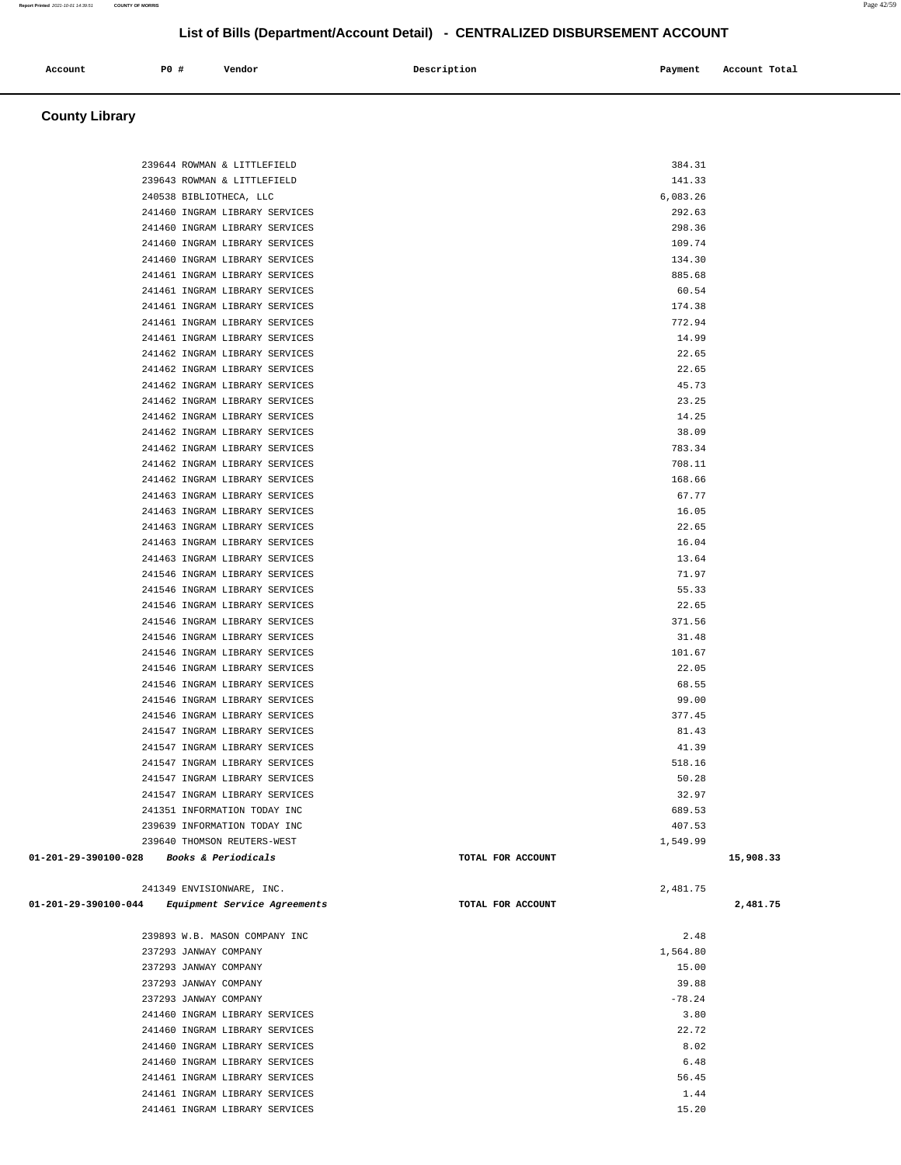| 241460 INGRAM LIBRARY SERVICES                                   |                   | 292.63         |
|------------------------------------------------------------------|-------------------|----------------|
| 241460 INGRAM LIBRARY SERVICES                                   |                   | 298.36         |
| 241460 INGRAM LIBRARY SERVICES                                   |                   | 109.74         |
| 241460 INGRAM LIBRARY SERVICES                                   |                   | 134.30         |
| 241461 INGRAM LIBRARY SERVICES                                   |                   | 885.68         |
| 241461 INGRAM LIBRARY SERVICES                                   |                   | 60.54          |
| 241461 INGRAM LIBRARY SERVICES                                   |                   | 174.38         |
| 241461 INGRAM LIBRARY SERVICES                                   |                   | 772.94         |
| 241461 INGRAM LIBRARY SERVICES                                   |                   | 14.99          |
| 241462 INGRAM LIBRARY SERVICES                                   |                   | 22.65          |
| 241462 INGRAM LIBRARY SERVICES                                   |                   | 22.65          |
| 241462 INGRAM LIBRARY SERVICES                                   |                   | 45.73          |
| 241462 INGRAM LIBRARY SERVICES                                   |                   | 23.25          |
| 241462 INGRAM LIBRARY SERVICES                                   |                   | 14.25          |
| 241462 INGRAM LIBRARY SERVICES                                   |                   | 38.09          |
| 241462 INGRAM LIBRARY SERVICES                                   |                   | 783.34         |
| 241462 INGRAM LIBRARY SERVICES                                   |                   | 708.11         |
| 241462 INGRAM LIBRARY SERVICES                                   |                   | 168.66         |
| 241463 INGRAM LIBRARY SERVICES                                   |                   | 67.77          |
| 241463 INGRAM LIBRARY SERVICES                                   |                   | 16.05          |
| 241463 INGRAM LIBRARY SERVICES                                   |                   | 22.65          |
| 241463 INGRAM LIBRARY SERVICES                                   |                   | 16.04          |
| 241463 INGRAM LIBRARY SERVICES                                   |                   | 13.64          |
| 241546 INGRAM LIBRARY SERVICES                                   |                   | 71.97<br>55.33 |
| 241546 INGRAM LIBRARY SERVICES                                   |                   | 22.65          |
| 241546 INGRAM LIBRARY SERVICES<br>241546 INGRAM LIBRARY SERVICES |                   | 371.56         |
| 241546 INGRAM LIBRARY SERVICES                                   |                   | 31.48          |
| 241546 INGRAM LIBRARY SERVICES                                   |                   | 101.67         |
| 241546 INGRAM LIBRARY SERVICES                                   |                   | 22.05          |
| 241546 INGRAM LIBRARY SERVICES                                   |                   | 68.55          |
| 241546 INGRAM LIBRARY SERVICES                                   |                   | 99.00          |
| 241546 INGRAM LIBRARY SERVICES                                   |                   | 377.45         |
| 241547 INGRAM LIBRARY SERVICES                                   |                   | 81.43          |
| 241547 INGRAM LIBRARY SERVICES                                   |                   | 41.39          |
| 241547 INGRAM LIBRARY SERVICES                                   |                   | 518.16         |
| 241547 INGRAM LIBRARY SERVICES                                   |                   | 50.28          |
| 241547 INGRAM LIBRARY SERVICES                                   |                   | 32.97          |
| 241351 INFORMATION TODAY INC                                     |                   | 689.53         |
| 239639 INFORMATION TODAY INC                                     |                   | 407.53         |
| 239640 THOMSON REUTERS-WEST                                      |                   | 1,549.99       |
| 01-201-29-390100-028<br>Books & Periodicals                      | TOTAL FOR ACCOUNT | 15,908.33      |
|                                                                  |                   |                |
| 241349 ENVISIONWARE, INC.                                        |                   | 2,481.75       |
| 01-201-29-390100-044<br><i>Equipment Service Agreements</i>      | TOTAL FOR ACCOUNT | 2,481.75       |
|                                                                  |                   |                |
| 239893 W.B. MASON COMPANY INC                                    |                   | 2.48           |
| 237293 JANWAY COMPANY                                            |                   | 1,564.80       |
| 237293 JANWAY COMPANY                                            |                   | 15.00          |
| 237293 JANWAY COMPANY                                            |                   | 39.88          |
| 237293 JANWAY COMPANY                                            |                   | $-78.24$       |
| 241460 INGRAM LIBRARY SERVICES                                   |                   | 3.80           |
| 241460 INGRAM LIBRARY SERVICES                                   |                   | 22.72          |
| 241460 INGRAM LIBRARY SERVICES                                   |                   | 8.02           |
| 241460 INGRAM LIBRARY SERVICES                                   |                   | 6.48           |
| 241461 INGRAM LIBRARY SERVICES                                   |                   | 56.45<br>1.44  |
| 241461 INGRAM LIBRARY SERVICES<br>241461 INGRAM LIBRARY SERVICES |                   | 15.20          |
|                                                                  |                   |                |
|                                                                  |                   |                |
|                                                                  |                   |                |

| Account | P0 # | Vendor | Description | Payment | Account Total |
|---------|------|--------|-------------|---------|---------------|

239644 ROWMAN & LITTLEFIELD 384.31 239643 ROWMAN & LITTLEFIELD 141.33 240538 BIBLIOTHECA, LLC 6,083.26

#### **County Library**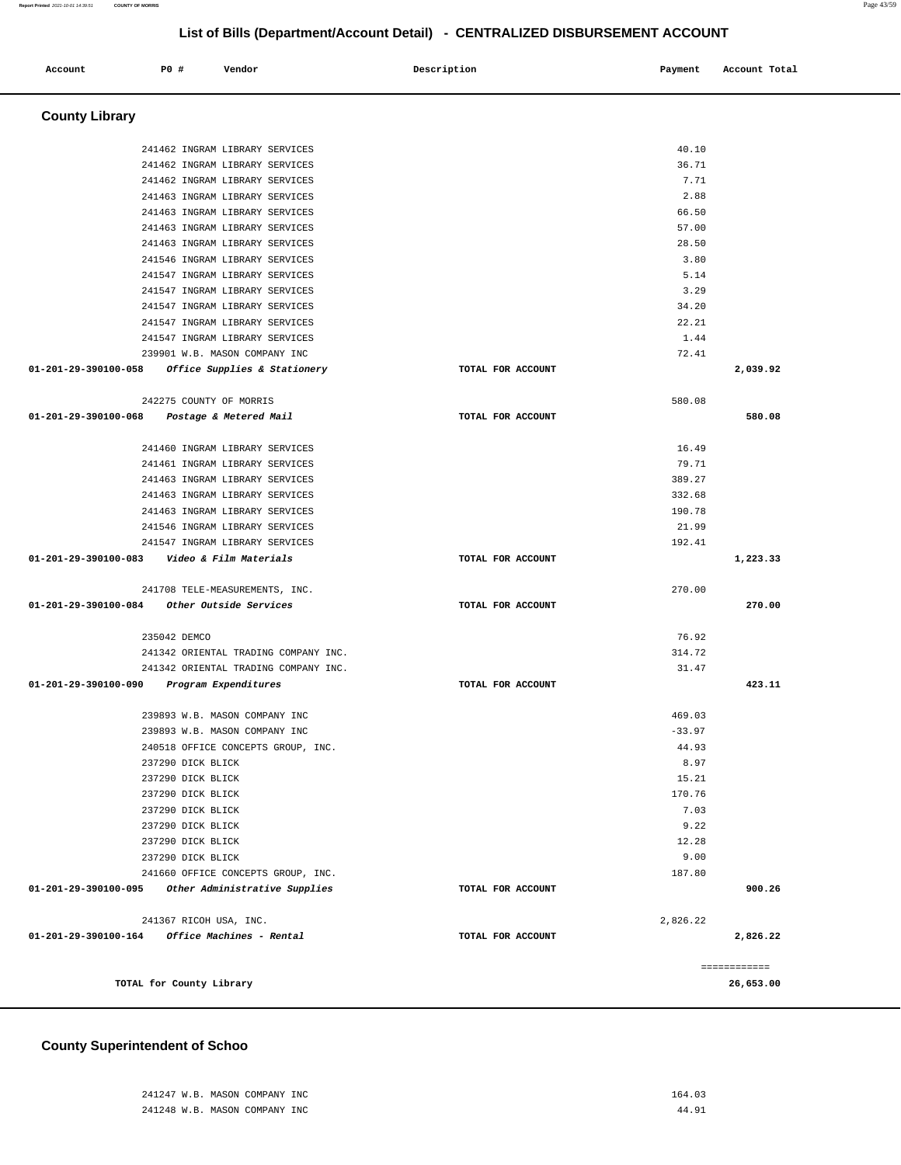#### **County Superintendent of Schoo**

| 241462 INGRAM LIBRARY SERVICES                                  |                   | 40.10    |              |
|-----------------------------------------------------------------|-------------------|----------|--------------|
| 241462 INGRAM LIBRARY SERVICES                                  |                   | 36.71    |              |
| 241462 INGRAM LIBRARY SERVICES                                  |                   | 7.71     |              |
| 241463 INGRAM LIBRARY SERVICES                                  |                   | 2.88     |              |
| 241463 INGRAM LIBRARY SERVICES                                  |                   | 66.50    |              |
| 241463 INGRAM LIBRARY SERVICES                                  |                   | 57.00    |              |
| 241463 INGRAM LIBRARY SERVICES                                  |                   | 28.50    |              |
| 241546 INGRAM LIBRARY SERVICES                                  |                   | 3.80     |              |
| 241547 INGRAM LIBRARY SERVICES                                  |                   | 5.14     |              |
| 241547 INGRAM LIBRARY SERVICES                                  |                   | 3.29     |              |
| 241547 INGRAM LIBRARY SERVICES                                  |                   | 34.20    |              |
| 241547 INGRAM LIBRARY SERVICES                                  |                   | 22.21    |              |
| 241547 INGRAM LIBRARY SERVICES                                  |                   | 1.44     |              |
| 239901 W.B. MASON COMPANY INC                                   |                   | 72.41    |              |
| 01-201-29-390100-058<br><i>Office Supplies &amp; Stationery</i> | TOTAL FOR ACCOUNT |          | 2,039.92     |
| 242275 COUNTY OF MORRIS                                         |                   | 580.08   |              |
| 01-201-29-390100-068<br>Postage & Metered Mail                  | TOTAL FOR ACCOUNT |          | 580.08       |
| 241460 INGRAM LIBRARY SERVICES                                  |                   | 16.49    |              |
| 241461 INGRAM LIBRARY SERVICES                                  |                   | 79.71    |              |
| 241463 INGRAM LIBRARY SERVICES                                  |                   | 389.27   |              |
| 241463 INGRAM LIBRARY SERVICES                                  |                   | 332.68   |              |
| 241463 INGRAM LIBRARY SERVICES                                  |                   | 190.78   |              |
| 241546 INGRAM LIBRARY SERVICES                                  |                   | 21.99    |              |
| 241547 INGRAM LIBRARY SERVICES                                  |                   | 192.41   |              |
| 01-201-29-390100-083    Video & Film Materials                  | TOTAL FOR ACCOUNT |          | 1,223.33     |
| 241708 TELE-MEASUREMENTS, INC.                                  |                   | 270.00   |              |
| 01-201-29-390100-084 Other Outside Services                     | TOTAL FOR ACCOUNT |          | 270.00       |
|                                                                 |                   |          |              |
| 235042 DEMCO                                                    |                   | 76.92    |              |
| 241342 ORIENTAL TRADING COMPANY INC.                            |                   | 314.72   |              |
| 241342 ORIENTAL TRADING COMPANY INC.                            |                   | 31.47    |              |
| 01-201-29-390100-090 Program Expenditures                       | TOTAL FOR ACCOUNT |          | 423.11       |
| 239893 W.B. MASON COMPANY INC                                   |                   | 469.03   |              |
| 239893 W.B. MASON COMPANY INC                                   |                   | $-33.97$ |              |
| 240518 OFFICE CONCEPTS GROUP, INC.                              |                   | 44.93    |              |
| 237290 DICK BLICK                                               |                   | 8.97     |              |
| 237290 DICK BLICK                                               |                   | 15.21    |              |
| 237290 DICK BLICK                                               |                   | 170.76   |              |
| 237290 DICK BLICK                                               |                   | 7.03     |              |
| 237290 DICK BLICK                                               |                   | 9.22     |              |
| 237290 DICK BLICK                                               |                   | 12.28    |              |
| 237290 DICK BLICK                                               |                   | 9.00     |              |
| 241660 OFFICE CONCEPTS GROUP, INC.                              |                   | 187.80   |              |
| 01-201-29-390100-095<br>Other Administrative Supplies           | TOTAL FOR ACCOUNT |          | 900.26       |
| 241367 RICOH USA, INC.                                          |                   | 2,826.22 |              |
| 01-201-29-390100-164<br>Office Machines - Rental                | TOTAL FOR ACCOUNT |          | 2,826.22     |
|                                                                 |                   |          | ============ |
| TOTAL for County Library                                        |                   |          | 26,653.00    |

 **County Library** 

**List of Bills (Department/Account Detail) - CENTRALIZED DISBURSEMENT ACCOUNT Account P0 # Vendor Description Payment Account Total**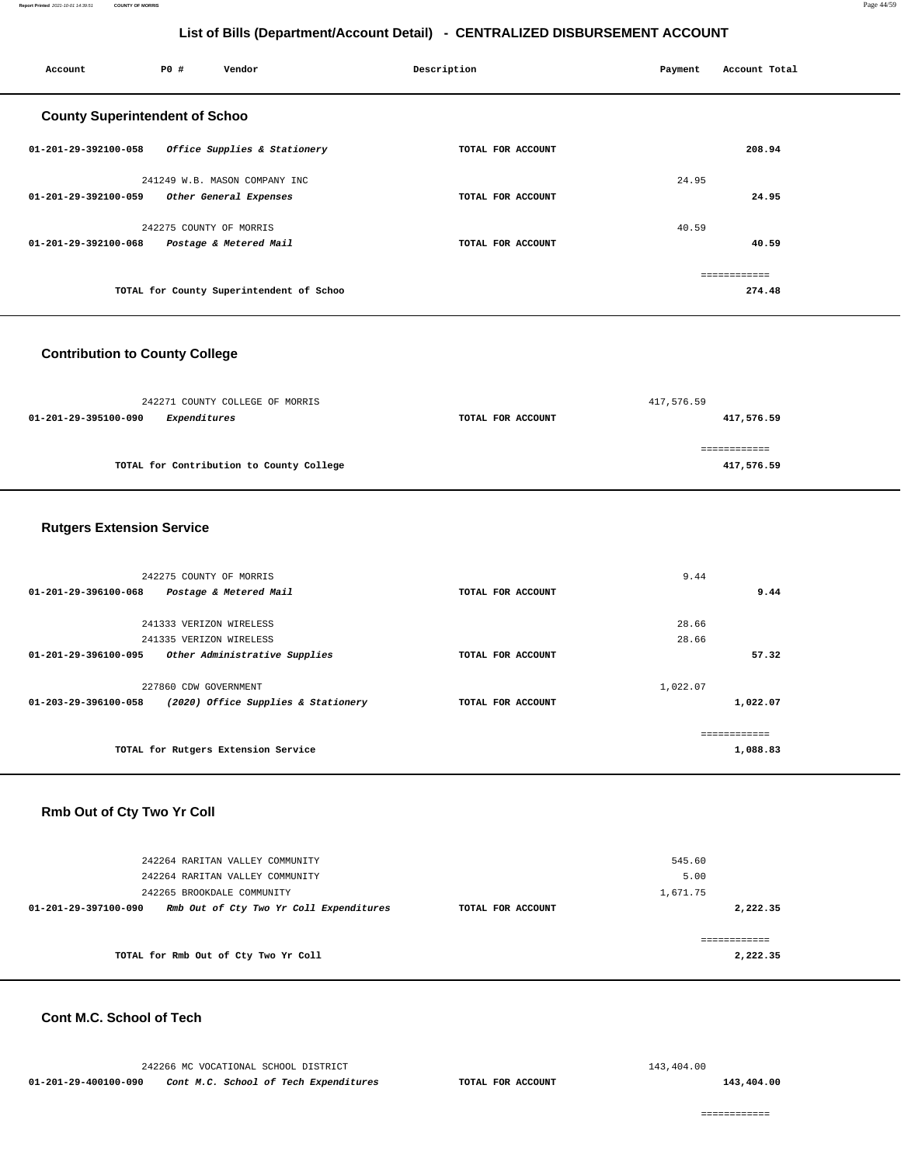| Account                               | <b>PO #</b><br>Vendor         |                                          | Description       | Payment | Account Total |
|---------------------------------------|-------------------------------|------------------------------------------|-------------------|---------|---------------|
| <b>County Superintendent of Schoo</b> |                               |                                          |                   |         |               |
| 01-201-29-392100-058                  |                               | Office Supplies & Stationery             | TOTAL FOR ACCOUNT |         | 208.94        |
|                                       | 241249 W.B. MASON COMPANY INC |                                          |                   | 24.95   |               |
| 01-201-29-392100-059                  | Other General Expenses        |                                          | TOTAL FOR ACCOUNT |         | 24.95         |
|                                       | 242275 COUNTY OF MORRIS       |                                          |                   | 40.59   |               |
| 01-201-29-392100-068                  | Postage & Metered Mail        |                                          | TOTAL FOR ACCOUNT |         | 40.59         |
|                                       |                               |                                          |                   |         | ============  |
|                                       |                               | TOTAL for County Superintendent of Schoo |                   |         | 274.48        |

#### **Contribution to County College**

| 242271 COUNTY COLLEGE OF MORRIS          | 417,576.59        |            |  |
|------------------------------------------|-------------------|------------|--|
| Expenditures<br>01-201-29-395100-090     | TOTAL FOR ACCOUNT | 417,576.59 |  |
|                                          |                   |            |  |
|                                          |                   |            |  |
| TOTAL for Contribution to County College |                   | 417,576.59 |  |
|                                          |                   |            |  |

#### **Rutgers Extension Service**

| 242275 COUNTY OF MORRIS                                         |                   | 9.44     |          |
|-----------------------------------------------------------------|-------------------|----------|----------|
| Postage & Metered Mail<br>01-201-29-396100-068                  | TOTAL FOR ACCOUNT |          | 9.44     |
|                                                                 |                   |          |          |
| 241333 VERIZON WIRELESS                                         |                   | 28.66    |          |
| 241335 VERIZON WIRELESS                                         |                   | 28.66    |          |
| $01 - 201 - 29 - 396100 - 095$<br>Other Administrative Supplies | TOTAL FOR ACCOUNT |          | 57.32    |
| 227860 CDW GOVERNMENT                                           |                   | 1,022.07 |          |
| (2020) Office Supplies & Stationery<br>01-203-29-396100-058     | TOTAL FOR ACCOUNT |          | 1,022.07 |
|                                                                 |                   |          |          |
| TOTAL for Rutgers Extension Service                             |                   |          | 1,088.83 |

#### **Rmb Out of Cty Two Yr Coll**

| 242264 RARITAN VALLEY COMMUNITY                                 |                   | 545.60   |
|-----------------------------------------------------------------|-------------------|----------|
| 242264 RARITAN VALLEY COMMUNITY                                 |                   | 5.00     |
| 242265 BROOKDALE COMMUNITY                                      |                   | 1,671.75 |
| Rmb Out of Cty Two Yr Coll Expenditures<br>01-201-29-397100-090 | TOTAL FOR ACCOUNT | 2,222.35 |
| TOTAL for Rmb Out of Cty Two Yr Coll                            |                   | 2,222.35 |

#### **Cont M.C. School of Tech**

242266 MC VOCATIONAL SCHOOL DISTRICT **01-201-29-400100-090 Cont M.C. School of Tech Expenditures TOTAL FOR ACCOUNT** 

143,404.00

**143,404.00**

============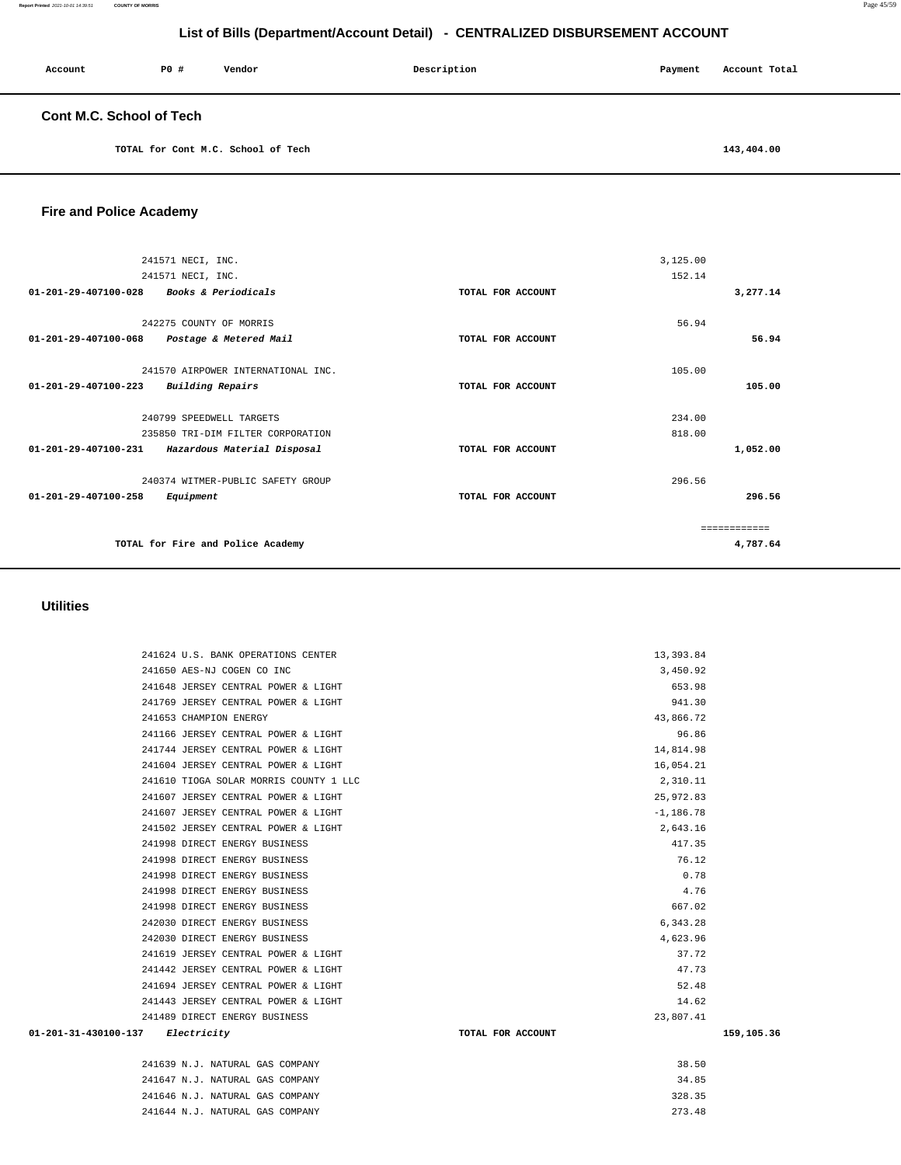| Account                         | PO# | Vendor | Description | Payment | Account Total |
|---------------------------------|-----|--------|-------------|---------|---------------|
| <b>Cont M.C. School of Tech</b> |     |        |             |         |               |

**TOTAL for Cont M.C. School of Tech [143,404.00](https://143,404.00)** 

#### **Fire and Police Academy**

| 241571 NECI, INC.                                         |                   | 3,125.00     |
|-----------------------------------------------------------|-------------------|--------------|
| 241571 NECI, INC.                                         |                   | 152.14       |
| Books & Periodicals<br>01-201-29-407100-028               | TOTAL FOR ACCOUNT | 3,277.14     |
|                                                           |                   |              |
| 242275 COUNTY OF MORRIS                                   |                   | 56.94        |
| 01-201-29-407100-068<br>Postage & Metered Mail            | TOTAL FOR ACCOUNT | 56.94        |
|                                                           |                   |              |
| 241570 AIRPOWER INTERNATIONAL INC.                        |                   | 105.00       |
| <b>Building Repairs</b><br>$01 - 201 - 29 - 407100 - 223$ | TOTAL FOR ACCOUNT | 105.00       |
|                                                           |                   |              |
| 240799 SPEEDWELL TARGETS                                  |                   | 234.00       |
| 235850 TRI-DIM FILTER CORPORATION                         |                   | 818.00       |
| 01-201-29-407100-231 Hazardous Material Disposal          | TOTAL FOR ACCOUNT | 1,052.00     |
|                                                           |                   |              |
| 240374 WITMER-PUBLIC SAFETY GROUP                         |                   | 296.56       |
| $01 - 201 - 29 - 407100 - 258$<br>Equipment               | TOTAL FOR ACCOUNT | 296.56       |
|                                                           |                   |              |
|                                                           |                   | ============ |
| TOTAL for Fire and Police Academy                         |                   | 4,787.64     |
|                                                           |                   |              |

#### **Utilities**

|                                  | 241624 U.S. BANK OPERATIONS CENTER     |                   | 13,393.84    |            |
|----------------------------------|----------------------------------------|-------------------|--------------|------------|
|                                  | 241650 AES-NJ COGEN CO INC             |                   | 3,450.92     |            |
|                                  | 241648 JERSEY CENTRAL POWER & LIGHT    |                   | 653.98       |            |
|                                  | 241769 JERSEY CENTRAL POWER & LIGHT    |                   | 941.30       |            |
|                                  | 241653 CHAMPION ENERGY                 |                   | 43,866.72    |            |
|                                  | 241166 JERSEY CENTRAL POWER & LIGHT    |                   | 96.86        |            |
|                                  | 241744 JERSEY CENTRAL POWER & LIGHT    |                   | 14,814.98    |            |
|                                  | 241604 JERSEY CENTRAL POWER & LIGHT    |                   | 16,054.21    |            |
|                                  | 241610 TIOGA SOLAR MORRIS COUNTY 1 LLC |                   | 2,310.11     |            |
|                                  | 241607 JERSEY CENTRAL POWER & LIGHT    |                   | 25,972.83    |            |
|                                  | 241607 JERSEY CENTRAL POWER & LIGHT    |                   | $-1, 186.78$ |            |
|                                  | 241502 JERSEY CENTRAL POWER & LIGHT    |                   | 2,643.16     |            |
|                                  | 241998 DIRECT ENERGY BUSINESS          |                   | 417.35       |            |
|                                  | 241998 DIRECT ENERGY BUSINESS          |                   | 76.12        |            |
|                                  | 241998 DIRECT ENERGY BUSINESS          |                   | 0.78         |            |
|                                  | 241998 DIRECT ENERGY BUSINESS          |                   | 4.76         |            |
|                                  | 241998 DIRECT ENERGY BUSINESS          |                   | 667.02       |            |
|                                  | 242030 DIRECT ENERGY BUSINESS          |                   | 6,343.28     |            |
|                                  | 242030 DIRECT ENERGY BUSINESS          |                   | 4,623.96     |            |
|                                  | 241619 JERSEY CENTRAL POWER & LIGHT    |                   | 37.72        |            |
|                                  | 241442 JERSEY CENTRAL POWER & LIGHT    |                   | 47.73        |            |
|                                  | 241694 JERSEY CENTRAL POWER & LIGHT    |                   | 52.48        |            |
|                                  | 241443 JERSEY CENTRAL POWER & LIGHT    |                   | 14.62        |            |
|                                  | 241489 DIRECT ENERGY BUSINESS          |                   | 23,807.41    |            |
| 01-201-31-430100-137 Electricity |                                        | TOTAL FOR ACCOUNT |              | 159,105.36 |
|                                  | 241639 N.J. NATURAL GAS COMPANY        |                   | 38.50        |            |
|                                  | 241647 N.J. NATURAL GAS COMPANY        |                   | 34.85        |            |
|                                  |                                        |                   |              |            |

 241646 N.J. NATURAL GAS COMPANY 328.35 241644 N.J. NATURAL GAS COMPANY 273.48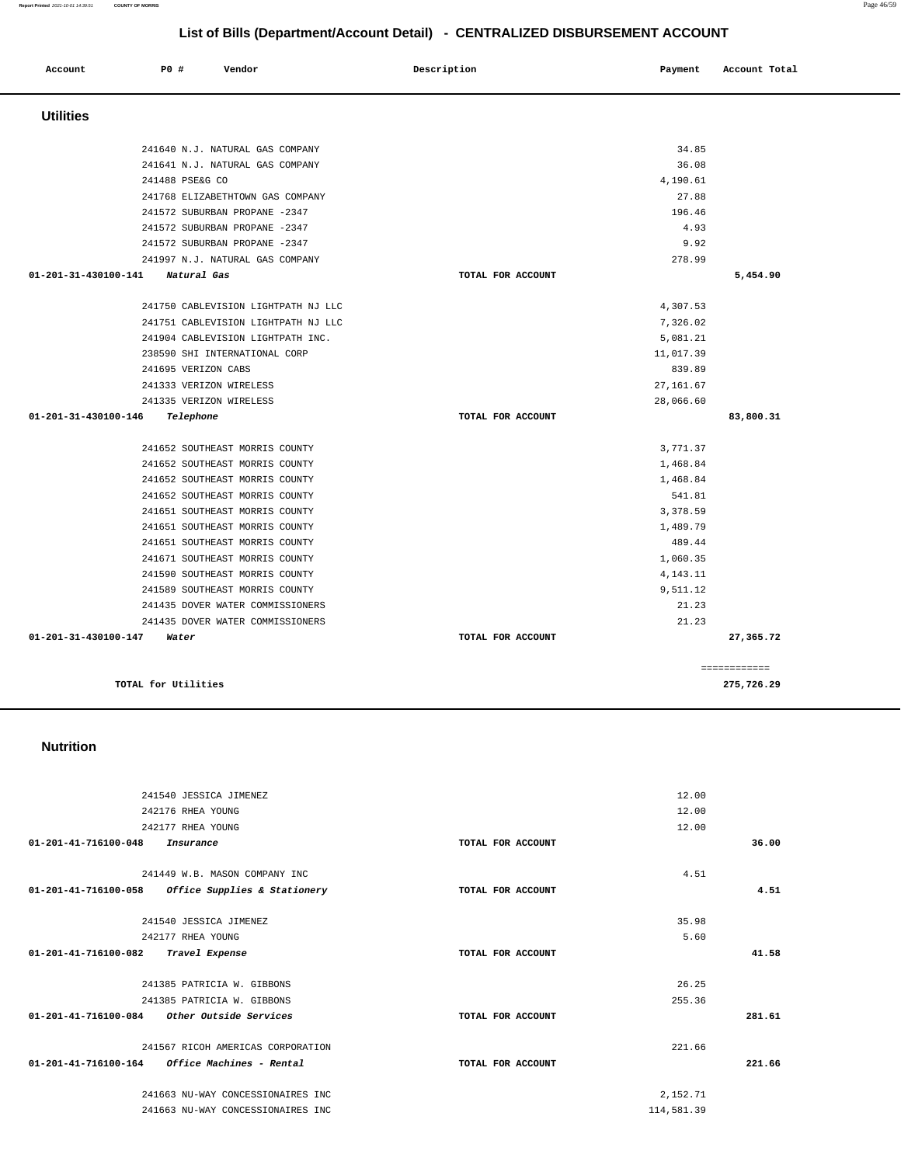**Account** 20 **P P**  $\uparrow$  **Payment** Payment Account Total

241640 N.J. NATURAL GAS COMPANY 34.85 241641 N.J. NATURAL GAS COMPANY 36.08 241488 PSE&G CO 4,190.61 241768 ELIZABETHTOWN GAS COMPANY 27.88 241572 SUBURBAN PROPANE -2347 196.46 241572 SUBURBAN PROPANE -2347 4.93

 **Utilities** 

|                      | 241572 SUBURBAN PROPANE -2347       |                   | 9.92       |              |
|----------------------|-------------------------------------|-------------------|------------|--------------|
|                      | 241997 N.J. NATURAL GAS COMPANY     |                   | 278.99     |              |
| 01-201-31-430100-141 | Natural Gas                         | TOTAL FOR ACCOUNT |            | 5,454.90     |
|                      |                                     |                   |            |              |
|                      | 241750 CABLEVISION LIGHTPATH NJ LLC |                   | 4,307.53   |              |
|                      | 241751 CABLEVISION LIGHTPATH NJ LLC |                   | 7,326.02   |              |
|                      | 241904 CABLEVISION LIGHTPATH INC.   |                   | 5,081.21   |              |
|                      | 238590 SHI INTERNATIONAL CORP       |                   | 11,017.39  |              |
|                      | 241695 VERIZON CABS                 |                   | 839.89     |              |
|                      | 241333 VERIZON WIRELESS             |                   | 27, 161.67 |              |
|                      | 241335 VERIZON WIRELESS             |                   | 28,066.60  |              |
| 01-201-31-430100-146 | Telephone                           | TOTAL FOR ACCOUNT |            | 83,800.31    |
|                      |                                     |                   |            |              |
|                      | 241652 SOUTHEAST MORRIS COUNTY      |                   | 3,771.37   |              |
|                      | 241652 SOUTHEAST MORRIS COUNTY      |                   | 1,468.84   |              |
|                      | 241652 SOUTHEAST MORRIS COUNTY      |                   | 1,468.84   |              |
|                      |                                     |                   |            |              |
|                      | 241652 SOUTHEAST MORRIS COUNTY      |                   | 541.81     |              |
|                      | 241651 SOUTHEAST MORRIS COUNTY      |                   | 3,378.59   |              |
|                      | 241651 SOUTHEAST MORRIS COUNTY      |                   | 1,489.79   |              |
|                      | 241651 SOUTHEAST MORRIS COUNTY      |                   | 489.44     |              |
|                      | 241671 SOUTHEAST MORRIS COUNTY      |                   | 1,060.35   |              |
|                      | 241590 SOUTHEAST MORRIS COUNTY      |                   | 4, 143. 11 |              |
|                      | 241589 SOUTHEAST MORRIS COUNTY      |                   | 9,511.12   |              |
|                      | 241435 DOVER WATER COMMISSIONERS    |                   | 21.23      |              |
|                      | 241435 DOVER WATER COMMISSIONERS    |                   | 21.23      |              |
| 01-201-31-430100-147 | Water                               | TOTAL FOR ACCOUNT |            | 27,365.72    |
|                      |                                     |                   |            |              |
|                      |                                     |                   |            | ============ |
|                      | TOTAL for Utilities                 |                   |            | 275,726.29   |
|                      |                                     |                   |            |              |
|                      |                                     |                   |            |              |
|                      |                                     |                   |            |              |
| <b>Nutrition</b>     |                                     |                   |            |              |
|                      |                                     |                   |            |              |
|                      |                                     |                   |            |              |
|                      | 241540 JESSICA JIMENEZ              |                   | 12.00      |              |
|                      | 242176 RHEA YOUNG                   |                   | 12.00      |              |
|                      | 242177 RHEA YOUNG                   |                   | 12.00      |              |
| 01-201-41-716100-048 | Insurance                           | TOTAL FOR ACCOUNT |            | 36.00        |
|                      |                                     |                   |            |              |
|                      | 241449 W.B. MASON COMPANY INC       |                   | 4.51       |              |
| 01-201-41-716100-058 | Office Supplies & Stationery        | TOTAL FOR ACCOUNT |            | 4.51         |
|                      |                                     |                   |            |              |
|                      | 241540 JESSICA JIMENEZ              |                   | 35.98      |              |
|                      | 242177 RHEA YOUNG                   |                   | 5.60       |              |
|                      |                                     |                   |            | 41.58        |
| 01-201-41-716100-082 | <i>Travel Expense</i>               | TOTAL FOR ACCOUNT |            |              |
|                      |                                     |                   |            |              |
|                      | 241385 PATRICIA W. GIBBONS          |                   | 26.25      |              |
|                      | 241385 PATRICIA W. GIBBONS          |                   | 255.36     |              |
| 01-201-41-716100-084 | <i>Other Outside Services</i>       | TOTAL FOR ACCOUNT |            | 281.61       |
|                      |                                     |                   |            |              |
|                      | 241567 RICOH AMERICAS CORPORATION   |                   | 221.66     |              |
| 01-201-41-716100-164 | <i>Office Machines - Rental</i>     | TOTAL FOR ACCOUNT |            | 221.66       |
|                      |                                     |                   |            |              |
|                      | 241663 NU-WAY CONCESSIONAIRES INC   |                   | 2,152.71   |              |
|                      | 241663 NU-WAY CONCESSIONAIRES INC   |                   | 114,581.39 |              |
|                      |                                     |                   |            |              |
|                      |                                     |                   |            |              |
|                      |                                     |                   |            |              |
|                      |                                     |                   |            |              |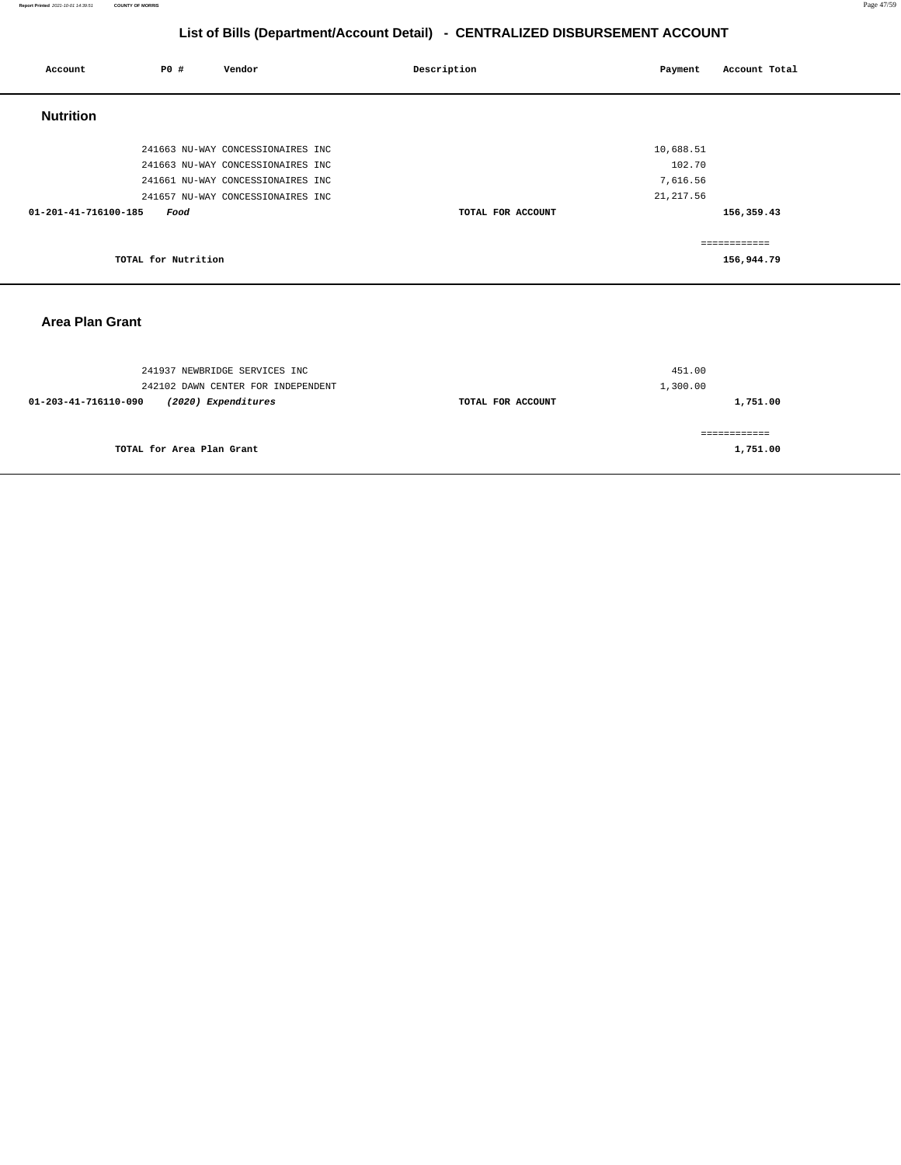#### **Report Printed** 2021-10-01 14:39:51 **COUNTY OF MORRIS** Page 47/59

# **List of Bills (Department/Account Detail) - CENTRALIZED DISBURSEMENT ACCOUNT**

| Account                | PO#                 | Vendor                             | Description       | Payment    | Account Total |
|------------------------|---------------------|------------------------------------|-------------------|------------|---------------|
| <b>Nutrition</b>       |                     |                                    |                   |            |               |
|                        |                     | 241663 NU-WAY CONCESSIONAIRES INC  |                   | 10,688.51  |               |
|                        |                     | 241663 NU-WAY CONCESSIONAIRES INC  |                   | 102.70     |               |
|                        |                     | 241661 NU-WAY CONCESSIONAIRES INC  |                   | 7,616.56   |               |
|                        |                     | 241657 NU-WAY CONCESSIONAIRES INC  |                   | 21, 217.56 |               |
| 01-201-41-716100-185   | Food                |                                    | TOTAL FOR ACCOUNT |            | 156,359.43    |
|                        |                     |                                    |                   |            | ============  |
|                        | TOTAL for Nutrition |                                    |                   |            | 156,944.79    |
|                        |                     |                                    |                   |            |               |
| <b>Area Plan Grant</b> |                     |                                    |                   |            |               |
|                        |                     |                                    |                   |            |               |
|                        |                     | 241937 NEWBRIDGE SERVICES INC      |                   | 451.00     |               |
|                        |                     | 242102 DAWN CENTER FOR INDEPENDENT |                   | 1,300.00   |               |
| 01-203-41-716110-090   |                     | (2020) Expenditures                | TOTAL FOR ACCOUNT |            | 1,751.00      |
|                        |                     |                                    |                   |            |               |

**TOTAL for Area Plan Grant** 

============ **1,751.00**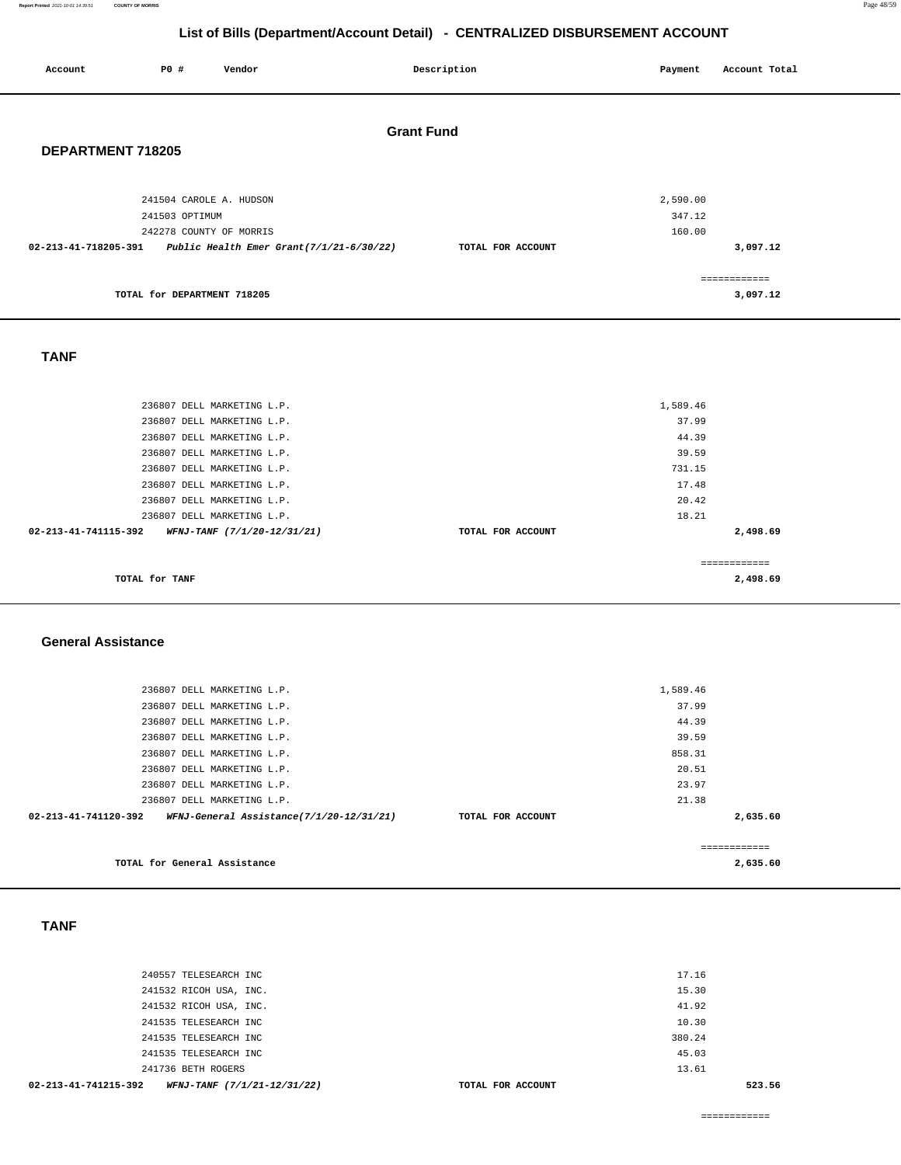#### **Report Printed** 2021-10-01 14:39:51 **COUNTY OF MORRIS** Page 48/59

# **List of Bills (Department/Account Detail) - CENTRALIZED DISBURSEMENT ACCOUNT**

| Account                                | P0 #                                                                 | Vendor                                                                                                               |                                          | Description       |  | Payment                             | Account Total            |
|----------------------------------------|----------------------------------------------------------------------|----------------------------------------------------------------------------------------------------------------------|------------------------------------------|-------------------|--|-------------------------------------|--------------------------|
| <b>Grant Fund</b><br>DEPARTMENT 718205 |                                                                      |                                                                                                                      |                                          |                   |  |                                     |                          |
| 02-213-41-718205-391                   | 241504 CAROLE A. HUDSON<br>241503 OPTIMUM<br>242278 COUNTY OF MORRIS |                                                                                                                      | Public Health Emer Grant(7/1/21-6/30/22) | TOTAL FOR ACCOUNT |  | 2,590.00<br>347.12<br>160.00        | 3,097.12                 |
|                                        | TOTAL for DEPARTMENT 718205                                          |                                                                                                                      |                                          |                   |  |                                     | ============<br>3,097.12 |
| <b>TANF</b>                            |                                                                      |                                                                                                                      |                                          |                   |  |                                     |                          |
|                                        |                                                                      | 236807 DELL MARKETING L.P.<br>236807 DELL MARKETING L.P.<br>236807 DELL MARKETING L.P.<br>236807 DELL MARKETING L.P. |                                          |                   |  | 1,589.46<br>37.99<br>44.39<br>39.59 |                          |

| TOTAL for TANF                                      |                   | 2,498.69 |
|-----------------------------------------------------|-------------------|----------|
|                                                     |                   |          |
| 02-213-41-741115-392<br>WFNJ-TANF (7/1/20-12/31/21) | TOTAL FOR ACCOUNT | 2,498.69 |
| 236807 DELL MARKETING L.P.                          |                   | 18.21    |
| 236807 DELL MARKETING L.P.                          |                   | 20.42    |
| 236807 DELL MARKETING L.P.                          |                   | 17.48    |
| 236807 DELL MARKETING L.P.                          |                   | 731.15   |
|                                                     |                   |          |

#### **General Assistance**

| 236807 DELL MARKETING L.P.                                       |                   | 1,589.46      |  |
|------------------------------------------------------------------|-------------------|---------------|--|
| 236807 DELL MARKETING L.P.                                       |                   | 37.99         |  |
| 236807 DELL MARKETING L.P.                                       |                   | 44.39         |  |
| 236807 DELL MARKETING L.P.                                       |                   | 39.59         |  |
| 236807 DELL MARKETING L.P.                                       |                   | 858.31        |  |
| 236807 DELL MARKETING L.P.                                       |                   | 20.51         |  |
| 236807 DELL MARKETING L.P.                                       |                   | 23.97         |  |
| 236807 DELL MARKETING L.P.                                       |                   | 21.38         |  |
| 02-213-41-741120-392<br>WFNJ-General Assistance(7/1/20-12/31/21) | TOTAL FOR ACCOUNT | 2,635.60      |  |
|                                                                  |                   |               |  |
|                                                                  |                   | ------------- |  |
| TOTAL for General Assistance                                     |                   | 2,635.60      |  |

### **TANF**

| 02-213-41-741215-392<br>WFNJ-TANF (7/1/21-12/31/22) | TOTAL FOR ACCOUNT |        | 523.56 |
|-----------------------------------------------------|-------------------|--------|--------|
| 241736 BETH ROGERS                                  |                   | 13.61  |        |
| 241535 TELESEARCH INC                               |                   | 45.03  |        |
| 241535 TELESEARCH INC                               |                   | 380.24 |        |
| 241535 TELESEARCH INC                               |                   | 10.30  |        |
| 241532 RICOH USA, INC.                              |                   | 41.92  |        |
| 241532 RICOH USA, INC.                              |                   | 15.30  |        |
| 240557 TELESEARCH INC                               |                   | 17.16  |        |
|                                                     |                   |        |        |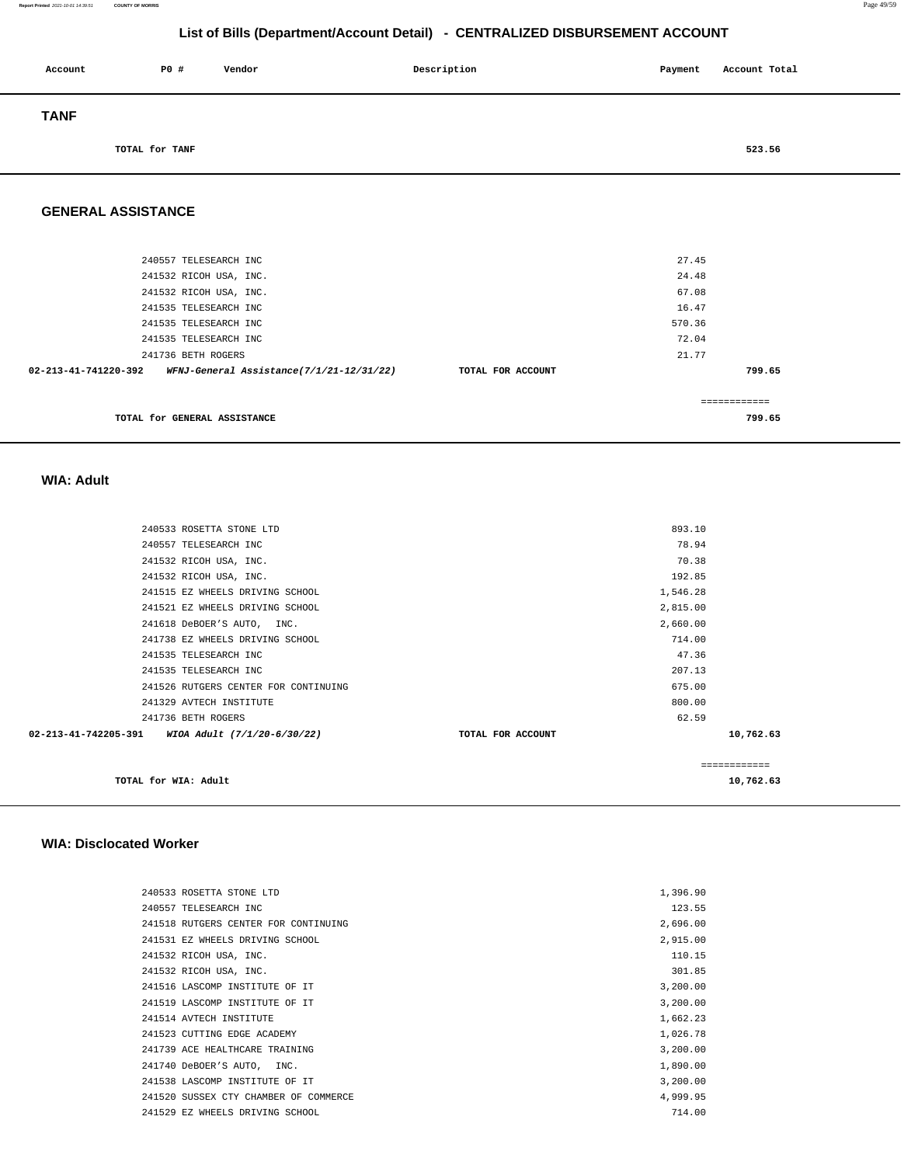| Account     | P0 #           | Vendor | Description | Payment | Account Total |
|-------------|----------------|--------|-------------|---------|---------------|
| <b>TANF</b> |                |        |             |         |               |
|             | TOTAL for TANF |        |             |         | 523.56        |

#### **GENERAL ASSISTANCE**

| 240557 TELESEARCH INC                                            |                   | 27.45  |
|------------------------------------------------------------------|-------------------|--------|
| 241532 RICOH USA, INC.                                           |                   | 24.48  |
| 241532 RICOH USA, INC.                                           |                   | 67.08  |
| 241535 TELESEARCH INC                                            |                   | 16.47  |
| 241535 TELESEARCH INC                                            |                   | 570.36 |
| 241535 TELESEARCH INC                                            |                   | 72.04  |
| 241736 BETH ROGERS                                               |                   | 21.77  |
| 02-213-41-741220-392<br>WFNJ-General Assistance(7/1/21-12/31/22) | TOTAL FOR ACCOUNT | 799.65 |
|                                                                  |                   |        |
| TOTAL for GENERAL ASSISTANCE                                     |                   | 799.65 |

 **WIA: Adult** 

| TOTAL for WIA: Adult                             |                   |          | ============<br>10,762.63 |
|--------------------------------------------------|-------------------|----------|---------------------------|
| 02-213-41-742205-391 WIOA Adult (7/1/20-6/30/22) | TOTAL FOR ACCOUNT |          | 10,762.63                 |
| 241736 BETH ROGERS                               |                   | 62.59    |                           |
| 241329 AVTECH INSTITUTE                          |                   | 800.00   |                           |
| 241526 RUTGERS CENTER FOR CONTINUING             |                   | 675.00   |                           |
| 241535 TELESEARCH INC                            |                   | 207.13   |                           |
| 241535 TELESEARCH INC                            |                   | 47.36    |                           |
| 241738 EZ WHEELS DRIVING SCHOOL                  |                   | 714.00   |                           |
| 241618 DeBOER'S AUTO, INC.                       |                   | 2,660.00 |                           |
| 241521 EZ WHEELS DRIVING SCHOOL                  |                   | 2,815.00 |                           |
| 241515 EZ WHEELS DRIVING SCHOOL                  |                   | 1,546.28 |                           |
| 241532 RICOH USA, INC.                           |                   | 192.85   |                           |
| 241532 RICOH USA, INC.                           |                   | 70.38    |                           |
| 240557 TELESEARCH INC                            |                   | 78.94    |                           |
| 240533 ROSETTA STONE LTD                         |                   | 893.10   |                           |
|                                                  |                   |          |                           |

#### **WIA: Disclocated Worker**

| 240533 ROSETTA STONE LTD              | 1,396.90 |
|---------------------------------------|----------|
| 240557 TELESEARCH INC                 | 123.55   |
| 241518 RUTGERS CENTER FOR CONTINUING  | 2,696.00 |
| 241531 EZ WHEELS DRIVING SCHOOL       | 2,915.00 |
| 241532 RICOH USA, INC.                | 110.15   |
| 241532 RICOH USA, INC.                | 301.85   |
| 241516 LASCOMP INSTITUTE OF IT        | 3,200.00 |
| 241519 LASCOMP INSTITUTE OF IT        | 3,200.00 |
| 241514 AVTECH INSTITUTE               | 1,662.23 |
| 241523 CUTTING EDGE ACADEMY           | 1,026.78 |
| 241739 ACE HEALTHCARE TRAINING        | 3,200.00 |
| 241740 DeBOER'S AUTO, INC.            | 1,890.00 |
| 241538 LASCOMP INSTITUTE OF IT        | 3,200.00 |
| 241520 SUSSEX CTY CHAMBER OF COMMERCE | 4.999.95 |
| 241529 EZ WHEELS DRIVING SCHOOL       | 714.00   |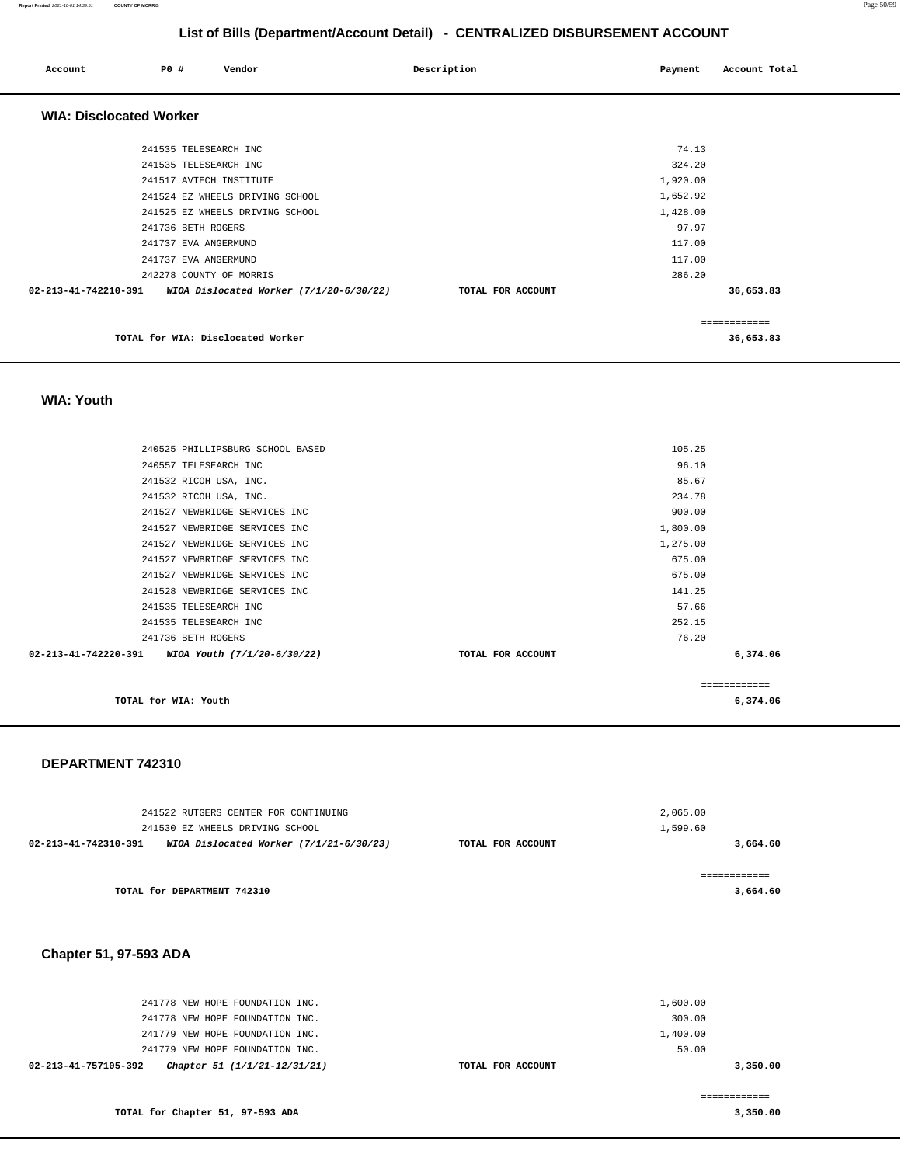#### **Report Printed** 2021-10-01 14:39:51 **COUNTY OF MORRIS** Page 50/59

# **List of Bills (Department/Account Detail) - CENTRALIZED DISBURSEMENT ACCOUNT**

| Account                        | PO#                     | Vendor                                    | Description       | Payment  | Account Total |
|--------------------------------|-------------------------|-------------------------------------------|-------------------|----------|---------------|
| <b>WIA: Disclocated Worker</b> |                         |                                           |                   |          |               |
|                                | 241535 TELESEARCH INC   |                                           |                   | 74.13    |               |
|                                | 241535 TELESEARCH INC   |                                           |                   | 324.20   |               |
|                                | 241517 AVTECH INSTITUTE |                                           |                   | 1,920.00 |               |
|                                |                         | 241524 EZ WHEELS DRIVING SCHOOL           |                   | 1,652.92 |               |
|                                |                         | 241525 EZ WHEELS DRIVING SCHOOL           |                   | 1,428.00 |               |
|                                | 241736 BETH ROGERS      |                                           |                   | 97.97    |               |
|                                | 241737 EVA ANGERMUND    |                                           |                   | 117.00   |               |
|                                | 241737 EVA ANGERMUND    |                                           |                   | 117.00   |               |
|                                | 242278 COUNTY OF MORRIS |                                           |                   | 286.20   |               |
| 02-213-41-742210-391           |                         | WIOA Dislocated Worker $(7/1/20-6/30/22)$ | TOTAL FOR ACCOUNT |          | 36,653.83     |
|                                |                         |                                           |                   |          | ============  |
|                                |                         | TOTAL for WIA: Disclocated Worker         |                   |          | 36,653.83     |

#### **WIA: Youth**

| TOTAL for WIA: Youth                             |                   | 6,374.06     |
|--------------------------------------------------|-------------------|--------------|
|                                                  |                   | ============ |
| 02-213-41-742220-391 WIOA Youth (7/1/20-6/30/22) | TOTAL FOR ACCOUNT | 6,374.06     |
| 241736 BETH ROGERS                               | 76.20             |              |
| 241535 TELESEARCH INC                            | 252.15            |              |
| 241535 TELESEARCH INC                            | 57.66             |              |
| 241528 NEWBRIDGE SERVICES INC                    | 141.25            |              |
| 241527 NEWBRIDGE SERVICES INC                    | 675.00            |              |
| 241527 NEWBRIDGE SERVICES INC                    | 675.00            |              |
| 241527 NEWBRIDGE SERVICES INC                    | 1,275.00          |              |
| 241527 NEWBRIDGE SERVICES INC                    | 1,800.00          |              |
| 241527 NEWBRIDGE SERVICES INC                    | 900.00            |              |
| 241532 RICOH USA, INC.                           | 234.78            |              |
| 241532 RICOH USA, INC.                           | 85.67             |              |
| 240557 TELESEARCH INC                            | 96.10             |              |
| 240525 PHILLIPSBURG SCHOOL BASED                 | 105.25            |              |
|                                                  |                   |              |

#### **DEPARTMENT 742310**

| 241522 RUTGERS CENTER FOR CONTINUING                              |                   | 2,065,00 |
|-------------------------------------------------------------------|-------------------|----------|
| 241530 EZ WHEELS DRIVING SCHOOL                                   |                   | 1,599.60 |
| WIOA Dislocated Worker $(7/1/21-6/30/23)$<br>02-213-41-742310-391 | TOTAL FOR ACCOUNT | 3,664.60 |
|                                                                   |                   |          |
|                                                                   |                   |          |
| TOTAL for DEPARTMENT 742310                                       |                   | 3,664.60 |

#### **Chapter 51, 97-593 ADA**

| 02-213-41-757105-392 | Chapter 51 (1/1/21-12/31/21)    |  | TOTAL FOR ACCOUNT |          | 3,350,00 |
|----------------------|---------------------------------|--|-------------------|----------|----------|
|                      | 241779 NEW HOPE FOUNDATION INC. |  |                   | 50.00    |          |
|                      | 241779 NEW HOPE FOUNDATION INC. |  |                   | 1,400.00 |          |
|                      | 241778 NEW HOPE FOUNDATION INC. |  |                   | 300.00   |          |
|                      | 241778 NEW HOPE FOUNDATION INC. |  |                   | 1,600.00 |          |
|                      |                                 |  |                   |          |          |

**3,350.00**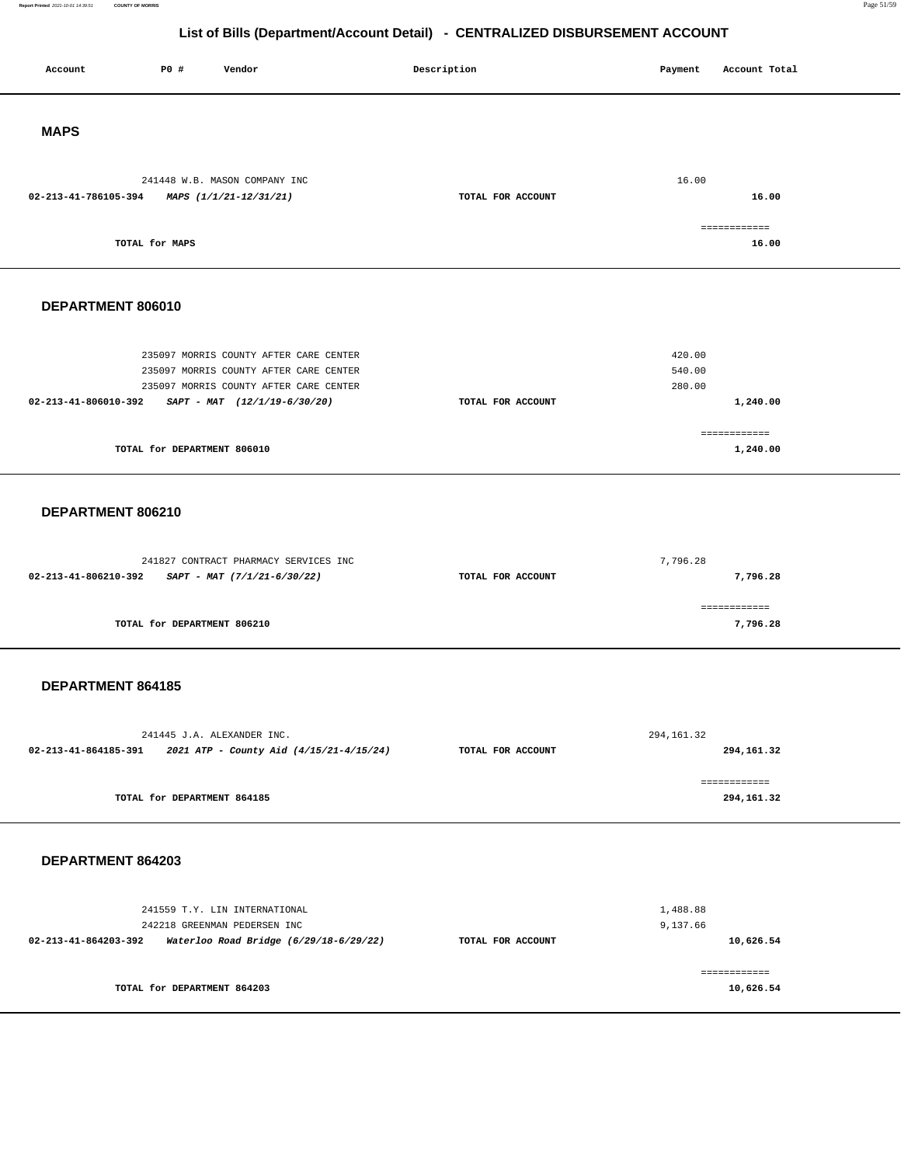#### **Report Printed** 2021-10-01 14:39:51 **COUNTY OF MORRIS** Page 51/59

# **List of Bills (Department/Account Detail) - CENTRALIZED DISBURSEMENT ACCOUNT**

| Account              | <b>PO #</b>                 | Vendor                                                                                                                                                       | Description       | Payment                    | Account Total              |
|----------------------|-----------------------------|--------------------------------------------------------------------------------------------------------------------------------------------------------------|-------------------|----------------------------|----------------------------|
| <b>MAPS</b>          |                             |                                                                                                                                                              |                   |                            |                            |
| 02-213-41-786105-394 |                             | 241448 W.B. MASON COMPANY INC<br>MAPS (1/1/21-12/31/21)                                                                                                      | TOTAL FOR ACCOUNT | 16.00                      | 16.00<br>------------      |
|                      | TOTAL for MAPS              |                                                                                                                                                              |                   |                            | 16.00                      |
| DEPARTMENT 806010    |                             |                                                                                                                                                              |                   |                            |                            |
| 02-213-41-806010-392 |                             | 235097 MORRIS COUNTY AFTER CARE CENTER<br>235097 MORRIS COUNTY AFTER CARE CENTER<br>235097 MORRIS COUNTY AFTER CARE CENTER<br>$SAPT - MAT$ (12/1/19-6/30/20) | TOTAL FOR ACCOUNT | 420.00<br>540.00<br>280.00 | 1,240.00                   |
|                      | TOTAL for DEPARTMENT 806010 |                                                                                                                                                              |                   |                            | ============<br>1,240.00   |
| DEPARTMENT 806210    |                             |                                                                                                                                                              |                   |                            |                            |
| 02-213-41-806210-392 |                             | 241827 CONTRACT PHARMACY SERVICES INC<br>SAPT - MAT (7/1/21-6/30/22)                                                                                         | TOTAL FOR ACCOUNT | 7,796.28                   | 7,796.28<br>============   |
|                      | TOTAL for DEPARTMENT 806210 |                                                                                                                                                              |                   |                            | 7,796.28                   |
| DEPARTMENT 864185    |                             |                                                                                                                                                              |                   |                            |                            |
| 02-213-41-864185-391 |                             | 241445 J.A. ALEXANDER INC.<br>2021 ATP - County Aid (4/15/21-4/15/24)                                                                                        | TOTAL FOR ACCOUNT | 294, 161.32                | 294,161.32<br>============ |
|                      | TOTAL for DEPARTMENT 864185 |                                                                                                                                                              |                   |                            | 294,161.32                 |
| DEPARTMENT 864203    |                             |                                                                                                                                                              |                   |                            |                            |
| 02-213-41-864203-392 |                             | 241559 T.Y. LIN INTERNATIONAL<br>242218 GREENMAN PEDERSEN INC<br>Waterloo Road Bridge (6/29/18-6/29/22)                                                      | TOTAL FOR ACCOUNT | 1,488.88<br>9,137.66       | 10,626.54                  |
|                      | TOTAL for DEPARTMENT 864203 |                                                                                                                                                              |                   |                            | ============<br>10,626.54  |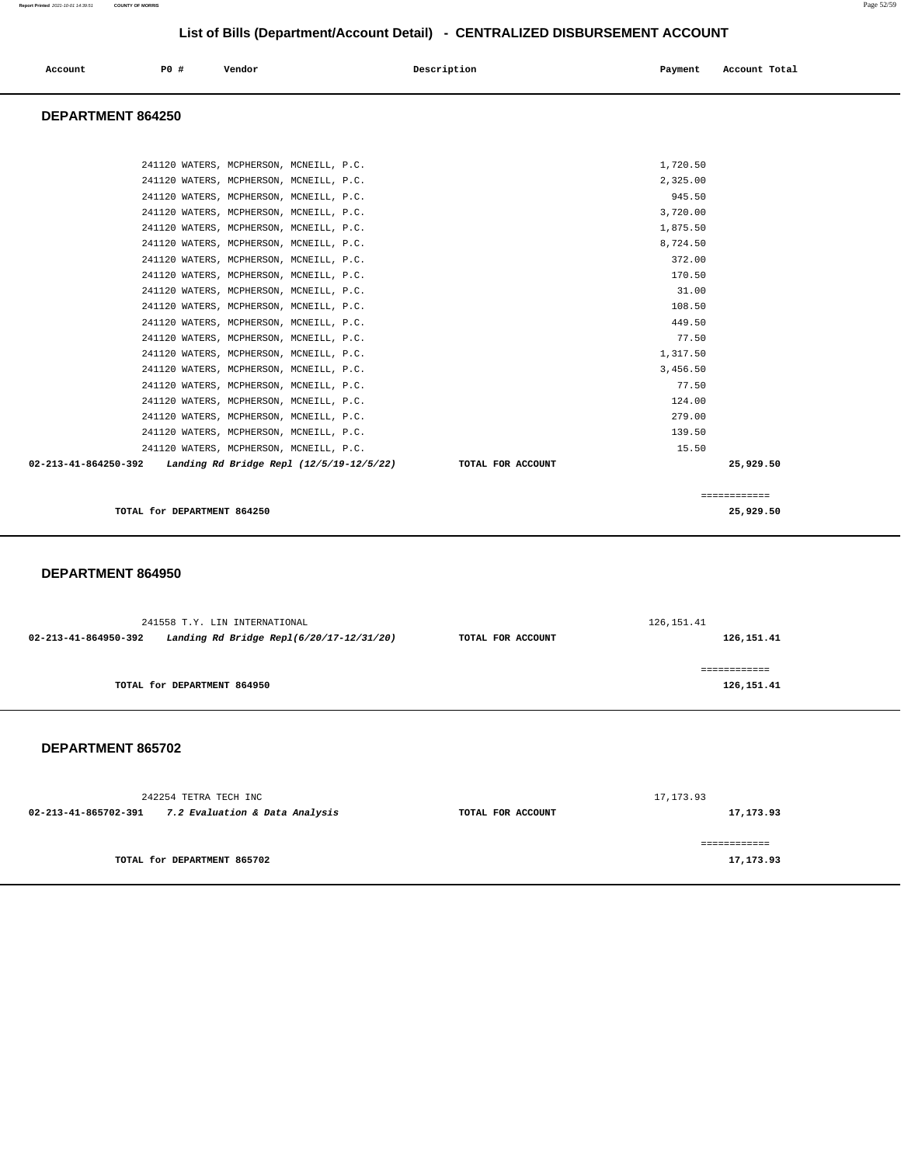| Account<br>. | <b>PO #</b> | Vendor | Description | Payment | Account Total |
|--------------|-------------|--------|-------------|---------|---------------|
|              |             |        |             |         |               |

#### **DEPARTMENT 864250**

| TOTAL for DEPARTMENT 864250                                   | 25,929.50                      |
|---------------------------------------------------------------|--------------------------------|
|                                                               | ============                   |
| 02-213-41-864250-392 Landing Rd Bridge Repl (12/5/19-12/5/22) | 25,929.50<br>TOTAL FOR ACCOUNT |
| 241120 WATERS, MCPHERSON, MCNEILL, P.C.                       | 15.50                          |
| 241120 WATERS, MCPHERSON, MCNEILL, P.C.                       | 139.50                         |
| 241120 WATERS, MCPHERSON, MCNEILL, P.C.                       | 279.00                         |
| 241120 WATERS, MCPHERSON, MCNEILL, P.C.                       | 124.00                         |
| 241120 WATERS, MCPHERSON, MCNEILL, P.C.                       | 77.50                          |
| 241120 WATERS, MCPHERSON, MCNEILL, P.C.                       | 3,456.50                       |
| 241120 WATERS, MCPHERSON, MCNEILL, P.C.                       | 1,317.50                       |
| 241120 WATERS, MCPHERSON, MCNEILL, P.C.                       | 77.50                          |
| 241120 WATERS, MCPHERSON, MCNEILL, P.C.                       | 449.50                         |
| 241120 WATERS, MCPHERSON, MCNEILL, P.C.                       | 108.50                         |
| 241120 WATERS, MCPHERSON, MCNEILL, P.C.                       | 31.00                          |
| 241120 WATERS, MCPHERSON, MCNEILL, P.C.                       | 170.50                         |
| 241120 WATERS, MCPHERSON, MCNEILL, P.C.                       | 372.00                         |
| 241120 WATERS, MCPHERSON, MCNEILL, P.C.                       | 8,724.50                       |
| 241120 WATERS, MCPHERSON, MCNEILL, P.C.                       | 1,875.50                       |
| 241120 WATERS, MCPHERSON, MCNEILL, P.C.                       | 3,720.00                       |
| 241120 WATERS, MCPHERSON, MCNEILL, P.C.                       | 945.50                         |
| 241120 WATERS, MCPHERSON, MCNEILL, P.C.                       | 2,325.00                       |
| 241120 WATERS, MCPHERSON, MCNEILL, P.C.                       | 1,720.50                       |
|                                                               |                                |

#### **DEPARTMENT 864950**

| 241558 T.Y. LIN INTERNATIONAL                                       | 126, 151.41                     |  |
|---------------------------------------------------------------------|---------------------------------|--|
| Landing Rd Bridge Repl $(6/20/17-12/31/20)$<br>02-213-41-864950-392 | 126,151.41<br>TOTAL FOR ACCOUNT |  |
|                                                                     |                                 |  |
|                                                                     |                                 |  |
| TOTAL for DEPARTMENT 864950                                         | 126,151.41                      |  |
|                                                                     |                                 |  |

| 242254 TETRA TECH INC                                         |                   | 17,173.93  |
|---------------------------------------------------------------|-------------------|------------|
| $02 - 213 - 41 - 865702 - 391$ 7.2 Evaluation & Data Analysis | TOTAL FOR ACCOUNT | 17, 173.93 |
|                                                               |                   |            |
| TOTAL for DEPARTMENT 865702                                   |                   | 17,173.93  |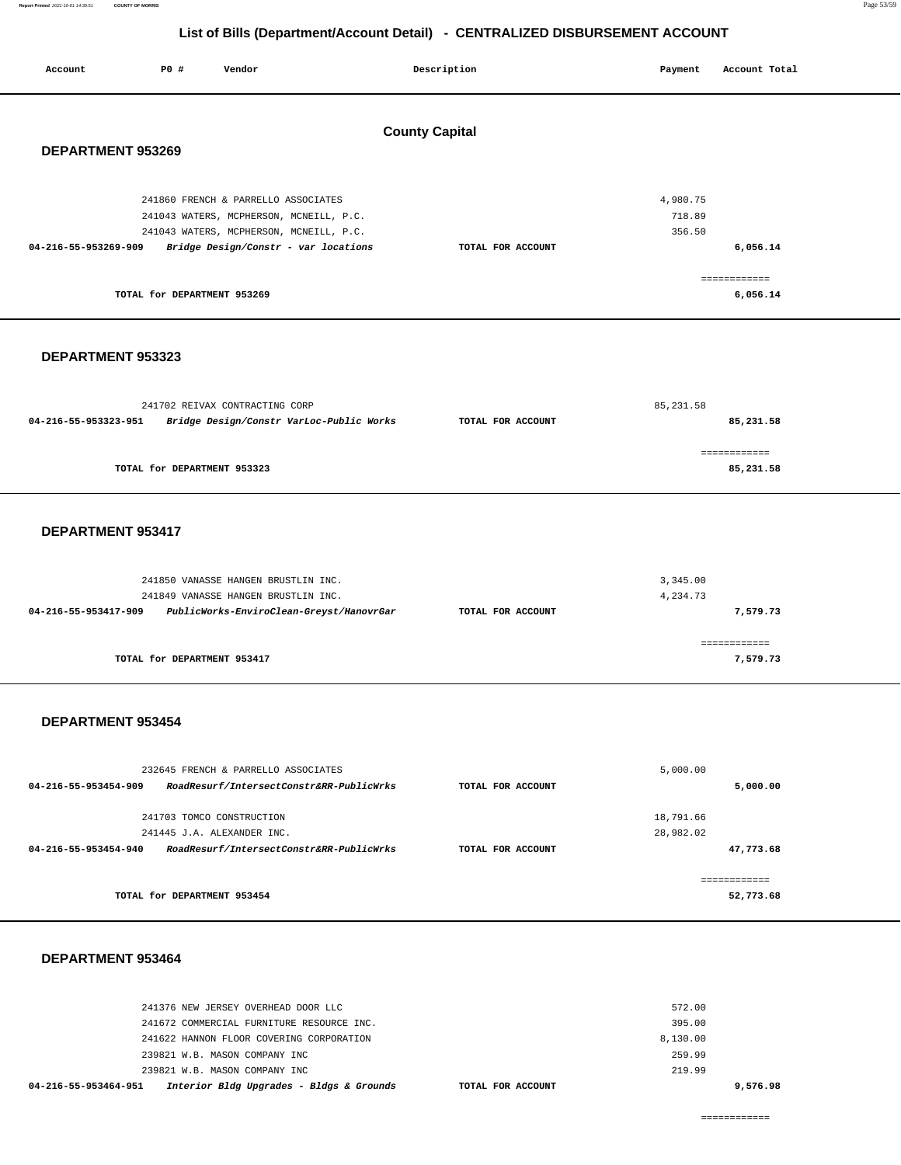#### **Report Printed** 2021-10-01 14:39:51 **COUNTY OF MORRIS** Page 53/59

# **List of Bills (Department/Account Detail) - CENTRALIZED DISBURSEMENT ACCOUNT**

| Account                                    | P0 #                        | Vendor                                                                                                                                                            |  | Description       | Payment                      | Account Total             |
|--------------------------------------------|-----------------------------|-------------------------------------------------------------------------------------------------------------------------------------------------------------------|--|-------------------|------------------------------|---------------------------|
| <b>County Capital</b><br>DEPARTMENT 953269 |                             |                                                                                                                                                                   |  |                   |                              |                           |
| 04-216-55-953269-909                       |                             | 241860 FRENCH & PARRELLO ASSOCIATES<br>241043 WATERS, MCPHERSON, MCNEILL, P.C.<br>241043 WATERS, MCPHERSON, MCNEILL, P.C.<br>Bridge Design/Constr - var locations |  | TOTAL FOR ACCOUNT | 4,980.75<br>718.89<br>356.50 | 6,056.14                  |
|                                            | TOTAL for DEPARTMENT 953269 |                                                                                                                                                                   |  |                   |                              | ============<br>6,056.14  |
|                                            | DEPARTMENT 953323           |                                                                                                                                                                   |  |                   |                              |                           |
| 04-216-55-953323-951                       |                             | 241702 REIVAX CONTRACTING CORP<br>Bridge Design/Constr VarLoc-Public Works                                                                                        |  | TOTAL FOR ACCOUNT | 85, 231.58                   | 85,231.58                 |
|                                            | TOTAL for DEPARTMENT 953323 |                                                                                                                                                                   |  |                   |                              | ============<br>85,231.58 |
| DEPARTMENT 953417                          |                             |                                                                                                                                                                   |  |                   |                              |                           |

#### **DEPARTMENT 953454**

| 232645 FRENCH & PARRELLO ASSOCIATES                              |                   | 5,000.00  |
|------------------------------------------------------------------|-------------------|-----------|
| RoadResurf/IntersectConstr&RR-PublicWrks<br>04-216-55-953454-909 | TOTAL FOR ACCOUNT | 5,000.00  |
|                                                                  |                   |           |
| 241703 TOMCO CONSTRUCTION                                        |                   | 18,791.66 |
| 241445 J.A. ALEXANDER INC.                                       |                   | 28,982.02 |
| RoadResurf/IntersectConstr&RR-PublicWrks<br>04-216-55-953454-940 | TOTAL FOR ACCOUNT | 47,773.68 |
|                                                                  |                   |           |
| TOTAL for DEPARTMENT 953454                                      |                   | 52,773.68 |

#### **DEPARTMENT 953464**

| 04-216-55-953464-951<br>Interior Bldg Upgrades - Bldgs & Grounds<br>TOTAL FOR ACCOUNT |          | 9,576.98 |
|---------------------------------------------------------------------------------------|----------|----------|
| 239821 W.B. MASON COMPANY INC.                                                        | 219.99   |          |
| 239821 W.B. MASON COMPANY INC                                                         | 259.99   |          |
| 241622 HANNON FLOOR COVERING CORPORATION                                              | 8,130.00 |          |
| 241672 COMMERCIAL FURNITURE RESOURCE INC.                                             | 395.00   |          |
| 241376 NEW JERSEY OVERHEAD DOOR LLC                                                   | 572.00   |          |
|                                                                                       |          |          |

============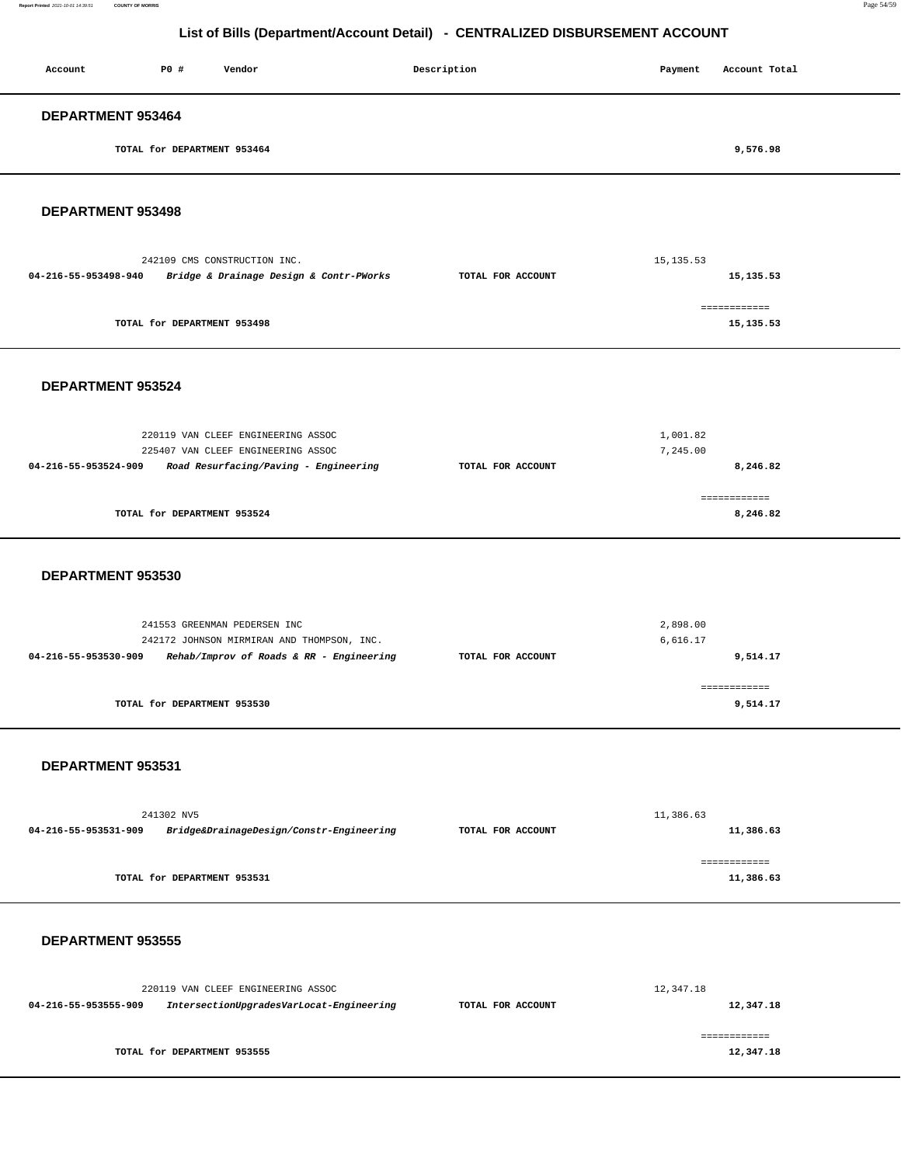| Account                  | P0#                         | Vendor | Description | Payment | Account Total |
|--------------------------|-----------------------------|--------|-------------|---------|---------------|
| <b>DEPARTMENT 953464</b> |                             |        |             |         |               |
|                          | TOTAL for DEPARTMENT 953464 |        |             |         | 9,576.98      |
|                          |                             |        |             |         |               |

**DEPARTMENT 953498** 

|                      | 242109 CMS CONSTRUCTION INC.            | 15, 135.53        |                           |  |
|----------------------|-----------------------------------------|-------------------|---------------------------|--|
| 04-216-55-953498-940 | Bridge & Drainage Design & Contr-PWorks | TOTAL FOR ACCOUNT | 15, 135.53                |  |
|                      | TOTAL for DEPARTMENT 953498             |                   | ============<br>15,135.53 |  |

#### **DEPARTMENT 953524**

| 220119 VAN CLEEF ENGINEERING ASSOC<br>225407 VAN CLEEF ENGINEERING ASSOC | 1,001.82<br>7,245.00 |          |  |
|--------------------------------------------------------------------------|----------------------|----------|--|
| Road Resurfacing/Paving - Engineering<br>04-216-55-953524-909            | TOTAL FOR ACCOUNT    | 8,246.82 |  |
| TOTAL for DEPARTMENT 953524                                              |                      | 8,246.82 |  |

#### **DEPARTMENT 953530**

| 241553 GREENMAN PEDERSEN INC                                     |                   | 2,898.00 |
|------------------------------------------------------------------|-------------------|----------|
| 242172 JOHNSON MIRMIRAN AND THOMPSON, INC.                       |                   | 6,616.17 |
| Rehab/Improv of Roads & RR - Engineering<br>04-216-55-953530-909 | TOTAL FOR ACCOUNT | 9,514.17 |
|                                                                  |                   |          |
|                                                                  |                   |          |
| TOTAL for DEPARTMENT 953530                                      |                   | 9,514.17 |
|                                                                  |                   |          |

#### **DEPARTMENT 953531**

| 241302 NV5           |                                          | 11,386.63         |           |  |
|----------------------|------------------------------------------|-------------------|-----------|--|
| 04-216-55-953531-909 | Bridge&DrainageDesign/Constr-Engineering | TOTAL FOR ACCOUNT | 11,386.63 |  |
|                      |                                          |                   |           |  |
|                      |                                          |                   |           |  |
|                      | TOTAL for DEPARTMENT 953531              |                   | 11,386.63 |  |
|                      |                                          |                   |           |  |

|                                                                  | 220119 VAN CLEEF ENGINEERING ASSOC | 12,347.18         |           |
|------------------------------------------------------------------|------------------------------------|-------------------|-----------|
| IntersectionUpgradesVarLocat-Engineering<br>04-216-55-953555-909 |                                    | TOTAL FOR ACCOUNT | 12,347.18 |
|                                                                  |                                    |                   |           |
|                                                                  | TOTAL for DEPARTMENT 953555        |                   | 12,347.18 |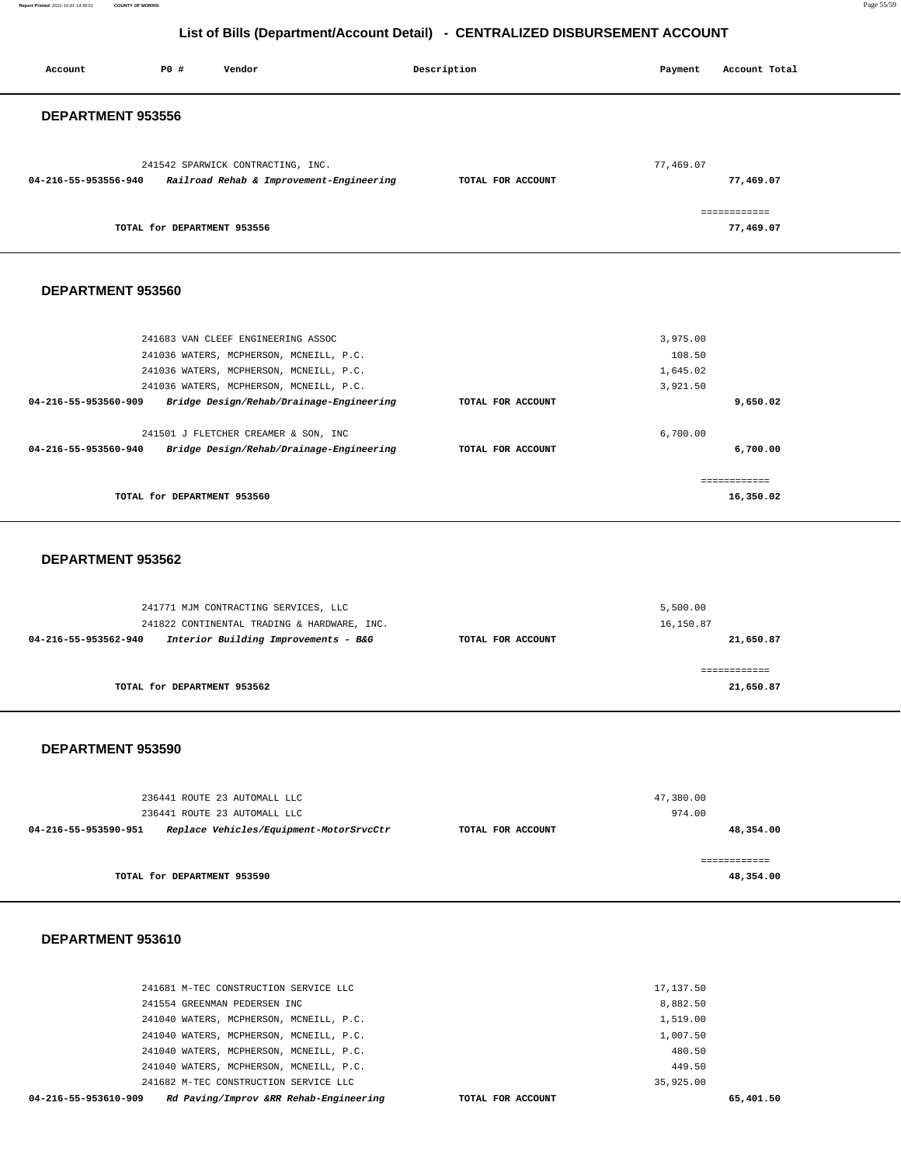| Account              | PO#                         | Vendor                                                                        | Description       | Payment   | Account Total             |  |
|----------------------|-----------------------------|-------------------------------------------------------------------------------|-------------------|-----------|---------------------------|--|
|                      | DEPARTMENT 953556           |                                                                               |                   |           |                           |  |
| 04-216-55-953556-940 |                             | 241542 SPARWICK CONTRACTING, INC.<br>Railroad Rehab & Improvement-Engineering | TOTAL FOR ACCOUNT | 77,469.07 | 77,469.07                 |  |
|                      | TOTAL for DEPARTMENT 953556 |                                                                               |                   |           | ============<br>77,469.07 |  |
| DEPARTMENT 953560    |                             |                                                                               |                   |           |                           |  |
|                      |                             | 241683 VAN CLEEF ENGINEERING ASSOC                                            |                   | 3,975.00  |                           |  |
|                      |                             | 241036 WATERS, MCPHERSON, MCNEILL, P.C.                                       |                   | 108.50    |                           |  |
|                      |                             | 241036 WATERS, MCPHERSON, MCNEILL, P.C.                                       |                   | 1,645.02  |                           |  |
|                      |                             | 241036 WATERS, MCPHERSON, MCNEILL, P.C.                                       |                   | 3,921.50  |                           |  |
| 04-216-55-953560-909 |                             | Bridge Design/Rehab/Drainage-Engineering                                      | TOTAL FOR ACCOUNT |           | 9,650.02                  |  |
|                      |                             | 241501 J FLETCHER CREAMER & SON, INC                                          |                   | 6,700.00  |                           |  |
| 04-216-55-953560-940 |                             | Bridge Design/Rehab/Drainage-Engineering                                      | TOTAL FOR ACCOUNT |           | 6,700.00                  |  |
|                      |                             |                                                                               |                   |           | ============              |  |
|                      | TOTAL for DEPARTMENT 953560 |                                                                               |                   |           | 16,350.02                 |  |

#### **DEPARTMENT 953562**

| 241771 MJM CONTRACTING SERVICES, LLC                         | 5,500.00          |           |
|--------------------------------------------------------------|-------------------|-----------|
| 241822 CONTINENTAL TRADING & HARDWARE, INC.                  | 16,150.87         |           |
| Interior Building Improvements - B&G<br>04-216-55-953562-940 | TOTAL FOR ACCOUNT | 21,650.87 |
|                                                              |                   |           |
|                                                              |                   |           |
| TOTAL for DEPARTMENT 953562                                  |                   | 21,650.87 |
|                                                              |                   |           |

#### **DEPARTMENT 953590**

| 236441 ROUTE 23 AUTOMALL LLC                                    |                   | 47,380.00 |
|-----------------------------------------------------------------|-------------------|-----------|
| 236441 ROUTE 23 AUTOMALL LLC                                    |                   | 974.00    |
| Replace Vehicles/Equipment-MotorSrvcCtr<br>04-216-55-953590-951 | TOTAL FOR ACCOUNT | 48,354.00 |
|                                                                 |                   |           |
|                                                                 |                   |           |
| TOTAL for DEPARTMENT 953590                                     |                   | 48,354.00 |
|                                                                 |                   |           |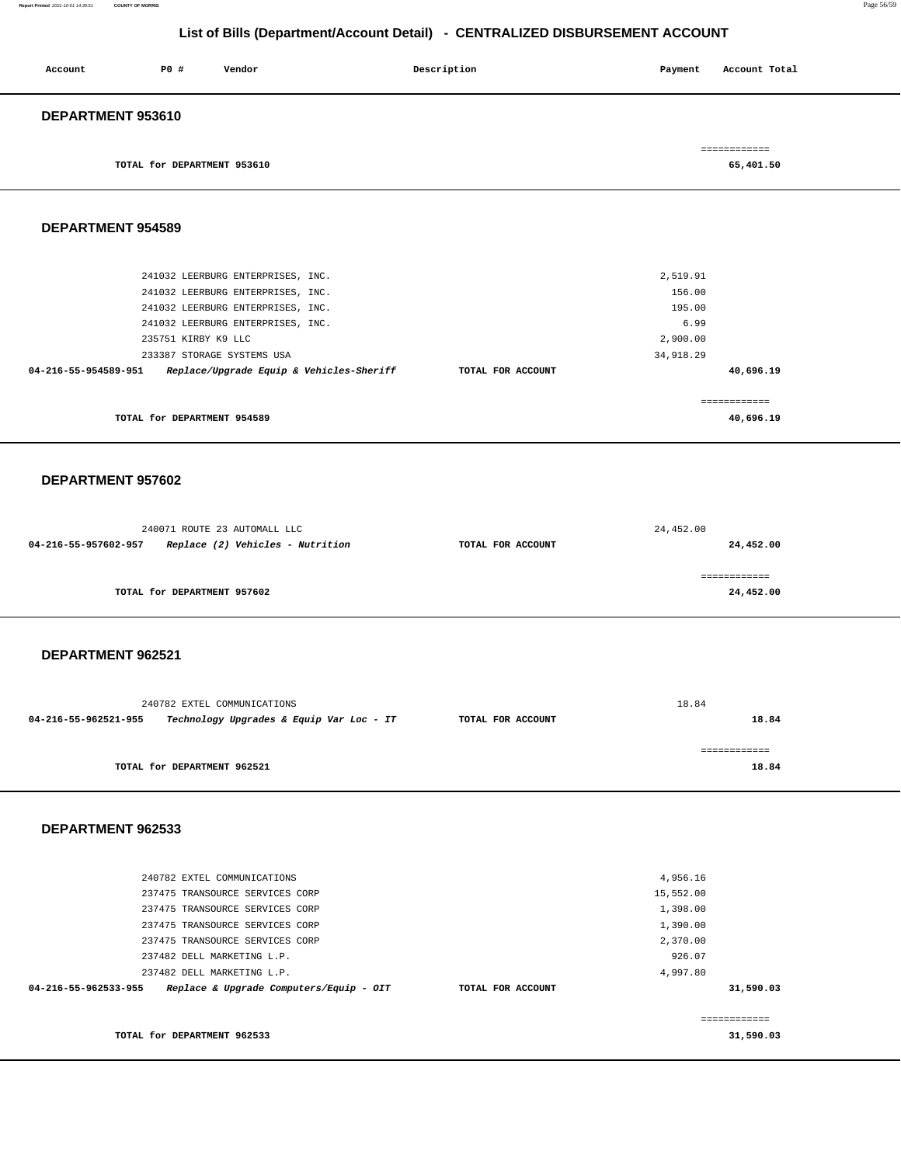| Account           | <b>PO #</b>                 | Vendor | Description | Payment | Account Total |
|-------------------|-----------------------------|--------|-------------|---------|---------------|
| DEPARTMENT 953610 |                             |        |             |         |               |
|                   |                             |        |             |         | ============  |
|                   | TOTAL for DEPARTMENT 953610 |        |             |         | 65,401.50     |

**DEPARTMENT 954589** 

| 241032 LEERBURG ENTERPRISES, INC.                                |                   | 2,519.91     |
|------------------------------------------------------------------|-------------------|--------------|
| 241032 LEERBURG ENTERPRISES, INC.                                |                   | 156.00       |
| 241032 LEERBURG ENTERPRISES, INC.                                |                   | 195.00       |
| 241032 LEERBURG ENTERPRISES, INC.                                |                   | 6.99         |
| 235751 KIRBY K9 LLC                                              |                   | 2,900.00     |
| 233387 STORAGE SYSTEMS USA                                       |                   | 34,918.29    |
| Replace/Upgrade Equip & Vehicles-Sheriff<br>04-216-55-954589-951 | TOTAL FOR ACCOUNT | 40,696.19    |
|                                                                  |                   |              |
|                                                                  |                   | ------------ |
| TOTAL for DEPARTMENT 954589                                      |                   | 40,696.19    |
|                                                                  |                   |              |

#### **DEPARTMENT 957602**

| 240071 ROUTE 23 AUTOMALL LLC                             |                   | 24,452.00  |
|----------------------------------------------------------|-------------------|------------|
| Replace (2) Vehicles - Nutrition<br>04-216-55-957602-957 | TOTAL FOR ACCOUNT | 24,452.00  |
|                                                          |                   |            |
|                                                          |                   | :========= |
| TOTAL for DEPARTMENT 957602                              |                   | 24,452.00  |

#### **DEPARTMENT 962521**

| 240782 EXTEL COMMUNICATIONS                                      | 18.84             |       |
|------------------------------------------------------------------|-------------------|-------|
| 04-216-55-962521-955<br>Technology Upgrades & Equip Var Loc - IT | TOTAL FOR ACCOUNT | 18.84 |
|                                                                  |                   |       |
| TOTAL for DEPARTMENT 962521                                      |                   | 18.84 |

| 240782 EXTEL COMMUNICATIONS                                     |                   | 4,956.16  |           |
|-----------------------------------------------------------------|-------------------|-----------|-----------|
| 237475 TRANSOURCE SERVICES CORP                                 |                   | 15,552.00 |           |
| 237475 TRANSOURCE SERVICES CORP                                 |                   | 1,398.00  |           |
| 237475 TRANSOURCE SERVICES CORP                                 |                   | 1,390.00  |           |
| 237475 TRANSOURCE SERVICES CORP                                 |                   | 2,370.00  |           |
| 237482 DELL MARKETING L.P.                                      |                   | 926.07    |           |
| 237482 DELL MARKETING L.P.                                      |                   | 4,997.80  |           |
| Replace & Upgrade Computers/Equip - OIT<br>04-216-55-962533-955 | TOTAL FOR ACCOUNT |           | 31,590.03 |
|                                                                 |                   |           |           |
|                                                                 |                   |           |           |
| TOTAL for DEPARTMENT 962533                                     |                   |           | 31,590.03 |
|                                                                 |                   |           |           |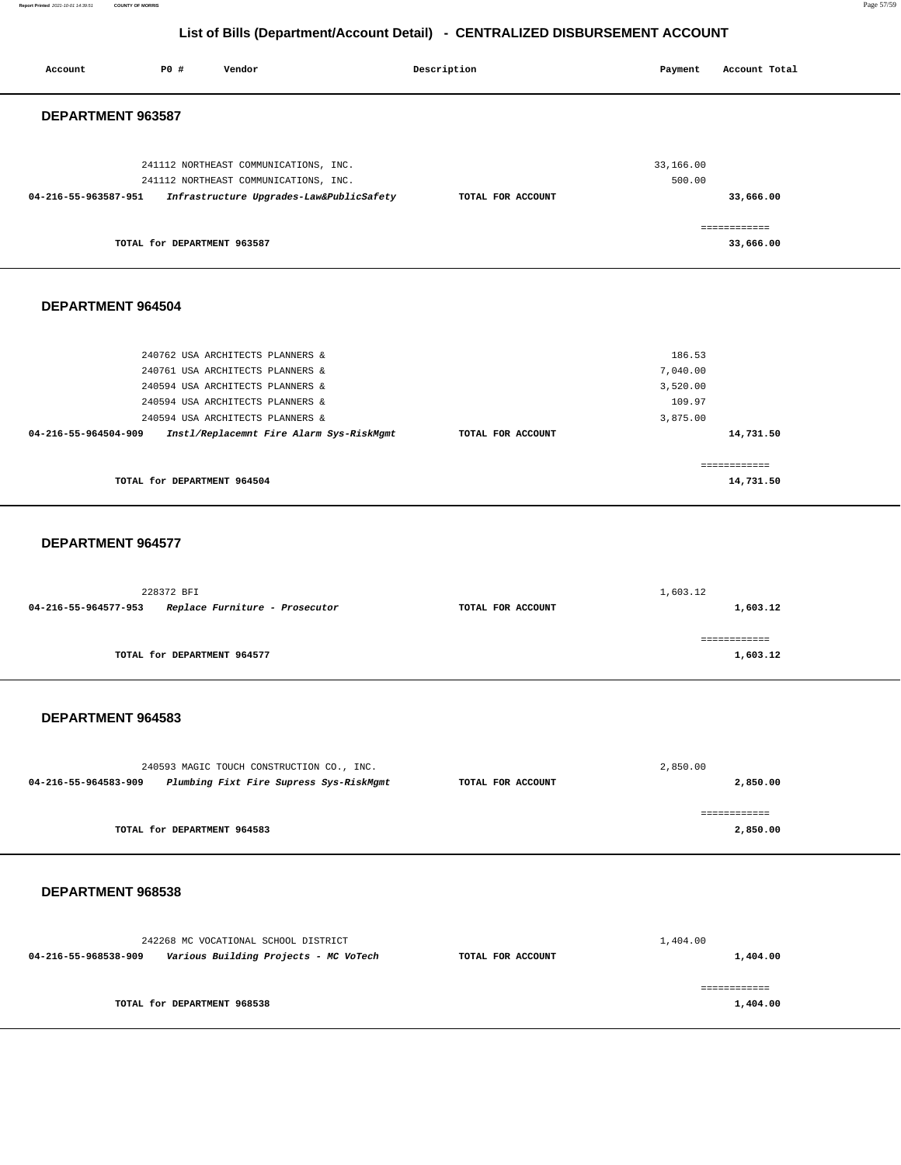**Report Printed** 2021-10-01 14:39:51 **COUNTY OF MORRIS** Page 57/59

# **List of Bills (Department/Account Detail) - CENTRALIZED DISBURSEMENT ACCOUNT**

| Account              | P0 #                        | Vendor                                                                                                                                                                                                                       | Description       | Payment                                              | Account Total             |
|----------------------|-----------------------------|------------------------------------------------------------------------------------------------------------------------------------------------------------------------------------------------------------------------------|-------------------|------------------------------------------------------|---------------------------|
| DEPARTMENT 963587    |                             |                                                                                                                                                                                                                              |                   |                                                      |                           |
| 04-216-55-963587-951 |                             | 241112 NORTHEAST COMMUNICATIONS, INC.<br>241112 NORTHEAST COMMUNICATIONS, INC.<br>Infrastructure Upgrades-Law&PublicSafety                                                                                                   | TOTAL FOR ACCOUNT | 33,166.00<br>500.00                                  | 33,666.00<br>------------ |
|                      | TOTAL for DEPARTMENT 963587 |                                                                                                                                                                                                                              |                   |                                                      | 33,666.00                 |
| DEPARTMENT 964504    |                             |                                                                                                                                                                                                                              |                   |                                                      |                           |
| 04-216-55-964504-909 |                             | 240762 USA ARCHITECTS PLANNERS &<br>240761 USA ARCHITECTS PLANNERS &<br>240594 USA ARCHITECTS PLANNERS &<br>240594 USA ARCHITECTS PLANNERS &<br>240594 USA ARCHITECTS PLANNERS &<br>Instl/Replacemnt Fire Alarm Sys-RiskMgmt | TOTAL FOR ACCOUNT | 186.53<br>7,040.00<br>3,520.00<br>109.97<br>3,875.00 | 14,731.50                 |
|                      | TOTAL for DEPARTMENT 964504 |                                                                                                                                                                                                                              |                   |                                                      | ============<br>14,731.50 |
| DEPARTMENT 964577    |                             |                                                                                                                                                                                                                              |                   |                                                      |                           |
| 04-216-55-964577-953 | 228372 BFI                  | Replace Furniture - Prosecutor                                                                                                                                                                                               | TOTAL FOR ACCOUNT | 1,603.12                                             | 1,603.12                  |
|                      | TOTAL for DEPARTMENT 964577 |                                                                                                                                                                                                                              |                   |                                                      | ============<br>1,603.12  |
| DEPARTMENT 964583    |                             |                                                                                                                                                                                                                              |                   |                                                      |                           |
| 04-216-55-964583-909 |                             | 240593 MAGIC TOUCH CONSTRUCTION CO., INC.<br>Plumbing Fixt Fire Supress Sys-RiskMgmt                                                                                                                                         | TOTAL FOR ACCOUNT | 2,850.00                                             | 2,850.00                  |
|                      | TOTAL for DEPARTMENT 964583 |                                                                                                                                                                                                                              |                   |                                                      | ============<br>2,850.00  |
| DEPARTMENT 968538    |                             |                                                                                                                                                                                                                              |                   |                                                      |                           |
| 04-216-55-968538-909 |                             | 242268 MC VOCATIONAL SCHOOL DISTRICT<br>Various Building Projects - MC VoTech                                                                                                                                                | TOTAL FOR ACCOUNT | 1,404.00                                             | 1,404.00                  |
|                      | TOTAL for DEPARTMENT 968538 |                                                                                                                                                                                                                              |                   |                                                      | ============<br>1,404.00  |
|                      |                             |                                                                                                                                                                                                                              |                   |                                                      |                           |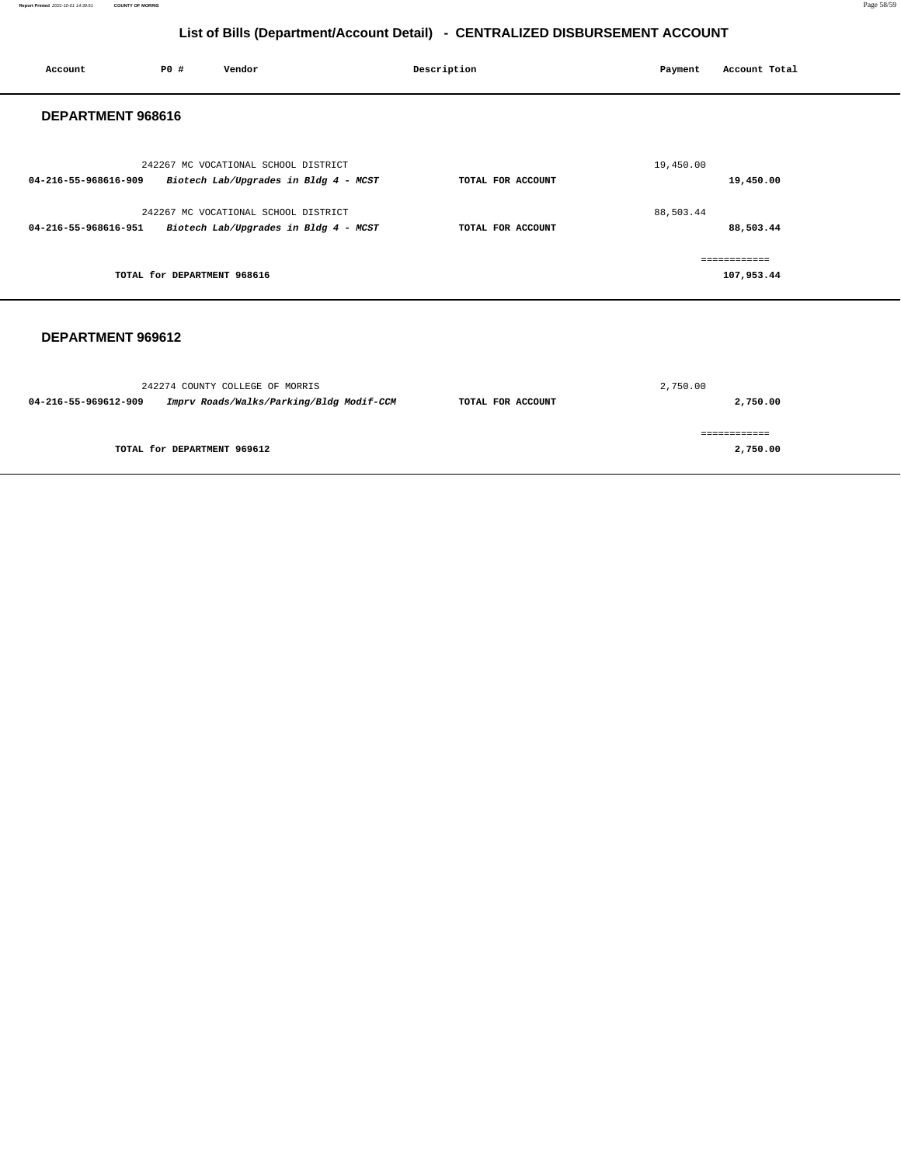| Account              | <b>PO #</b>                 | Vendor                                                                        | Description       | Payment   | Account Total              |
|----------------------|-----------------------------|-------------------------------------------------------------------------------|-------------------|-----------|----------------------------|
| DEPARTMENT 968616    |                             |                                                                               |                   |           |                            |
| 04-216-55-968616-909 |                             | 242267 MC VOCATIONAL SCHOOL DISTRICT<br>Biotech Lab/Upgrades in Bldg 4 - MCST | TOTAL FOR ACCOUNT | 19,450.00 | 19,450.00                  |
| 04-216-55-968616-951 |                             | 242267 MC VOCATIONAL SCHOOL DISTRICT<br>Biotech Lab/Upgrades in Bldg 4 - MCST | TOTAL FOR ACCOUNT | 88,503.44 | 88,503.44                  |
|                      | TOTAL for DEPARTMENT 968616 |                                                                               |                   |           | ============<br>107,953.44 |
| DEPARTMENT 969612    |                             |                                                                               |                   |           |                            |

| 242274 COUNTY COLLEGE OF MORRIS                                  |                   | 2,750.00 |  |
|------------------------------------------------------------------|-------------------|----------|--|
| Imprv Roads/Walks/Parking/Bldg Modif-CCM<br>04-216-55-969612-909 | TOTAL FOR ACCOUNT | 2,750.00 |  |
|                                                                  |                   |          |  |
|                                                                  |                   |          |  |
| TOTAL for DEPARTMENT 969612                                      |                   | 2,750.00 |  |
|                                                                  |                   |          |  |